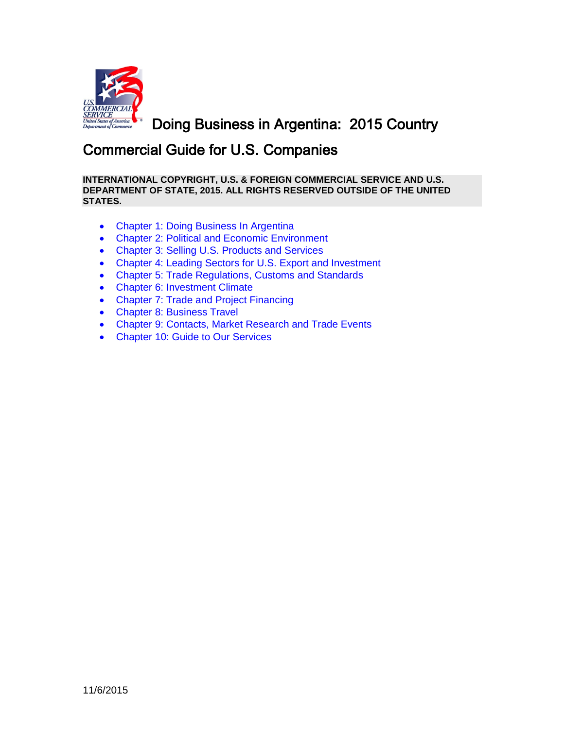

<span id="page-0-0"></span>Doing Business in Argentina: 2015 Country

# Commercial Guide for U.S. Companies

**INTERNATIONAL COPYRIGHT, U.S. & FOREIGN COMMERCIAL SERVICE AND U.S. DEPARTMENT OF STATE, 2015. ALL RIGHTS RESERVED OUTSIDE OF THE UNITED STATES.**

- [Chapter 1: Doing Business In](#page-1-0) Argentina
- [Chapter 2: Political and Economic Environment](#page-4-0)
- [Chapter 3: Selling U.S. Products and Services](#page-5-0)
- [Chapter 4: Leading Sectors for U.S. Export and Investment](#page-19-0)
- [Chapter 5: Trade Regulations, Customs](#page-44-0) and Standards
- [Chapter 6: Investment Climate](#page-69-0)
- [Chapter 7: Trade and Project Financing](#page-96-0)
- [Chapter 8: Business Travel](#page-102-0)
- [Chapter 9: Contacts, Market Research and Trade Events](#page-109-0)
- [Chapter 10: Guide to Our Services](#page-118-0)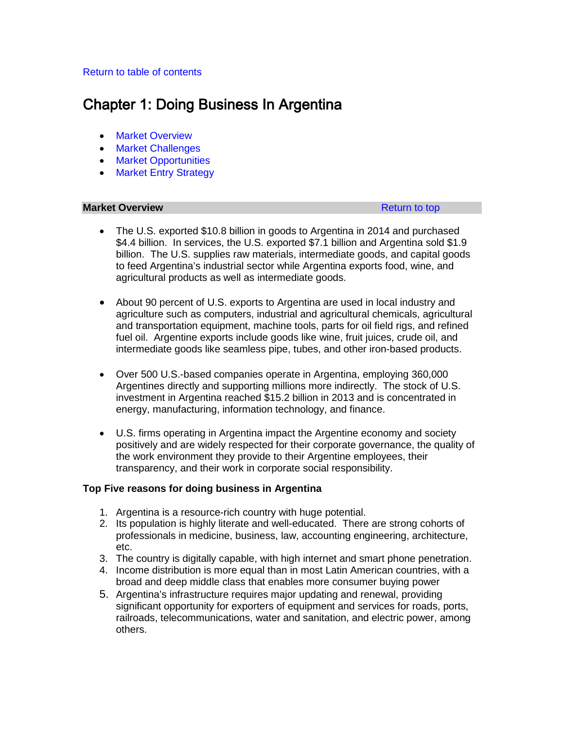# <span id="page-1-0"></span>[Return to table of contents](#page-0-0)

# Chapter 1: Doing Business In Argentina

- [Market Overview](#page-1-1)
- [Market Challenges](#page-2-0)
- [Market Opportunities](#page-2-1)
- [Market Entry Strategy](#page-3-0)

# <span id="page-1-1"></span>**Market Overview [Return to top](#page-1-0) Return to top Return to top Return to top**

- The U.S. exported \$10.8 billion in goods to Argentina in 2014 and purchased \$4.4 billion. In services, the U.S. exported \$7.1 billion and Argentina sold \$1.9 billion. The U.S. supplies raw materials, intermediate goods, and capital goods to feed Argentina's industrial sector while Argentina exports food, wine, and agricultural products as well as intermediate goods.
- About 90 percent of U.S. exports to Argentina are used in local industry and agriculture such as computers, industrial and agricultural chemicals, agricultural and transportation equipment, machine tools, parts for oil field rigs, and refined fuel oil. Argentine exports include goods like wine, fruit juices, crude oil, and intermediate goods like seamless pipe, tubes, and other iron-based products.
- Over 500 U.S.-based companies operate in Argentina, employing 360,000 Argentines directly and supporting millions more indirectly. The stock of U.S. investment in Argentina reached \$15.2 billion in 2013 and is concentrated in energy, manufacturing, information technology, and finance.
- U.S. firms operating in Argentina impact the Argentine economy and society positively and are widely respected for their corporate governance, the quality of the work environment they provide to their Argentine employees, their transparency, and their work in corporate social responsibility.

## **Top Five reasons for doing business in Argentina**

- 1. Argentina is a resource-rich country with huge potential.
- 2. Its population is highly literate and well-educated. There are strong cohorts of professionals in medicine, business, law, accounting engineering, architecture, etc.
- 3. The country is digitally capable, with high internet and smart phone penetration.
- 4. Income distribution is more equal than in most Latin American countries, with a broad and deep middle class that enables more consumer buying power
- 5. Argentina's infrastructure requires major updating and renewal, providing significant opportunity for exporters of equipment and services for roads, ports, railroads, telecommunications, water and sanitation, and electric power, among others.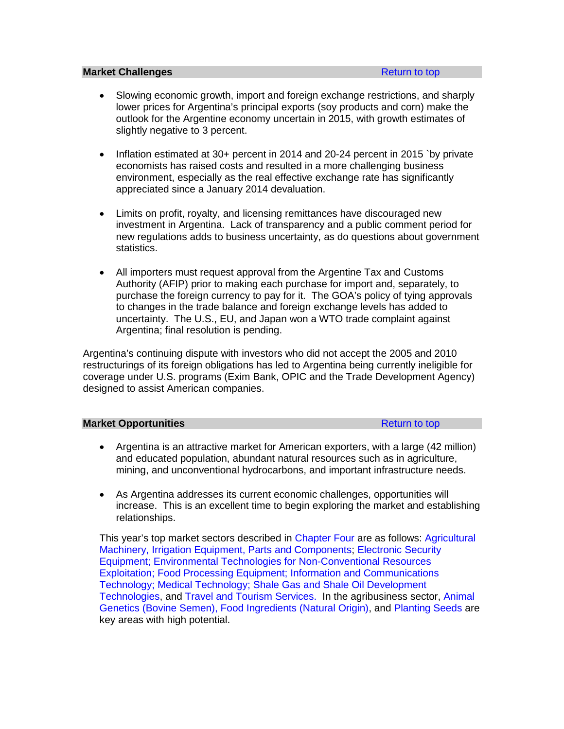#### <span id="page-2-0"></span>**Market Challenges [Return to top](#page-1-0) <b>Return** to top **Return** to top

- Slowing economic growth, import and foreign exchange restrictions, and sharply lower prices for Argentina's principal exports (soy products and corn) make the outlook for the Argentine economy uncertain in 2015, with growth estimates of slightly negative to 3 percent.
- Inflation estimated at 30+ percent in 2014 and 20-24 percent in 2015 `by private economists has raised costs and resulted in a more challenging business environment, especially as the real effective exchange rate has significantly appreciated since a January 2014 devaluation.
- Limits on profit, royalty, and licensing remittances have discouraged new investment in Argentina. Lack of transparency and a public comment period for new regulations adds to business uncertainty, as do questions about government statistics.
- All importers must request approval from the Argentine Tax and Customs Authority (AFIP) prior to making each purchase for import and, separately, to purchase the foreign currency to pay for it. The GOA's policy of tying approvals to changes in the trade balance and foreign exchange levels has added to uncertainty. The U.S., EU, and Japan won a WTO trade complaint against Argentina; final resolution is pending.

Argentina's continuing dispute with investors who did not accept the 2005 and 2010 restructurings of its foreign obligations has led to Argentina being currently ineligible for coverage under U.S. programs (Exim Bank, OPIC and the Trade Development Agency) designed to assist American companies.

#### <span id="page-2-1"></span>**Market Opportunities [Return to top](#page-1-0) Return to top**

- Argentina is an attractive market for American exporters, with a large (42 million) and educated population, abundant natural resources such as in agriculture, mining, and unconventional hydrocarbons, and important infrastructure needs.
- As Argentina addresses its current economic challenges, opportunities will increase. This is an excellent time to begin exploring the market and establishing relationships.

This year's top market sectors described in [Chapter Four](#page-19-0) are as follows: [Agricultural](#page-20-0)  [Machinery, Irrigation Equipment, Parts and Components;](#page-20-0) [Electronic Security](#page-22-0)  [Equipment;](#page-22-0) [Environmental Technologies for Non-Conventional Resources](#page-24-0)  [Exploitation;](#page-24-0) [Food Processing Equipment;](#page-27-0) [Information and Communications](#page-29-0)  [Technology;](#page-29-0) [Medical Technology;](#page-31-0) [Shale Gas and Shale Oil Development](#page-33-0)  [Technologies,](#page-33-0) and [Travel and Tourism Services.](#page-36-0) In the agribusiness sector, [Animal](#page-38-0)  [Genetics \(Bovine Semen\),](#page-38-0) [Food Ingredients](#page-40-0) (Natural Origin), and [Planting Seeds](#page-42-0) are key areas with high potential.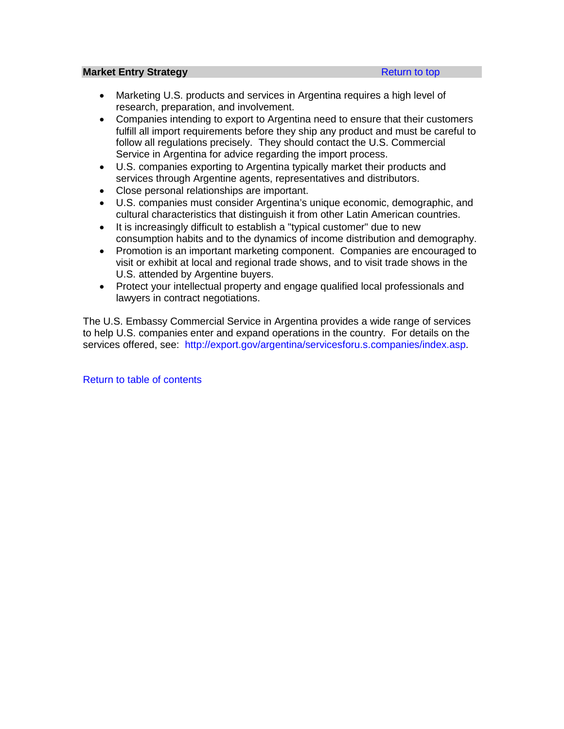#### <span id="page-3-0"></span>**Market Entry Strategy [Return to top](#page-1-0) Return to top**

- Marketing U.S. products and services in Argentina requires a high level of research, preparation, and involvement.
- Companies intending to export to Argentina need to ensure that their customers fulfill all import requirements before they ship any product and must be careful to follow all regulations precisely. They should contact the U.S. Commercial Service in Argentina for advice regarding the import process.
- U.S. companies exporting to Argentina typically market their products and services through Argentine agents, representatives and distributors.
- Close personal relationships are important.
- U.S. companies must consider Argentina's unique economic, demographic, and cultural characteristics that distinguish it from other Latin American countries.
- It is increasingly difficult to establish a "typical customer" due to new consumption habits and to the dynamics of income distribution and demography.
- Promotion is an important marketing component. Companies are encouraged to visit or exhibit at local and regional trade shows, and to visit trade shows in the U.S. attended by Argentine buyers.
- Protect your intellectual property and engage qualified local professionals and lawyers in contract negotiations.

The U.S. Embassy Commercial Service in Argentina provides a wide range of services to help U.S. companies enter and expand operations in the country. For details on the services offered, see: [http://export.gov/argentina/servicesforu.s.companies/index.asp.](http://export.gov/argentina/servicesforu.s.companies/index.asp)

[Return to table of contents](#page-0-0)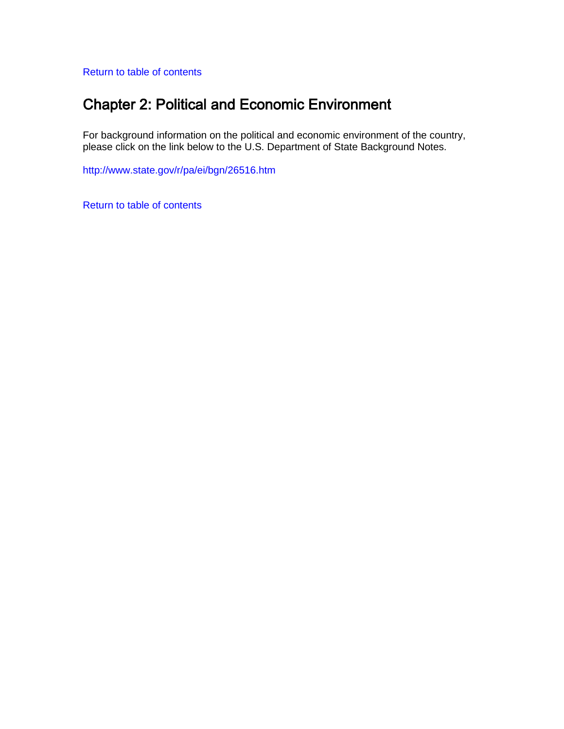<span id="page-4-0"></span>[Return to table of contents](#page-0-0)

# Chapter 2: Political and Economic Environment

For background information on the political and economic environment of the country, please click on the link below to the U.S. Department of State Background Notes.

<http://www.state.gov/r/pa/ei/bgn/26516.htm>

[Return to table of contents](#page-0-0)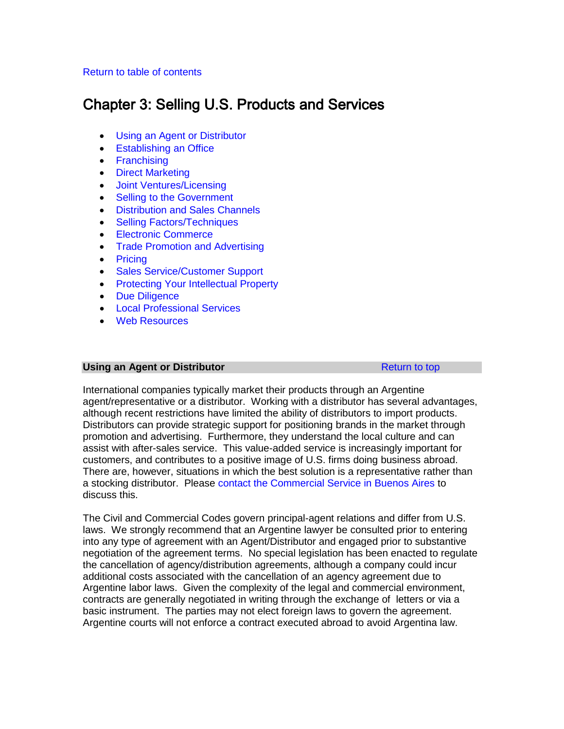## <span id="page-5-0"></span>[Return to table of contents](#page-0-0)

# Chapter 3: Selling U.S. Products and Services

- [Using an Agent or Distributor](#page-5-1)
- [Establishing an Office](#page-6-0)
- [Franchising](#page-7-0)
- [Direct Marketing](#page-8-0)
- [Joint Ventures/Licensing](#page-8-1)
- [Selling to the Government](#page-8-2)
- [Distribution and Sales Channels](#page-10-0)
- [Selling Factors/Techniques](#page-12-0)
- [Electronic Commerce](#page-13-0)
- [Trade Promotion and Advertising](#page-13-1)
- [Pricing](#page-14-0)
- [Sales Service/Customer Support](#page-15-0)
- [Protecting Your Intellectual Property](#page-15-1)
- [Due Diligence](#page-17-0)
- [Local Professional Services](#page-17-1)
- [Web Resources](#page-17-2)

# <span id="page-5-1"></span>**Using an Agent or Distributor [Return to top](#page-5-0) <b>Return** to top

International companies typically market their products through an Argentine agent/representative or a distributor. Working with a distributor has several advantages, although recent restrictions have limited the ability of distributors to import products. Distributors can provide strategic support for positioning brands in the market through promotion and advertising. Furthermore, they understand the local culture and can assist with after-sales service. This value-added service is increasingly important for customers, and contributes to a positive image of U.S. firms doing business abroad. There are, however, situations in which the best solution is a representative rather than a stocking distributor. Please [contact the Commercial Service in Buenos Aires](http://export.gov/argentina/contactus/index.asp) to discuss this.

The Civil and Commercial Codes govern principal-agent relations and differ from U.S. laws. We strongly recommend that an Argentine lawyer be consulted prior to entering into any type of agreement with an Agent/Distributor and engaged prior to substantive negotiation of the agreement terms. No special legislation has been enacted to regulate the cancellation of agency/distribution agreements, although a company could incur additional costs associated with the cancellation of an agency agreement due to Argentine labor laws. Given the complexity of the legal and commercial environment, contracts are generally negotiated in writing through the exchange of letters or via a basic instrument. The parties may not elect foreign laws to govern the agreement. Argentine courts will not enforce a contract executed abroad to avoid Argentina law.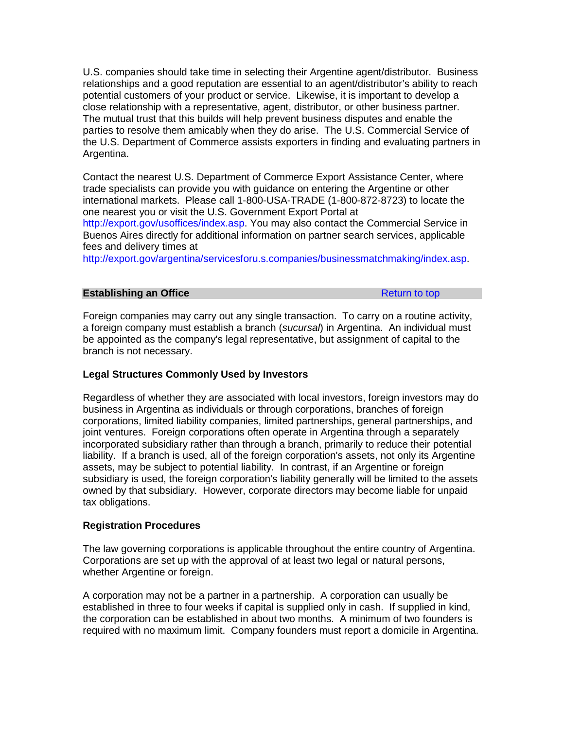U.S. companies should take time in selecting their Argentine agent/distributor. Business relationships and a good reputation are essential to an agent/distributor's ability to reach potential customers of your product or service. Likewise, it is important to develop a close relationship with a representative, agent, distributor, or other business partner. The mutual trust that this builds will help prevent business disputes and enable the parties to resolve them amicably when they do arise. The U.S. Commercial Service of the U.S. Department of Commerce assists exporters in finding and evaluating partners in Argentina.

Contact the nearest U.S. Department of Commerce Export Assistance Center, where trade specialists can provide you with guidance on entering the Argentine or other international markets. Please call 1-800-USA-TRADE (1-800-872-8723) to locate the one nearest you or visit the U.S. Government Export Portal at [http://export.gov/usoffices/index.asp.](http://export.gov/usoffices/index.asp) You may also contact the Commercial Service in Buenos Aires directly for additional information on partner search services, applicable fees and delivery times at

[http://export.gov/argentina/servicesforu.s.companies/businessmatchmaking/index.asp.](http://export.gov/argentina/servicesforu.s.companies/businessmatchmaking/index.asp)

#### <span id="page-6-0"></span>**Establishing an Office** [Return to top](#page-5-0) Return to top

Foreign companies may carry out any single transaction. To carry on a routine activity, a foreign company must establish a branch (*sucursal*) in Argentina. An individual must be appointed as the company's legal representative, but assignment of capital to the branch is not necessary.

## **Legal Structures Commonly Used by Investors**

Regardless of whether they are associated with local investors, foreign investors may do business in Argentina as individuals or through corporations, branches of foreign corporations, limited liability companies, limited partnerships, general partnerships, and joint ventures. Foreign corporations often operate in Argentina through a separately incorporated subsidiary rather than through a branch, primarily to reduce their potential liability. If a branch is used, all of the foreign corporation's assets, not only its Argentine assets, may be subject to potential liability. In contrast, if an Argentine or foreign subsidiary is used, the foreign corporation's liability generally will be limited to the assets owned by that subsidiary. However, corporate directors may become liable for unpaid tax obligations.

## **Registration Procedures**

The law governing corporations is applicable throughout the entire country of Argentina. Corporations are set up with the approval of at least two legal or natural persons, whether Argentine or foreign.

A corporation may not be a partner in a partnership. A corporation can usually be established in three to four weeks if capital is supplied only in cash. If supplied in kind, the corporation can be established in about two months. A minimum of two founders is required with no maximum limit. Company founders must report a domicile in Argentina.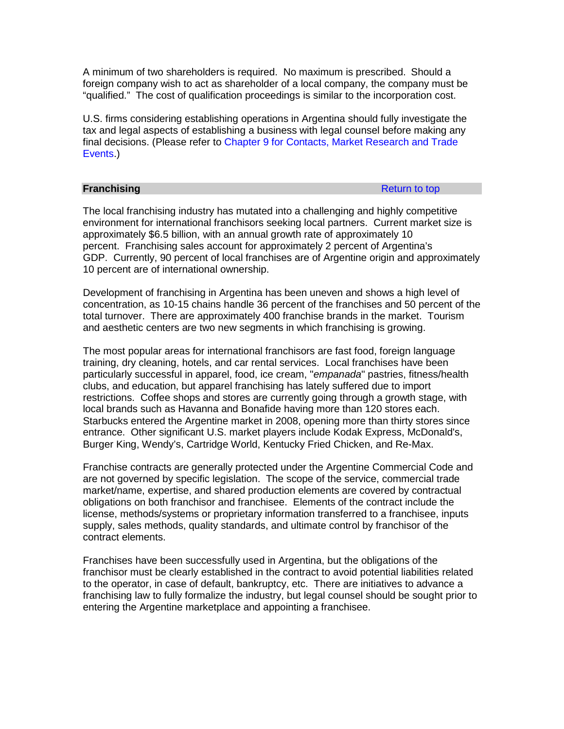A minimum of two shareholders is required. No maximum is prescribed. Should a foreign company wish to act as shareholder of a local company, the company must be "qualified." The cost of qualification proceedings is similar to the incorporation cost.

U.S. firms considering establishing operations in Argentina should fully investigate the tax and legal aspects of establishing a business with legal counsel before making any final decisions. (Please refer to [Chapter 9 for Contacts, Market Research and Trade](#page-109-0)  [Events.](#page-109-0))

#### <span id="page-7-0"></span>**Franchising** [Return to top](#page-5-0)

The local franchising industry has mutated into a challenging and highly competitive environment for international franchisors seeking local partners. Current market size is approximately \$6.5 billion, with an annual growth rate of approximately 10 percent. Franchising sales account for approximately 2 percent of Argentina's GDP. Currently, 90 percent of local franchises are of Argentine origin and approximately 10 percent are of international ownership.

Development of franchising in Argentina has been uneven and shows a high level of concentration, as 10-15 chains handle 36 percent of the franchises and 50 percent of the total turnover. There are approximately 400 franchise brands in the market. Tourism and aesthetic centers are two new segments in which franchising is growing.

The most popular areas for international franchisors are fast food, foreign language training, dry cleaning, hotels, and car rental services. Local franchises have been particularly successful in apparel, food, ice cream, "*empanada*" pastries, fitness/health clubs, and education, but apparel franchising has lately suffered due to import restrictions. Coffee shops and stores are currently going through a growth stage, with local brands such as Havanna and Bonafide having more than 120 stores each. Starbucks entered the Argentine market in 2008, opening more than thirty stores since entrance. Other significant U.S. market players include Kodak Express, McDonald's, Burger King, Wendy's, Cartridge World, Kentucky Fried Chicken, and Re-Max.

Franchise contracts are generally protected under the Argentine Commercial Code and are not governed by specific legislation. The scope of the service, commercial trade market/name, expertise, and shared production elements are covered by contractual obligations on both franchisor and franchisee. Elements of the contract include the license, methods/systems or proprietary information transferred to a franchisee, inputs supply, sales methods, quality standards, and ultimate control by franchisor of the contract elements.

Franchises have been successfully used in Argentina, but the obligations of the franchisor must be clearly established in the contract to avoid potential liabilities related to the operator, in case of default, bankruptcy, etc. There are initiatives to advance a franchising law to fully formalize the industry, but legal counsel should be sought prior to entering the Argentine marketplace and appointing a franchisee.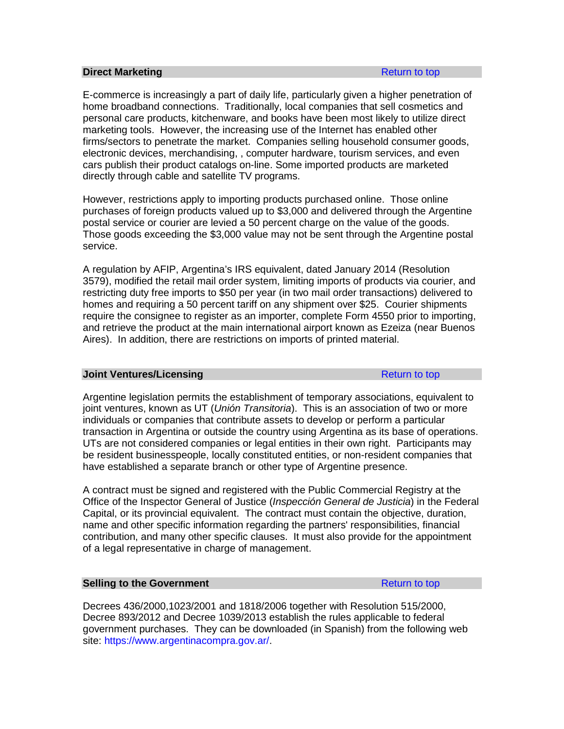#### <span id="page-8-0"></span>**Direct Marketing [Return to top](#page-5-0) Architect Marketing Return to top Return to top**

E-commerce is increasingly a part of daily life, particularly given a higher penetration of home broadband connections. Traditionally, local companies that sell cosmetics and personal care products, kitchenware, and books have been most likely to utilize direct marketing tools. However, the increasing use of the Internet has enabled other firms/sectors to penetrate the market. Companies selling household consumer goods, electronic devices, merchandising, , computer hardware, tourism services, and even cars publish their product catalogs on-line. Some imported products are marketed directly through cable and satellite TV programs.

However, restrictions apply to importing products purchased online. Those online purchases of foreign products valued up to \$3,000 and delivered through the Argentine postal service or courier are levied a 50 percent charge on the value of the goods. Those goods exceeding the \$3,000 value may not be sent through the Argentine postal service.

A regulation by AFIP, Argentina's IRS equivalent, dated January 2014 (Resolution 3579), modified the retail mail order system, limiting imports of products via courier, and restricting duty free imports to \$50 per year (in two mail order transactions) delivered to homes and requiring a 50 percent tariff on any shipment over \$25. Courier shipments require the consignee to register as an importer, complete Form 4550 prior to importing, and retrieve the product at the main international airport known as Ezeiza (near Buenos Aires). In addition, there are restrictions on imports of printed material.

#### <span id="page-8-1"></span>**Joint Ventures/Licensing [Return to top](#page-5-0) Return to top**

Argentine legislation permits the establishment of temporary associations, equivalent to joint ventures, known as UT (*Unión Transitoria*). This is an association of two or more individuals or companies that contribute assets to develop or perform a particular transaction in Argentina or outside the country using Argentina as its base of operations. UTs are not considered companies or legal entities in their own right. Participants may be resident businesspeople, locally constituted entities, or non-resident companies that have established a separate branch or other type of Argentine presence.

A contract must be signed and registered with the Public Commercial Registry at the Office of the Inspector General of Justice (*Inspección General de Justicia*) in the Federal Capital, or its provincial equivalent. The contract must contain the objective, duration, name and other specific information regarding the partners' responsibilities, financial contribution, and many other specific clauses. It must also provide for the appointment of a legal representative in charge of management.

### <span id="page-8-2"></span>**Selling to the Government [Return to top](#page-5-0) Return to top**

Decrees 436/2000,1023/2001 and 1818/2006 together with Resolution 515/2000, Decree 893/2012 and Decree 1039/2013 establish the rules applicable to federal government purchases. They can be downloaded (in Spanish) from the following web site: [https://www.argentinacompra.gov.ar/.](https://www.argentinacompra.gov.ar/prod/onc/sitio/Paginas/Contenido/FrontEnd/index2.asp)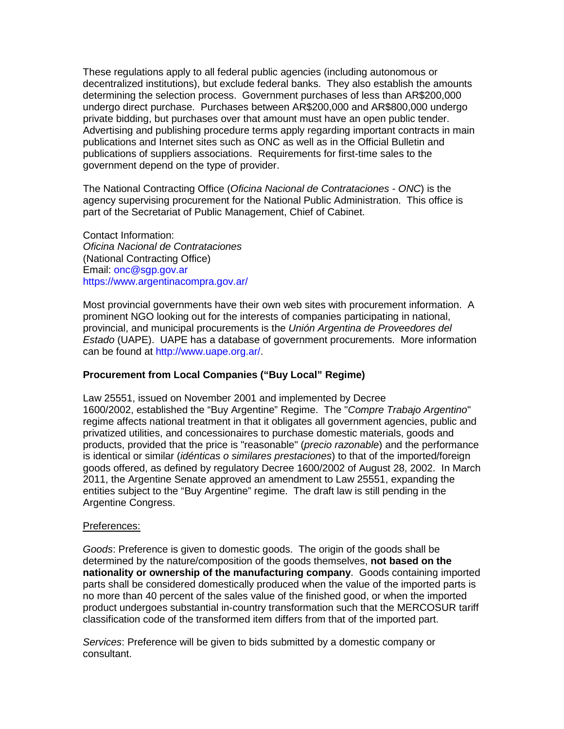These regulations apply to all federal public agencies (including autonomous or decentralized institutions), but exclude federal banks. They also establish the amounts determining the selection process. Government purchases of less than AR\$200,000 undergo direct purchase. Purchases between AR\$200,000 and AR\$800,000 undergo private bidding, but purchases over that amount must have an open public tender. Advertising and publishing procedure terms apply regarding important contracts in main publications and Internet sites such as ONC as well as in the Official Bulletin and publications of suppliers associations. Requirements for first-time sales to the government depend on the type of provider.

The National Contracting Office (*Oficina Nacional de Contrataciones - ONC*) is the agency supervising procurement for the National Public Administration. This office is part of the Secretariat of Public Management, Chief of Cabinet.

Contact Information: *Oficina Nacional de Contrataciones* (National Contracting Office) Email: [onc@sgp.gov.ar](mailto:onc@sgp.gov.ar) <https://www.argentinacompra.gov.ar/>

Most provincial governments have their own web sites with procurement information. A prominent NGO looking out for the interests of companies participating in national, provincial, and municipal procurements is the *Unión Argentina de Proveedores del Estado* (UAPE). UAPE has a database of government procurements. More information can be found at [http://www.uape.org.ar/.](http://www.uape.org.ar/)

# **Procurement from Local Companies ("Buy Local" Regime)**

Law 25551, issued on November 2001 and implemented by Decree 1600/2002, established the "Buy Argentine" Regime. The "*Compre Trabajo Argentino*" regime affects national treatment in that it obligates all government agencies, public and privatized utilities, and concessionaires to purchase domestic materials, goods and products, provided that the price is "reasonable" (*precio razonable*) and the performance is identical or similar (*idénticas o similares prestaciones*) to that of the imported/foreign goods offered, as defined by regulatory Decree 1600/2002 of August 28, 2002. In March 2011, the Argentine Senate approved an amendment to Law 25551, expanding the entities subject to the "Buy Argentine" regime. The draft law is still pending in the Argentine Congress.

## Preferences:

*Goods*: Preference is given to domestic goods. The origin of the goods shall be determined by the nature/composition of the goods themselves, **not based on the nationality or ownership of the manufacturing company**. Goods containing imported parts shall be considered domestically produced when the value of the imported parts is no more than 40 percent of the sales value of the finished good, or when the imported product undergoes substantial in-country transformation such that the MERCOSUR tariff classification code of the transformed item differs from that of the imported part.

*Services*: Preference will be given to bids submitted by a domestic company or consultant.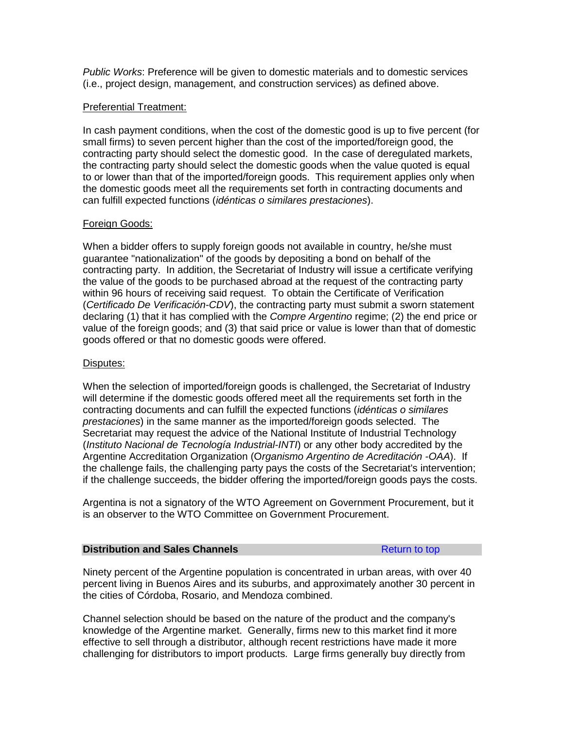*Public Works*: Preference will be given to domestic materials and to domestic services (i.e., project design, management, and construction services) as defined above.

#### Preferential Treatment:

In cash payment conditions, when the cost of the domestic good is up to five percent (for small firms) to seven percent higher than the cost of the imported/foreign good, the contracting party should select the domestic good. In the case of deregulated markets, the contracting party should select the domestic goods when the value quoted is equal to or lower than that of the imported/foreign goods. This requirement applies only when the domestic goods meet all the requirements set forth in contracting documents and can fulfill expected functions (*idénticas o similares prestaciones*).

## Foreign Goods:

When a bidder offers to supply foreign goods not available in country, he/she must guarantee "nationalization" of the goods by depositing a bond on behalf of the contracting party. In addition, the Secretariat of Industry will issue a certificate verifying the value of the goods to be purchased abroad at the request of the contracting party within 96 hours of receiving said request. To obtain the Certificate of Verification (*Certificado De Verificación-CDV*), the contracting party must submit a sworn statement declaring (1) that it has complied with the *Compre Argentino* regime; (2) the end price or value of the foreign goods; and (3) that said price or value is lower than that of domestic goods offered or that no domestic goods were offered.

#### Disputes:

When the selection of imported/foreign goods is challenged, the Secretariat of Industry will determine if the domestic goods offered meet all the requirements set forth in the contracting documents and can fulfill the expected functions (*idénticas o similares prestaciones*) in the same manner as the imported/foreign goods selected. The Secretariat may request the advice of the National Institute of Industrial Technology (*Instituto Nacional de Tecnología Industrial-INTI*) or any other body accredited by the Argentine Accreditation Organization (O*rganismo Argentino de Acreditación -OAA*). If the challenge fails, the challenging party pays the costs of the Secretariat's intervention; if the challenge succeeds, the bidder offering the imported/foreign goods pays the costs.

Argentina is not a signatory of the WTO Agreement on Government Procurement, but it is an observer to the WTO Committee on Government Procurement.

### <span id="page-10-0"></span>**Distribution and Sales Channels [Return to top](#page-5-0) Return to top**

Ninety percent of the Argentine population is concentrated in urban areas, with over 40 percent living in Buenos Aires and its suburbs, and approximately another 30 percent in the cities of Córdoba, Rosario, and Mendoza combined.

Channel selection should be based on the nature of the product and the company's knowledge of the Argentine market. Generally, firms new to this market find it more effective to sell through a distributor, although recent restrictions have made it more challenging for distributors to import products. Large firms generally buy directly from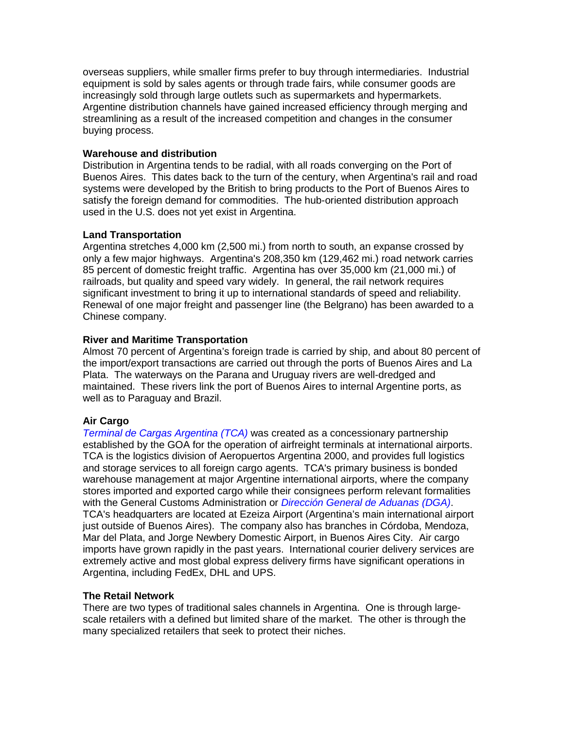overseas suppliers, while smaller firms prefer to buy through intermediaries. Industrial equipment is sold by sales agents or through trade fairs, while consumer goods are increasingly sold through large outlets such as supermarkets and hypermarkets. Argentine distribution channels have gained increased efficiency through merging and streamlining as a result of the increased competition and changes in the consumer buying process.

# **Warehouse and distribution**

Distribution in Argentina tends to be radial, with all roads converging on the Port of Buenos Aires. This dates back to the turn of the century, when Argentina's rail and road systems were developed by the British to bring products to the Port of Buenos Aires to satisfy the foreign demand for commodities. The hub-oriented distribution approach used in the U.S. does not yet exist in Argentina.

# **Land Transportation**

Argentina stretches 4,000 km (2,500 mi.) from north to south, an expanse crossed by only a few major highways. Argentina's 208,350 km (129,462 mi.) road network carries 85 percent of domestic freight traffic. Argentina has over 35,000 km (21,000 mi.) of railroads, but quality and speed vary widely. In general, the rail network requires significant investment to bring it up to international standards of speed and reliability. Renewal of one major freight and passenger line (the Belgrano) has been awarded to a Chinese company.

# **River and Maritime Transportation**

Almost 70 percent of Argentina's foreign trade is carried by ship, and about 80 percent of the import/export transactions are carried out through the ports of Buenos Aires and La Plata. The waterways on the Parana and Uruguay rivers are well-dredged and maintained. These rivers link the port of Buenos Aires to internal Argentine ports, as well as to Paraguay and Brazil.

## **Air Cargo**

*[Terminal de Cargas Argentina \(TCA\)](http://www.tca.aero/index.php?lang=en)* was created as a concessionary partnership established by the GOA for the operation of airfreight terminals at international airports. TCA is the logistics division of Aeropuertos Argentina 2000, and provides full logistics and storage services to all foreign cargo agents. TCA's primary business is bonded warehouse management at major Argentine international airports, where the company stores imported and exported cargo while their consignees perform relevant formalities with the General Customs Administration or *[Dirección General de Aduanas \(DGA\)](http://www.afip.gov.ar/aduanaDefault.asp)*. TCA's headquarters are located at Ezeiza Airport (Argentina's main international airport just outside of Buenos Aires). The company also has branches in Córdoba, Mendoza, Mar del Plata, and Jorge Newbery Domestic Airport, in Buenos Aires City. Air cargo imports have grown rapidly in the past years. International courier delivery services are extremely active and most global express delivery firms have significant operations in Argentina, including FedEx, DHL and UPS.

## **The Retail Network**

There are two types of traditional sales channels in Argentina. One is through largescale retailers with a defined but limited share of the market. The other is through the many specialized retailers that seek to protect their niches.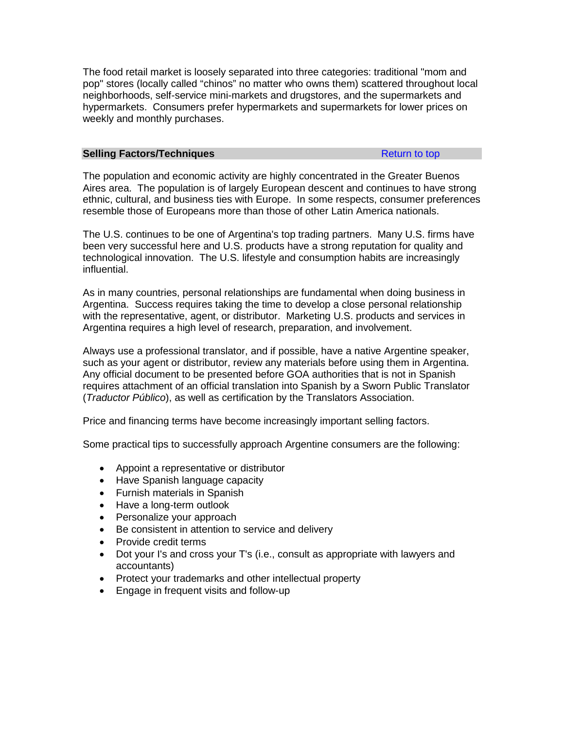The food retail market is loosely separated into three categories: traditional "mom and pop" stores (locally called "chinos" no matter who owns them) scattered throughout local neighborhoods, self-service mini-markets and drugstores, and the supermarkets and hypermarkets. Consumers prefer hypermarkets and supermarkets for lower prices on weekly and monthly purchases.

## <span id="page-12-0"></span>**Selling Factors/Techniques [Return to top](#page-5-0) Return to top**

The population and economic activity are highly concentrated in the Greater Buenos Aires area. The population is of largely European descent and continues to have strong ethnic, cultural, and business ties with Europe. In some respects, consumer preferences resemble those of Europeans more than those of other Latin America nationals.

The U.S. continues to be one of Argentina's top trading partners. Many U.S. firms have been very successful here and U.S. products have a strong reputation for quality and technological innovation. The U.S. lifestyle and consumption habits are increasingly influential.

As in many countries, personal relationships are fundamental when doing business in Argentina. Success requires taking the time to develop a close personal relationship with the representative, agent, or distributor. Marketing U.S. products and services in Argentina requires a high level of research, preparation, and involvement.

Always use a professional translator, and if possible, have a native Argentine speaker, such as your agent or distributor, review any materials before using them in Argentina. Any official document to be presented before GOA authorities that is not in Spanish requires attachment of an official translation into Spanish by a Sworn Public Translator (*Traductor Público*), as well as certification by the Translators Association.

Price and financing terms have become increasingly important selling factors.

Some practical tips to successfully approach Argentine consumers are the following:

- Appoint a representative or distributor
- Have Spanish language capacity
- Furnish materials in Spanish
- Have a long-term outlook
- Personalize your approach
- Be consistent in attention to service and delivery
- Provide credit terms
- Dot your I's and cross your T's (i.e., consult as appropriate with lawyers and accountants)
- Protect your trademarks and other intellectual property
- Engage in frequent visits and follow-up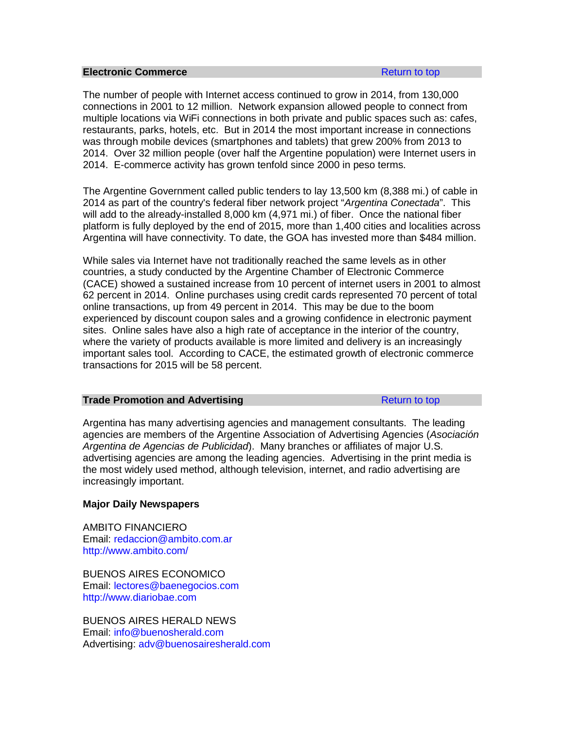#### <span id="page-13-0"></span>**Electronic Commerce [Return to top](#page-5-0) Return to top**

The number of people with Internet access continued to grow in 2014, from 130,000 connections in 2001 to 12 million. Network expansion allowed people to connect from multiple locations via WiFi connections in both private and public spaces such as: cafes, restaurants, parks, hotels, etc. But in 2014 the most important increase in connections was through mobile devices (smartphones and tablets) that grew 200% from 2013 to 2014. Over 32 million people (over half the Argentine population) were Internet users in 2014. E-commerce activity has grown tenfold since 2000 in peso terms.

The Argentine Government called public tenders to lay 13,500 km (8,388 mi.) of cable in 2014 as part of the country's federal fiber network project "*Argentina Conectada*". This will add to the already-installed 8,000 km (4,971 mi.) of fiber. Once the national fiber platform is fully deployed by the end of 2015, more than 1,400 cities and localities across Argentina will have connectivity. To date, the GOA has invested more than \$484 million.

While sales via Internet have not traditionally reached the same levels as in other countries, a study conducted by the Argentine Chamber of Electronic Commerce (CACE) showed a sustained increase from 10 percent of internet users in 2001 to almost 62 percent in 2014. Online purchases using credit cards represented 70 percent of total online transactions, up from 49 percent in 2014. This may be due to the boom experienced by discount coupon sales and a growing confidence in electronic payment sites. Online sales have also a high rate of acceptance in the interior of the country, where the variety of products available is more limited and delivery is an increasingly important sales tool. According to CACE, the estimated growth of electronic commerce transactions for 2015 will be 58 percent.

#### <span id="page-13-1"></span>**Trade Promotion and Advertising Trade Promotion and Advertising Trade [Return to top](#page-13-1)**

Argentina has many advertising agencies and management consultants. The leading agencies are members of the Argentine Association of Advertising Agencies (*Asociación Argentina de Agencias de Publicidad*). Many branches or affiliates of major U.S. advertising agencies are among the leading agencies. Advertising in the print media is the most widely used method, although television, internet, and radio advertising are increasingly important.

## **Major Daily Newspapers**

AMBITO FINANCIERO Email: [redaccion@ambito.com.ar](mailto:redaccion@ambito.com.ar) <http://www.ambito.com/>

BUENOS AIRES ECONOMICO Email: [lectores@baenegocios.com](mailto:lectores@baenegocios.com) [http://www.diariobae.com](http://www.diariobae.com/)

BUENOS AIRES HERALD NEWS Email: [info@buenosherald.com](mailto:info@buenosherald.com) Advertising: [adv@buenosairesherald.com](mailto:adv@buenosairesherald.com)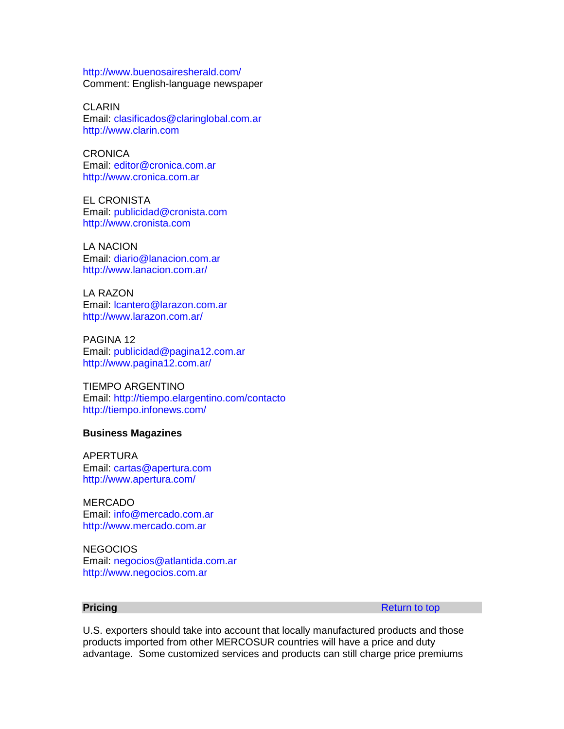<http://www.buenosairesherald.com/> Comment: English-language newspaper

CLARIN Email: [clasificados@claringlobal.com.ar](mailto:clasificados@claringlobal.com.ar) [http://www.clarin.com](http://www.clarin.com/)

**CRONICA** Email: [editor@cronica.com.ar](mailto:editor@cronica.com.ar) [http://www.cronica.com.ar](http://www.cronica.com.ar/)

EL CRONISTA Email: [publicidad@cronista.com](mailto:publicidad@cronista.com) [http://www.cronista.com](http://www.cronista.com/)

LA NACION Email: [diario@lanacion.com.ar](mailto:diario@lanacion.com.ar) <http://www.lanacion.com.ar/>

LA RAZON Email: [lcantero@larazon.com.ar](mailto:lcantero@larazon.com.ar) <http://www.larazon.com.ar/>

PAGINA 12 Email: [publicidad@pagina12.com.ar](mailto:publicidad@pagina12.com.ar) <http://www.pagina12.com.ar/>

TIEMPO ARGENTINO Email:<http://tiempo.elargentino.com/contacto> <http://tiempo.infonews.com/>

#### **Business Magazines**

APERTURA Email: [cartas@apertura.com](mailto:cartas@apertura.com) <http://www.apertura.com/>

**MERCADO** Email: [info@mercado.com.ar](mailto:info@mercado.com.ar) [http://www.mercado.com.ar](http://www.mercado.com.ar/)

**NEGOCIOS** Email: [negocios@atlantida.com.ar](mailto:negocios@atlantida.com.ar) [http://www.negocios.com.ar](http://www.negocios.com.ar/)

<span id="page-14-0"></span>**Pricing** [Return to top](#page-5-0) **Return to top** 

U.S. exporters should take into account that locally manufactured products and those products imported from other MERCOSUR countries will have a price and duty advantage. Some customized services and products can still charge price premiums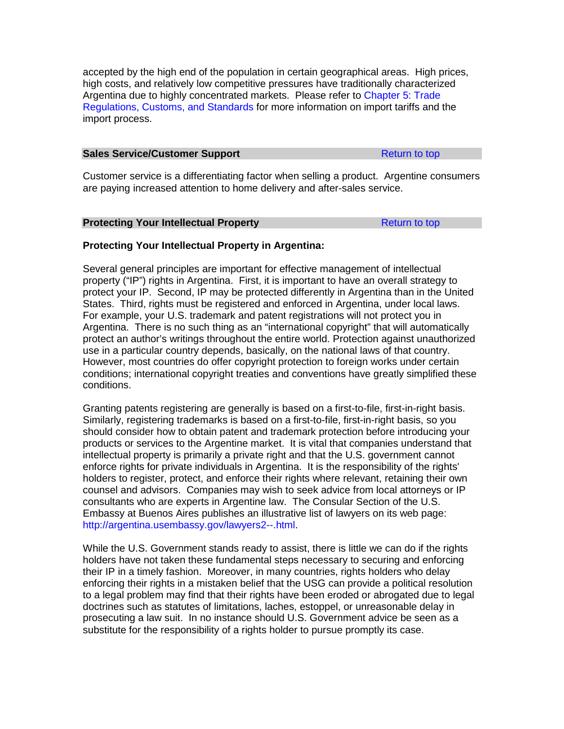accepted by the high end of the population in certain geographical areas. High prices, high costs, and relatively low competitive pressures have traditionally characterized Argentina due to highly concentrated markets. Please refer to [Chapter 5: Trade](#page-44-0)  [Regulations, Customs, and Standards](#page-44-0) for more information on import tariffs and the import process.

#### <span id="page-15-0"></span>**Sales Service/Customer Support** [Return to top](#page-5-0) Return to top

Customer service is a differentiating factor when selling a product. Argentine consumers are paying increased attention to home delivery and after-sales service.

#### <span id="page-15-1"></span>**Protecting Your Intellectual Property [Return to top](#page-5-0)**

# **Protecting Your Intellectual Property in Argentina:**

Several general principles are important for effective management of intellectual property ("IP") rights in Argentina. First, it is important to have an overall strategy to protect your IP. Second, IP may be protected differently in Argentina than in the United States. Third, rights must be registered and enforced in Argentina, under local laws. For example, your U.S. trademark and patent registrations will not protect you in Argentina. There is no such thing as an "international copyright" that will automatically protect an author's writings throughout the entire world. Protection against unauthorized use in a particular country depends, basically, on the national laws of that country. However, most countries do offer copyright protection to foreign works under certain conditions; international copyright treaties and conventions have greatly simplified these conditions.

Granting patents registering are generally is based on a first-to-file, first-in-right basis. Similarly, registering trademarks is based on a first-to-file, first-in-right basis, so you should consider how to obtain patent and trademark protection before introducing your products or services to the Argentine market. It is vital that companies understand that intellectual property is primarily a private right and that the U.S. government cannot enforce rights for private individuals in Argentina. It is the responsibility of the rights' holders to register, protect, and enforce their rights where relevant, retaining their own counsel and advisors. Companies may wish to seek advice from local attorneys or IP consultants who are experts in Argentine law. The Consular Section of the U.S. Embassy at Buenos Aires publishes an illustrative list of lawyers on its web page: [http://argentina.usembassy.gov/lawyers2--.html.](http://argentina.usembassy.gov/lawyers2--.html)

While the U.S. Government stands ready to assist, there is little we can do if the rights holders have not taken these fundamental steps necessary to securing and enforcing their IP in a timely fashion. Moreover, in many countries, rights holders who delay enforcing their rights in a mistaken belief that the USG can provide a political resolution to a legal problem may find that their rights have been eroded or abrogated due to legal doctrines such as statutes of limitations, laches, estoppel, or unreasonable delay in prosecuting a law suit. In no instance should U.S. Government advice be seen as a substitute for the responsibility of a rights holder to pursue promptly its case.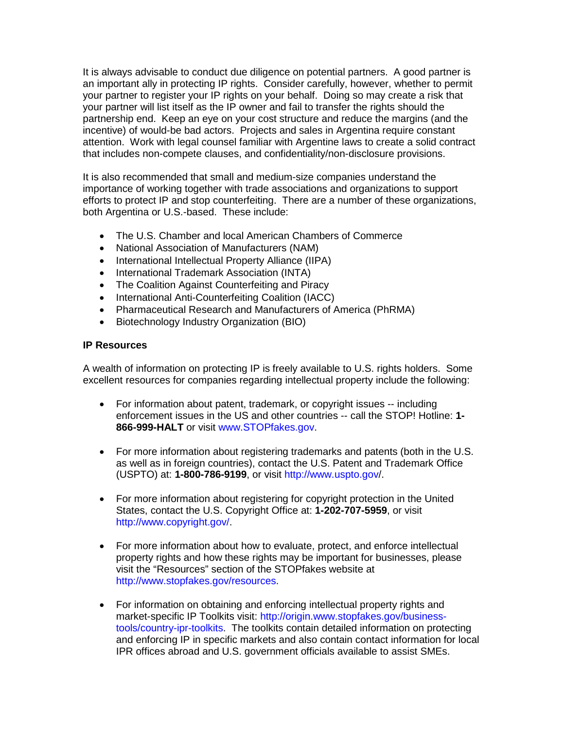It is always advisable to conduct due diligence on potential partners. A good partner is an important ally in protecting IP rights. Consider carefully, however, whether to permit your partner to register your IP rights on your behalf. Doing so may create a risk that your partner will list itself as the IP owner and fail to transfer the rights should the partnership end. Keep an eye on your cost structure and reduce the margins (and the incentive) of would-be bad actors. Projects and sales in Argentina require constant attention. Work with legal counsel familiar with Argentine laws to create a solid contract that includes non-compete clauses, and confidentiality/non-disclosure provisions.

It is also recommended that small and medium-size companies understand the importance of working together with trade associations and organizations to support efforts to protect IP and stop counterfeiting. There are a number of these organizations, both Argentina or U.S.-based. These include:

- The U.S. Chamber and local American Chambers of Commerce
- National Association of Manufacturers (NAM)
- International Intellectual Property Alliance (IIPA)
- International Trademark Association (INTA)
- The Coalition Against Counterfeiting and Piracy
- International Anti-Counterfeiting Coalition (IACC)
- Pharmaceutical Research and Manufacturers of America (PhRMA)
- Biotechnology Industry Organization (BIO)

# **IP Resources**

A wealth of information on protecting IP is freely available to U.S. rights holders. Some excellent resources for companies regarding intellectual property include the following:

- For information about patent, trademark, or copyright issues -- including enforcement issues in the US and other countries -- call the STOP! Hotline: **1- 866-999-HALT** or visit [www.STOPfakes.gov.](http://www.stopfakes.gov/)
- For more information about registering trademarks and patents (both in the U.S. as well as in foreign countries), contact the U.S. Patent and Trademark Office (USPTO) at: **1-800-786-9199**, or visit<http://www.uspto.gov/>.
- For more information about registering for copyright protection in the United States, contact the U.S. Copyright Office at: **1-202-707-5959**, or visit [http://www.copyright.gov/.](http://www.copyright.gov/)
- For more information about how to evaluate, protect, and enforce intellectual property rights and how these rights may be important for businesses, please visit the "Resources" section of the STOPfakes website at [http://www.stopfakes.gov/resources.](http://www.stopfakes.gov/resources)
- For information on obtaining and enforcing intellectual property rights and market-specific IP Toolkits visit: [http://origin.www.stopfakes.gov/business](http://origin.www.stopfakes.gov/business-tools/country-ipr-toolkits)[tools/country-ipr-toolkits.](http://origin.www.stopfakes.gov/business-tools/country-ipr-toolkits) The toolkits contain detailed information on protecting and enforcing IP in specific markets and also contain contact information for local IPR offices abroad and U.S. government officials available to assist SMEs.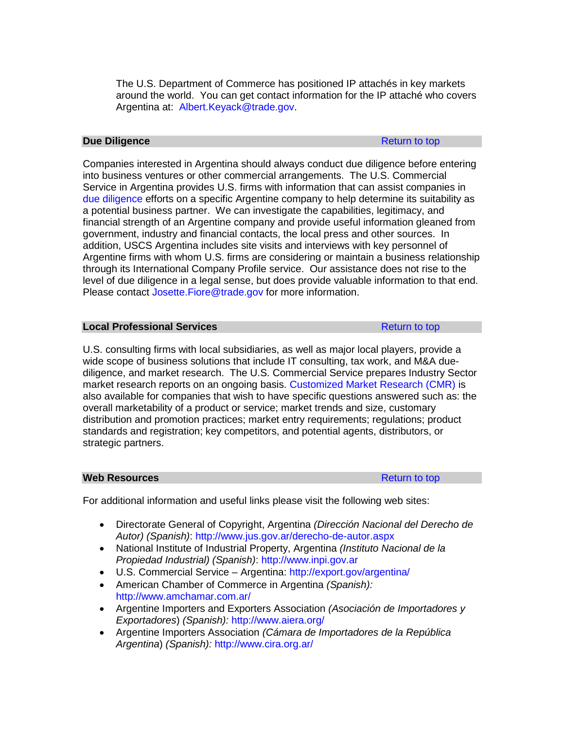The U.S. Department of Commerce has positioned IP attachés in key markets around the world. You can get contact information for the IP attaché who covers Argentina at: [Albert.Keyack@trade.gov.](mailto:Albert.Keyack@trade.gov)

# <span id="page-17-0"></span>**Due Diligence** [Return to top](#page-5-0)

Companies interested in Argentina should always conduct due diligence before entering into business ventures or other commercial arrangements. The U.S. Commercial Service in Argentina provides U.S. firms with information that can assist companies in [due diligence](http://export.gov/argentina/servicesforu.s.companies/eg_ar_021794.asp) efforts on a specific Argentine company to help determine its suitability as a potential business partner. We can investigate the capabilities, legitimacy, and financial strength of an Argentine company and provide useful information gleaned from government, industry and financial contacts, the local press and other sources. In addition, USCS Argentina includes site visits and interviews with key personnel of Argentine firms with whom U.S. firms are considering or maintain a business relationship through its International Company Profile service. Our assistance does not rise to the level of due diligence in a legal sense, but does provide valuable information to that end. Please contact [Josette.Fiore@trade.gov](mailto:Josette.Fiore@trade.gov) for more information.

# <span id="page-17-1"></span>**Local Professional Services [Return to top](#page-5-0) Return to top**

U.S. consulting firms with local subsidiaries, as well as major local players, provide a wide scope of business solutions that include IT consulting, tax work, and M&A duediligence, and market research. The U.S. Commercial Service prepares Industry Sector market research reports on an ongoing basis. [Customized Market Research \(CMR\)](http://export.gov/argentina/servicesforu.s.companies/eg_ar_021994.asp) is also available for companies that wish to have specific questions answered such as: the overall marketability of a product or service; market trends and size, customary distribution and promotion practices; market entry requirements; regulations; product standards and registration; key competitors, and potential agents, distributors, or strategic partners.

## <span id="page-17-2"></span>**Web Resources Resources [Return to top](#page-5-0)**

For additional information and useful links please visit the following web sites:

- Directorate General of Copyright, Argentina *(Dirección Nacional del Derecho de Autor) (Spanish)*:<http://www.jus.gov.ar/derecho-de-autor.aspx>
- National Institute of Industrial Property, Argentina *(Instituto Nacional de la Propiedad Industrial) (Spanish)*: [http://www.inpi.gov.ar](http://www.inpi.gov.ar/)
- U.S. Commercial Service Argentina:<http://export.gov/argentina/>
- American Chamber of Commerce in Argentina *(Spanish):*  <http://www.amchamar.com.ar/>
- Argentine Importers and Exporters Association *(Asociación de Importadores y Exportadores*) *(Spanish):* <http://www.aiera.org/>
- Argentine Importers Association *(Cámara de Importadores de la República Argentina*) *(Spanish):* <http://www.cira.org.ar/>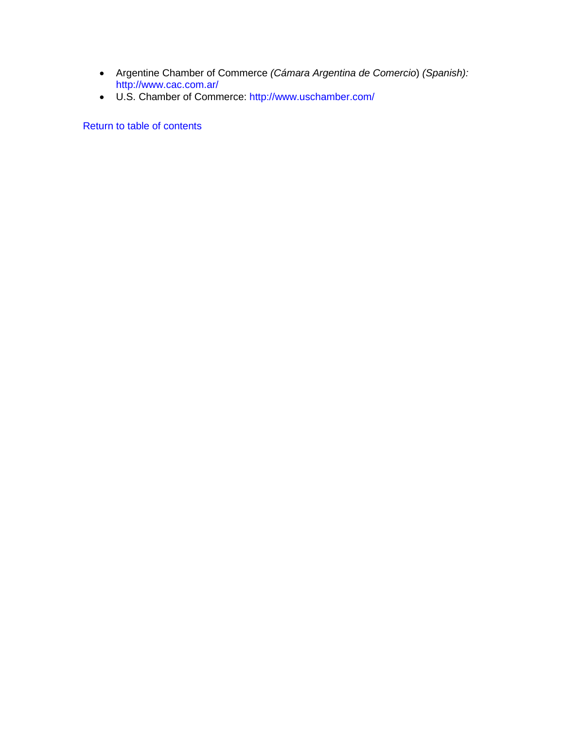- Argentine Chamber of Commerce *(Cámara Argentina de Comercio*) *(Spanish):*  <http://www.cac.com.ar/>
- U.S. Chamber of Commerce:<http://www.uschamber.com/>

[Return to table of contents](#page-0-0)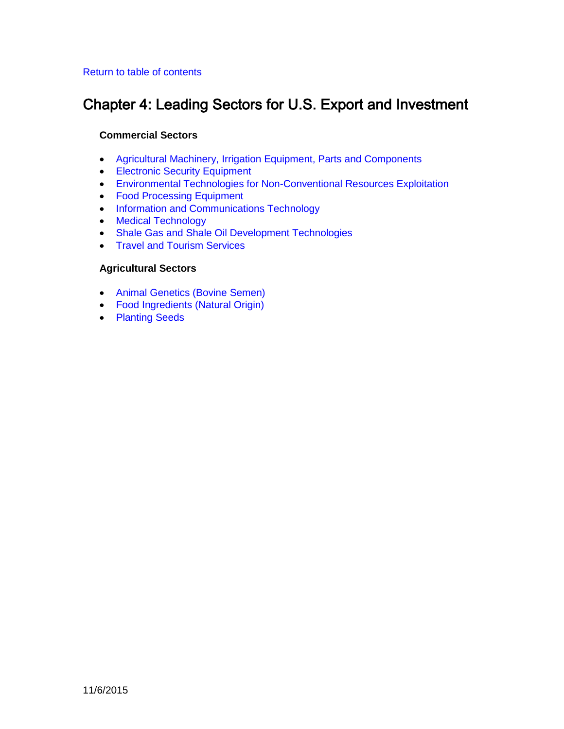# <span id="page-19-0"></span>[Return to table of contents](#page-0-0)

# Chapter 4: Leading Sectors for U.S. Export and Investment

# **Commercial Sectors**

- [Agricultural Machinery, Irrigation Equipment, Parts and Components](#page-20-0)
- [Electronic Security Equipment](#page-22-0)
- [Environmental Technologies for Non-Conventional Resources Exploitation](#page-24-0)
- [Food Processing Equipment](#page-27-0)
- [Information and Communications Technology](#page-29-0)
- [Medical Technology](#page-31-0)
- [Shale Gas and Shale Oil Development Technologies](#page-33-0)
- [Travel and Tourism Services](#page-36-0)

# **Agricultural Sectors**

- [Animal Genetics \(Bovine Semen\)](#page-38-0)
- [Food Ingredients \(Natural Origin\)](#page-40-0)
- [Planting Seeds](#page-42-0)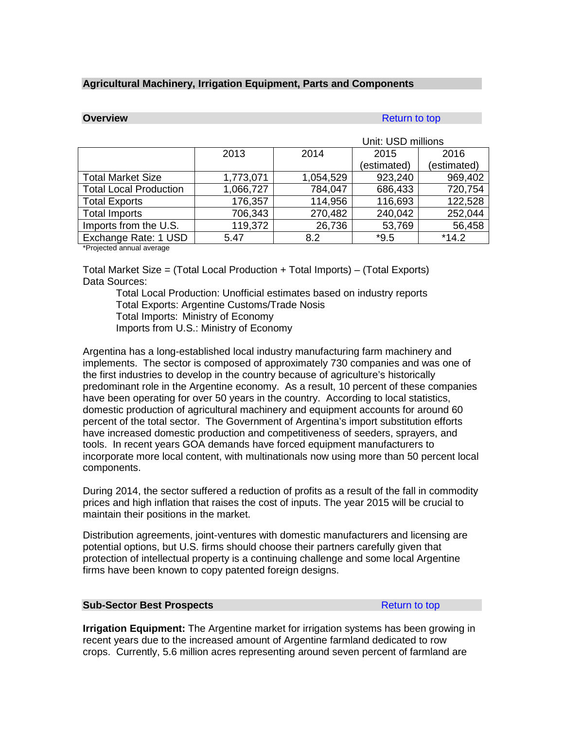# <span id="page-20-0"></span>**Agricultural Machinery, Irrigation Equipment, Parts and Components**

# **Overview [Return to top](#page-19-0) and the set of the set of the set of the Return to top and the set of the set of the set of the set of the set of the set of the set of the set of the set of the set of the set of the set of the**

|                               |           | Unit: USD millions |             |             |
|-------------------------------|-----------|--------------------|-------------|-------------|
|                               | 2013      | 2014               | 2015        | 2016        |
|                               |           |                    | (estimated) | (estimated) |
| <b>Total Market Size</b>      | 1,773,071 | 1,054,529          | 923,240     | 969,402     |
| <b>Total Local Production</b> | 1,066,727 | 784,047            | 686,433     | 720,754     |
| <b>Total Exports</b>          | 176,357   | 114,956            | 116,693     | 122,528     |
| <b>Total Imports</b>          | 706,343   | 270,482            | 240,042     | 252,044     |
| Imports from the U.S.         | 119,372   | 26,736             | 53,769      | 56,458      |
| Exchange Rate: 1 USD          | 5.47      | 8.2                | $*9.5$      | $*14.2$     |

\*Projected annual average

Total Market Size = (Total Local Production + Total Imports) – (Total Exports) Data Sources:

Total Local Production: Unofficial estimates based on industry reports Total Exports: Argentine Customs/Trade Nosis Total Imports: Ministry of Economy Imports from U.S.: Ministry of Economy

Argentina has a long-established local industry manufacturing farm machinery and implements. The sector is composed of approximately 730 companies and was one of the first industries to develop in the country because of agriculture's historically predominant role in the Argentine economy. As a result, 10 percent of these companies have been operating for over 50 years in the country. According to local statistics, domestic production of agricultural machinery and equipment accounts for around 60 percent of the total sector. The Government of Argentina's import substitution efforts have increased domestic production and competitiveness of seeders, sprayers, and tools. In recent years GOA demands have forced equipment manufacturers to incorporate more local content, with multinationals now using more than 50 percent local components.

During 2014, the sector suffered a reduction of profits as a result of the fall in commodity prices and high inflation that raises the cost of inputs. The year 2015 will be crucial to maintain their positions in the market.

Distribution agreements, joint-ventures with domestic manufacturers and licensing are potential options, but U.S. firms should choose their partners carefully given that protection of intellectual property is a continuing challenge and some local Argentine firms have been known to copy patented foreign designs.

## **Sub-Sector Best Prospects [Return to top](#page-19-0) Return to top**

**Irrigation Equipment:** The Argentine market for irrigation systems has been growing in recent years due to the increased amount of Argentine farmland dedicated to row crops. Currently, 5.6 million acres representing around seven percent of farmland are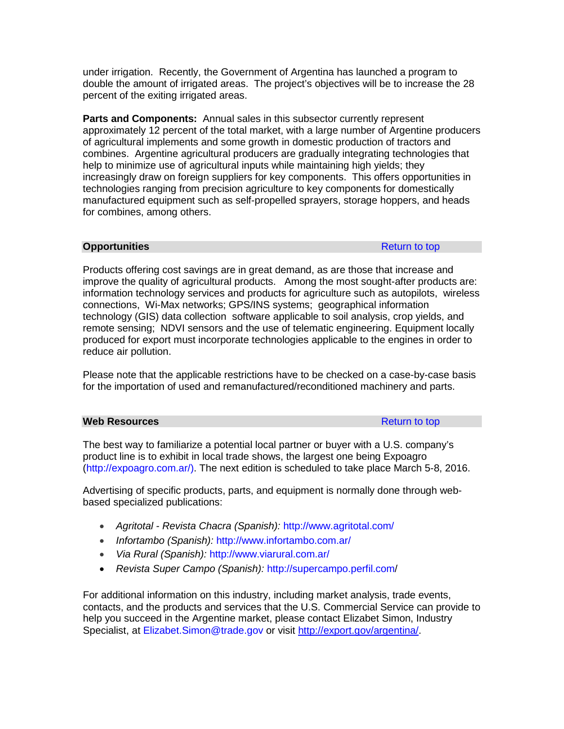under irrigation. Recently, the Government of Argentina has launched a program to double the amount of irrigated areas. The project's objectives will be to increase the 28 percent of the exiting irrigated areas.

**Parts and Components:** Annual sales in this subsector currently represent approximately 12 percent of the total market, with a large number of Argentine producers of agricultural implements and some growth in domestic production of tractors and combines. Argentine agricultural producers are gradually integrating technologies that help to minimize use of agricultural inputs while maintaining high yields; they increasingly draw on foreign suppliers for key components. This offers opportunities in technologies ranging from precision agriculture to key components for domestically manufactured equipment such as self-propelled sprayers, storage hoppers, and heads for combines, among others.

## **Opportunities** [Return to top](#page-19-0) Return to top Return to top Return to top Return to top Return to top Return to top Return to top Return to top Return to top Return to top Return to top Return to top Return to top Return to

Products offering cost savings are in great demand, as are those that increase and improve the quality of agricultural products. Among the most sought-after products are: information technology services and products for agriculture such as autopilots, wireless connections, Wi-Max networks; GPS/INS systems; geographical information technology (GIS) data collection software applicable to soil analysis, crop yields, and remote sensing; NDVI sensors and the use of telematic engineering. Equipment locally produced for export must incorporate technologies applicable to the engines in order to reduce air pollution.

Please note that the applicable restrictions have to be checked on a case-by-case basis for the importation of used and remanufactured/reconditioned machinery and parts.

| <b>Web Resources</b> | Return to top |
|----------------------|---------------|
|----------------------|---------------|

The best way to familiarize a potential local partner or buyer with a U.S. company's product line is to exhibit in local trade shows, the largest one being Expoagro [\(http://expoagro.com.ar/\)](http://expoagro.com.ar/). The next edition is scheduled to take place March 5-8, 2016.

Advertising of specific products, parts, and equipment is normally done through webbased specialized publications:

- *Agritotal - Revista Chacra (Spanish):* <http://www.agritotal.com/>
- *Infortambo (Spanish):* <http://www.infortambo.com.ar/>
- *Via Rural (Spanish):* <http://www.viarural.com.ar/>
- *Revista Super Campo (Spanish):* <http://supercampo.perfil.com/>

For additional information on this industry, including market analysis, trade events, contacts, and the products and services that the U.S. Commercial Service can provide to help you succeed in the Argentine market, please contact Elizabet Simon, Industry Specialist, at [Elizabet.Simon@trade.gov](mailto:Elizabet.Simon@trade.gov) or visit [http://export.gov/argentina/.](http://export.gov/argentina/index.asp)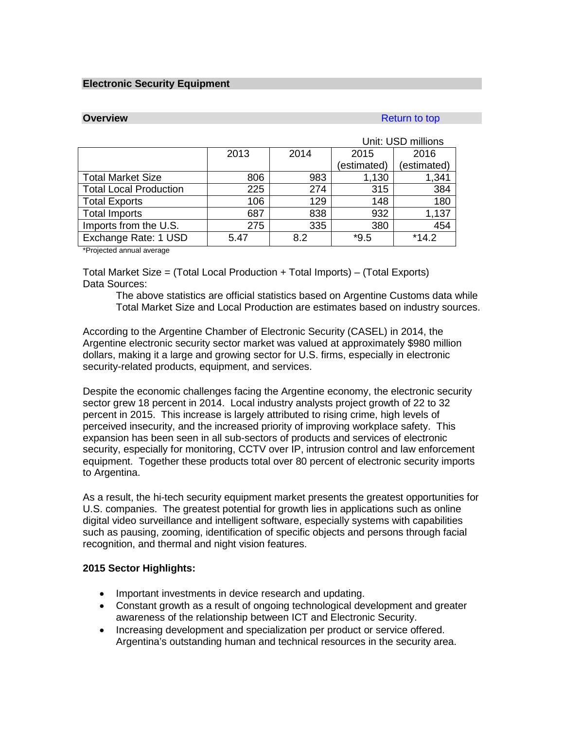### <span id="page-22-0"></span>**Electronic Security Equipment**

# **Overview** [Return to top](#page-19-0) **Return to top**

|                               |      |      |             | Unit: USD millions |
|-------------------------------|------|------|-------------|--------------------|
|                               | 2013 | 2014 | 2015        | 2016               |
|                               |      |      | (estimated) | (estimated)        |
| <b>Total Market Size</b>      | 806  | 983  | 1,130       | 1,341              |
| <b>Total Local Production</b> | 225  | 274  | 315         | 384                |
| <b>Total Exports</b>          | 106  | 129  | 148         | 180                |
| <b>Total Imports</b>          | 687  | 838  | 932         | 1,137              |
| Imports from the U.S.         | 275  | 335  | 380         | 454                |
| Exchange Rate: 1 USD          | 5.47 | 8.2  | $*9.5$      | $*14.2$            |

\*Projected annual average

Total Market Size = (Total Local Production + Total Imports) – (Total Exports) Data Sources:

The above statistics are official statistics based on Argentine Customs data while Total Market Size and Local Production are estimates based on industry sources.

According to the Argentine Chamber of Electronic Security (CASEL) in 2014, the Argentine electronic security sector market was valued at approximately \$980 million dollars, making it a large and growing sector for U.S. firms, especially in electronic security-related products, equipment, and services.

Despite the economic challenges facing the Argentine economy, the electronic security sector grew 18 percent in 2014. Local industry analysts project growth of 22 to 32 percent in 2015. This increase is largely attributed to rising crime, high levels of perceived insecurity, and the increased priority of improving workplace safety. This expansion has been seen in all sub-sectors of products and services of electronic security, especially for monitoring, CCTV over IP, intrusion control and law enforcement equipment. Together these products total over 80 percent of electronic security imports to Argentina.

As a result, the hi-tech security equipment market presents the greatest opportunities for U.S. companies. The greatest potential for growth lies in applications such as online digital video surveillance and intelligent software, especially systems with capabilities such as pausing, zooming, identification of specific objects and persons through facial recognition, and thermal and night vision features.

## **2015 Sector Highlights:**

- Important investments in device research and updating.
- Constant growth as a result of ongoing technological development and greater awareness of the relationship between ICT and Electronic Security.
- Increasing development and specialization per product or service offered. Argentina's outstanding human and technical resources in the security area.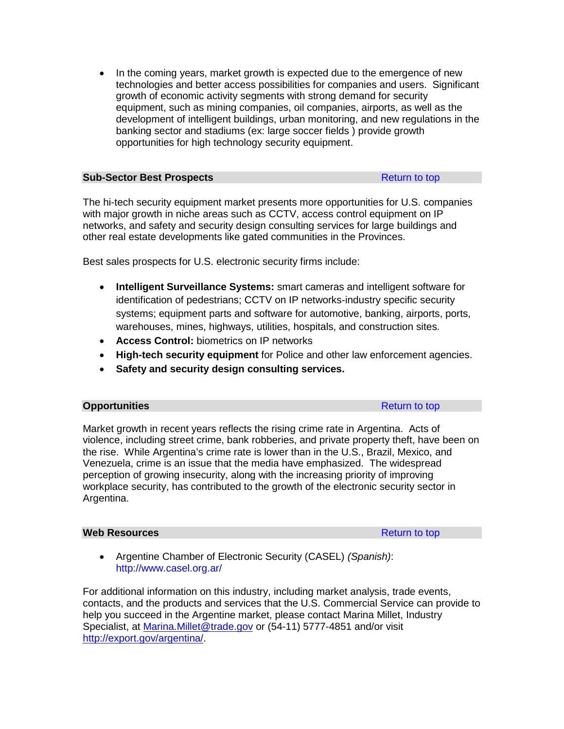• In the coming years, market growth is expected due to the emergence of new technologies and better access possibilities for companies and users. Significant growth of economic activity segments with strong demand for security equipment, such as mining companies, oil companies, airports, as well as the development of intelligent buildings, urban monitoring, and new regulations in the banking sector and stadiums (ex: large soccer fields ) provide growth opportunities for high technology security equipment.

| <b>Sub-Sector Best Prospects</b> | Return to top |
|----------------------------------|---------------|

The hi-tech security equipment market presents more opportunities for U.S. companies with major growth in niche areas such as CCTV, access control equipment on IP networks, and safety and security design consulting services for large buildings and other real estate developments like gated communities in the Provinces.

Best sales prospects for U.S. electronic security firms include:

- **Intelligent Surveillance Systems:** smart cameras and intelligent software for identification of pedestrians; CCTV on IP networks-industry specific security systems; equipment parts and software for automotive, banking, airports, ports, warehouses, mines, highways, utilities, hospitals, and construction sites.
- **Access Control:** biometrics on IP networks
- **High-tech security equipment** for Police and other law enforcement agencies.
- **Safety and security design consulting services.**

# **Opportunities** [Return to top](#page-19-0)

Market growth in recent years reflects the rising crime rate in Argentina. Acts of violence, including street crime, bank robberies, and private property theft, have been on the rise. While Argentina's crime rate is lower than in the U.S., Brazil, Mexico, and Venezuela, crime is an issue that the media have emphasized. The widespread perception of growing insecurity, along with the increasing priority of improving workplace security, has contributed to the growth of the electronic security sector in Argentina.

## **Web Resources Resources [Return to top](#page-19-0)**

• Argentine Chamber of Electronic Security (CASEL) *(Spanish)*: <http://www.casel.org.ar/>

For additional information on this industry, including market analysis, trade events, contacts, and the products and services that the U.S. Commercial Service can provide to help you succeed in the Argentine market, please contact Marina Millet, Industry Specialist, at [Marina.Millet@trade.gov](mailto:Marina.Millet@trade.gov) or (54-11) 5777-4851 and/or visit [http://export.gov/argentina/.](http://export.gov/argentina/index.asp)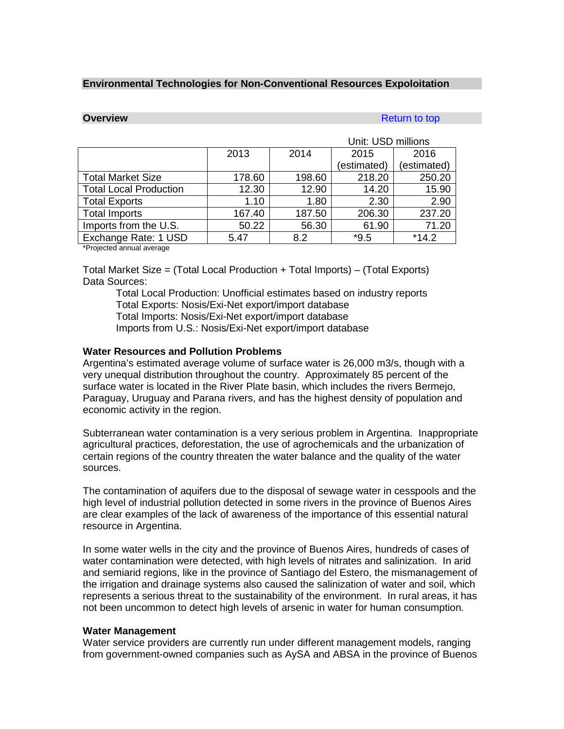#### <span id="page-24-0"></span>**Environmental Technologies for Non-Conventional Resources Expoloitation**

# **Overview [Return to top](#page-19-0) Accounts and Accounts and Accounts and Accounts and Accounts and Accounts and Accounts and Accounts and Accounts and Accounts and Accounts and Accounts and Accounts and Accounts and Accounts and A**

|                               |                              |        | Unit: USD millions |             |
|-------------------------------|------------------------------|--------|--------------------|-------------|
|                               | 2013<br>2014<br>2016<br>2015 |        |                    |             |
|                               |                              |        | (estimated)        | (estimated) |
| <b>Total Market Size</b>      | 178.60                       | 198.60 | 218.20             | 250.20      |
| <b>Total Local Production</b> | 12.30                        | 12.90  | 14.20              | 15.90       |
| <b>Total Exports</b>          | 1.10                         | 1.80   | 2.30               | 2.90        |
| <b>Total Imports</b>          | 167.40                       | 187.50 | 206.30             | 237.20      |
| Imports from the U.S.         | 50.22                        | 56.30  | 61.90              | 71.20       |
| Exchange Rate: 1 USD          | 5.47                         | 8.2    | $*9.5$             | $*14.2$     |

\*Projected annual average

Total Market Size = (Total Local Production + Total Imports) – (Total Exports) Data Sources:

Total Local Production: Unofficial estimates based on industry reports Total Exports: Nosis/Exi-Net export/import database Total Imports: Nosis/Exi-Net export/import database Imports from U.S.: Nosis/Exi-Net export/import database

## **Water Resources and Pollution Problems**

Argentina's estimated average volume of surface water is 26,000 m3/s, though with a very unequal distribution throughout the country. Approximately 85 percent of the surface water is located in the River Plate basin, which includes the rivers Bermejo, Paraguay, Uruguay and Parana rivers, and has the highest density of population and economic activity in the region.

Subterranean water contamination is a very serious problem in Argentina. Inappropriate agricultural practices, deforestation, the use of agrochemicals and the urbanization of certain regions of the country threaten the water balance and the quality of the water sources.

The contamination of aquifers due to the disposal of sewage water in cesspools and the high level of industrial pollution detected in some rivers in the province of Buenos Aires are clear examples of the lack of awareness of the importance of this essential natural resource in Argentina.

In some water wells in the city and the province of Buenos Aires, hundreds of cases of water contamination were detected, with high levels of nitrates and salinization. In arid and semiarid regions, like in the province of Santiago del Estero, the mismanagement of the irrigation and drainage systems also caused the salinization of water and soil, which represents a serious threat to the sustainability of the environment. In rural areas, it has not been uncommon to detect high levels of arsenic in water for human consumption.

## **Water Management**

Water service providers are currently run under different management models, ranging from government-owned companies such as AySA and ABSA in the province of Buenos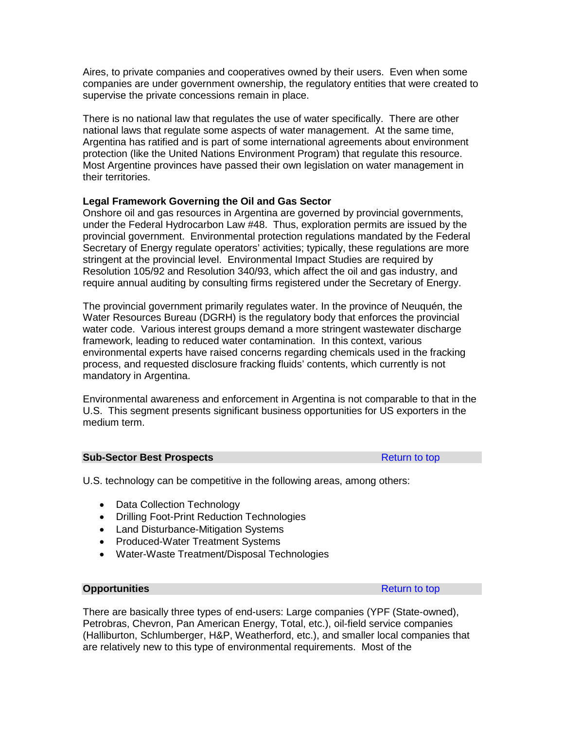Aires, to private companies and cooperatives owned by their users. Even when some companies are under government ownership, the regulatory entities that were created to supervise the private concessions remain in place.

There is no national law that regulates the use of water specifically. There are other national laws that regulate some aspects of water management. At the same time, Argentina has ratified and is part of some international agreements about environment protection (like the United Nations Environment Program) that regulate this resource. Most Argentine provinces have passed their own legislation on water management in their territories.

# **Legal Framework Governing the Oil and Gas Sector**

Onshore oil and gas resources in Argentina are governed by provincial governments, under the Federal Hydrocarbon Law #48. Thus, exploration permits are issued by the provincial government. Environmental protection regulations mandated by the Federal Secretary of Energy regulate operators' activities; typically, these regulations are more stringent at the provincial level. Environmental Impact Studies are required by Resolution 105/92 and Resolution 340/93, which affect the oil and gas industry, and require annual auditing by consulting firms registered under the Secretary of Energy.

The provincial government primarily regulates water. In the province of Neuquén, the Water Resources Bureau (DGRH) is the regulatory body that enforces the provincial water code. Various interest groups demand a more stringent wastewater discharge framework, leading to reduced water contamination. In this context, various environmental experts have raised concerns regarding chemicals used in the fracking process, and requested disclosure fracking fluids' contents, which currently is not mandatory in Argentina.

Environmental awareness and enforcement in Argentina is not comparable to that in the U.S. This segment presents significant business opportunities for US exporters in the medium term.

## **Sub-Sector Best Prospects [Return to top](#page-19-0) Return to top**

U.S. technology can be competitive in the following areas, among others:

- Data Collection Technology
- Drilling Foot-Print Reduction Technologies
- Land Disturbance-Mitigation Systems
- Produced-Water Treatment Systems
- Water-Waste Treatment/Disposal Technologies

#### **Opportunities** [Return to top](#page-19-0) Return to top Return to top Return to top Return to top Return to top Return to top Return to top Return to top Return to top Return to top Return to top Return to top Return to top Return to

There are basically three types of end-users: Large companies (YPF (State-owned), Petrobras, Chevron, Pan American Energy, Total, etc.), oil-field service companies (Halliburton, Schlumberger, H&P, Weatherford, etc.), and smaller local companies that are relatively new to this type of environmental requirements. Most of the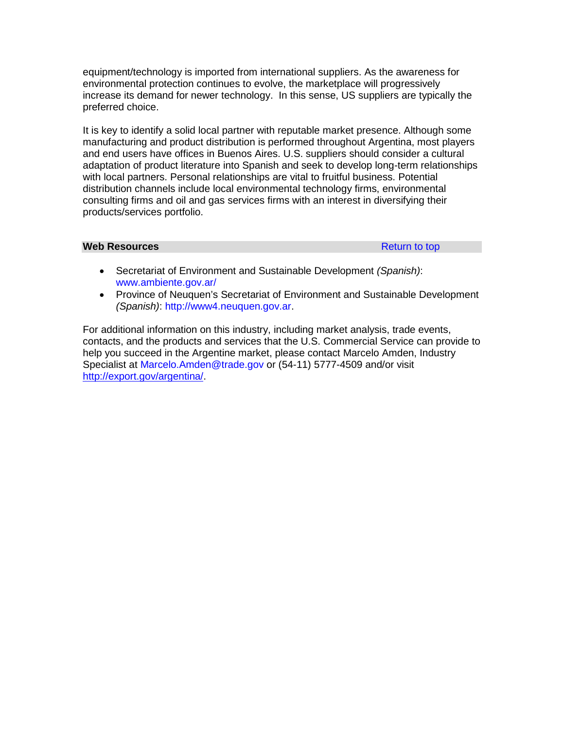equipment/technology is imported from international suppliers. As the awareness for environmental protection continues to evolve, the marketplace will progressively increase its demand for newer technology. In this sense, US suppliers are typically the preferred choice.

It is key to identify a solid local partner with reputable market presence. Although some manufacturing and product distribution is performed throughout Argentina, most players and end users have offices in Buenos Aires. U.S. suppliers should consider a cultural adaptation of product literature into Spanish and seek to develop long-term relationships with local partners. Personal relationships are vital to fruitful business. Potential distribution channels include local environmental technology firms, environmental consulting firms and oil and gas services firms with an interest in diversifying their products/services portfolio.

#### **Web Resources Resources [Return to top](#page-19-0)**

- Secretariat of Environment and Sustainable Development *(Spanish)*: [www.ambiente.gov.ar/](http://www.ambiente.gov.ar/)
- Province of Neuquen's Secretariat of Environment and Sustainable Development *(Spanish)*: [http://www4.neuquen.gov.ar.](http://www4.neuquen.gov.ar/)

For additional information on this industry, including market analysis, trade events, contacts, and the products and services that the U.S. Commercial Service can provide to help you succeed in the Argentine market, please contact Marcelo Amden, Industry Specialist at [Marcelo.Amden@trade.gov](mailto:Marcelo.Amden@trade.gov) or (54-11) 5777-4509 and/or visit [http://export.gov/argentina/.](http://export.gov/argentina/index.asp)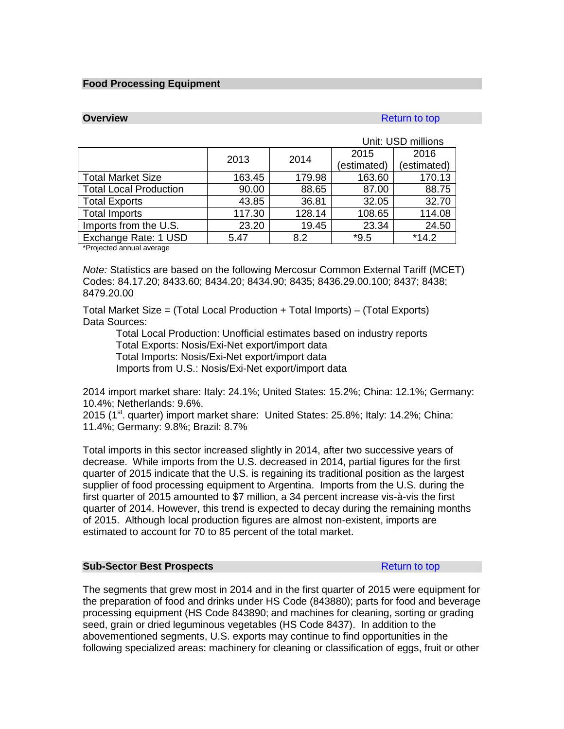#### <span id="page-27-0"></span>**Food Processing Equipment**

## **Overview [Return to top](#page-19-0) Accounts and Accounts and Accounts and Accounts and Accounts and Accounts and Accounts and Accounts and Accounts and Accounts and Accounts and Accounts and Accounts and Accounts and Accounts and A**

|                               |        |        |             | Unit: USD millions |
|-------------------------------|--------|--------|-------------|--------------------|
|                               |        | 2014   | 2015        | 2016               |
|                               | 2013   |        | (estimated) | (estimated)        |
| <b>Total Market Size</b>      | 163.45 | 179.98 | 163.60      | 170.13             |
| <b>Total Local Production</b> | 90.00  | 88.65  | 87.00       | 88.75              |
| <b>Total Exports</b>          | 43.85  | 36.81  | 32.05       | 32.70              |
| <b>Total Imports</b>          | 117.30 | 128.14 | 108.65      | 114.08             |
| Imports from the U.S.         | 23.20  | 19.45  | 23.34       | 24.50              |
| Exchange Rate: 1 USD          | 5.47   | 8.2    | $*9.5$      | $*14.2$            |

\*Projected annual average

*Note:* Statistics are based on the following Mercosur Common External Tariff (MCET) Codes: 84.17.20; 8433.60; 8434.20; 8434.90; 8435; 8436.29.00.100; 8437; 8438; 8479.20.00

Total Market Size = (Total Local Production + Total Imports) – (Total Exports) Data Sources:

Total Local Production: Unofficial estimates based on industry reports Total Exports: Nosis/Exi-Net export/import data Total Imports: Nosis/Exi-Net export/import data Imports from U.S.: Nosis/Exi-Net export/import data

2014 import market share: Italy: 24.1%; United States: 15.2%; China: 12.1%; Germany: 10.4%; Netherlands: 9.6%.

2015 ( $1<sup>st</sup>$  quarter) import market share: United States: 25.8%; Italy: 14.2%; China: 11.4%; Germany: 9.8%; Brazil: 8.7%

Total imports in this sector increased slightly in 2014, after two successive years of decrease. While imports from the U.S. decreased in 2014, partial figures for the first quarter of 2015 indicate that the U.S. is regaining its traditional position as the largest supplier of food processing equipment to Argentina. Imports from the U.S. during the first quarter of 2015 amounted to \$7 million, a 34 percent increase vis-à-vis the first quarter of 2014. However, this trend is expected to decay during the remaining months of 2015. Although local production figures are almost non-existent, imports are estimated to account for 70 to 85 percent of the total market.

#### **Sub-Sector Best Prospects [Return to top](#page-19-0) Return to top**

The segments that grew most in 2014 and in the first quarter of 2015 were equipment for the preparation of food and drinks under HS Code (843880); parts for food and beverage processing equipment (HS Code 843890; and machines for cleaning, sorting or grading seed, grain or dried leguminous vegetables (HS Code 8437). In addition to the abovementioned segments, U.S. exports may continue to find opportunities in the following specialized areas: machinery for cleaning or classification of eggs, fruit or other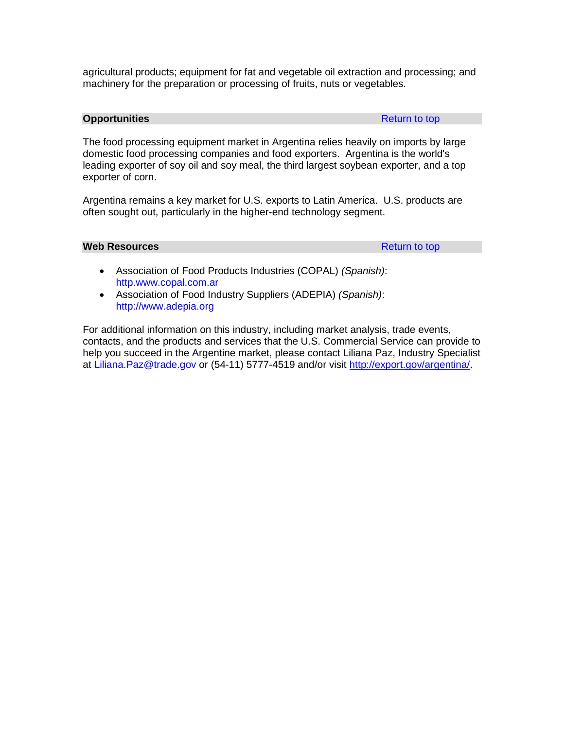agricultural products; equipment for fat and vegetable oil extraction and processing; and machinery for the preparation or processing of fruits, nuts or vegetables.

#### **Opportunities** [Return to top](#page-19-0) Return to top Return to top Return to top Return to top Return to top Return to top Return to top Return to top Return to top Return to top Return to top Return to top Return to top Return to

The food processing equipment market in Argentina relies heavily on imports by large domestic food processing companies and food exporters. Argentina is the world's leading exporter of soy oil and soy meal, the third largest soybean exporter, and a top exporter of corn.

Argentina remains a key market for U.S. exports to Latin America. U.S. products are often sought out, particularly in the higher-end technology segment.

# **Web Resources [Return to top](#page-19-0)**

- Association of Food Products Industries (COPAL) *(Spanish)*: [http.www.copal.com.ar](http://http.www.copal.com.ar/)
- Association of Food Industry Suppliers (ADEPIA) *(Spanish)*: [http://www.adepia.org](http://www.adepia.org/)

For additional information on this industry, including market analysis, trade events, contacts, and the products and services that the U.S. Commercial Service can provide to help you succeed in the Argentine market, please contact Liliana Paz, Industry Specialist at [Liliana.Paz@trade.gov](mailto:Liliana.Paz@trade.gov) or (54-11) 5777-4519 and/or visit [http://export.gov/argentina/.](http://export.gov/argentina/index.asp)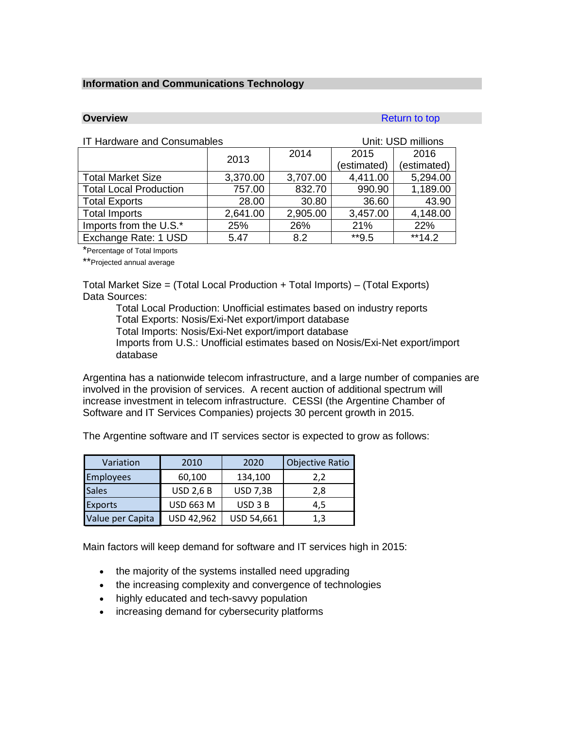#### <span id="page-29-0"></span>**Information and Communications Technology**

**Overview** [Return to top](#page-19-0) **Return to top** 

| <b>IT Hardware and Consumables</b> |          |          | Unit: USD millions |             |  |
|------------------------------------|----------|----------|--------------------|-------------|--|
|                                    | 2013     | 2014     | 2015               | 2016        |  |
|                                    |          |          | (estimated)        | (estimated) |  |
| <b>Total Market Size</b>           | 3,370.00 | 3,707.00 | 4,411.00           | 5,294.00    |  |
| <b>Total Local Production</b>      | 757.00   | 832.70   | 990.90             | 1,189.00    |  |
| <b>Total Exports</b>               | 28.00    | 30.80    | 36.60              | 43.90       |  |
| <b>Total Imports</b>               | 2,641.00 | 2,905.00 | 3,457.00           | 4,148.00    |  |
| Imports from the U.S.*             | 25%      | 26%      | 21%                | 22%         |  |
| Exchange Rate: 1 USD               | 5.47     | 8.2      | $*$ *9.5           | $**14.2$    |  |

\*Percentage of Total Imports

\*\*Projected annual average

Total Market Size = (Total Local Production + Total Imports) – (Total Exports) Data Sources:

Total Local Production: Unofficial estimates based on industry reports Total Exports: Nosis/Exi-Net export/import database Total Imports: Nosis/Exi-Net export/import database Imports from U.S.: Unofficial estimates based on Nosis/Exi-Net export/import database

Argentina has a nationwide telecom infrastructure, and a large number of companies are involved in the provision of services. A recent auction of additional spectrum will increase investment in telecom infrastructure. CESSI (the Argentine Chamber of Software and IT Services Companies) projects 30 percent growth in 2015.

The Argentine software and IT services sector is expected to grow as follows:

| Variation        | 2010             | 2020            | <b>Objective Ratio</b> |
|------------------|------------------|-----------------|------------------------|
| <b>Employees</b> | 60,100           | 134,100         | 2,2                    |
| <b>Sales</b>     | <b>USD 2,6 B</b> | <b>USD 7,3B</b> | 2,8                    |
| Exports          | <b>USD 663 M</b> | USD 3 B         | 4,5                    |
| Value per Capita | USD 42,962       | USD 54,661      | 1,3                    |

Main factors will keep demand for software and IT services high in 2015:

- the majority of the systems installed need upgrading
- the increasing complexity and convergence of technologies
- highly educated and tech-savvy population
- increasing demand for cybersecurity platforms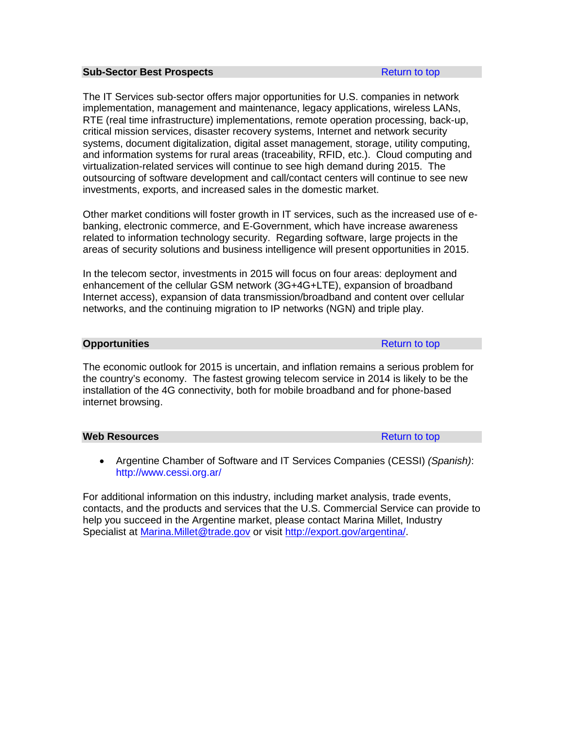#### **Sub-Sector Best Prospects [Return to top](#page-19-0) Return to top**

The IT Services sub-sector offers major opportunities for U.S. companies in network implementation, management and maintenance, legacy applications, wireless LANs, RTE (real time infrastructure) implementations, remote operation processing, back-up, critical mission services, disaster recovery systems, Internet and network security systems, document digitalization, digital asset management, storage, utility computing, and information systems for rural areas (traceability, RFID, etc.). Cloud computing and virtualization-related services will continue to see high demand during 2015. The outsourcing of software development and call/contact centers will continue to see new investments, exports, and increased sales in the domestic market.

Other market conditions will foster growth in IT services, such as the increased use of ebanking, electronic commerce, and E-Government, which have increase awareness related to information technology security. Regarding software, large projects in the areas of security solutions and business intelligence will present opportunities in 2015.

In the telecom sector, investments in 2015 will focus on four areas: deployment and enhancement of the cellular GSM network (3G+4G+LTE), expansion of broadband Internet access), expansion of data transmission/broadband and content over cellular networks, and the continuing migration to IP networks (NGN) and triple play.

#### **Opportunities** [Return to top](#page-19-0) Return to top Return to top Return to top Return to top Return to top Return to top Return to top Return to top Return to top Return to top Return to top Return to top Return to top Return to

The economic outlook for 2015 is uncertain, and inflation remains a serious problem for the country's economy. The fastest growing telecom service in 2014 is likely to be the installation of the 4G connectivity, both for mobile broadband and for phone-based internet browsing.

#### **Web Resources [Return to top](#page-19-0) Act and Act and Act and Act and Act and Act and Act and Act and Act and Act and Act and Act and Act and Act and Act and Act and Act and Act and Act and Act and Act and Act and Act and Act and**

• Argentine Chamber of Software and IT Services Companies (CESSI) *(Spanish)*: <http://www.cessi.org.ar/>

For additional information on this industry, including market analysis, trade events, contacts, and the products and services that the U.S. Commercial Service can provide to help you succeed in the Argentine market, please contact Marina Millet, Industry Specialist at [Marina.Millet@trade.gov](mailto:Marina.Millet@trade.gov) or visit [http://export.gov/argentina/.](http://export.gov/argentina/index.asp)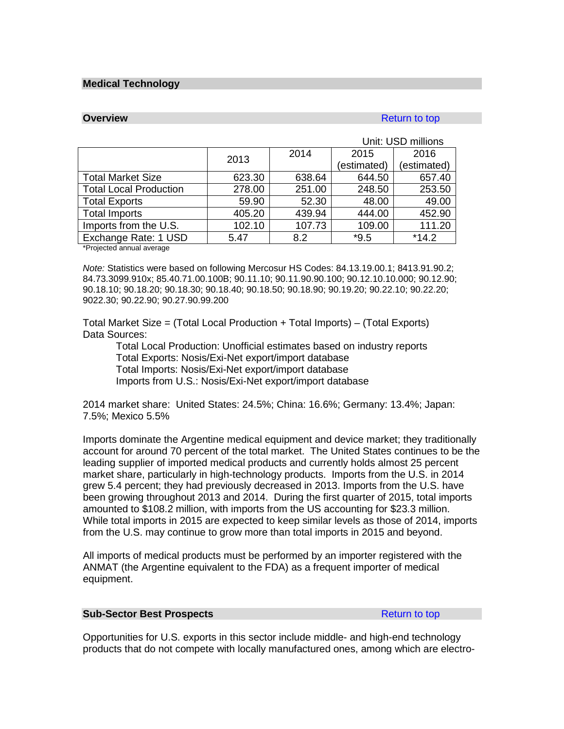#### <span id="page-31-0"></span>**Medical Technology**

# **Overview** [Return to top](#page-19-0) **Return to top**

|                               |        |        |             | Unit: USD millions |
|-------------------------------|--------|--------|-------------|--------------------|
|                               | 2013   | 2014   | 2015        | 2016               |
|                               |        |        | (estimated) | (estimated)        |
| <b>Total Market Size</b>      | 623.30 | 638.64 | 644.50      | 657.40             |
| <b>Total Local Production</b> | 278.00 | 251.00 | 248.50      | 253.50             |
| <b>Total Exports</b>          | 59.90  | 52.30  | 48.00       | 49.00              |
| <b>Total Imports</b>          | 405.20 | 439.94 | 444.00      | 452.90             |
| Imports from the U.S.         | 102.10 | 107.73 | 109.00      | 111.20             |
| Exchange Rate: 1 USD          | 5.47   | 8.2    | $*9.5$      | $*14.2$            |

\*Projected annual average

*Note:* Statistics were based on following Mercosur HS Codes: 84.13.19.00.1; 8413.91.90.2; 84.73.3099.910x; 85.40.71.00.100B; 90.11.10; 90.11.90.90.100; 90.12.10.10.000; 90.12.90; 90.18.10; 90.18.20; 90.18.30; 90.18.40; 90.18.50; 90.18.90; 90.19.20; 90.22.10; 90.22.20; 9022.30; 90.22.90; 90.27.90.99.200

Total Market Size = (Total Local Production + Total Imports) – (Total Exports) Data Sources:

Total Local Production: Unofficial estimates based on industry reports Total Exports: Nosis/Exi-Net export/import database Total Imports: Nosis/Exi-Net export/import database Imports from U.S.: Nosis/Exi-Net export/import database

2014 market share: United States: 24.5%; China: 16.6%; Germany: 13.4%; Japan: 7.5%; Mexico 5.5%

Imports dominate the Argentine medical equipment and device market; they traditionally account for around 70 percent of the total market. The United States continues to be the leading supplier of imported medical products and currently holds almost 25 percent market share, particularly in high-technology products. Imports from the U.S. in 2014 grew 5.4 percent; they had previously decreased in 2013. Imports from the U.S. have been growing throughout 2013 and 2014. During the first quarter of 2015, total imports amounted to \$108.2 million, with imports from the US accounting for \$23.3 million. While total imports in 2015 are expected to keep similar levels as those of 2014, imports from the U.S. may continue to grow more than total imports in 2015 and beyond.

All imports of medical products must be performed by an importer registered with the ANMAT (the Argentine equivalent to the FDA) as a frequent importer of medical equipment.

#### **Sub-Sector Best Prospects [Return to top](#page-19-0) Return to top**

Opportunities for U.S. exports in this sector include middle- and high-end technology products that do not compete with locally manufactured ones, among which are electro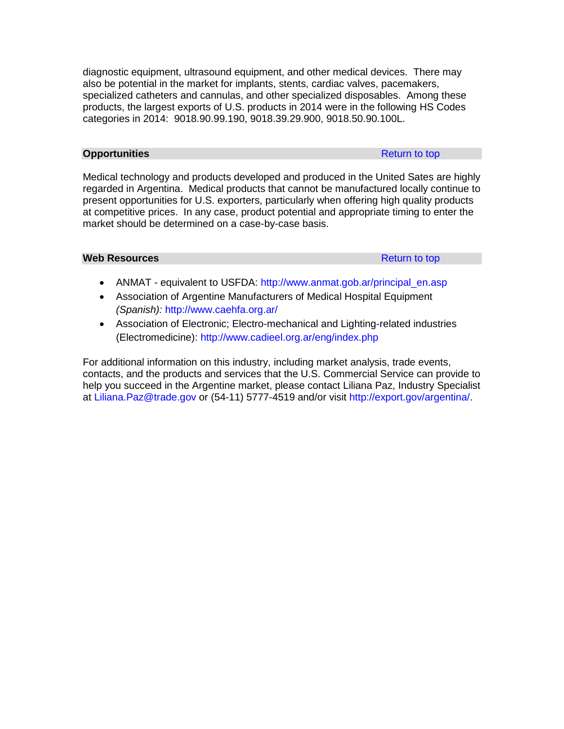diagnostic equipment, ultrasound equipment, and other medical devices. There may also be potential in the market for implants, stents, cardiac valves, pacemakers, specialized catheters and cannulas, and other specialized disposables. Among these products, the largest exports of U.S. products in 2014 were in the following HS Codes categories in 2014: 9018.90.99.190, 9018.39.29.900, 9018.50.90.100L.

# **Opportunities** [Return to top](#page-19-0) Return to top Return to top Return to top Return to top Return to top Return to top Return to top Return to top Return to top Return to top Return to top Return to top Return to top Return to

Medical technology and products developed and produced in the United Sates are highly regarded in Argentina. Medical products that cannot be manufactured locally continue to present opportunities for U.S. exporters, particularly when offering high quality products at competitive prices. In any case, product potential and appropriate timing to enter the market should be determined on a case-by-case basis.

# **Web Resources [Return to top](#page-19-0)**

- ANMAT equivalent to USFDA: [http://www.anmat.gob.ar/principal\\_en.asp](http://www.anmat.gob.ar/principal_en.asp)
- Association of Argentine Manufacturers of Medical Hospital Equipment *(Spanish):* <http://www.caehfa.org.ar/>
- Association of Electronic; Electro-mechanical and Lighting-related industries (Electromedicine):<http://www.cadieel.org.ar/eng/index.php>

For additional information on this industry, including market analysis, trade events, contacts, and the products and services that the U.S. Commercial Service can provide to help you succeed in the Argentine market, please contact Liliana Paz, Industry Specialist at [Liliana.Paz@trade.gov](mailto:Liliana.Paz@trade.gov) or (54-11) 5777-4519 and/or visit [http://export.gov/argentina/.](http://export.gov/argentina/index.asp)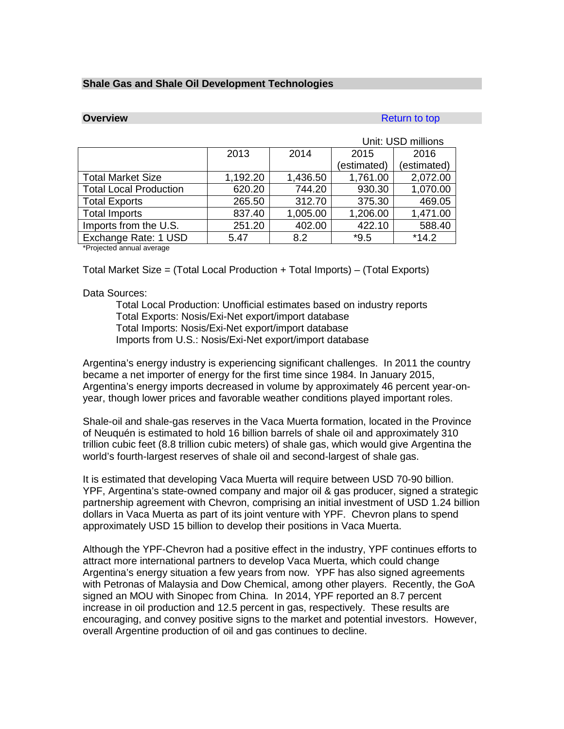#### <span id="page-33-0"></span>**Shale Gas and Shale Oil Development Technologies**

# **Overview [Return to top](#page-19-0) Accounts and Accounts and Accounts and Accounts and Accounts and Accounts and Accounts and Accounts and Accounts and Accounts and Accounts and Accounts and Accounts and Accounts and Accounts and Acc**

|                               |          |          |             | Unit: USD millions |
|-------------------------------|----------|----------|-------------|--------------------|
|                               | 2013     | 2014     | 2015        | 2016               |
|                               |          |          | (estimated) | (estimated)        |
| <b>Total Market Size</b>      | 1,192.20 | 1,436.50 | 1,761.00    | 2,072.00           |
| <b>Total Local Production</b> | 620.20   | 744.20   | 930.30      | 1,070.00           |
| <b>Total Exports</b>          | 265.50   | 312.70   | 375.30      | 469.05             |
| <b>Total Imports</b>          | 837.40   | 1,005.00 | 1,206.00    | 1,471.00           |
| Imports from the U.S.         | 251.20   | 402.00   | 422.10      | 588.40             |
| Exchange Rate: 1 USD          | 5.47     | 8.2      | $*9.5$      | $*14.2$            |

\*Projected annual average

Total Market Size = (Total Local Production + Total Imports) – (Total Exports)

#### Data Sources:

Total Local Production: Unofficial estimates based on industry reports Total Exports: Nosis/Exi-Net export/import database Total Imports: Nosis/Exi-Net export/import database Imports from U.S.: Nosis/Exi-Net export/import database

Argentina's energy industry is experiencing significant challenges. In 2011 the country became a net importer of energy for the first time since 1984. In January 2015, Argentina's energy imports decreased in volume by approximately 46 percent year-onyear, though lower prices and favorable weather conditions played important roles.

Shale-oil and shale-gas reserves in the Vaca Muerta formation, located in the Province of Neuquén is estimated to hold 16 billion barrels of shale oil and approximately 310 trillion cubic feet (8.8 trillion cubic meters) of shale gas, which would give Argentina the world's fourth-largest reserves of shale oil and second-largest of shale gas.

It is estimated that developing Vaca Muerta will require between USD 70-90 billion. YPF, Argentina's state-owned company and major oil & gas producer, signed a strategic partnership agreement with Chevron, comprising an initial investment of USD 1.24 billion dollars in Vaca Muerta as part of its joint venture with YPF. Chevron plans to spend approximately USD 15 billion to develop their positions in Vaca Muerta.

Although the YPF-Chevron had a positive effect in the industry, YPF continues efforts to attract more international partners to develop Vaca Muerta, which could change Argentina's energy situation a few years from now. YPF has also signed agreements with Petronas of Malaysia and Dow Chemical, among other players. Recently, the GoA signed an MOU with Sinopec from China.In 2014, YPF reported an 8.7 percent increase in oil production and 12.5 percent in gas, respectively. These results are encouraging, and convey positive signs to the market and potential investors. However, overall Argentine production of oil and gas continues to decline.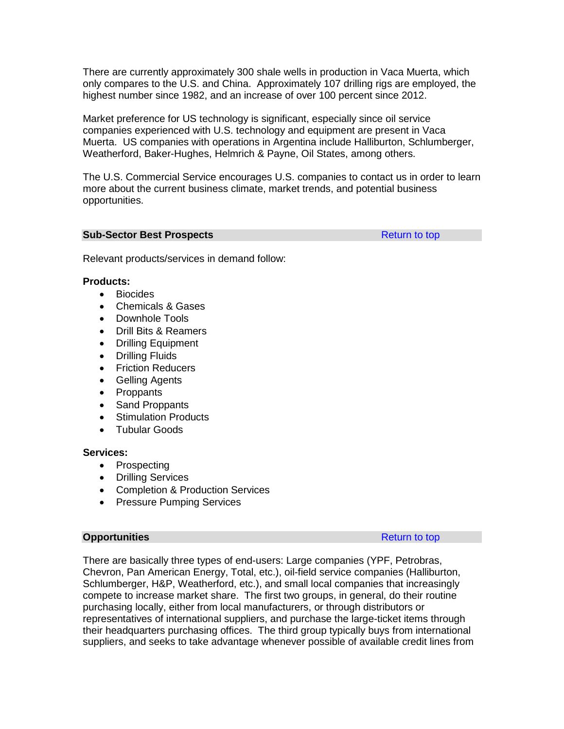There are currently approximately 300 shale wells in production in Vaca Muerta, which only compares to the U.S. and China. Approximately 107 drilling rigs are employed, the highest number since 1982, and an increase of over 100 percent since 2012.

Market preference for US technology is significant, especially since oil service companies experienced with U.S. technology and equipment are present in Vaca Muerta. US companies with operations in Argentina include Halliburton, Schlumberger, Weatherford, Baker-Hughes, Helmrich & Payne, Oil States, among others.

The U.S. Commercial Service encourages U.S. companies to contact us in order to learn more about the current business climate, market trends, and potential business opportunities.

#### **Sub-Sector Best Prospects [Return to top](#page-19-0) Return to top**

Relevant products/services in demand follow:

## **Products:**

- Biocides
- Chemicals & Gases
- Downhole Tools
- Drill Bits & Reamers
- Drilling Equipment
- Drilling Fluids
- Friction Reducers
- Gelling Agents
- Proppants
- Sand Proppants
- Stimulation Products
- Tubular Goods

# **Services:**

- Prospecting
- Drilling Services
- Completion & Production Services
- Pressure Pumping Services

## **Opportunities** [Return to top](#page-19-0) Return to top

There are basically three types of end-users: Large companies (YPF, Petrobras, Chevron, Pan American Energy, Total, etc.), oil-field service companies (Halliburton, Schlumberger, H&P, Weatherford, etc.), and small local companies that increasingly compete to increase market share. The first two groups, in general, do their routine purchasing locally, either from local manufacturers, or through distributors or representatives of international suppliers, and purchase the large-ticket items through their headquarters purchasing offices. The third group typically buys from international suppliers, and seeks to take advantage whenever possible of available credit lines from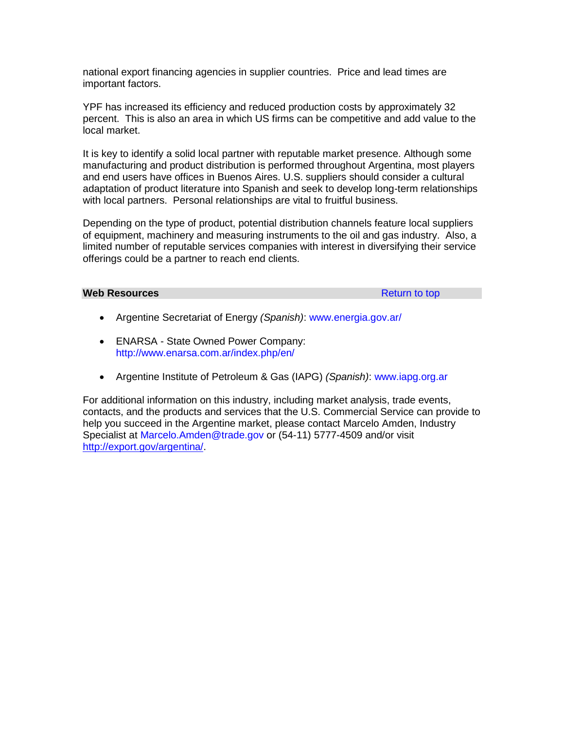national export financing agencies in supplier countries. Price and lead times are important factors.

YPF has increased its efficiency and reduced production costs by approximately 32 percent. This is also an area in which US firms can be competitive and add value to the local market.

It is key to identify a solid local partner with reputable market presence. Although some manufacturing and product distribution is performed throughout Argentina, most players and end users have offices in Buenos Aires. U.S. suppliers should consider a cultural adaptation of product literature into Spanish and seek to develop long-term relationships with local partners. Personal relationships are vital to fruitful business.

Depending on the type of product, potential distribution channels feature local suppliers of equipment, machinery and measuring instruments to the oil and gas industry. Also, a limited number of reputable services companies with interest in diversifying their service offerings could be a partner to reach end clients.

#### **Web Resources Resources [Return to top](#page-19-0)**

- Argentine Secretariat of Energy *(Spanish)*: [www.energia.gov.ar/](http://www.energia.gov.ar/)
- ENARSA State Owned Power Company: <http://www.enarsa.com.ar/index.php/en/>
- Argentine Institute of Petroleum & Gas (IAPG) *(Spanish)*: [www.iapg.org.ar](http://www.iapg.org.ar/)

For additional information on this industry, including market analysis, trade events, contacts, and the products and services that the U.S. Commercial Service can provide to help you succeed in the Argentine market, please contact Marcelo Amden, Industry Specialist at [Marcelo.Amden@trade.gov](mailto:Marcelo.Amden@trade.gov) or (54-11) 5777-4509 and/or visit [http://export.gov/argentina/.](http://export.gov/argentina/index.asp)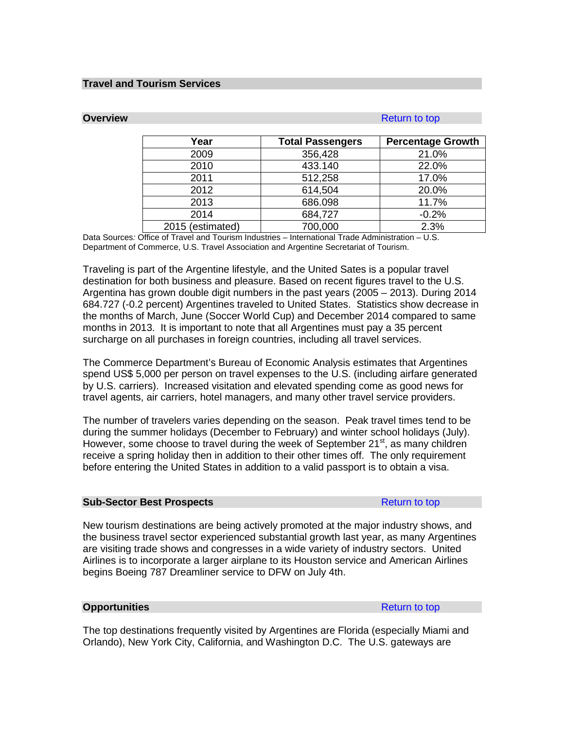#### **Travel and Tourism Services**

#### **Overview [Return to top](#page-19-0)**

| Year             | <b>Total Passengers</b> | <b>Percentage Growth</b> |
|------------------|-------------------------|--------------------------|
| 2009             | 356,428                 | 21.0%                    |
| 2010             | 433.140                 | 22.0%                    |
| 2011             | 512,258                 | 17.0%                    |
| 2012             | 614,504                 | 20.0%                    |
| 2013             | 686.098                 | 11.7%                    |
| 2014             | 684,727                 | $-0.2%$                  |
| 2015 (estimated) | 700,000                 | 2.3%                     |

Data Sources*:* Office of Travel and Tourism Industries – International Trade Administration – U.S. Department of Commerce, U.S. Travel Association and Argentine Secretariat of Tourism.

Traveling is part of the Argentine lifestyle, and the United Sates is a popular travel destination for both business and pleasure. Based on recent figures travel to the U.S. Argentina has grown double digit numbers in the past years (2005 – 2013). During 2014 684.727 (-0.2 percent) Argentines traveled to United States. Statistics show decrease in the months of March, June (Soccer World Cup) and December 2014 compared to same months in 2013. It is important to note that all Argentines must pay a 35 percent surcharge on all purchases in foreign countries, including all travel services.

The Commerce Department's Bureau of Economic Analysis estimates that Argentines spend US\$ 5,000 per person on travel expenses to the U.S. (including airfare generated by U.S. carriers). Increased visitation and elevated spending come as good news for travel agents, air carriers, hotel managers, and many other travel service providers.

The number of travelers varies depending on the season. Peak travel times tend to be during the summer holidays (December to February) and winter school holidays (July). However, some choose to travel during the week of September 21 $^{\rm st}$ , as many children receive a spring holiday then in addition to their other times off. The only requirement before entering the United States in addition to a valid passport is to obtain a visa.

### **Sub-Sector Best Prospects [Return to top](#page-19-0) Return to top**

New tourism destinations are being actively promoted at the major industry shows, and the business travel sector experienced substantial growth last year, as many Argentines are visiting trade shows and congresses in a wide variety of industry sectors. United Airlines is to incorporate a larger airplane to its Houston service and American Airlines begins Boeing 787 Dreamliner service to DFW on July 4th.

#### **Opportunities** [Return to top](#page-19-0) Return to top Return to top Return to top Return to top Return to top Return to top Return to top Return to top Return to top Return to top Return to top Return to top Return to top Return to

The top destinations frequently visited by Argentines are Florida (especially Miami and Orlando), New York City, California, and Washington D.C. The U.S. gateways are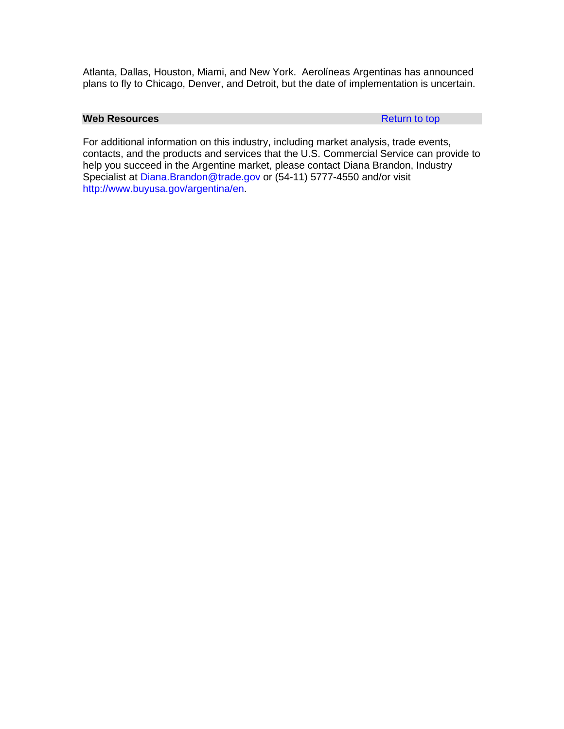Atlanta, Dallas, Houston, Miami, and New York. Aerolíneas Argentinas has announced plans to fly to Chicago, Denver, and Detroit, but the date of implementation is uncertain.

### **Web Resources [Return to top](#page-19-0)**

For additional information on this industry, including market analysis, trade events, contacts, and the products and services that the U.S. Commercial Service can provide to help you succeed in the Argentine market, please contact Diana Brandon, Industry Specialist at [Diana.Brandon@trade.gov](mailto:Diana.Brandon@trade.gov) or (54-11) 5777-4550 and/or visit [http://www.buyusa.gov/argentina/en.](http://www.comerciousa.org/argentina_Editable/-dbrandon/travel_tourism/travel_tourism_main.asp)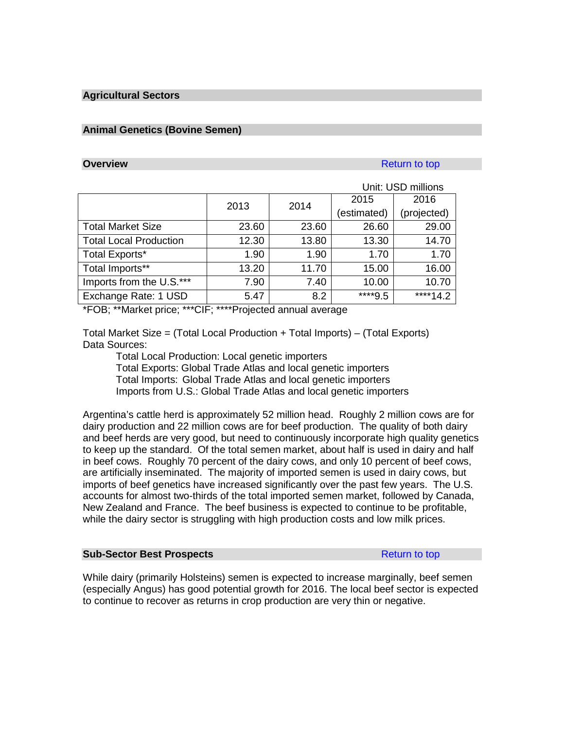### **Agricultural Sectors**

### **Animal Genetics (Bovine Semen)**

#### **Overview** [Return to top](#page-19-0) **Return to top**

| 2016                                                               |
|--------------------------------------------------------------------|
|                                                                    |
| (projected)                                                        |
| 29.00                                                              |
| 14.70                                                              |
| 1.70                                                               |
| 16.00                                                              |
| 10.70                                                              |
| ****14.2                                                           |
| (estimated)<br>26.60<br>13.30<br>1.70<br>15.00<br>10.00<br>****9.5 |

\*FOB; \*\*Market price; \*\*\*CIF; \*\*\*\*Projected annual average

Total Market Size = (Total Local Production + Total Imports) – (Total Exports) Data Sources:

Total Local Production: Local genetic importers Total Exports: Global Trade Atlas and local genetic importers Total Imports: Global Trade Atlas and local genetic importers Imports from U.S.: Global Trade Atlas and local genetic importers

Argentina's cattle herd is approximately 52 million head. Roughly 2 million cows are for dairy production and 22 million cows are for beef production. The quality of both dairy and beef herds are very good, but need to continuously incorporate high quality genetics to keep up the standard. Of the total semen market, about half is used in dairy and half in beef cows. Roughly 70 percent of the dairy cows, and only 10 percent of beef cows, are artificially inseminated. The majority of imported semen is used in dairy cows, but imports of beef genetics have increased significantly over the past few years. The U.S. accounts for almost two-thirds of the total imported semen market, followed by Canada, New Zealand and France. The beef business is expected to continue to be profitable, while the dairy sector is struggling with high production costs and low milk prices.

#### **Sub-Sector Best Prospects [Return to top](#page-19-0) Return to top**

While dairy (primarily Holsteins) semen is expected to increase marginally, beef semen (especially Angus) has good potential growth for 2016. The local beef sector is expected to continue to recover as returns in crop production are very thin or negative.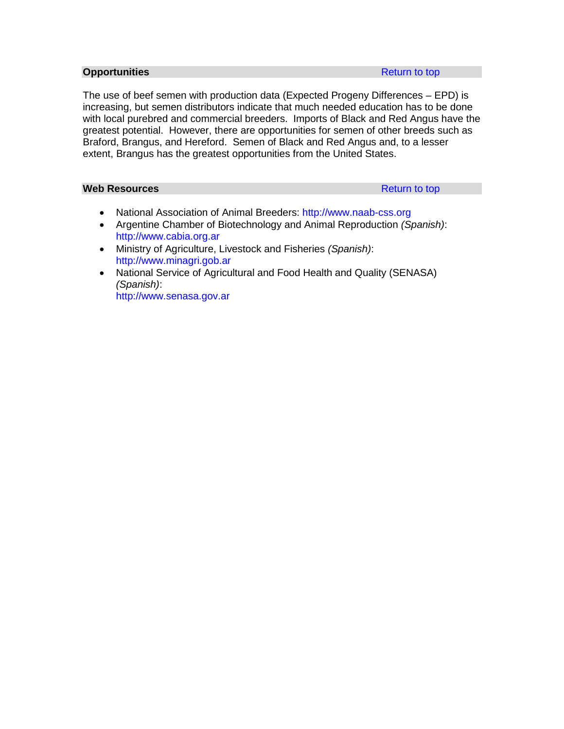#### **Opportunities [Return to top](#page-19-0) Apple Times Apple Times Apple Times Apple Times Apple Times Apple Times Apple Times Apple Times Apple Times Apple Times Apple Times Apple Times Apple Times Apple Times Apple Times Apple Times**

The use of beef semen with production data (Expected Progeny Differences – EPD) is increasing, but semen distributors indicate that much needed education has to be done with local purebred and commercial breeders. Imports of Black and Red Angus have the greatest potential. However, there are opportunities for semen of other breeds such as Braford, Brangus, and Hereford. Semen of Black and Red Angus and, to a lesser extent, Brangus has the greatest opportunities from the United States.

# **Web Resources [Return to top](#page-19-0)**

- National Association of Animal Breeders: [http://www.naab-css.org](http://www.naab-css.org/)
- Argentine Chamber of Biotechnology and Animal Reproduction *(Spanish)*: [http://www.cabia.org.ar](http://www.cabia.org.ar/)
- Ministry of Agriculture, Livestock and Fisheries *(Spanish)*: [http://www.minagri.gob.ar](http://www.minagri.gob.ar/)
- National Service of Agricultural and Food Health and Quality (SENASA) *(Spanish)*: [http://www.senasa.gov.ar](http://www.senasa.gov.ar/)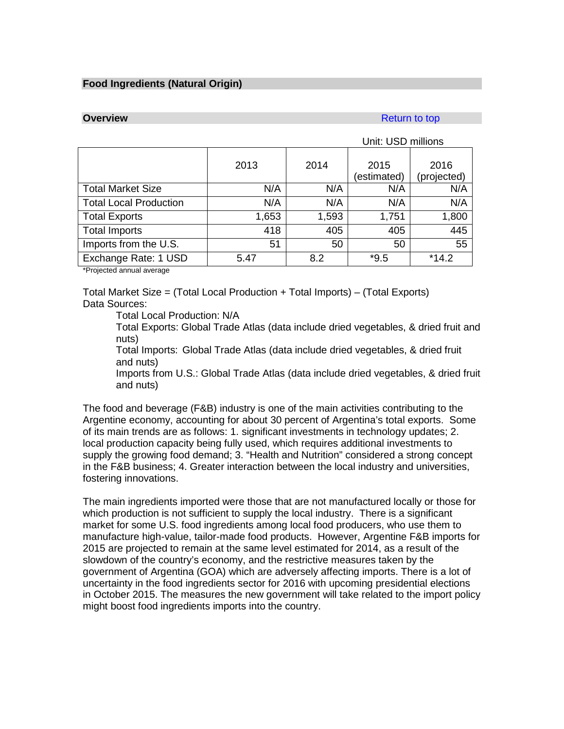# **Food Ingredients (Natural Origin)**

### **Overview [Return to top](#page-19-0) Accounts and Accounts and Accounts and Accounts and Accounts and Accounts and Accounts and Accounts and Accounts and Accounts and Accounts and Accounts and Accounts and Accounts and Accounts and A**

|                               | Unit: USD millions |       |                     |                     |
|-------------------------------|--------------------|-------|---------------------|---------------------|
|                               | 2013               | 2014  | 2015<br>(estimated) | 2016<br>(projected) |
| <b>Total Market Size</b>      | N/A                | N/A   | N/A                 | N/A                 |
| <b>Total Local Production</b> | N/A                | N/A   | N/A                 | N/A                 |
| <b>Total Exports</b>          | 1,653              | 1,593 | 1,751               | 1,800               |
| <b>Total Imports</b>          | 418                | 405   | 405                 | 445                 |
| Imports from the U.S.         | 51                 | 50    | 50                  | 55                  |
| Exchange Rate: 1 USD<br>.     | 5.47               | 8.2   | $*9.5$              | $*14.2$             |

\*Projected annual average

Total Market Size = (Total Local Production + Total Imports) – (Total Exports) Data Sources:

Total Local Production: N/A

Total Exports: Global Trade Atlas (data include dried vegetables, & dried fruit and nuts)

Total Imports: Global Trade Atlas (data include dried vegetables, & dried fruit and nuts)

Imports from U.S.: Global Trade Atlas (data include dried vegetables, & dried fruit and nuts)

The food and beverage (F&B) industry is one of the main activities contributing to the Argentine economy, accounting for about 30 percent of Argentina's total exports. Some of its main trends are as follows: 1. significant investments in technology updates; 2. local production capacity being fully used, which requires additional investments to supply the growing food demand; 3. "Health and Nutrition" considered a strong concept in the F&B business; 4. Greater interaction between the local industry and universities, fostering innovations.

The main ingredients imported were those that are not manufactured locally or those for which production is not sufficient to supply the local industry. There is a significant market for some U.S. food ingredients among local food producers, who use them to manufacture high-value, tailor-made food products. However, Argentine F&B imports for 2015 are projected to remain at the same level estimated for 2014, as a result of the slowdown of the country's economy, and the restrictive measures taken by the government of Argentina (GOA) which are adversely affecting imports. There is a lot of uncertainty in the food ingredients sector for 2016 with upcoming presidential elections in October 2015. The measures the new government will take related to the import policy might boost food ingredients imports into the country.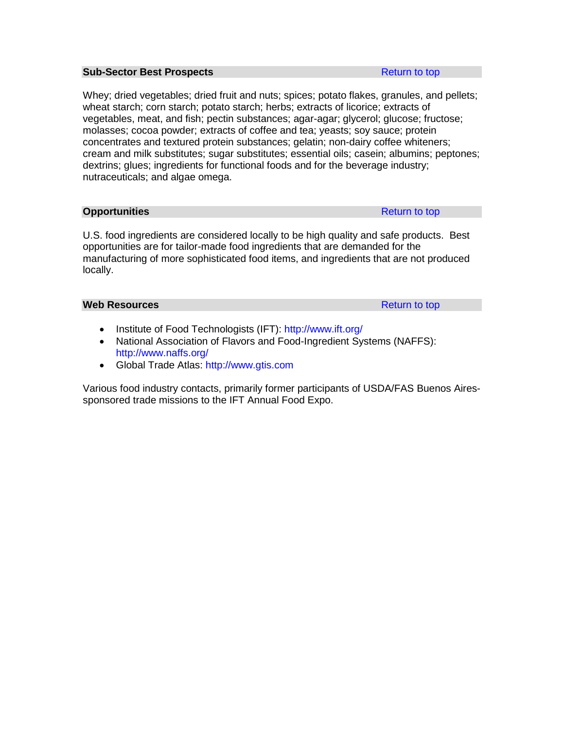#### **Sub-Sector Best Prospects [Return to top](#page-19-0) Return to top**

Whey; dried vegetables; dried fruit and nuts; spices; potato flakes, granules, and pellets; wheat starch; corn starch; potato starch; herbs; extracts of licorice; extracts of vegetables, meat, and fish; pectin substances; agar-agar; glycerol; glucose; fructose; molasses; cocoa powder; extracts of coffee and tea; yeasts; soy sauce; protein concentrates and textured protein substances; gelatin; non-dairy coffee whiteners; cream and milk substitutes; sugar substitutes; essential oils; casein; albumins; peptones; dextrins; glues; ingredients for functional foods and for the beverage industry; nutraceuticals; and algae omega.

**Opportunities [Return to top](#page-19-0)** 

U.S. food ingredients are considered locally to be high quality and safe products. Best opportunities are for tailor-made food ingredients that are demanded for the manufacturing of more sophisticated food items, and ingredients that are not produced locally.

#### **Web Resources Resources [Return to top](#page-19-0)**

- Institute of Food Technologists (IFT):<http://www.ift.org/>
- National Association of Flavors and Food-Ingredient Systems (NAFFS): <http://www.naffs.org/>
- Global Trade Atlas: [http://www.gtis.com](http://www.gtis.com/)

Various food industry contacts, primarily former participants of USDA/FAS Buenos Airessponsored trade missions to the IFT Annual Food Expo.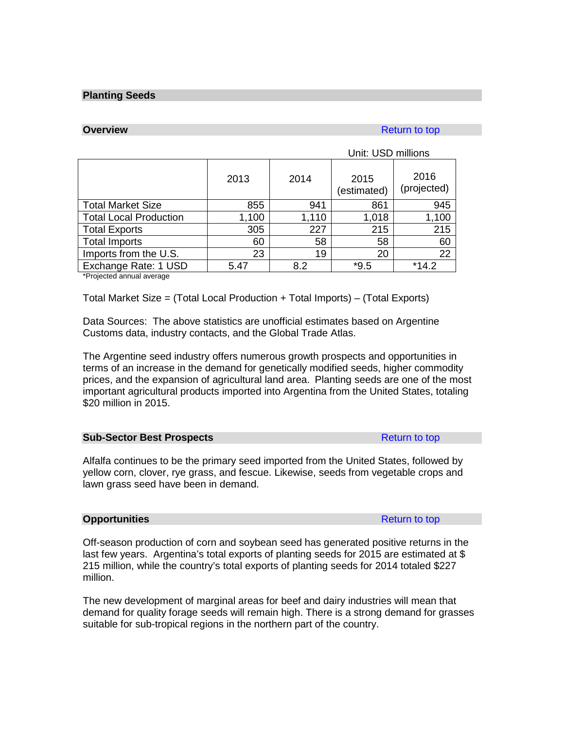#### **Planting Seeds**

### **Overview [Return to top](#page-19-0) Accounts and Accounts and Accounts and Accounts and Accounts and Accounts and Accounts and Accounts and Accounts and Accounts and Accounts and Accounts and Accounts and Accounts and Accounts and A**

# Unit: USD millions

|                                             | 2013  | 2014  | 2015<br>(estimated) | 2016<br>(projected) |
|---------------------------------------------|-------|-------|---------------------|---------------------|
| <b>Total Market Size</b>                    | 855   | 941   | 861                 | 945                 |
| <b>Total Local Production</b>               | 1,100 | 1,110 | 1,018               | 1,100               |
| <b>Total Exports</b>                        | 305   | 227   | 215                 | 215                 |
| <b>Total Imports</b>                        | 60    | 58    | 58                  | 60                  |
| Imports from the U.S.                       | 23    | 19    | 20                  | 22                  |
| Exchange Rate: 1 USD                        | 5.47  | 8.2   | $*9.5$              | $*14.2$             |
| <b>Alberta at a discussional second and</b> |       |       |                     |                     |

\*Projected annual average

Total Market Size = (Total Local Production + Total Imports) – (Total Exports)

Data Sources: The above statistics are unofficial estimates based on Argentine Customs data, industry contacts, and the Global Trade Atlas.

The Argentine seed industry offers numerous growth prospects and opportunities in terms of an increase in the demand for genetically modified seeds, higher commodity prices, and the expansion of agricultural land area. Planting seeds are one of the most important agricultural products imported into Argentina from the United States, totaling \$20 million in 2015.

#### **Sub-Sector Best Prospects [Return to top](#page-19-0) Return to top**

Alfalfa continues to be the primary seed imported from the United States, followed by yellow corn, clover, rye grass, and fescue. Likewise, seeds from vegetable crops and lawn grass seed have been in demand.

#### **Opportunities** [Return to top](#page-19-0) Return to top Return to top Return to top Return to top Return to top Return to top Return to top Return to top Return to top Return to top Return to top Return to top Return to top Return to

Off-season production of corn and soybean seed has generated positive returns in the last few years. Argentina's total exports of planting seeds for 2015 are estimated at \$ 215 million, while the country's total exports of planting seeds for 2014 totaled \$227 million.

The new development of marginal areas for beef and dairy industries will mean that demand for quality forage seeds will remain high. There is a strong demand for grasses suitable for sub-tropical regions in the northern part of the country.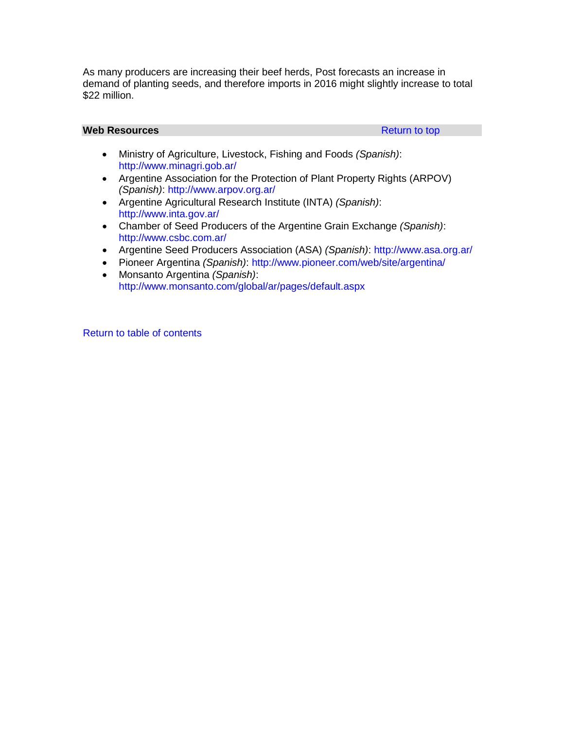As many producers are increasing their beef herds, Post forecasts an increase in demand of planting seeds, and therefore imports in 2016 might slightly increase to total \$22 million.

#### **Web Resources [Return to top](#page-19-0) Return to top Return to top**

- Ministry of Agriculture, Livestock, Fishing and Foods *(Spanish)*: <http://www.minagri.gob.ar/>
- Argentine Association for the Protection of Plant Property Rights (ARPOV) *(Spanish)*:<http://www.arpov.org.ar/>
- Argentine Agricultural Research Institute (INTA) *(Spanish)*: <http://www.inta.gov.ar/>
- Chamber of Seed Producers of the Argentine Grain Exchange *(Spanish)*: <http://www.csbc.com.ar/>
- Argentine Seed Producers Association (ASA) *(Spanish)*:<http://www.asa.org.ar/>
- Pioneer Argentina *(Spanish)*:<http://www.pioneer.com/web/site/argentina/>
- Monsanto Argentina *(Spanish)*: <http://www.monsanto.com/global/ar/pages/default.aspx>

[Return to table of contents](#page-0-0)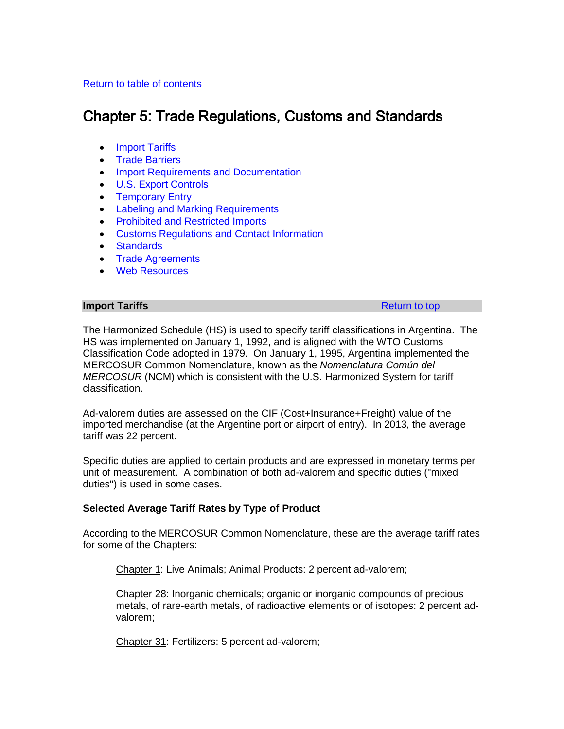# <span id="page-44-1"></span>[Return to table of contents](#page-0-0)

# Chapter 5: Trade Regulations, Customs and Standards

- [Import Tariffs](#page-44-0)
- [Trade Barriers](#page-46-0)
- [Import Requirements and Documentation](#page-50-0)
- [U.S. Export Controls](#page-54-0)
- [Temporary Entry](#page-55-0)
- [Labeling and Marking Requirements](#page-57-0)
- [Prohibited and Restricted Imports](#page-58-0)
- [Customs Regulations and Contact Information](#page-60-0)
- [Standards](#page-61-0)
- [Trade Agreements](#page-66-0)
- [Web Resources](#page-67-0)

#### <span id="page-44-0"></span>**Import Tariffs [Return to top](#page-44-1) Accounts** Return to top **Return to top Return to top**

The Harmonized Schedule (HS) is used to specify tariff classifications in Argentina. The HS was implemented on January 1, 1992, and is aligned with the WTO Customs Classification Code adopted in 1979. On January 1, 1995, Argentina implemented the MERCOSUR Common Nomenclature, known as the *Nomenclatura Común del MERCOSUR* (NCM) which is consistent with the U.S. Harmonized System for tariff classification.

Ad-valorem duties are assessed on the CIF (Cost+Insurance+Freight) value of the imported merchandise (at the Argentine port or airport of entry). In 2013, the average tariff was 22 percent.

Specific duties are applied to certain products and are expressed in monetary terms per unit of measurement. A combination of both ad-valorem and specific duties ("mixed duties") is used in some cases.

# **Selected Average Tariff Rates by Type of Product**

According to the MERCOSUR Common Nomenclature, these are the average tariff rates for some of the Chapters:

Chapter 1: Live Animals; Animal Products: 2 percent ad-valorem;

Chapter 28: Inorganic chemicals; organic or inorganic compounds of precious metals, of rare-earth metals, of radioactive elements or of isotopes: 2 percent advalorem;

Chapter 31: Fertilizers: 5 percent ad-valorem;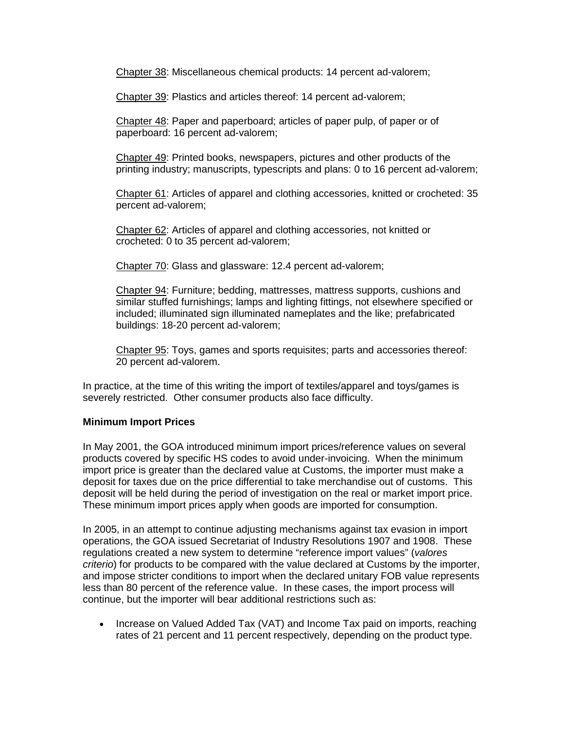Chapter 38: Miscellaneous chemical products: 14 percent ad-valorem;

Chapter 39: Plastics and articles thereof: 14 percent ad-valorem;

Chapter 48: Paper and paperboard; articles of paper pulp, of paper or of paperboard: 16 percent ad-valorem;

Chapter 49: Printed books, newspapers, pictures and other products of the printing industry; manuscripts, typescripts and plans: 0 to 16 percent ad-valorem;

Chapter 61: Articles of apparel and clothing accessories, knitted or crocheted: 35 percent ad-valorem;

Chapter 62: Articles of apparel and clothing accessories, not knitted or crocheted: 0 to 35 percent ad-valorem;

Chapter 70: Glass and glassware: 12.4 percent ad-valorem;

Chapter 94: Furniture; bedding, mattresses, mattress supports, cushions and similar stuffed furnishings; lamps and lighting fittings, not elsewhere specified or included; illuminated sign illuminated nameplates and the like; prefabricated buildings: 18-20 percent ad-valorem;

Chapter 95: Toys, games and sports requisites; parts and accessories thereof: 20 percent ad-valorem.

In practice, at the time of this writing the import of textiles/apparel and toys/games is severely restricted. Other consumer products also face difficulty.

# **Minimum Import Prices**

In May 2001, the GOA introduced minimum import prices/reference values on several products covered by specific HS codes to avoid under-invoicing. When the minimum import price is greater than the declared value at Customs, the importer must make a deposit for taxes due on the price differential to take merchandise out of customs. This deposit will be held during the period of investigation on the real or market import price. These minimum import prices apply when goods are imported for consumption.

In 2005, in an attempt to continue adjusting mechanisms against tax evasion in import operations, the GOA issued Secretariat of Industry Resolutions 1907 and 1908. These regulations created a new system to determine "reference import values" (*valores criterio*) for products to be compared with the value declared at Customs by the importer, and impose stricter conditions to import when the declared unitary FOB value represents less than 80 percent of the reference value. In these cases, the import process will continue, but the importer will bear additional restrictions such as:

• Increase on Valued Added Tax (VAT) and Income Tax paid on imports, reaching rates of 21 percent and 11 percent respectively, depending on the product type.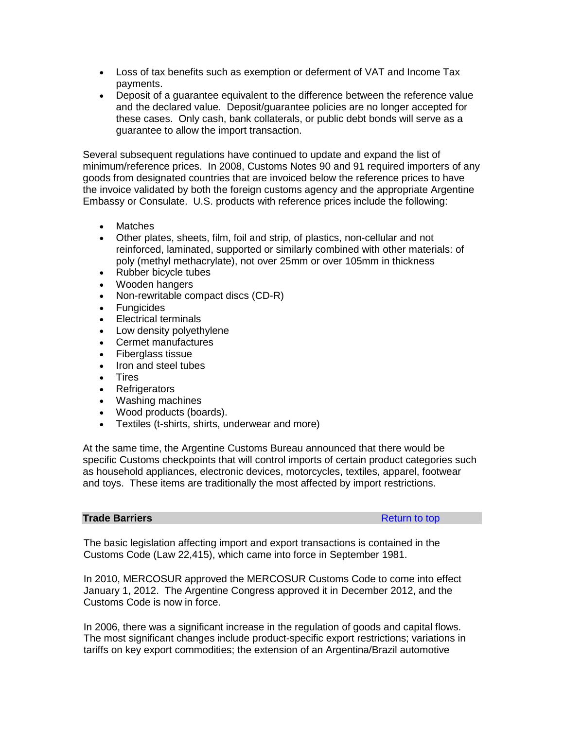- Loss of tax benefits such as exemption or deferment of VAT and Income Tax payments.
- Deposit of a guarantee equivalent to the difference between the reference value and the declared value. Deposit/guarantee policies are no longer accepted for these cases. Only cash, bank collaterals, or public debt bonds will serve as a guarantee to allow the import transaction.

Several subsequent regulations have continued to update and expand the list of minimum/reference prices. In 2008, Customs Notes 90 and 91 required importers of any goods from designated countries that are invoiced below the reference prices to have the invoice validated by both the foreign customs agency and the appropriate Argentine Embassy or Consulate. U.S. products with reference prices include the following:

- Matches
- Other plates, sheets, film, foil and strip, of plastics, non-cellular and not reinforced, laminated, supported or similarly combined with other materials: of poly (methyl methacrylate), not over 25mm or over 105mm in thickness
- Rubber bicycle tubes
- Wooden hangers
- Non-rewritable compact discs (CD-R)
- Fungicides
- Electrical terminals
- Low density polyethylene
- Cermet manufactures
- Fiberglass tissue
- Iron and steel tubes
- Tires
- Refrigerators
- Washing machines
- Wood products (boards).
- Textiles (t-shirts, shirts, underwear and more)

At the same time, the Argentine Customs Bureau announced that there would be specific Customs checkpoints that will control imports of certain product categories such as household appliances, electronic devices, motorcycles, textiles, apparel, footwear and toys. These items are traditionally the most affected by import restrictions.

# <span id="page-46-0"></span>**Trade Barriers [Return to top](#page-44-1) Act and Act and Act and Act and Act and Act and Act and Act and Act and Act and Act and Act and Act and Act and Act and Act and Act and Act and Act and Act and Act and Act and Act and Act an**

The basic legislation affecting import and export transactions is contained in the Customs Code (Law 22,415), which came into force in September 1981.

In 2010, MERCOSUR approved the MERCOSUR Customs Code to come into effect January 1, 2012. The Argentine Congress approved it in December 2012, and the Customs Code is now in force.

In 2006, there was a significant increase in the regulation of goods and capital flows. The most significant changes include product-specific export restrictions; variations in tariffs on key export commodities; the extension of an Argentina/Brazil automotive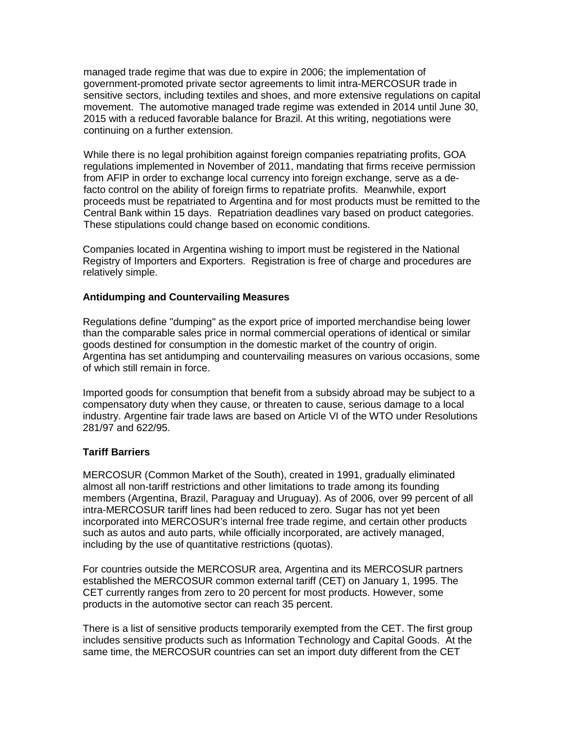managed trade regime that was due to expire in 2006; the implementation of government-promoted private sector agreements to limit intra-MERCOSUR trade in sensitive sectors, including textiles and shoes, and more extensive regulations on capital movement. The automotive managed trade regime was extended in 2014 until June 30, 2015 with a reduced favorable balance for Brazil. At this writing, negotiations were continuing on a further extension.

While there is no legal prohibition against foreign companies repatriating profits, GOA regulations implemented in November of 2011, mandating that firms receive permission from AFIP in order to exchange local currency into foreign exchange, serve as a defacto control on the ability of foreign firms to repatriate profits. Meanwhile, export proceeds must be repatriated to Argentina and for most products must be remitted to the Central Bank within 15 days. Repatriation deadlines vary based on product categories. These stipulations could change based on economic conditions.

Companies located in Argentina wishing to import must be registered in the National Registry of Importers and Exporters. Registration is free of charge and procedures are relatively simple.

# **Antidumping and Countervailing Measures**

Regulations define "dumping" as the export price of imported merchandise being lower than the comparable sales price in normal commercial operations of identical or similar goods destined for consumption in the domestic market of the country of origin. Argentina has set antidumping and countervailing measures on various occasions, some of which still remain in force.

Imported goods for consumption that benefit from a subsidy abroad may be subject to a compensatory duty when they cause, or threaten to cause, serious damage to a local industry. Argentine fair trade laws are based on Article VI of the WTO under Resolutions 281/97 and 622/95.

# **Tariff Barriers**

MERCOSUR (Common Market of the South), created in 1991, gradually eliminated almost all non-tariff restrictions and other limitations to trade among its founding members (Argentina, Brazil, Paraguay and Uruguay). As of 2006, over 99 percent of all intra-MERCOSUR tariff lines had been reduced to zero. Sugar has not yet been incorporated into MERCOSUR's internal free trade regime, and certain other products such as autos and auto parts, while officially incorporated, are actively managed, including by the use of quantitative restrictions (quotas).

For countries outside the MERCOSUR area, Argentina and its MERCOSUR partners established the MERCOSUR common external tariff (CET) on January 1, 1995. The CET currently ranges from zero to 20 percent for most products. However, some products in the automotive sector can reach 35 percent.

There is a list of sensitive products temporarily exempted from the CET. The first group includes sensitive products such as Information Technology and Capital Goods. At the same time, the MERCOSUR countries can set an import duty different from the CET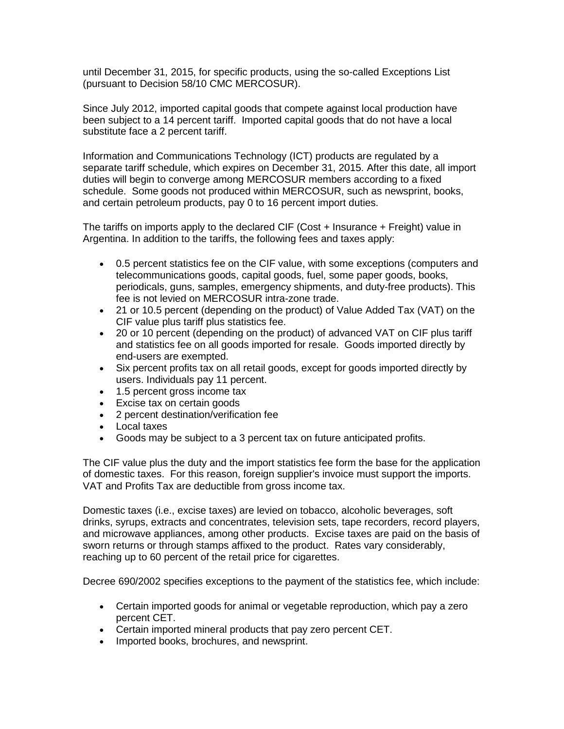until December 31, 2015, for specific products, using the so-called Exceptions List (pursuant to Decision 58/10 CMC MERCOSUR).

Since July 2012, imported capital goods that compete against local production have been subject to a 14 percent tariff. Imported capital goods that do not have a local substitute face a 2 percent tariff.

Information and Communications Technology (ICT) products are regulated by a separate tariff schedule, which expires on December 31, 2015. After this date, all import duties will begin to converge among MERCOSUR members according to a fixed schedule. Some goods not produced within MERCOSUR, such as newsprint, books, and certain petroleum products, pay 0 to 16 percent import duties.

The tariffs on imports apply to the declared CIF (Cost + Insurance + Freight) value in Argentina. In addition to the tariffs, the following fees and taxes apply:

- 0.5 percent statistics fee on the CIF value, with some exceptions (computers and telecommunications goods, capital goods, fuel, some paper goods, books, periodicals, guns, samples, emergency shipments, and duty-free products). This fee is not levied on MERCOSUR intra-zone trade.
- 21 or 10.5 percent (depending on the product) of Value Added Tax (VAT) on the CIF value plus tariff plus statistics fee.
- 20 or 10 percent (depending on the product) of advanced VAT on CIF plus tariff and statistics fee on all goods imported for resale. Goods imported directly by end-users are exempted.
- Six percent profits tax on all retail goods, except for goods imported directly by users. Individuals pay 11 percent.
- 1.5 percent gross income tax
- Excise tax on certain goods
- 2 percent destination/verification fee
- Local taxes
- Goods may be subject to a 3 percent tax on future anticipated profits.

The CIF value plus the duty and the import statistics fee form the base for the application of domestic taxes. For this reason, foreign supplier's invoice must support the imports. VAT and Profits Tax are deductible from gross income tax.

Domestic taxes (i.e., excise taxes) are levied on tobacco, alcoholic beverages, soft drinks, syrups, extracts and concentrates, television sets, tape recorders, record players, and microwave appliances, among other products. Excise taxes are paid on the basis of sworn returns or through stamps affixed to the product. Rates vary considerably, reaching up to 60 percent of the retail price for cigarettes.

Decree 690/2002 specifies exceptions to the payment of the statistics fee, which include:

- Certain imported goods for animal or vegetable reproduction, which pay a zero percent CET.
- Certain imported mineral products that pay zero percent CET.
- Imported books, brochures, and newsprint.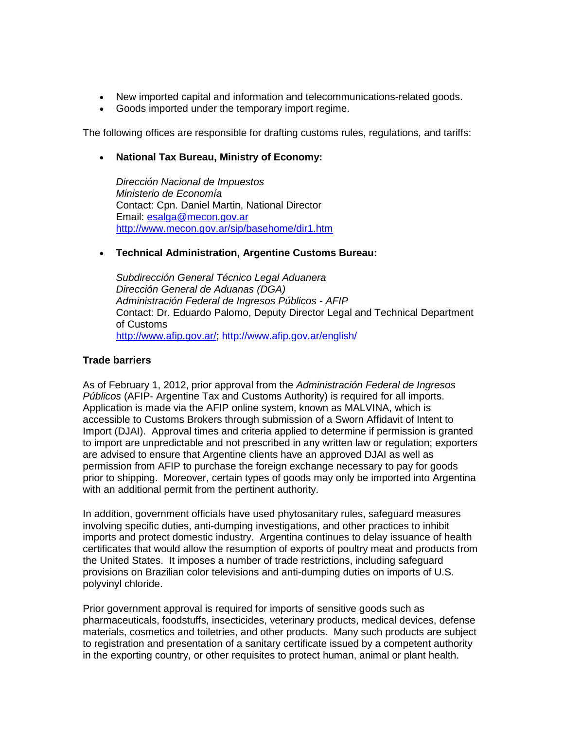- New imported capital and information and telecommunications-related goods.
- Goods imported under the temporary import regime.

The following offices are responsible for drafting customs rules, regulations, and tariffs:

# • **National Tax Bureau, Ministry of Economy:**

*Dirección Nacional de Impuestos Ministerio de Economía* Contact: Cpn. Daniel Martin, National Director Email: [esalga@mecon.gov.ar](mailto:esalga@mecon.gov.ar) <http://www.mecon.gov.ar/sip/basehome/dir1.htm>

# • **Technical Administration, Argentine Customs Bureau:**

*Subdirección General Técnico Legal Aduanera Dirección General de Aduanas (DGA) Administración Federal de Ingresos Públicos - AFIP* Contact: Dr. Eduardo Palomo, Deputy Director Legal and Technical Department of Customs [http://www.afip.gov.ar/;](http://www.afip.gov.ar/)<http://www.afip.gov.ar/english/>

# **Trade barriers**

As of February 1, 2012, prior approval from the *Administración Federal de Ingresos Públicos* (AFIP- Argentine Tax and Customs Authority) is required for all imports. Application is made via the AFIP online system, known as MALVINA, which is accessible to Customs Brokers through submission of a Sworn Affidavit of Intent to Import (DJAI). Approval times and criteria applied to determine if permission is granted to import are unpredictable and not prescribed in any written law or regulation; exporters are advised to ensure that Argentine clients have an approved DJAI as well as permission from AFIP to purchase the foreign exchange necessary to pay for goods prior to shipping. Moreover, certain types of goods may only be imported into Argentina with an additional permit from the pertinent authority.

In addition, government officials have used phytosanitary rules, safeguard measures involving specific duties, anti-dumping investigations, and other practices to inhibit imports and protect domestic industry. Argentina continues to delay issuance of health certificates that would allow the resumption of exports of poultry meat and products from the United States. It imposes a number of trade restrictions, including safeguard provisions on Brazilian color televisions and anti-dumping duties on imports of U.S. polyvinyl chloride.

Prior government approval is required for imports of sensitive goods such as pharmaceuticals, foodstuffs, insecticides, veterinary products, medical devices, defense materials, cosmetics and toiletries, and other products. Many such products are subject to registration and presentation of a sanitary certificate issued by a competent authority in the exporting country, or other requisites to protect human, animal or plant health.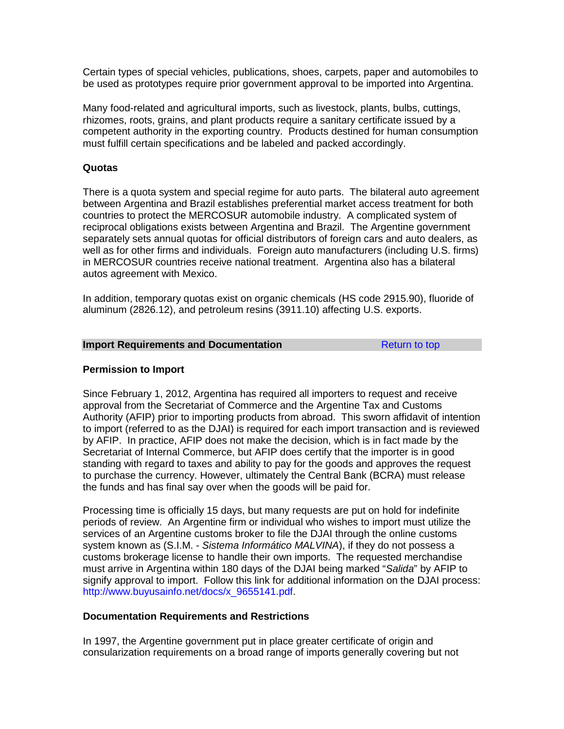Certain types of special vehicles, publications, shoes, carpets, paper and automobiles to be used as prototypes require prior government approval to be imported into Argentina.

Many food-related and agricultural imports, such as livestock, plants, bulbs, cuttings, rhizomes, roots, grains, and plant products require a sanitary certificate issued by a competent authority in the exporting country. Products destined for human consumption must fulfill certain specifications and be labeled and packed accordingly.

# **Quotas**

There is a quota system and special regime for auto parts. The bilateral auto agreement between Argentina and Brazil establishes preferential market access treatment for both countries to protect the MERCOSUR automobile industry. A complicated system of reciprocal obligations exists between Argentina and Brazil. The Argentine government separately sets annual quotas for official distributors of foreign cars and auto dealers, as well as for other firms and individuals. Foreign auto manufacturers (including U.S. firms) in MERCOSUR countries receive national treatment. Argentina also has a bilateral autos agreement with Mexico.

In addition, temporary quotas exist on organic chemicals (HS code 2915.90), fluoride of aluminum (2826.12), and petroleum resins (3911.10) affecting U.S. exports.

#### <span id="page-50-0"></span>**Import Requirements and Documentation [Return to top](#page-44-1)**

# **Permission to Import**

Since February 1, 2012, Argentina has required all importers to request and receive approval from the Secretariat of Commerce and the Argentine Tax and Customs Authority (AFIP) prior to importing products from abroad. This sworn affidavit of intention to import (referred to as the DJAI) is required for each import transaction and is reviewed by AFIP. In practice, AFIP does not make the decision, which is in fact made by the Secretariat of Internal Commerce, but AFIP does certify that the importer is in good standing with regard to taxes and ability to pay for the goods and approves the request to purchase the currency. However, ultimately the Central Bank (BCRA) must release the funds and has final say over when the goods will be paid for.

Processing time is officially 15 days, but many requests are put on hold for indefinite periods of review. An Argentine firm or individual who wishes to import must utilize the services of an Argentine customs broker to file the DJAI through the online customs system known as (S.I.M. - *Sistema Informático MALVINA*), if they do not possess a customs brokerage license to handle their own imports. The requested merchandise must arrive in Argentina within 180 days of the DJAI being marked "*Salida*" by AFIP to signify approval to import. Follow this link for additional information on the DJAI process: [http://www.buyusainfo.net/docs/x\\_9655141.pdf.](http://www.buyusainfo.net/docs/x_9655141.pdf)

# **Documentation Requirements and Restrictions**

In 1997, the Argentine government put in place greater certificate of origin and consularization requirements on a broad range of imports generally covering but not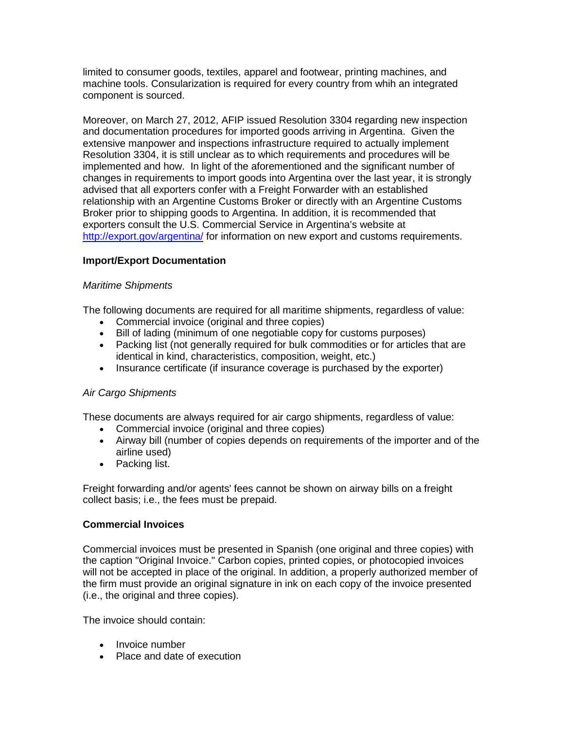limited to consumer goods, textiles, apparel and footwear, printing machines, and machine tools. Consularization is required for every country from whih an integrated component is sourced.

Moreover, on March 27, 2012, AFIP issued Resolution 3304 regarding new inspection and documentation procedures for imported goods arriving in Argentina. Given the extensive manpower and inspections infrastructure required to actually implement Resolution 3304, it is still unclear as to which requirements and procedures will be implemented and how. In light of the aforementioned and the significant number of changes in requirements to import goods into Argentina over the last year, it is strongly advised that all exporters confer with a Freight Forwarder with an established relationship with an Argentine Customs Broker or directly with an Argentine Customs Broker prior to shipping goods to Argentina. In addition, it is recommended that exporters consult the U.S. Commercial Service in Argentina's website at <http://export.gov/argentina/> for information on new export and customs requirements.

# **Import/Export Documentation**

# *Maritime Shipments*

The following documents are required for all maritime shipments, regardless of value:

- Commercial invoice (original and three copies)
- Bill of lading (minimum of one negotiable copy for customs purposes)
- Packing list (not generally required for bulk commodities or for articles that are identical in kind, characteristics, composition, weight, etc.)
- Insurance certificate (if insurance coverage is purchased by the exporter)

# *Air Cargo Shipments*

These documents are always required for air cargo shipments, regardless of value:

- Commercial invoice (original and three copies)
- Airway bill (number of copies depends on requirements of the importer and of the airline used)
- Packing list.

Freight forwarding and/or agents' fees cannot be shown on airway bills on a freight collect basis; i.e., the fees must be prepaid.

# **Commercial Invoices**

Commercial invoices must be presented in Spanish (one original and three copies) with the caption "Original Invoice." Carbon copies, printed copies, or photocopied invoices will not be accepted in place of the original. In addition, a properly authorized member of the firm must provide an original signature in ink on each copy of the invoice presented (i.e., the original and three copies).

The invoice should contain:

- Invoice number
- Place and date of execution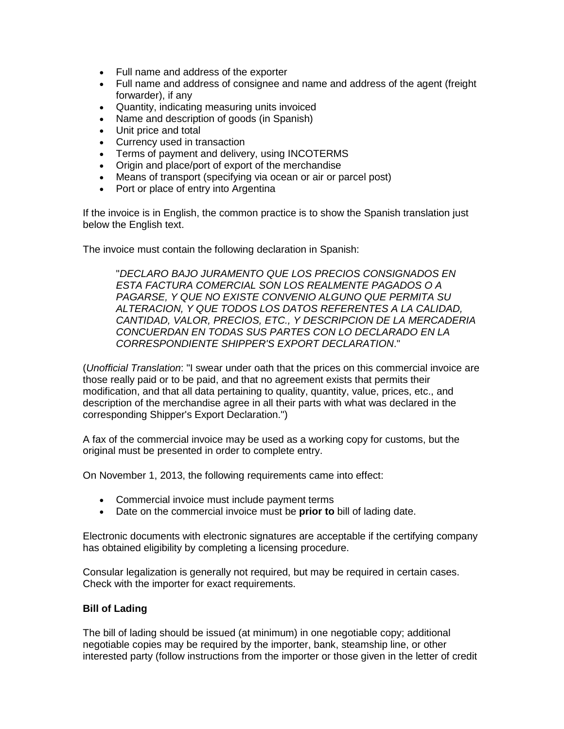- Full name and address of the exporter
- Full name and address of consignee and name and address of the agent (freight forwarder), if any
- Quantity, indicating measuring units invoiced
- Name and description of goods (in Spanish)
- Unit price and total
- Currency used in transaction
- Terms of payment and delivery, using INCOTERMS
- Origin and place/port of export of the merchandise
- Means of transport (specifying via ocean or air or parcel post)
- Port or place of entry into Argentina

If the invoice is in English, the common practice is to show the Spanish translation just below the English text.

The invoice must contain the following declaration in Spanish:

"*DECLARO BAJO JURAMENTO QUE LOS PRECIOS CONSIGNADOS EN ESTA FACTURA COMERCIAL SON LOS REALMENTE PAGADOS O A PAGARSE, Y QUE NO EXISTE CONVENIO ALGUNO QUE PERMITA SU ALTERACION, Y QUE TODOS LOS DATOS REFERENTES A LA CALIDAD, CANTIDAD, VALOR, PRECIOS, ETC., Y DESCRIPCION DE LA MERCADERIA CONCUERDAN EN TODAS SUS PARTES CON LO DECLARADO EN LA CORRESPONDIENTE SHIPPER'S EXPORT DECLARATION*."

(*Unofficial Translation*: "I swear under oath that the prices on this commercial invoice are those really paid or to be paid, and that no agreement exists that permits their modification, and that all data pertaining to quality, quantity, value, prices, etc., and description of the merchandise agree in all their parts with what was declared in the corresponding Shipper's Export Declaration.")

A fax of the commercial invoice may be used as a working copy for customs, but the original must be presented in order to complete entry.

On November 1, 2013, the following requirements came into effect:

- Commercial invoice must include payment terms
- Date on the commercial invoice must be **prior to** bill of lading date.

Electronic documents with electronic signatures are acceptable if the certifying company has obtained eligibility by completing a licensing procedure.

Consular legalization is generally not required, but may be required in certain cases. Check with the importer for exact requirements.

# **Bill of Lading**

The bill of lading should be issued (at minimum) in one negotiable copy; additional negotiable copies may be required by the importer, bank, steamship line, or other interested party (follow instructions from the importer or those given in the letter of credit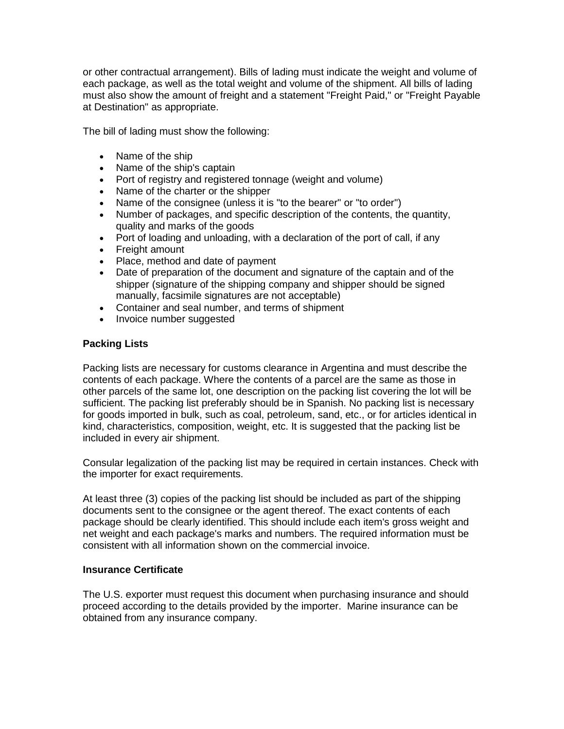or other contractual arrangement). Bills of lading must indicate the weight and volume of each package, as well as the total weight and volume of the shipment. All bills of lading must also show the amount of freight and a statement "Freight Paid," or "Freight Payable at Destination" as appropriate.

The bill of lading must show the following:

- Name of the ship
- Name of the ship's captain
- Port of registry and registered tonnage (weight and volume)
- Name of the charter or the shipper
- Name of the consignee (unless it is "to the bearer" or "to order")
- Number of packages, and specific description of the contents, the quantity, quality and marks of the goods
- Port of loading and unloading, with a declaration of the port of call, if any
- Freight amount
- Place, method and date of payment
- Date of preparation of the document and signature of the captain and of the shipper (signature of the shipping company and shipper should be signed manually, facsimile signatures are not acceptable)
- Container and seal number, and terms of shipment
- Invoice number suggested

# **Packing Lists**

Packing lists are necessary for customs clearance in Argentina and must describe the contents of each package. Where the contents of a parcel are the same as those in other parcels of the same lot, one description on the packing list covering the lot will be sufficient. The packing list preferably should be in Spanish. No packing list is necessary for goods imported in bulk, such as coal, petroleum, sand, etc., or for articles identical in kind, characteristics, composition, weight, etc. It is suggested that the packing list be included in every air shipment.

Consular legalization of the packing list may be required in certain instances. Check with the importer for exact requirements.

At least three (3) copies of the packing list should be included as part of the shipping documents sent to the consignee or the agent thereof. The exact contents of each package should be clearly identified. This should include each item's gross weight and net weight and each package's marks and numbers. The required information must be consistent with all information shown on the commercial invoice.

# **Insurance Certificate**

The U.S. exporter must request this document when purchasing insurance and should proceed according to the details provided by the importer. Marine insurance can be obtained from any insurance company.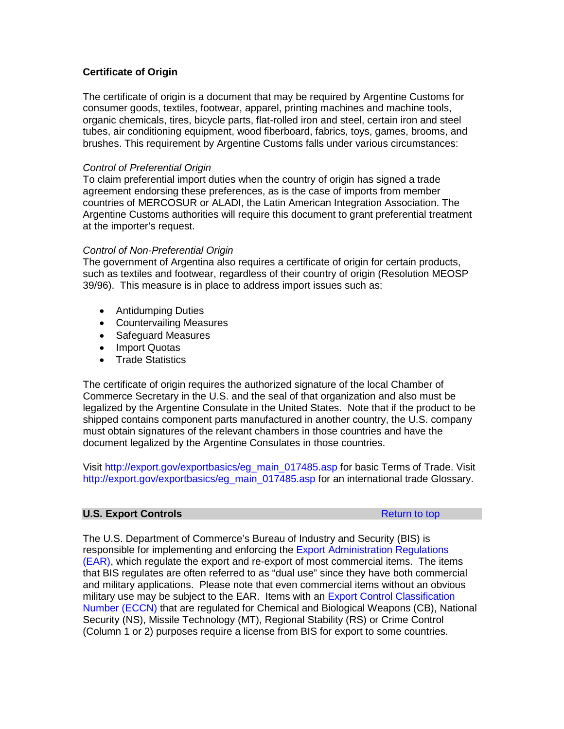# **Certificate of Origin**

The certificate of origin is a document that may be required by Argentine Customs for consumer goods, textiles, footwear, apparel, printing machines and machine tools, organic chemicals, tires, bicycle parts, flat-rolled iron and steel, certain iron and steel tubes, air conditioning equipment, wood fiberboard, fabrics, toys, games, brooms, and brushes. This requirement by Argentine Customs falls under various circumstances:

# *Control of Preferential Origin*

To claim preferential import duties when the country of origin has signed a trade agreement endorsing these preferences, as is the case of imports from member countries of MERCOSUR or ALADI, the Latin American Integration Association. The Argentine Customs authorities will require this document to grant preferential treatment at the importer's request.

# *Control of Non-Preferential Origin*

The government of Argentina also requires a certificate of origin for certain products, such as textiles and footwear, regardless of their country of origin (Resolution MEOSP 39/96). This measure is in place to address import issues such as:

- Antidumping Duties
- Countervailing Measures
- Safeguard Measures
- Import Quotas
- Trade Statistics

The certificate of origin requires the authorized signature of the local Chamber of Commerce Secretary in the U.S. and the seal of that organization and also must be legalized by the Argentine Consulate in the United States. Note that if the product to be shipped contains component parts manufactured in another country, the U.S. company must obtain signatures of the relevant chambers in those countries and have the document legalized by the Argentine Consulates in those countries.

Visit [http://export.gov/exportbasics/eg\\_main\\_017485.asp](http://export.gov/exportbasics/eg_main_017485.asp) for basic Terms of Trade. Visit [http://export.gov/exportbasics/eg\\_main\\_017485.asp](http://export.gov/exportbasics/eg_main_017485.asp) for an international trade Glossary.

# <span id="page-54-0"></span>**U.S. Export Controls [Return to top](#page-44-1) Return to top**

The U.S. Department of Commerce's Bureau of Industry and Security (BIS) is responsible for implementing and enforcing the [Export Administration Regulations](http://www.bis.doc.gov/index.php/regulations/export-administration-regulations-ear)  [\(EAR\),](http://www.bis.doc.gov/index.php/regulations/export-administration-regulations-ear) which regulate the export and re-export of most commercial items. The items that BIS regulates are often referred to as "dual use" since they have both commercial and military applications. Please note that even commercial items without an obvious military use may be subject to the EAR. Items with an [Export Control Classification](http://www.bis.doc.gov/index.php/licensing/commerce-control-list-classification/export-control-classification-number-eccn)  [Number \(ECCN\)](http://www.bis.doc.gov/index.php/licensing/commerce-control-list-classification/export-control-classification-number-eccn) that are regulated for Chemical and Biological Weapons (CB), National Security (NS), Missile Technology (MT), Regional Stability (RS) or Crime Control (Column 1 or 2) purposes require a license from BIS for export to some countries.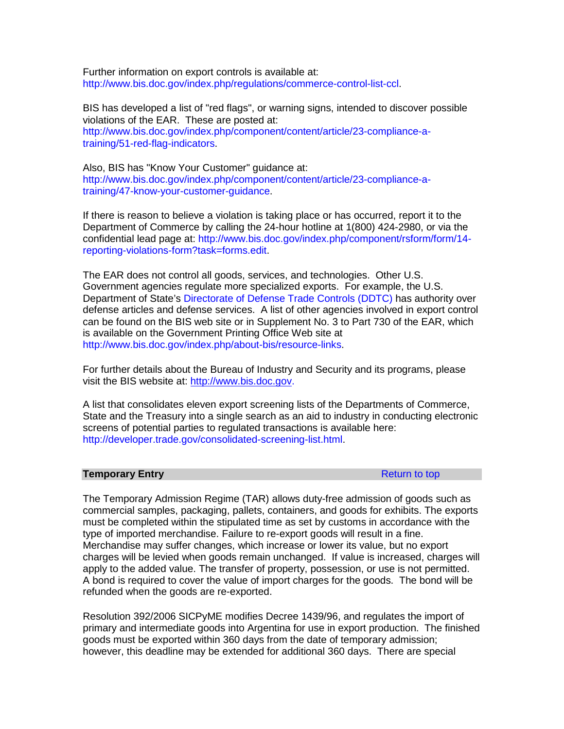Further information on export controls is available at: [http://www.bis.doc.gov/index.php/regulations/commerce-control-list-ccl.](http://www.bis.doc.gov/index.php/regulations/commerce-control-list-ccl)

BIS has developed a list of "red flags", or warning signs, intended to discover possible violations of the EAR. These are posted at: [http://www.bis.doc.gov/index.php/component/content/article/23-compliance-a](http://www.bis.doc.gov/index.php/component/content/article/23-compliance-a-training/51-red-flag-indicators)[training/51-red-flag-indicators.](http://www.bis.doc.gov/index.php/component/content/article/23-compliance-a-training/51-red-flag-indicators)

Also, BIS has "Know Your Customer" guidance at: [http://www.bis.doc.gov/index.php/component/content/article/23-compliance-a](http://www.bis.doc.gov/index.php/component/content/article/23-compliance-a-training/47-know-your-customer-guidance)[training/47-know-your-customer-guidance.](http://www.bis.doc.gov/index.php/component/content/article/23-compliance-a-training/47-know-your-customer-guidance)

If there is reason to believe a violation is taking place or has occurred, report it to the Department of Commerce by calling the 24-hour hotline at 1(800) 424-2980, or via the confidential lead page at: [http://www.bis.doc.gov/index.php/component/rsform/form/14](http://www.bis.doc.gov/index.php/component/rsform/form/14-reporting-violations-form?task=forms.edit) [reporting-violations-form?task=forms.edit.](http://www.bis.doc.gov/index.php/component/rsform/form/14-reporting-violations-form?task=forms.edit)

The EAR does not control all goods, services, and technologies. Other U.S. Government agencies regulate more specialized exports. For example, the U.S. Department of State's [Directorate of Defense Trade Controls \(DDTC\)](https://www.pmddtc.state.gov/) has authority over defense articles and defense services. A list of other agencies involved in export control can be found on the BIS web site or in Supplement No. 3 to Part 730 of the EAR, which is available on the Government Printing Office Web site at [http://www.bis.doc.gov/index.php/about-bis/resource-links.](http://www.bis.doc.gov/index.php/about-bis/resource-links)

For further details about the Bureau of Industry and Security and its programs, please visit the BIS website at: [http://www.bis.doc.gov.](http://www.bis.doc.gov/)

A list that consolidates eleven export screening lists of the Departments of Commerce, State and the Treasury into a single search as an aid to industry in conducting electronic screens of potential parties to regulated transactions is available here: [http://developer.trade.gov/consolidated-screening-list.html.](http://developer.trade.gov/consolidated-screening-list.html)

### <span id="page-55-0"></span>**Temporary Entry [Return to top](#page-44-1) Return to top**

The Temporary Admission Regime (TAR) allows duty-free admission of goods such as commercial samples, packaging, pallets, containers, and goods for exhibits. The exports must be completed within the stipulated time as set by customs in accordance with the type of imported merchandise. Failure to re-export goods will result in a fine. Merchandise may suffer changes, which increase or lower its value, but no export charges will be levied when goods remain unchanged. If value is increased, charges will apply to the added value. The transfer of property, possession, or use is not permitted. A bond is required to cover the value of import charges for the goods. The bond will be refunded when the goods are re-exported.

Resolution 392/2006 SICPyME modifies Decree 1439/96, and regulates the import of primary and intermediate goods into Argentina for use in export production. The finished goods must be exported within 360 days from the date of temporary admission; however, this deadline may be extended for additional 360 days. There are special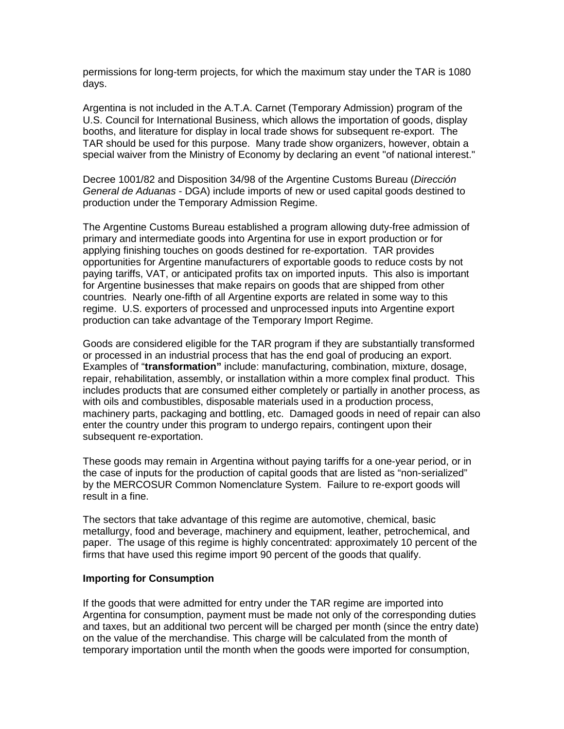permissions for long-term projects, for which the maximum stay under the TAR is 1080 days.

Argentina is not included in the A.T.A. Carnet (Temporary Admission) program of the U.S. Council for International Business, which allows the importation of goods, display booths, and literature for display in local trade shows for subsequent re-export. The TAR should be used for this purpose. Many trade show organizers, however, obtain a special waiver from the Ministry of Economy by declaring an event "of national interest."

Decree 1001/82 and Disposition 34/98 of the Argentine Customs Bureau (*Dirección General de Aduanas* - DGA) include imports of new or used capital goods destined to production under the Temporary Admission Regime.

The Argentine Customs Bureau established a program allowing duty-free admission of primary and intermediate goods into Argentina for use in export production or for applying finishing touches on goods destined for re-exportation. TAR provides opportunities for Argentine manufacturers of exportable goods to reduce costs by not paying tariffs, VAT, or anticipated profits tax on imported inputs. This also is important for Argentine businesses that make repairs on goods that are shipped from other countries. Nearly one-fifth of all Argentine exports are related in some way to this regime. U.S. exporters of processed and unprocessed inputs into Argentine export production can take advantage of the Temporary Import Regime.

Goods are considered eligible for the TAR program if they are substantially transformed or processed in an industrial process that has the end goal of producing an export. Examples of "**transformation"** include: manufacturing, combination, mixture, dosage, repair, rehabilitation, assembly, or installation within a more complex final product. This includes products that are consumed either completely or partially in another process, as with oils and combustibles, disposable materials used in a production process, machinery parts, packaging and bottling, etc. Damaged goods in need of repair can also enter the country under this program to undergo repairs, contingent upon their subsequent re-exportation.

These goods may remain in Argentina without paying tariffs for a one-year period, or in the case of inputs for the production of capital goods that are listed as "non-serialized" by the MERCOSUR Common Nomenclature System. Failure to re-export goods will result in a fine.

The sectors that take advantage of this regime are automotive, chemical, basic metallurgy, food and beverage, machinery and equipment, leather, petrochemical, and paper. The usage of this regime is highly concentrated: approximately 10 percent of the firms that have used this regime import 90 percent of the goods that qualify.

# **Importing for Consumption**

If the goods that were admitted for entry under the TAR regime are imported into Argentina for consumption, payment must be made not only of the corresponding duties and taxes, but an additional two percent will be charged per month (since the entry date) on the value of the merchandise. This charge will be calculated from the month of temporary importation until the month when the goods were imported for consumption,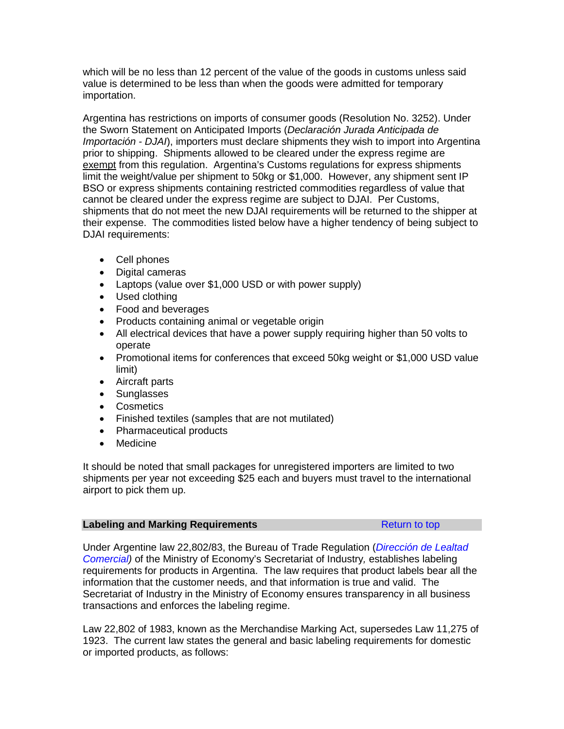which will be no less than 12 percent of the value of the goods in customs unless said value is determined to be less than when the goods were admitted for temporary importation.

Argentina has restrictions on imports of consumer goods (Resolution No. 3252). Under the Sworn Statement on Anticipated Imports (*Declaración Jurada Anticipada de Importación - DJAI*), importers must declare shipments they wish to import into Argentina prior to shipping. Shipments allowed to be cleared under the express regime are exempt from this regulation. Argentina's Customs regulations for express shipments limit the weight/value per shipment to 50kg or \$1,000. However, any shipment sent IP BSO or express shipments containing restricted commodities regardless of value that cannot be cleared under the express regime are subject to DJAI. Per Customs, shipments that do not meet the new DJAI requirements will be returned to the shipper at their expense. The commodities listed below have a higher tendency of being subject to DJAI requirements:

- Cell phones
- Digital cameras
- Laptops (value over \$1,000 USD or with power supply)
- Used clothing
- Food and beverages
- Products containing animal or vegetable origin
- All electrical devices that have a power supply requiring higher than 50 volts to operate
- Promotional items for conferences that exceed 50kg weight or \$1,000 USD value limit)
- Aircraft parts
- Sunglasses
- Cosmetics
- Finished textiles (samples that are not mutilated)
- Pharmaceutical products
- Medicine

It should be noted that small packages for unregistered importers are limited to two shipments per year not exceeding \$25 each and buyers must travel to the international airport to pick them up.

<span id="page-57-0"></span>

| <b>Labeling and Marking Requirements</b> | Return to top |
|------------------------------------------|---------------|
|------------------------------------------|---------------|

Under Argentine law 22,802/83, the Bureau of Trade Regulation (*[Dirección de Lealtad](http://www.lealtadcomercial.gob.ar/)  [Comercial\)](http://www.lealtadcomercial.gob.ar/)* of the Ministry of Economy's Secretariat of Industry*,* establishes labeling requirements for products in Argentina. The law requires that product labels bear all the information that the customer needs, and that information is true and valid. The Secretariat of Industry in the Ministry of Economy ensures transparency in all business transactions and enforces the labeling regime.

Law 22,802 of 1983, known as the Merchandise Marking Act, supersedes Law 11,275 of 1923. The current law states the general and basic labeling requirements for domestic or imported products, as follows: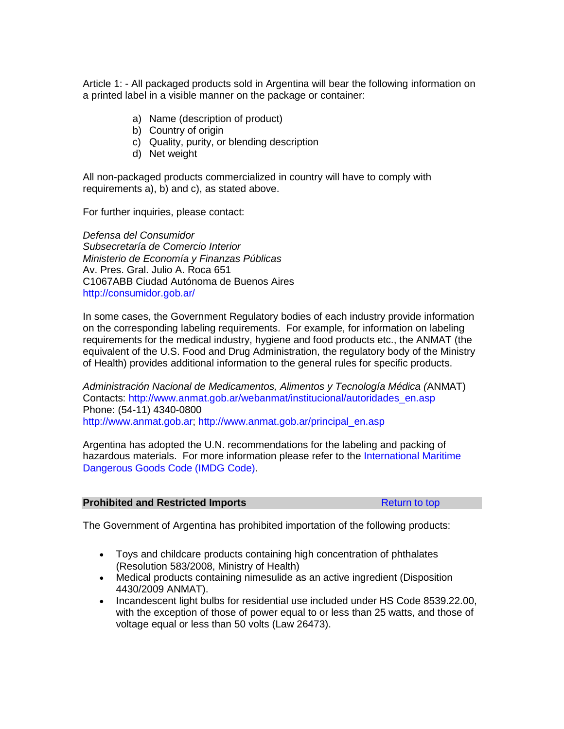Article 1: - All packaged products sold in Argentina will bear the following information on a printed label in a visible manner on the package or container:

- a) Name (description of product)
- b) Country of origin
- c) Quality, purity, or blending description
- d) Net weight

All non-packaged products commercialized in country will have to comply with requirements a), b) and c), as stated above.

For further inquiries, please contact:

*Defensa del Consumidor Subsecretaría de Comercio Interior Ministerio de Economía y Finanzas Públicas* Av. Pres. Gral. Julio A. Roca 651 C1067ABB Ciudad Autónoma de Buenos Aires <http://consumidor.gob.ar/>

In some cases, the Government Regulatory bodies of each industry provide information on the corresponding labeling requirements. For example, for information on labeling requirements for the medical industry, hygiene and food products etc., the ANMAT (the equivalent of the U.S. Food and Drug Administration, the regulatory body of the Ministry of Health) provides additional information to the general rules for specific products.

*Administración Nacional de Medicamentos, Alimentos y Tecnología Médica (*ANMAT) Contacts: [http://www.anmat.gob.ar/webanmat/institucional/autoridades\\_en.asp](http://www.anmat.gob.ar/webanmat/institucional/autoridades_en.asp) Phone: (54-11) 4340-0800 [http://www.anmat.gob.ar;](http://www.anmat.gob.ar/) [http://www.anmat.gob.ar/principal\\_en.asp](http://www.anmat.gob.ar/principal_en.asp) 

Argentina has adopted the U.N. recommendations for the labeling and packing of hazardous materials. For more information please refer to the International Maritime [Dangerous Goods Code \(IMDG Code\).](http://www.imo.org/publications/imdgcode/Pages/Default.aspx)

# <span id="page-58-0"></span>**Prohibited and Restricted Imports [Return to top](#page-44-1) Return to top**

The Government of Argentina has prohibited importation of the following products:

- Toys and childcare products containing high concentration of phthalates (Resolution 583/2008, Ministry of Health)
- Medical products containing nimesulide as an active ingredient (Disposition 4430/2009 ANMAT).
- Incandescent light bulbs for residential use included under HS Code 8539.22.00, with the exception of those of power equal to or less than 25 watts, and those of voltage equal or less than 50 volts (Law 26473).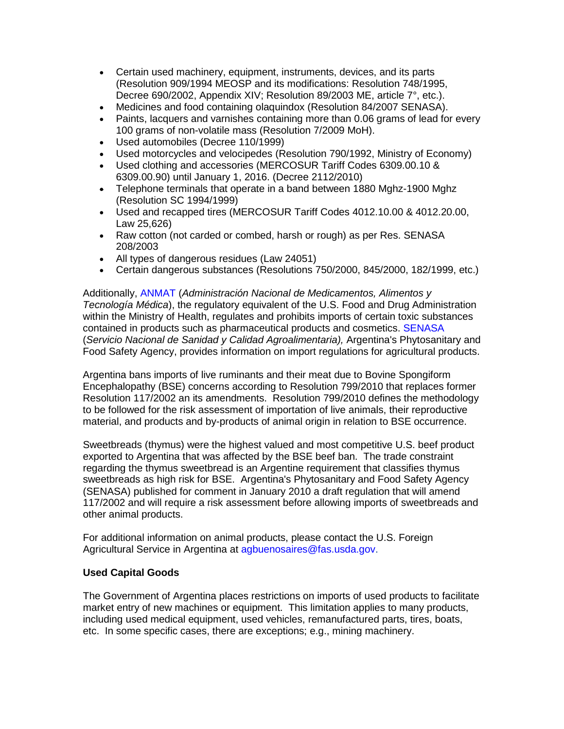- Certain used machinery, equipment, instruments, devices, and its parts (Resolution 909/1994 MEOSP and its modifications: Resolution 748/1995, Decree 690/2002, Appendix XIV; Resolution 89/2003 ME, article 7°, etc.).
- Medicines and food containing olaquindox (Resolution 84/2007 SENASA).
- Paints, lacquers and varnishes containing more than 0.06 grams of lead for every 100 grams of non-volatile mass (Resolution 7/2009 MoH).
- Used automobiles (Decree 110/1999)
- Used motorcycles and velocipedes (Resolution 790/1992, Ministry of Economy)
- Used clothing and accessories (MERCOSUR Tariff Codes 6309.00.10 & 6309.00.90) until January 1, 2016. (Decree 2112/2010)
- Telephone terminals that operate in a band between 1880 Mghz-1900 Mghz (Resolution SC 1994/1999)
- Used and recapped tires (MERCOSUR Tariff Codes 4012.10.00 & 4012.20.00, Law 25,626)
- Raw cotton (not carded or combed, harsh or rough) as per Res. SENASA 208/2003
- All types of dangerous residues (Law 24051)
- Certain dangerous substances (Resolutions 750/2000, 845/2000, 182/1999, etc.)

Additionally, [ANMAT](http://www.anmat.gob.ar/principal_en.asp) (*Administración Nacional de Medicamentos, Alimentos y Tecnología Médica*), the regulatory equivalent of the U.S. Food and Drug Administration within the Ministry of Health, regulates and prohibits imports of certain toxic substances contained in products such as pharmaceutical products and cosmetics. [SENASA](http://www.senasa.gov.ar/) (*Servicio Nacional de Sanidad y Calidad Agroalimentaria),* Argentina's Phytosanitary and Food Safety Agency, provides information on import regulations for agricultural products.

Argentina bans imports of live ruminants and their meat due to Bovine Spongiform Encephalopathy (BSE) concerns according to Resolution 799/2010 that replaces former Resolution 117/2002 an its amendments. Resolution 799/2010 defines the methodology to be followed for the risk assessment of importation of live animals, their reproductive material, and products and by-products of animal origin in relation to BSE occurrence.

Sweetbreads (thymus) were the highest valued and most competitive U.S. beef product exported to Argentina that was affected by the BSE beef ban. The trade constraint regarding the thymus sweetbread is an Argentine requirement that classifies thymus sweetbreads as high risk for BSE. Argentina's Phytosanitary and Food Safety Agency (SENASA) published for comment in January 2010 a draft regulation that will amend 117/2002 and will require a risk assessment before allowing imports of sweetbreads and other animal products.

For additional information on animal products, please contact the U.S. Foreign Agricultural Service in Argentina at [agbuenosaires@fas.usda.gov.](mailto:agbuenosaires@fas.usda.gov)

# **Used Capital Goods**

The Government of Argentina places restrictions on imports of used products to facilitate market entry of new machines or equipment. This limitation applies to many products, including used medical equipment, used vehicles, remanufactured parts, tires, boats, etc. In some specific cases, there are exceptions; e.g., mining machinery.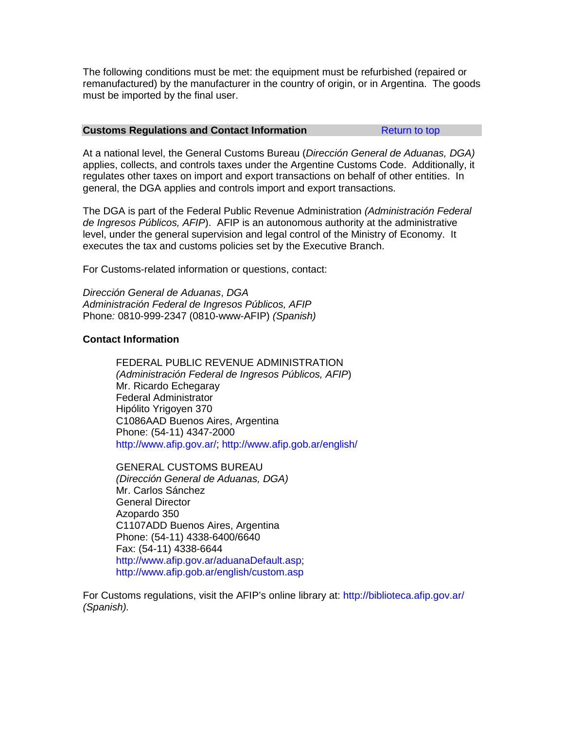The following conditions must be met: the equipment must be refurbished (repaired or remanufactured) by the manufacturer in the country of origin, or in Argentina. The goods must be imported by the final user.

### <span id="page-60-0"></span>**Customs Regulations and Contact Information Transformation [Return to top](#page-44-1)**

At a national level, the General Customs Bureau (*Dirección General de Aduanas, DGA)* applies, collects, and controls taxes under the Argentine Customs Code. Additionally, it regulates other taxes on import and export transactions on behalf of other entities. In general, the DGA applies and controls import and export transactions.

The DGA is part of the Federal Public Revenue Administration *(Administración Federal de Ingresos Públicos, AFIP*). AFIP is an autonomous authority at the administrative level, under the general supervision and legal control of the Ministry of Economy. It executes the tax and customs policies set by the Executive Branch.

For Customs-related information or questions, contact:

*Dirección General de Aduanas*, *DGA Administración Federal de Ingresos Públicos, AFIP* Phone*:* 0810-999-2347 (0810-www-AFIP) *(Spanish)*

# **Contact Information**

FEDERAL PUBLIC REVENUE ADMINISTRATION *(Administración Federal de Ingresos Públicos, AFIP*) Mr. Ricardo Echegaray Federal Administrator Hipólito Yrigoyen 370 C1086AAD Buenos Aires, Argentina Phone: (54-11) 4347-2000 [http://www.afip.gov.ar/;](http://www.afip.gov.ar/)<http://www.afip.gob.ar/english/>

GENERAL CUSTOMS BUREAU *(Dirección General de Aduanas, DGA)* Mr. Carlos Sánchez General Director Azopardo 350 C1107ADD Buenos Aires, Argentina Phone: (54-11) 4338-6400/6640 Fax: (54-11) 4338-6644 [http://www.afip.gov.ar/aduanaDefault.asp;](http://www.afip.gov.ar/aduanaDefault.asp) <http://www.afip.gob.ar/english/custom.asp>

For Customs regulations, visit the AFIP's online library at:<http://biblioteca.afip.gov.ar/> *(Spanish).*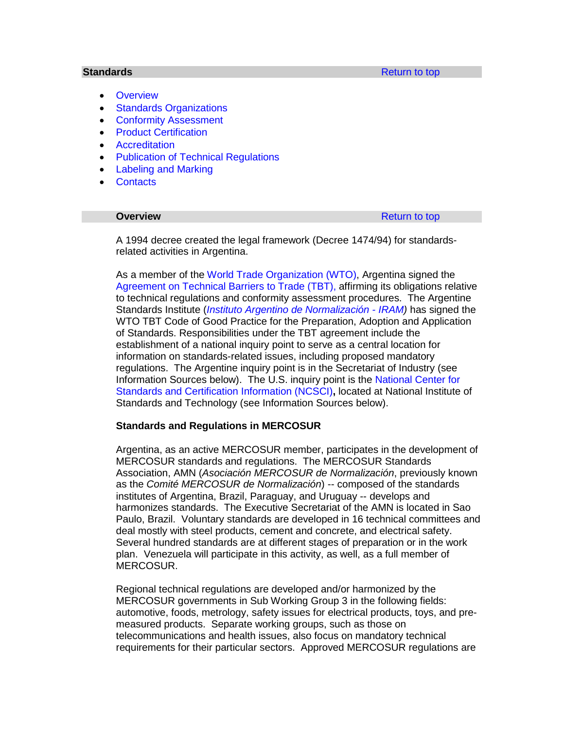- <span id="page-61-0"></span>• [Overview](#page-61-1)
- **[Standards Organizations](#page-62-0)**
- [Conformity Assessment](#page-62-1)
- [Product Certification](#page-63-0)
- **[Accreditation](#page-64-0)**
- **[Publication of Technical Regulations](#page-64-1)**
- [Labeling and Marking](#page-65-0)
- [Contacts](#page-65-1)

<span id="page-61-1"></span>**Overview [Return to top](#page-44-1) Return to top** 

A 1994 decree created the legal framework (Decree 1474/94) for standardsrelated activities in Argentina.

As a member of the [World Trade Organization \(WTO\),](https://www.wto.org/) Argentina signed the [Agreement on Technical Barriers to Trade \(TBT\),](https://www.wto.org/english/tratop_e/tbt_e/tbt_e.htm) affirming its obligations relative to technical regulations and conformity assessment procedures. The Argentine Standards Institute (*[Instituto Argentino de Normalización](http://www.iram.org.ar/) - IRAM)* has signed the WTO TBT Code of Good Practice for the Preparation, Adoption and Application of Standards. Responsibilities under the TBT agreement include the establishment of a national inquiry point to serve as a central location for information on standards-related issues, including proposed mandatory regulations. The Argentine inquiry point is in the Secretariat of Industry (see Information Sources below). The U.S. inquiry point is the [National Center for](http://www.nist.gov/director/sco/ncsci/)  [Standards and Certification Information \(NCSCI\)](http://www.nist.gov/director/sco/ncsci/)**,** located at National Institute of Standards and Technology (see Information Sources below).

#### **Standards and Regulations in MERCOSUR**

Argentina, as an active MERCOSUR member, participates in the development of MERCOSUR standards and regulations. The MERCOSUR Standards Association, AMN (*Asociación MERCOSUR de Normalización*, previously known as the *Comité MERCOSUR de Normalización*) -- composed of the standards institutes of Argentina, Brazil, Paraguay, and Uruguay -- develops and harmonizes standards. The Executive Secretariat of the AMN is located in Sao Paulo, Brazil. Voluntary standards are developed in 16 technical committees and deal mostly with steel products, cement and concrete, and electrical safety. Several hundred standards are at different stages of preparation or in the work plan. Venezuela will participate in this activity, as well, as a full member of MERCOSUR.

Regional technical regulations are developed and/or harmonized by the MERCOSUR governments in Sub Working Group 3 in the following fields: automotive, foods, metrology, safety issues for electrical products, toys, and premeasured products. Separate working groups, such as those on telecommunications and health issues, also focus on mandatory technical requirements for their particular sectors. Approved MERCOSUR regulations are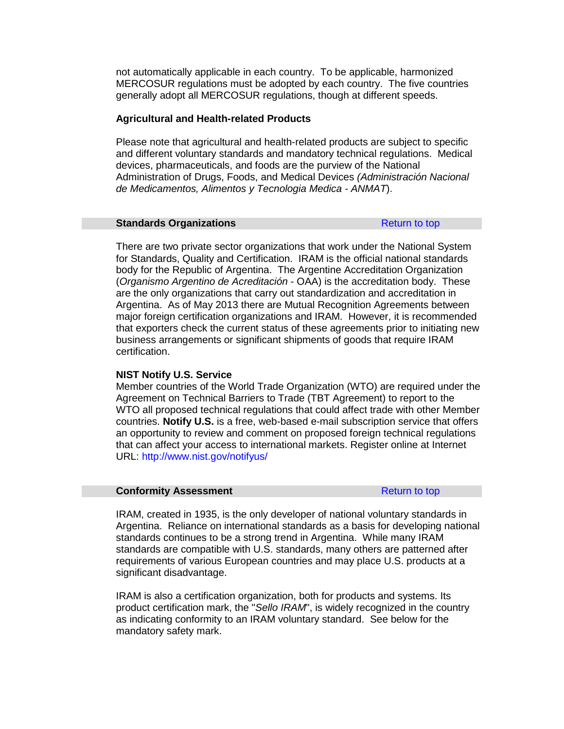not automatically applicable in each country. To be applicable, harmonized MERCOSUR regulations must be adopted by each country. The five countries generally adopt all MERCOSUR regulations, though at different speeds.

### **Agricultural and Health-related Products**

Please note that agricultural and health-related products are subject to specific and different voluntary standards and mandatory technical regulations. Medical devices, pharmaceuticals, and foods are the purview of the National Administration of Drugs, Foods, and Medical Devices *(Administración Nacional de Medicamentos, Alimentos y Tecnologia Medica - ANMAT*).

#### <span id="page-62-0"></span>**Standards Organizations [Return to top](#page-44-1)**

There are two private sector organizations that work under the National System for Standards, Quality and Certification. IRAM is the official national standards body for the Republic of Argentina. The Argentine Accreditation Organization (*Organismo Argentino de Acreditación* - OAA) is the accreditation body. These are the only organizations that carry out standardization and accreditation in Argentina. As of May 2013 there are Mutual Recognition Agreements between major foreign certification organizations and IRAM. However, it is recommended that exporters check the current status of these agreements prior to initiating new business arrangements or significant shipments of goods that require IRAM certification.

#### **NIST Notify U.S. Service**

Member countries of the World Trade Organization (WTO) are required under the Agreement on Technical Barriers to Trade (TBT Agreement) to report to the WTO all proposed technical regulations that could affect trade with other Member countries. **Notify U.S.** is a free, web-based e-mail subscription service that offers an opportunity to review and comment on proposed foreign technical regulations that can affect your access to international markets. Register online at Internet URL:<http://www.nist.gov/notifyus/>

#### <span id="page-62-1"></span>**Conformity Assessment [Return to top](#page-44-1)**

IRAM, created in 1935, is the only developer of national voluntary standards in Argentina. Reliance on international standards as a basis for developing national standards continues to be a strong trend in Argentina. While many IRAM standards are compatible with U.S. standards, many others are patterned after requirements of various European countries and may place U.S. products at a significant disadvantage.

IRAM is also a certification organization, both for products and systems. Its product certification mark, the "*Sello IRAM*", is widely recognized in the country as indicating conformity to an IRAM voluntary standard. See below for the mandatory safety mark.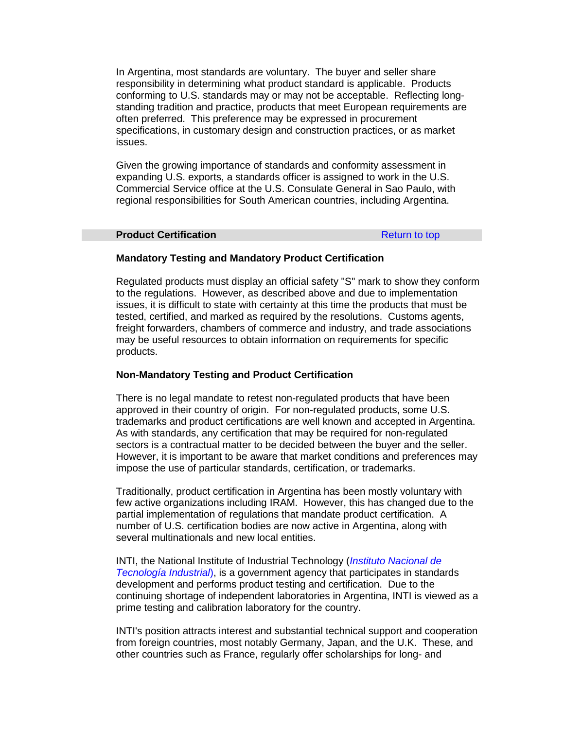In Argentina, most standards are voluntary. The buyer and seller share responsibility in determining what product standard is applicable. Products conforming to U.S. standards may or may not be acceptable. Reflecting longstanding tradition and practice, products that meet European requirements are often preferred. This preference may be expressed in procurement specifications, in customary design and construction practices, or as market issues.

Given the growing importance of standards and conformity assessment in expanding U.S. exports, a standards officer is assigned to work in the U.S. Commercial Service office at the U.S. Consulate General in Sao Paulo, with regional responsibilities for South American countries, including Argentina.

#### <span id="page-63-0"></span>**Product Certification [Return to top](#page-44-1)**

# **Mandatory Testing and Mandatory Product Certification**

Regulated products must display an official safety "S" mark to show they conform to the regulations. However, as described above and due to implementation issues, it is difficult to state with certainty at this time the products that must be tested, certified, and marked as required by the resolutions. Customs agents, freight forwarders, chambers of commerce and industry, and trade associations may be useful resources to obtain information on requirements for specific products.

### **Non-Mandatory Testing and Product Certification**

There is no legal mandate to retest non-regulated products that have been approved in their country of origin. For non-regulated products, some U.S. trademarks and product certifications are well known and accepted in Argentina. As with standards, any certification that may be required for non-regulated sectors is a contractual matter to be decided between the buyer and the seller. However, it is important to be aware that market conditions and preferences may impose the use of particular standards, certification, or trademarks.

Traditionally, product certification in Argentina has been mostly voluntary with few active organizations including IRAM. However, this has changed due to the partial implementation of regulations that mandate product certification. A number of U.S. certification bodies are now active in Argentina, along with several multinationals and new local entities.

INTI, the National Institute of Industrial Technology (*[Instituto Nacional de](http://www.inti.gob.ar/)  [Tecnología Industrial](http://www.inti.gob.ar/)*), is a government agency that participates in standards development and performs product testing and certification. Due to the continuing shortage of independent laboratories in Argentina, INTI is viewed as a prime testing and calibration laboratory for the country.

INTI's position attracts interest and substantial technical support and cooperation from foreign countries, most notably Germany, Japan, and the U.K. These, and other countries such as France, regularly offer scholarships for long- and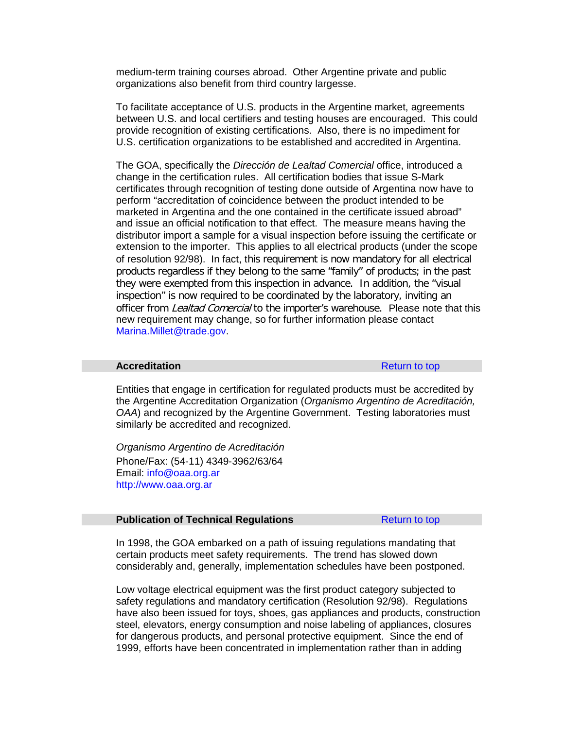medium-term training courses abroad. Other Argentine private and public organizations also benefit from third country largesse.

To facilitate acceptance of U.S. products in the Argentine market, agreements between U.S. and local certifiers and testing houses are encouraged. This could provide recognition of existing certifications. Also, there is no impediment for U.S. certification organizations to be established and accredited in Argentina.

The GOA, specifically the *Dirección de Lealtad Comercial* office, introduced a change in the certification rules. All certification bodies that issue S-Mark certificates through recognition of testing done outside of Argentina now have to perform "accreditation of coincidence between the product intended to be marketed in Argentina and the one contained in the certificate issued abroad" and issue an official notification to that effect. The measure means having the distributor import a sample for a visual inspection before issuing the certificate or extension to the importer. This applies to all electrical products (under the scope of resolution 92/98). In fact, this requirement is now mandatory for all electrical products regardless if they belong to the same "family" of products; in the past they were exempted from this inspection in advance. In addition, the "visual inspection" is now required to be coordinated by the laboratory, inviting an officer from *Lealtad Comercial* to the importer's warehouse. Please note that this new requirement may change, so for further information please contact [Marina.Millet@trade.gov.](mailto:Marina.Millet@trade.gov)

#### <span id="page-64-0"></span>**Accreditation** [Return to top](#page-44-1)

Entities that engage in certification for regulated products must be accredited by the Argentine Accreditation Organization (*Organismo Argentino de Acreditación, OAA*) and recognized by the Argentine Government. Testing laboratories must similarly be accredited and recognized.

*Organismo Argentino de Acreditación* Phone/Fax: (54-11) 4349-3962/63/64 Email: [info@oaa.org.ar](mailto:info@oaa.org.ar) [http://www.oaa.org.ar](http://www.oaa.org.ar/)

#### <span id="page-64-1"></span>**Publication of Technical Regulations Return** to top

In 1998, the GOA embarked on a path of issuing regulations mandating that certain products meet safety requirements. The trend has slowed down considerably and, generally, implementation schedules have been postponed.

Low voltage electrical equipment was the first product category subjected to safety regulations and mandatory certification (Resolution 92/98). Regulations have also been issued for toys, shoes, gas appliances and products, construction steel, elevators, energy consumption and noise labeling of appliances, closures for dangerous products, and personal protective equipment. Since the end of 1999, efforts have been concentrated in implementation rather than in adding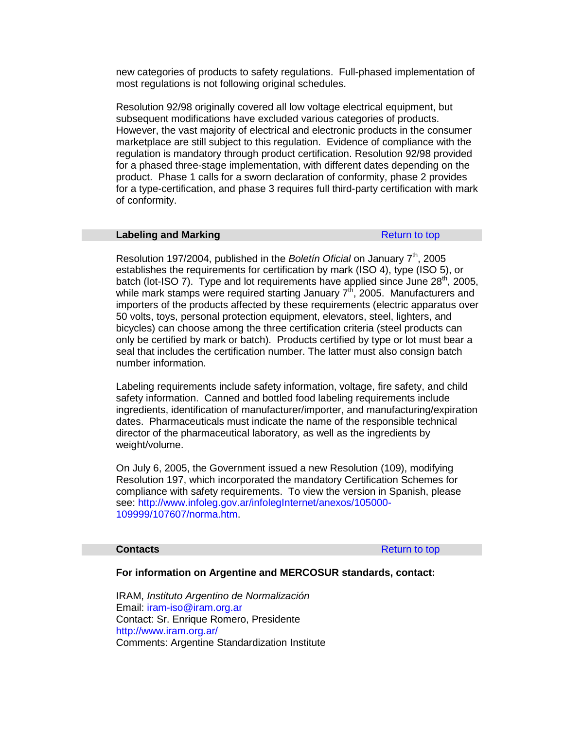new categories of products to safety regulations. Full-phased implementation of most regulations is not following original schedules.

Resolution 92/98 originally covered all low voltage electrical equipment, but subsequent modifications have excluded various categories of products. However, the vast majority of electrical and electronic products in the consumer marketplace are still subject to this regulation. Evidence of compliance with the regulation is mandatory through product certification. Resolution 92/98 provided for a phased three-stage implementation, with different dates depending on the product. Phase 1 calls for a sworn declaration of conformity, phase 2 provides for a type-certification, and phase 3 requires full third-party certification with mark of conformity.

# <span id="page-65-0"></span>**Labeling and Marking [Return to top](#page-44-1) Return to top**

Resolution 197/2004, published in the *Boletin Oficial* on January 7<sup>th</sup>, 2005 establishes the requirements for certification by mark (ISO 4), type (ISO 5), or batch (lot-ISO 7). Type and lot requirements have applied since June  $28<sup>th</sup>$ , 2005, while mark stamps were required starting January  $7<sup>th</sup>$ , 2005. Manufacturers and importers of the products affected by these requirements (electric apparatus over 50 volts, toys, personal protection equipment, elevators, steel, lighters, and bicycles) can choose among the three certification criteria (steel products can only be certified by mark or batch). Products certified by type or lot must bear a seal that includes the certification number. The latter must also consign batch number information.

Labeling requirements include safety information, voltage, fire safety, and child safety information. Canned and bottled food labeling requirements include ingredients, identification of manufacturer/importer, and manufacturing/expiration dates. Pharmaceuticals must indicate the name of the responsible technical director of the pharmaceutical laboratory, as well as the ingredients by weight/volume.

On July 6, 2005, the Government issued a new Resolution (109), modifying Resolution 197, which incorporated the mandatory Certification Schemes for compliance with safety requirements. To view the version in Spanish, please see: [http://www.infoleg.gov.ar/infolegInternet/anexos/105000-](http://www.infoleg.gov.ar/infolegInternet/anexos/105000-109999/107607/norma.htm) [109999/107607/norma.htm.](http://www.infoleg.gov.ar/infolegInternet/anexos/105000-109999/107607/norma.htm)

<span id="page-65-1"></span>**Contacts** [Return to top](#page-44-1)

#### **For information on Argentine and MERCOSUR standards, contact:**

IRAM, *Instituto Argentino de Normalización* Email: [iram-iso@iram.org.ar](mailto:iram-iso@iram.org.ar) Contact: Sr. Enrique Romero, Presidente <http://www.iram.org.ar/> Comments: Argentine Standardization Institute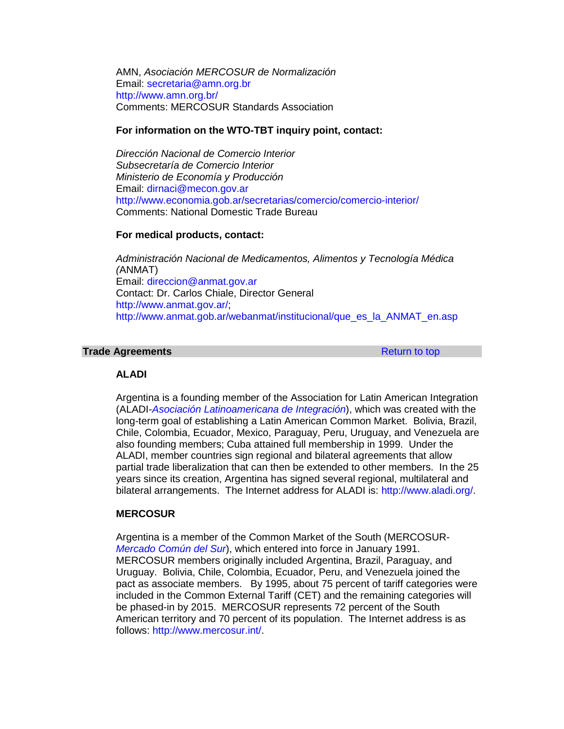AMN, *Asociación MERCOSUR de Normalización* Email: [secretaria@amn.org.br](mailto:secretaria@amn.org.br) <http://www.amn.org.br/> Comments: MERCOSUR Standards Association

#### **For information on the WTO-TBT inquiry point, contact:**

*Dirección Nacional de Comercio Interior Subsecretaría de Comercio Interior Ministerio de Economía y Producción* Email: [dirnaci@mecon.gov.ar](mailto:dirnaci@mecon.gov.ar) <http://www.economia.gob.ar/secretarias/comercio/comercio-interior/> Comments: National Domestic Trade Bureau

#### **For medical products, contact:**

*Administración Nacional de Medicamentos, Alimentos y Tecnología Médica (*ANMAT) Email: [direccion@anmat.gov.ar](mailto:direccion@anmat.gov.ar) Contact: Dr. Carlos Chiale, Director General [http://www.anmat.gov.ar/;](http://www.anmat.gov.ar/) [http://www.anmat.gob.ar/webanmat/institucional/que\\_es\\_la\\_ANMAT\\_en.asp](http://www.anmat.gob.ar/webanmat/institucional/que_es_la_ANMAT_en.asp)

#### <span id="page-66-0"></span>**Trade Agreements [Return to top](#page-44-1) Return to top**

### **ALADI**

Argentina is a founding member of the Association for Latin American Integration (ALADI-*[Asociación Latinoamericana de Integración](http://www.aladi.org/)*), which was created with the long-term goal of establishing a Latin American Common Market. Bolivia, Brazil, Chile, Colombia, Ecuador, Mexico, Paraguay, Peru, Uruguay, and Venezuela are also founding members; Cuba attained full membership in 1999. Under the ALADI, member countries sign regional and bilateral agreements that allow partial trade liberalization that can then be extended to other members. In the 25 years since its creation, Argentina has signed several regional, multilateral and bilateral arrangements. The Internet address for ALADI is: [http://www.aladi.org/.](http://www.aladi.org/)

# **MERCOSUR**

Argentina is a member of the Common Market of the South (MERCOSUR-*[Mercado Común del Sur](http://www.mercosur.int/)*), which entered into force in January 1991. MERCOSUR members originally included Argentina, Brazil, Paraguay, and Uruguay. Bolivia, Chile, Colombia, Ecuador, Peru, and Venezuela joined the pact as associate members. By 1995, about 75 percent of tariff categories were included in the Common External Tariff (CET) and the remaining categories will be phased-in by 2015. MERCOSUR represents 72 percent of the South American territory and 70 percent of its population. The Internet address is as follows: [http://www.mercosur.int/.](http://www.mercosur.int/)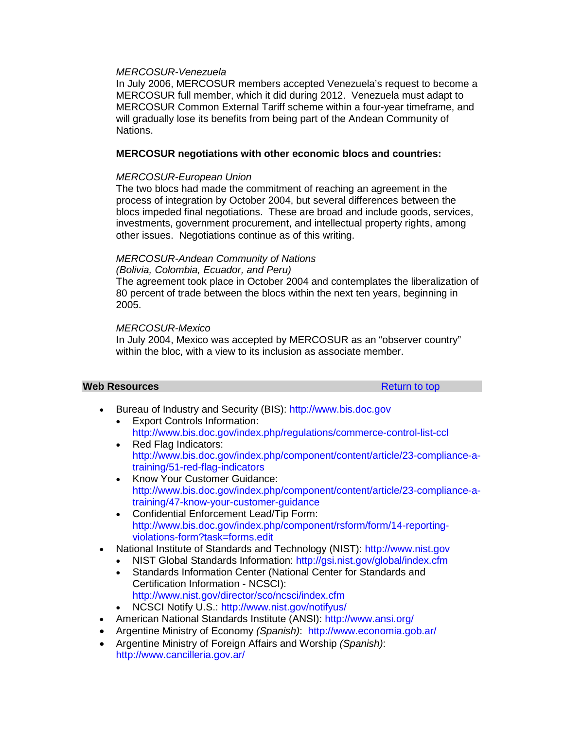# *MERCOSUR-Venezuela*

In July 2006, MERCOSUR members accepted Venezuela's request to become a MERCOSUR full member, which it did during 2012. Venezuela must adapt to MERCOSUR Common External Tariff scheme within a four-year timeframe, and will gradually lose its benefits from being part of the Andean Community of Nations.

# **MERCOSUR negotiations with other economic blocs and countries:**

### *MERCOSUR-European Union*

The two blocs had made the commitment of reaching an agreement in the process of integration by October 2004, but several differences between the blocs impeded final negotiations. These are broad and include goods, services, investments, government procurement, and intellectual property rights, among other issues. Negotiations continue as of this writing.

# *MERCOSUR-Andean Community of Nations (Bolivia, Colombia, Ecuador, and Peru)*

The agreement took place in October 2004 and contemplates the liberalization of 80 percent of trade between the blocs within the next ten years, beginning in 2005.

# *MERCOSUR-Mexico*

In July 2004, Mexico was accepted by MERCOSUR as an "observer country" within the bloc, with a view to its inclusion as associate member.

#### <span id="page-67-0"></span>**Web Resources Resources [Return to top](#page-67-0)**

- Bureau of Industry and Security (BIS): [http://www.bis.doc.gov](http://www.bis.doc.gov/) • Export Controls Information:
	- <http://www.bis.doc.gov/index.php/regulations/commerce-control-list-ccl>
	- Red Flag Indicators: [http://www.bis.doc.gov/index.php/component/content/article/23-compliance-a](http://www.bis.doc.gov/index.php/component/content/article/23-compliance-a-training/51-red-flag-indicators)[training/51-red-flag-indicators](http://www.bis.doc.gov/index.php/component/content/article/23-compliance-a-training/51-red-flag-indicators)
	- Know Your Customer Guidance: [http://www.bis.doc.gov/index.php/component/content/article/23-compliance-a](http://www.bis.doc.gov/index.php/component/content/article/23-compliance-a-training/47-know-your-customer-guidance)[training/47-know-your-customer-guidance](http://www.bis.doc.gov/index.php/component/content/article/23-compliance-a-training/47-know-your-customer-guidance)
	- Confidential Enforcement Lead/Tip Form: [http://www.bis.doc.gov/index.php/component/rsform/form/14-reporting](http://www.bis.doc.gov/index.php/component/rsform/form/14-reporting-violations-form?task=forms.edit)[violations-form?task=forms.edit](http://www.bis.doc.gov/index.php/component/rsform/form/14-reporting-violations-form?task=forms.edit)
- National Institute of Standards and Technology (NIST): [http://www.nist.gov](http://www.nist.gov/)
	- NIST Global Standards Information:<http://gsi.nist.gov/global/index.cfm>
	- Standards Information Center (National Center for Standards and Certification Information - NCSCI): <http://www.nist.gov/director/sco/ncsci/index.cfm>
	- NCSCI Notify U.S.: <http://www.nist.gov/notifyus/>
- American National Standards Institute (ANSI):<http://www.ansi.org/>
- Argentine Ministry of Economy *(Spanish)*: <http://www.economia.gob.ar/>
- Argentine Ministry of Foreign Affairs and Worship *(Spanish)*: <http://www.cancilleria.gov.ar/>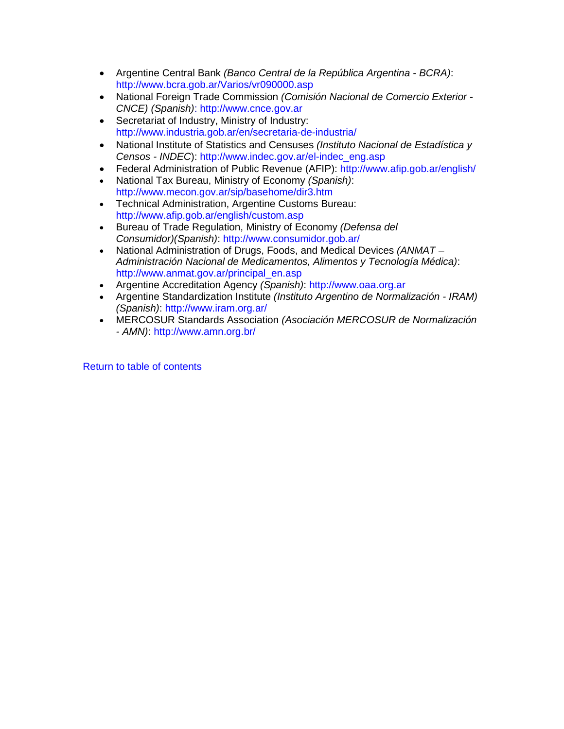- Argentine Central Bank *(Banco Central de la República Argentina - BCRA)*: <http://www.bcra.gob.ar/Varios/vr090000.asp>
- National Foreign Trade Commission *(Comisión Nacional de Comercio Exterior - CNCE) (Spanish)*: [http://www.cnce.gov.ar](http://www.cnce.gov.ar/)
- Secretariat of Industry, Ministry of Industry: <http://www.industria.gob.ar/en/secretaria-de-industria/>
- National Institute of Statistics and Censuses *(Instituto Nacional de Estadística y Censos - INDEC*): [http://www.indec.gov.ar/el-indec\\_eng.asp](http://www.indec.gov.ar/el-indec_eng.asp)
- Federal Administration of Public Revenue (AFIP): <http://www.afip.gob.ar/english/>
- National Tax Bureau, Ministry of Economy *(Spanish)*: <http://www.mecon.gov.ar/sip/basehome/dir3.htm>
- Technical Administration, Argentine Customs Bureau: <http://www.afip.gob.ar/english/custom.asp>
- Bureau of Trade Regulation, Ministry of Economy *(Defensa del Consumidor)(Spanish)*:<http://www.consumidor.gob.ar/>
- National Administration of Drugs, Foods, and Medical Devices *(ANMAT – Administración Nacional de Medicamentos, Alimentos y Tecnología Médica)*: [http://www.anmat.gov.ar/principal\\_en.asp](http://www.anmat.gov.ar/principal_en.asp)
- Argentine Accreditation Agency *(Spanish)*: [http://www.oaa.org.ar](http://www.oaa.org.ar/)
- Argentine Standardization Institute *(Instituto Argentino de Normalización - IRAM) (Spanish)*:<http://www.iram.org.ar/>
- MERCOSUR Standards Association *(Asociación MERCOSUR de Normalización - AMN)*:<http://www.amn.org.br/>

[Return to table of contents](#page-0-0)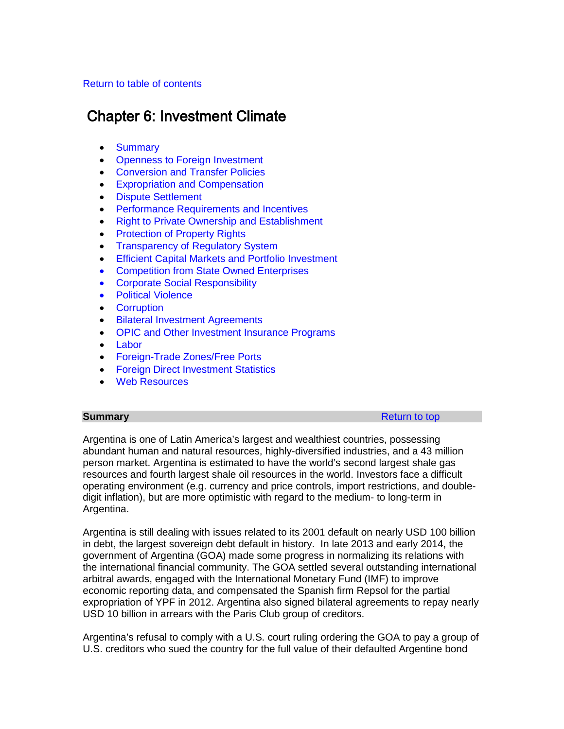# <span id="page-69-1"></span>[Return to table of contents](#page-0-0)

# Chapter 6: Investment Climate

- [Summary](#page-69-0)
- [Openness to Foreign Investment](#page-71-0)
- [Conversion and Transfer Policies](#page-73-0)
- [Expropriation and Compensation](#page-76-0)
- [Dispute Settlement](#page-76-1)
- [Performance Requirements and Incentives](#page-78-0)
- [Right to Private Ownership and Establishment](#page-79-0)
- [Protection of Property Rights](#page-79-1)
- [Transparency of Regulatory System](#page-82-0)
- [Efficient Capital Markets and Portfolio Investment](#page-83-0)
- [Competition from State Owned Enterprises](#page-84-0)
- [Corporate Social Responsibility](#page-85-0)
- [Political Violence](#page-85-1)
- [Corruption](#page-85-2)
- [Bilateral Investment Agreements](#page-91-0)
- OPIC and Other [Investment Insurance Programs](#page-92-0)
- [Labor](#page-92-1)
- [Foreign-Trade Zones/Free Ports](#page-93-0)
- [Foreign Direct Investment Statistics](#page-94-0)
- [Web Resources](#page-95-0)

<span id="page-69-0"></span>**Summary** [Return to top](#page-69-1) and the state of the state of the state  $\mathbb{R}$  Return to top  $\mathbb{R}$ 

Argentina is one of Latin America's largest and wealthiest countries, possessing abundant human and natural resources, highly-diversified industries, and a 43 million person market. Argentina is estimated to have the world's second largest shale gas resources and fourth largest shale oil resources in the world. Investors face a difficult operating environment (e.g. currency and price controls, import restrictions, and doubledigit inflation), but are more optimistic with regard to the medium- to long-term in Argentina.

Argentina is still dealing with issues related to its 2001 default on nearly USD 100 billion in debt, the largest sovereign debt default in history. In late 2013 and early 2014, the government of Argentina (GOA) made some progress in normalizing its relations with the international financial community. The GOA settled several outstanding international arbitral awards, engaged with the International Monetary Fund (IMF) to improve economic reporting data, and compensated the Spanish firm Repsol for the partial expropriation of YPF in 2012. Argentina also signed bilateral agreements to repay nearly USD 10 billion in arrears with the Paris Club group of creditors.

Argentina's refusal to comply with a U.S. court ruling ordering the GOA to pay a group of U.S. creditors who sued the country for the full value of their defaulted Argentine bond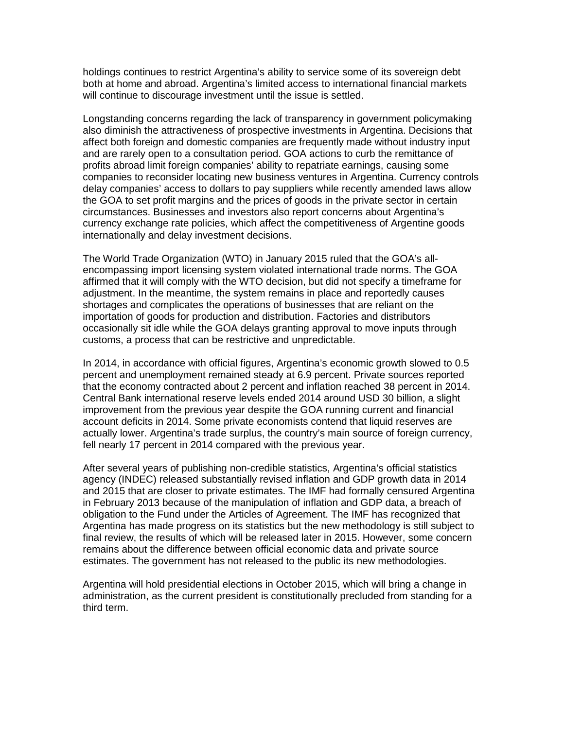holdings continues to restrict Argentina's ability to service some of its sovereign debt both at home and abroad. Argentina's limited access to international financial markets will continue to discourage investment until the issue is settled.

Longstanding concerns regarding the lack of transparency in government policymaking also diminish the attractiveness of prospective investments in Argentina. Decisions that affect both foreign and domestic companies are frequently made without industry input and are rarely open to a consultation period. GOA actions to curb the remittance of profits abroad limit foreign companies' ability to repatriate earnings, causing some companies to reconsider locating new business ventures in Argentina. Currency controls delay companies' access to dollars to pay suppliers while recently amended laws allow the GOA to set profit margins and the prices of goods in the private sector in certain circumstances. Businesses and investors also report concerns about Argentina's currency exchange rate policies, which affect the competitiveness of Argentine goods internationally and delay investment decisions.

The World Trade Organization (WTO) in January 2015 ruled that the GOA's allencompassing import licensing system violated international trade norms. The GOA affirmed that it will comply with the WTO decision, but did not specify a timeframe for adjustment. In the meantime, the system remains in place and reportedly causes shortages and complicates the operations of businesses that are reliant on the importation of goods for production and distribution. Factories and distributors occasionally sit idle while the GOA delays granting approval to move inputs through customs, a process that can be restrictive and unpredictable.

In 2014, in accordance with official figures, Argentina's economic growth slowed to 0.5 percent and unemployment remained steady at 6.9 percent. Private sources reported that the economy contracted about 2 percent and inflation reached 38 percent in 2014. Central Bank international reserve levels ended 2014 around USD 30 billion, a slight improvement from the previous year despite the GOA running current and financial account deficits in 2014. Some private economists contend that liquid reserves are actually lower. Argentina's trade surplus, the country's main source of foreign currency, fell nearly 17 percent in 2014 compared with the previous year.

After several years of publishing non-credible statistics, Argentina's official statistics agency (INDEC) released substantially revised inflation and GDP growth data in 2014 and 2015 that are closer to private estimates. The IMF had formally censured Argentina in February 2013 because of the manipulation of inflation and GDP data, a breach of obligation to the Fund under the Articles of Agreement. The IMF has recognized that Argentina has made progress on its statistics but the new methodology is still subject to final review, the results of which will be released later in 2015. However, some concern remains about the difference between official economic data and private source estimates. The government has not released to the public its new methodologies.

Argentina will hold presidential elections in October 2015, which will bring a change in administration, as the current president is constitutionally precluded from standing for a third term.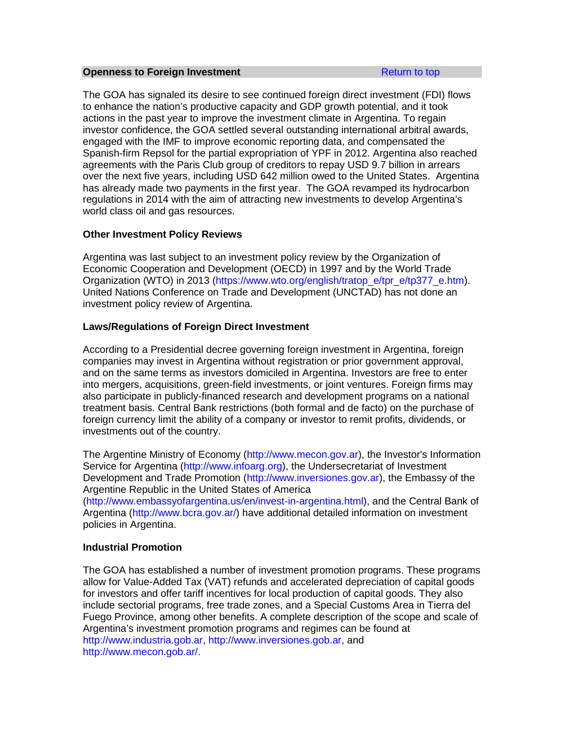#### <span id="page-71-0"></span>**Openness to Foreign Investment [Return to top](#page-69-1) Return to top**

The GOA has signaled its desire to see continued foreign direct investment (FDI) flows to enhance the nation's productive capacity and GDP growth potential, and it took actions in the past year to improve the investment climate in Argentina. To regain investor confidence, the GOA settled several outstanding international arbitral awards, engaged with the IMF to improve economic reporting data, and compensated the Spanish-firm Repsol for the partial expropriation of YPF in 2012. Argentina also reached agreements with the Paris Club group of creditors to repay USD 9.7 billion in arrears over the next five years, including USD 642 million owed to the United States. Argentina has already made two payments in the first year. The GOA revamped its hydrocarbon regulations in 2014 with the aim of attracting new investments to develop Argentina's world class oil and gas resources.

# **Other Investment Policy Reviews**

Argentina was last subject to an investment policy review by the Organization of Economic Cooperation and Development (OECD) in 1997 and by the World Trade Organization (WTO) in 2013 [\(https://www.wto.org/english/tratop\\_e/tpr\\_e/tp377\\_e.htm\)](https://www.wto.org/english/tratop_e/tpr_e/tp377_e.htm). United Nations Conference on Trade and Development (UNCTAD) has not done an investment policy review of Argentina.

# **Laws/Regulations of Foreign Direct Investment**

According to a Presidential decree governing foreign investment in Argentina, foreign companies may invest in Argentina without registration or prior government approval, and on the same terms as investors domiciled in Argentina. Investors are free to enter into mergers, acquisitions, green-field investments, or joint ventures. Foreign firms may also participate in publicly-financed research and development programs on a national treatment basis. Central Bank restrictions (both formal and de facto) on the purchase of foreign currency limit the ability of a company or investor to remit profits, dividends, or investments out of the country.

The Argentine Ministry of Economy [\(http://www.mecon.gov.ar\)](http://www.mecon.gov.ar/), the Investor's Information Service for Argentina [\(http://www.infoarg.org\)](http://www.infoarg.org/), the Undersecretariat of Investment Development and Trade Promotion [\(http://www.inversiones.gov.ar\)](http://www.inversiones.gov.ar/), the Embassy of the Argentine Republic in the United States of America

[\(http://www.embassyofargentina.us/en/invest-in-argentina.html\)](http://www.embassyofargentina.us/en/invest-in-argentina.html), and the Central Bank of Argentina [\(http://www.bcra.gov.ar/\)](http://www.bcra.gov.ar/) have additional detailed information on investment policies in Argentina.

# **Industrial Promotion**

The GOA has established a number of investment promotion programs. These programs allow for Value-Added Tax (VAT) refunds and accelerated depreciation of capital goods for investors and offer tariff incentives for local production of capital goods. They also include sectorial programs, free trade zones, and a Special Customs Area in Tierra del Fuego Province, among other benefits. A complete description of the scope and scale of Argentina's investment promotion programs and regimes can be found at [http://www.industria.gob.ar,](http://www.industria.gob.ar/) [http://www.inversiones.gob.ar,](http://www.inversiones.gob.ar/) and [http://www.mecon.gob.ar/.](http://www.mecon.gob.ar/)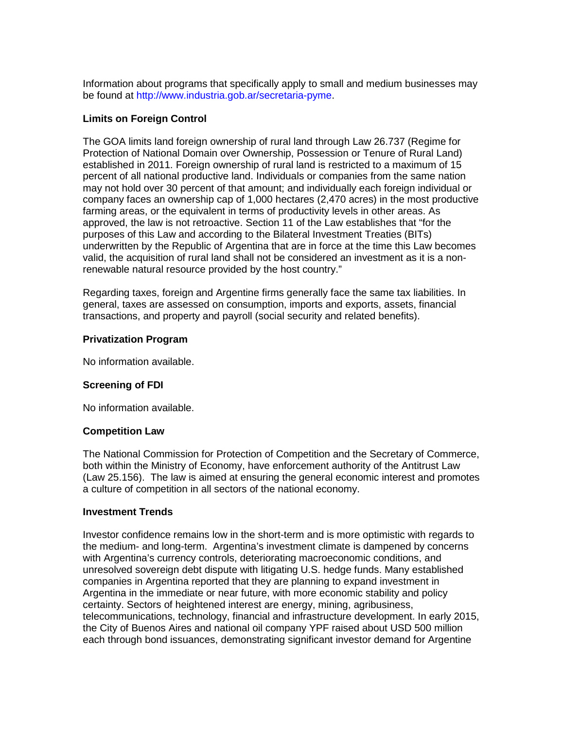Information about programs that specifically apply to small and medium businesses may be found at [http://www.industria.gob.ar/secretaria-pyme.](http://www.industria.gob.ar/secretaria-pyme)

# **Limits on Foreign Control**

The GOA limits land foreign ownership of rural land through Law 26.737 (Regime for Protection of National Domain over Ownership, Possession or Tenure of Rural Land) established in 2011. Foreign ownership of rural land is restricted to a maximum of 15 percent of all national productive land. Individuals or companies from the same nation may not hold over 30 percent of that amount; and individually each foreign individual or company faces an ownership cap of 1,000 hectares (2,470 acres) in the most productive farming areas, or the equivalent in terms of productivity levels in other areas. As approved, the law is not retroactive. Section 11 of the Law establishes that "for the purposes of this Law and according to the Bilateral Investment Treaties (BITs) underwritten by the Republic of Argentina that are in force at the time this Law becomes valid, the acquisition of rural land shall not be considered an investment as it is a nonrenewable natural resource provided by the host country."

Regarding taxes, foreign and Argentine firms generally face the same tax liabilities. In general, taxes are assessed on consumption, imports and exports, assets, financial transactions, and property and payroll (social security and related benefits).

# **Privatization Program**

No information available.

# **Screening of FDI**

No information available.

# **Competition Law**

The National Commission for Protection of Competition and the Secretary of Commerce, both within the Ministry of Economy, have enforcement authority of the Antitrust Law (Law 25.156). The law is aimed at ensuring the general economic interest and promotes a culture of competition in all sectors of the national economy.

# **Investment Trends**

Investor confidence remains low in the short-term and is more optimistic with regards to the medium- and long-term. Argentina's investment climate is dampened by concerns with Argentina's currency controls, deteriorating macroeconomic conditions, and unresolved sovereign debt dispute with litigating U.S. hedge funds. Many established companies in Argentina reported that they are planning to expand investment in Argentina in the immediate or near future, with more economic stability and policy certainty. Sectors of heightened interest are energy, mining, agribusiness, telecommunications, technology, financial and infrastructure development. In early 2015, the City of Buenos Aires and national oil company YPF raised about USD 500 million each through bond issuances, demonstrating significant investor demand for Argentine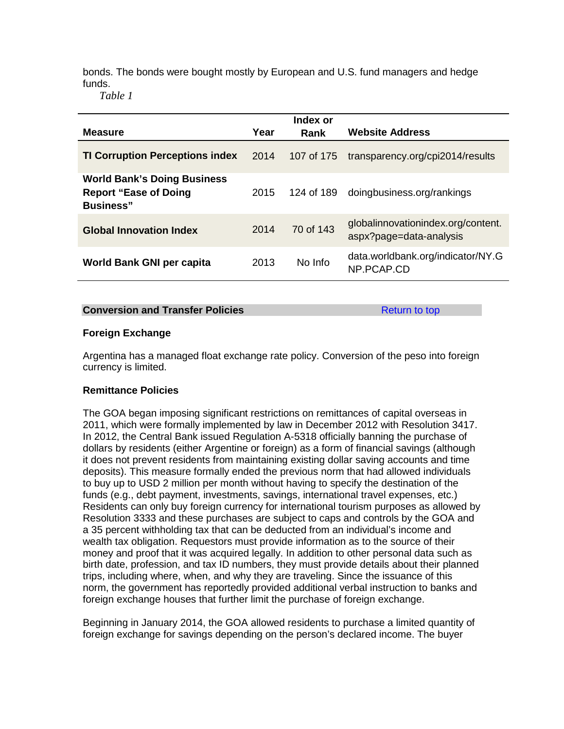bonds. The bonds were bought mostly by European and U.S. fund managers and hedge funds.

*Table 1*

|                                                                                         |      | Index or   |                                                               |
|-----------------------------------------------------------------------------------------|------|------------|---------------------------------------------------------------|
| <b>Measure</b>                                                                          | Year | Rank       | <b>Website Address</b>                                        |
| <b>TI Corruption Perceptions index</b>                                                  | 2014 | 107 of 175 | transparency.org/cpi2014/results                              |
| <b>World Bank's Doing Business</b><br><b>Report "Ease of Doing</b><br><b>Business</b> " | 2015 | 124 of 189 | doingbusiness.org/rankings                                    |
| <b>Global Innovation Index</b>                                                          | 2014 | 70 of 143  | globalinnovationindex.org/content.<br>aspx?page=data-analysis |
| World Bank GNI per capita                                                               | 2013 | No Info    | data.worldbank.org/indicator/NY.G<br>NP.PCAP.CD               |

### **Conversion and Transfer Policies [Return to top](#page-69-0) Return to top**

# **Foreign Exchange**

Argentina has a managed float exchange rate policy. Conversion of the peso into foreign currency is limited.

# **Remittance Policies**

The GOA began imposing significant restrictions on remittances of capital overseas in 2011, which were formally implemented by law in December 2012 with Resolution 3417. In 2012, the Central Bank issued Regulation A-5318 officially banning the purchase of dollars by residents (either Argentine or foreign) as a form of financial savings (although it does not prevent residents from maintaining existing dollar saving accounts and time deposits). This measure formally ended the previous norm that had allowed individuals to buy up to USD 2 million per month without having to specify the destination of the funds (e.g., debt payment, investments, savings, international travel expenses, etc.) Residents can only buy foreign currency for international tourism purposes as allowed by Resolution 3333 and these purchases are subject to caps and controls by the GOA and a 35 percent withholding tax that can be deducted from an individual's income and wealth tax obligation. Requestors must provide information as to the source of their money and proof that it was acquired legally. In addition to other personal data such as birth date, profession, and tax ID numbers, they must provide details about their planned trips, including where, when, and why they are traveling. Since the issuance of this norm, the government has reportedly provided additional verbal instruction to banks and foreign exchange houses that further limit the purchase of foreign exchange.

Beginning in January 2014, the GOA allowed residents to purchase a limited quantity of foreign exchange for savings depending on the person's declared income. The buyer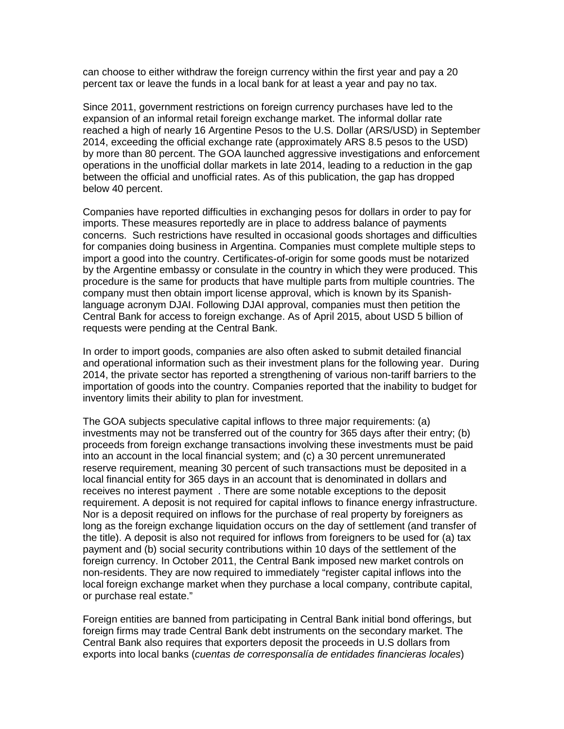can choose to either withdraw the foreign currency within the first year and pay a 20 percent tax or leave the funds in a local bank for at least a year and pay no tax.

Since 2011, government restrictions on foreign currency purchases have led to the expansion of an informal retail foreign exchange market. The informal dollar rate reached a high of nearly 16 Argentine Pesos to the U.S. Dollar (ARS/USD) in September 2014, exceeding the official exchange rate (approximately ARS 8.5 pesos to the USD) by more than 80 percent. The GOA launched aggressive investigations and enforcement operations in the unofficial dollar markets in late 2014, leading to a reduction in the gap between the official and unofficial rates. As of this publication, the gap has dropped below 40 percent.

Companies have reported difficulties in exchanging pesos for dollars in order to pay for imports. These measures reportedly are in place to address balance of payments concerns. Such restrictions have resulted in occasional goods shortages and difficulties for companies doing business in Argentina. Companies must complete multiple steps to import a good into the country. Certificates-of-origin for some goods must be notarized by the Argentine embassy or consulate in the country in which they were produced. This procedure is the same for products that have multiple parts from multiple countries. The company must then obtain import license approval, which is known by its Spanishlanguage acronym DJAI. Following DJAI approval, companies must then petition the Central Bank for access to foreign exchange. As of April 2015, about USD 5 billion of requests were pending at the Central Bank.

In order to import goods, companies are also often asked to submit detailed financial and operational information such as their investment plans for the following year. During 2014, the private sector has reported a strengthening of various non-tariff barriers to the importation of goods into the country. Companies reported that the inability to budget for inventory limits their ability to plan for investment.

The GOA subjects speculative capital inflows to three major requirements: (a) investments may not be transferred out of the country for 365 days after their entry; (b) proceeds from foreign exchange transactions involving these investments must be paid into an account in the local financial system; and (c) a 30 percent unremunerated reserve requirement, meaning 30 percent of such transactions must be deposited in a local financial entity for 365 days in an account that is denominated in dollars and receives no interest payment . There are some notable exceptions to the deposit requirement. A deposit is not required for capital inflows to finance energy infrastructure. Nor is a deposit required on inflows for the purchase of real property by foreigners as long as the foreign exchange liquidation occurs on the day of settlement (and transfer of the title). A deposit is also not required for inflows from foreigners to be used for (a) tax payment and (b) social security contributions within 10 days of the settlement of the foreign currency. In October 2011, the Central Bank imposed new market controls on non-residents. They are now required to immediately "register capital inflows into the local foreign exchange market when they purchase a local company, contribute capital, or purchase real estate."

Foreign entities are banned from participating in Central Bank initial bond offerings, but foreign firms may trade Central Bank debt instruments on the secondary market. The Central Bank also requires that exporters deposit the proceeds in U.S dollars from exports into local banks (*cuentas de corresponsalía de entidades financieras locales*)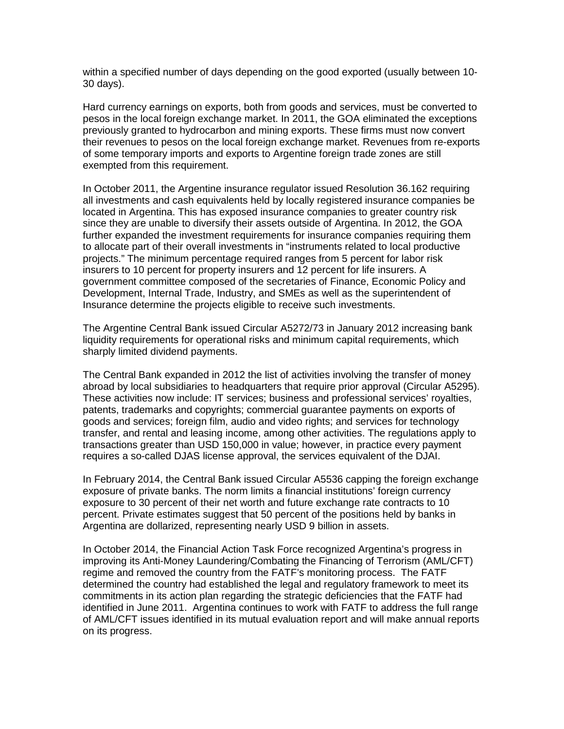within a specified number of days depending on the good exported (usually between 10- 30 days).

Hard currency earnings on exports, both from goods and services, must be converted to pesos in the local foreign exchange market. In 2011, the GOA eliminated the exceptions previously granted to hydrocarbon and mining exports. These firms must now convert their revenues to pesos on the local foreign exchange market. Revenues from re-exports of some temporary imports and exports to Argentine foreign trade zones are still exempted from this requirement.

In October 2011, the Argentine insurance regulator issued Resolution 36.162 requiring all investments and cash equivalents held by locally registered insurance companies be located in Argentina. This has exposed insurance companies to greater country risk since they are unable to diversify their assets outside of Argentina. In 2012, the GOA further expanded the investment requirements for insurance companies requiring them to allocate part of their overall investments in "instruments related to local productive projects." The minimum percentage required ranges from 5 percent for labor risk insurers to 10 percent for property insurers and 12 percent for life insurers. A government committee composed of the secretaries of Finance, Economic Policy and Development, Internal Trade, Industry, and SMEs as well as the superintendent of Insurance determine the projects eligible to receive such investments.

The Argentine Central Bank issued Circular A5272/73 in January 2012 increasing bank liquidity requirements for operational risks and minimum capital requirements, which sharply limited dividend payments.

The Central Bank expanded in 2012 the list of activities involving the transfer of money abroad by local subsidiaries to headquarters that require prior approval (Circular A5295). These activities now include: IT services; business and professional services' royalties, patents, trademarks and copyrights; commercial guarantee payments on exports of goods and services; foreign film, audio and video rights; and services for technology transfer, and rental and leasing income, among other activities. The regulations apply to transactions greater than USD 150,000 in value; however, in practice every payment requires a so-called DJAS license approval, the services equivalent of the DJAI.

In February 2014, the Central Bank issued Circular A5536 capping the foreign exchange exposure of private banks. The norm limits a financial institutions' foreign currency exposure to 30 percent of their net worth and future exchange rate contracts to 10 percent. Private estimates suggest that 50 percent of the positions held by banks in Argentina are dollarized, representing nearly USD 9 billion in assets.

In October 2014, the Financial Action Task Force recognized Argentina's progress in improving its Anti-Money Laundering/Combating the Financing of Terrorism (AML/CFT) regime and removed the country from the FATF's monitoring process. The FATF determined the country had established the legal and regulatory framework to meet its commitments in its action plan regarding the strategic deficiencies that the FATF had identified in June 2011. Argentina continues to work with FATF to address the full range of AML/CFT issues identified in its mutual evaluation report and will make annual reports on its progress.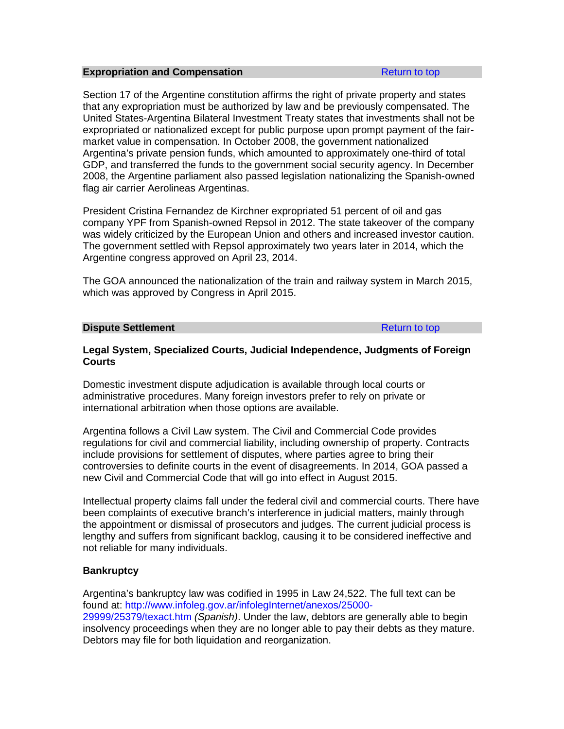### **Expropriation and Compensation [Return to top](#page-69-0)** Return to top

Section 17 of the Argentine constitution affirms the right of private property and states that any expropriation must be authorized by law and be previously compensated. The United States-Argentina Bilateral Investment Treaty states that investments shall not be expropriated or nationalized except for public purpose upon prompt payment of the fairmarket value in compensation. In October 2008, the government nationalized Argentina's private pension funds, which amounted to approximately one-third of total GDP, and transferred the funds to the government social security agency. In December 2008, the Argentine parliament also passed legislation nationalizing the Spanish-owned flag air carrier Aerolineas Argentinas.

President Cristina Fernandez de Kirchner expropriated 51 percent of oil and gas company YPF from Spanish-owned Repsol in 2012. The state takeover of the company was widely criticized by the European Union and others and increased investor caution. The government settled with Repsol approximately two years later in 2014, which the Argentine congress approved on April 23, 2014.

The GOA announced the nationalization of the train and railway system in March 2015, which was approved by Congress in April 2015.

### **Dispute Settlement [Return to top](#page-69-0) Return to top**

# **Legal System, Specialized Courts, Judicial Independence, Judgments of Foreign Courts**

Domestic investment dispute adjudication is available through local courts or administrative procedures. Many foreign investors prefer to rely on private or international arbitration when those options are available.

Argentina follows a Civil Law system. The Civil and Commercial Code provides regulations for civil and commercial liability, including ownership of property. Contracts include provisions for settlement of disputes, where parties agree to bring their controversies to definite courts in the event of disagreements. In 2014, GOA passed a new Civil and Commercial Code that will go into effect in August 2015.

Intellectual property claims fall under the federal civil and commercial courts. There have been complaints of executive branch's interference in judicial matters, mainly through the appointment or dismissal of prosecutors and judges. The current judicial process is lengthy and suffers from significant backlog, causing it to be considered ineffective and not reliable for many individuals.

# **Bankruptcy**

Argentina's bankruptcy law was codified in 1995 in Law 24,522. The full text can be found at: [http://www.infoleg.gov.ar/infolegInternet/anexos/25000-](http://www.infoleg.gov.ar/infolegInternet/anexos/25000-29999/25379/texact.htm) [29999/25379/texact.htm](http://www.infoleg.gov.ar/infolegInternet/anexos/25000-29999/25379/texact.htm) *(Spanish)*. Under the law, debtors are generally able to begin insolvency proceedings when they are no longer able to pay their debts as they mature. Debtors may file for both liquidation and reorganization.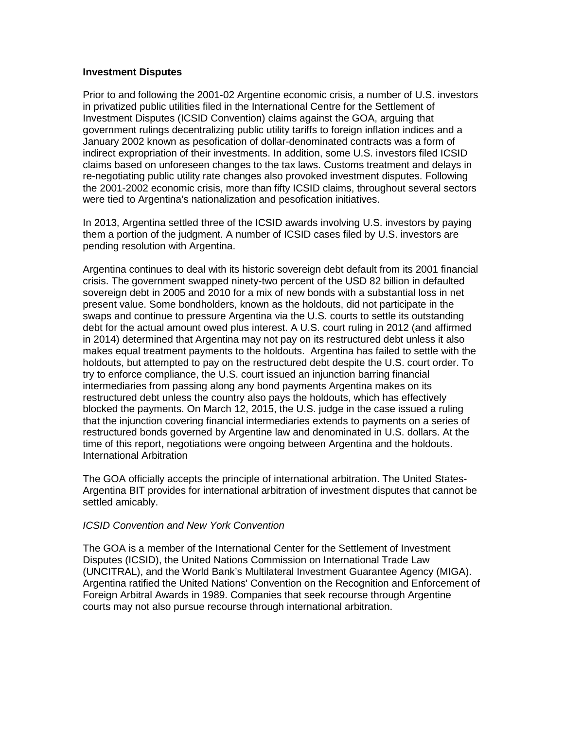# **Investment Disputes**

Prior to and following the 2001-02 Argentine economic crisis, a number of U.S. investors in privatized public utilities filed in the International Centre for the Settlement of Investment Disputes (ICSID Convention) claims against the GOA, arguing that government rulings decentralizing public utility tariffs to foreign inflation indices and a January 2002 known as pesofication of dollar-denominated contracts was a form of indirect expropriation of their investments. In addition, some U.S. investors filed ICSID claims based on unforeseen changes to the tax laws. Customs treatment and delays in re-negotiating public utility rate changes also provoked investment disputes. Following the 2001-2002 economic crisis, more than fifty ICSID claims, throughout several sectors were tied to Argentina's nationalization and pesofication initiatives.

In 2013, Argentina settled three of the ICSID awards involving U.S. investors by paying them a portion of the judgment. A number of ICSID cases filed by U.S. investors are pending resolution with Argentina.

Argentina continues to deal with its historic sovereign debt default from its 2001 financial crisis. The government swapped ninety-two percent of the USD 82 billion in defaulted sovereign debt in 2005 and 2010 for a mix of new bonds with a substantial loss in net present value. Some bondholders, known as the holdouts, did not participate in the swaps and continue to pressure Argentina via the U.S. courts to settle its outstanding debt for the actual amount owed plus interest. A U.S. court ruling in 2012 (and affirmed in 2014) determined that Argentina may not pay on its restructured debt unless it also makes equal treatment payments to the holdouts. Argentina has failed to settle with the holdouts, but attempted to pay on the restructured debt despite the U.S. court order. To try to enforce compliance, the U.S. court issued an injunction barring financial intermediaries from passing along any bond payments Argentina makes on its restructured debt unless the country also pays the holdouts, which has effectively blocked the payments. On March 12, 2015, the U.S. judge in the case issued a ruling that the injunction covering financial intermediaries extends to payments on a series of restructured bonds governed by Argentine law and denominated in U.S. dollars. At the time of this report, negotiations were ongoing between Argentina and the holdouts. International Arbitration

The GOA officially accepts the principle of international arbitration. The United States-Argentina BIT provides for international arbitration of investment disputes that cannot be settled amicably.

# *ICSID Convention and New York Convention*

The GOA is a member of the International Center for the Settlement of Investment Disputes (ICSID), the United Nations Commission on International Trade Law (UNCITRAL), and the World Bank's Multilateral Investment Guarantee Agency (MIGA). Argentina ratified the United Nations' Convention on the Recognition and Enforcement of Foreign Arbitral Awards in 1989. Companies that seek recourse through Argentine courts may not also pursue recourse through international arbitration.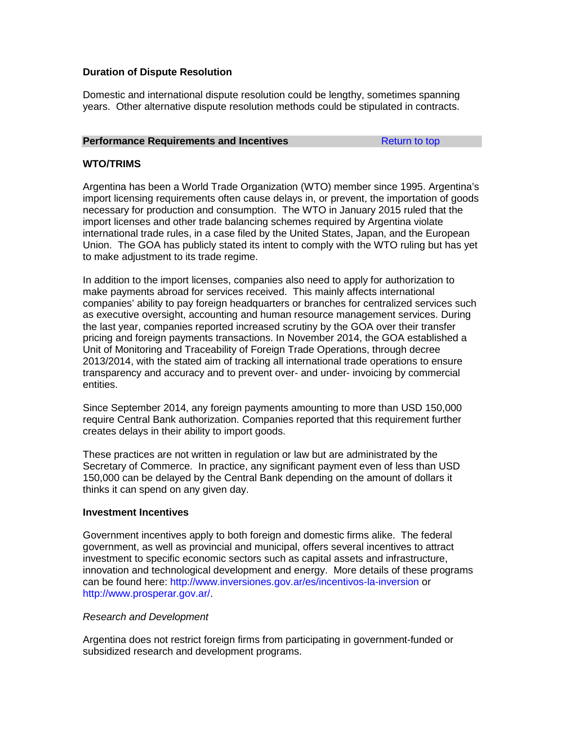# **Duration of Dispute Resolution**

Domestic and international dispute resolution could be lengthy, sometimes spanning years. Other alternative dispute resolution methods could be stipulated in contracts.

### **Performance Requirements and Incentives [Return to top](#page-69-0)**

# **WTO/TRIMS**

Argentina has been a World Trade Organization (WTO) member since 1995. Argentina's import licensing requirements often cause delays in, or prevent, the importation of goods necessary for production and consumption. The WTO in January 2015 ruled that the import licenses and other trade balancing schemes required by Argentina violate international trade rules, in a case filed by the United States, Japan, and the European Union. The GOA has publicly stated its intent to comply with the WTO ruling but has yet to make adjustment to its trade regime.

In addition to the import licenses, companies also need to apply for authorization to make payments abroad for services received. This mainly affects international companies' ability to pay foreign headquarters or branches for centralized services such as executive oversight, accounting and human resource management services. During the last year, companies reported increased scrutiny by the GOA over their transfer pricing and foreign payments transactions. In November 2014, the GOA established a Unit of Monitoring and Traceability of Foreign Trade Operations, through decree 2013/2014, with the stated aim of tracking all international trade operations to ensure transparency and accuracy and to prevent over- and under- invoicing by commercial entities.

Since September 2014, any foreign payments amounting to more than USD 150,000 require Central Bank authorization. Companies reported that this requirement further creates delays in their ability to import goods.

These practices are not written in regulation or law but are administrated by the Secretary of Commerce. In practice, any significant payment even of less than USD 150,000 can be delayed by the Central Bank depending on the amount of dollars it thinks it can spend on any given day.

# **Investment Incentives**

Government incentives apply to both foreign and domestic firms alike. The federal government, as well as provincial and municipal, offers several incentives to attract investment to specific economic sectors such as capital assets and infrastructure, innovation and technological development and energy. More details of these programs can be found here:<http://www.inversiones.gov.ar/es/incentivos-la-inversion> or [http://www.prosperar.gov.ar/.](http://www.prosperar.gov.ar/)

# *Research and Development*

Argentina does not restrict foreign firms from participating in government-funded or subsidized research and development programs.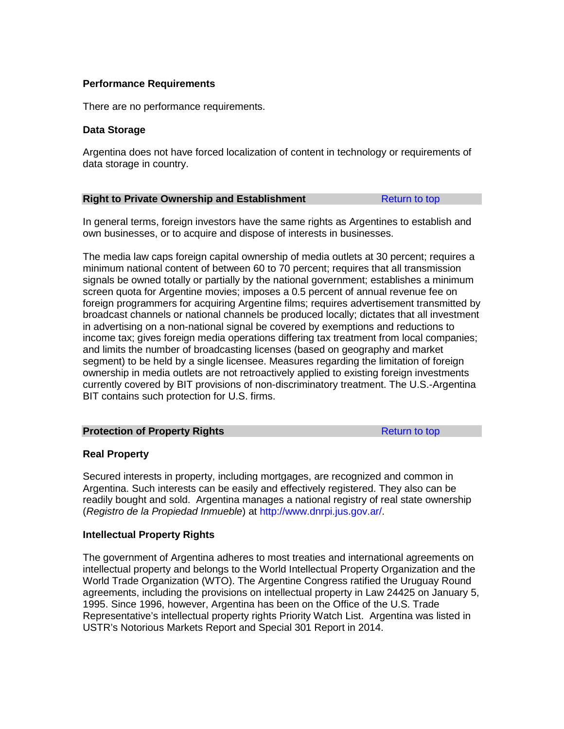# **Performance Requirements**

There are no performance requirements.

# **Data Storage**

Argentina does not have forced localization of content in technology or requirements of data storage in country.

# **Right to Private Ownership and Establishment** [Return to top](#page-69-0)

In general terms, foreign investors have the same rights as Argentines to establish and own businesses, or to acquire and dispose of interests in businesses.

The media law caps foreign capital ownership of media outlets at 30 percent; requires a minimum national content of between 60 to 70 percent; requires that all transmission signals be owned totally or partially by the national government; establishes a minimum screen quota for Argentine movies; imposes a 0.5 percent of annual revenue fee on foreign programmers for acquiring Argentine films; requires advertisement transmitted by broadcast channels or national channels be produced locally; dictates that all investment in advertising on a non-national signal be covered by exemptions and reductions to income tax; gives foreign media operations differing tax treatment from local companies; and limits the number of broadcasting licenses (based on geography and market segment) to be held by a single licensee. Measures regarding the limitation of foreign ownership in media outlets are not retroactively applied to existing foreign investments currently covered by BIT provisions of non-discriminatory treatment. The U.S.-Argentina BIT contains such protection for U.S. firms.

# **Protection of Property Rights** [Return to top](#page-69-0) Return to top

# **Real Property**

Secured interests in property, including mortgages, are recognized and common in Argentina. Such interests can be easily and effectively registered. They also can be readily bought and sold. Argentina manages a national registry of real state ownership (*Registro de la Propiedad Inmueble*) at [http://www.dnrpi.jus.gov.ar/.](http://www.dnrpi.jus.gov.ar/)

# **Intellectual Property Rights**

The government of Argentina adheres to most treaties and international agreements on intellectual property and belongs to the World Intellectual Property Organization and the World Trade Organization (WTO). The Argentine Congress ratified the Uruguay Round agreements, including the provisions on intellectual property in Law 24425 on January 5, 1995. Since 1996, however, Argentina has been on the Office of the U.S. Trade Representative's intellectual property rights Priority Watch List. Argentina was listed in USTR's Notorious Markets Report and Special 301 Report in 2014.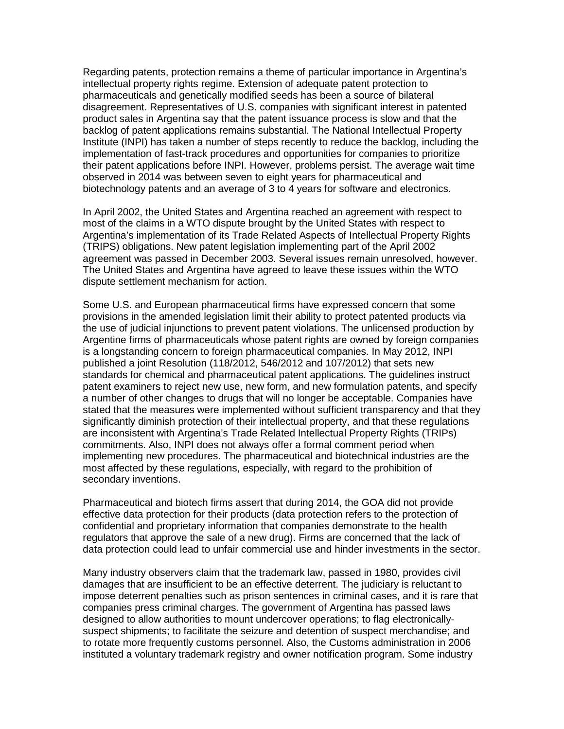Regarding patents, protection remains a theme of particular importance in Argentina's intellectual property rights regime. Extension of adequate patent protection to pharmaceuticals and genetically modified seeds has been a source of bilateral disagreement. Representatives of U.S. companies with significant interest in patented product sales in Argentina say that the patent issuance process is slow and that the backlog of patent applications remains substantial. The National Intellectual Property Institute (INPI) has taken a number of steps recently to reduce the backlog, including the implementation of fast-track procedures and opportunities for companies to prioritize their patent applications before INPI. However, problems persist. The average wait time observed in 2014 was between seven to eight years for pharmaceutical and biotechnology patents and an average of 3 to 4 years for software and electronics.

In April 2002, the United States and Argentina reached an agreement with respect to most of the claims in a WTO dispute brought by the United States with respect to Argentina's implementation of its Trade Related Aspects of Intellectual Property Rights (TRIPS) obligations. New patent legislation implementing part of the April 2002 agreement was passed in December 2003. Several issues remain unresolved, however. The United States and Argentina have agreed to leave these issues within the WTO dispute settlement mechanism for action.

Some U.S. and European pharmaceutical firms have expressed concern that some provisions in the amended legislation limit their ability to protect patented products via the use of judicial injunctions to prevent patent violations. The unlicensed production by Argentine firms of pharmaceuticals whose patent rights are owned by foreign companies is a longstanding concern to foreign pharmaceutical companies. In May 2012, INPI published a joint Resolution (118/2012, 546/2012 and 107/2012) that sets new standards for chemical and pharmaceutical patent applications. The guidelines instruct patent examiners to reject new use, new form, and new formulation patents, and specify a number of other changes to drugs that will no longer be acceptable. Companies have stated that the measures were implemented without sufficient transparency and that they significantly diminish protection of their intellectual property, and that these regulations are inconsistent with Argentina's Trade Related Intellectual Property Rights (TRIPs) commitments. Also, INPI does not always offer a formal comment period when implementing new procedures. The pharmaceutical and biotechnical industries are the most affected by these regulations, especially, with regard to the prohibition of secondary inventions.

Pharmaceutical and biotech firms assert that during 2014, the GOA did not provide effective data protection for their products (data protection refers to the protection of confidential and proprietary information that companies demonstrate to the health regulators that approve the sale of a new drug). Firms are concerned that the lack of data protection could lead to unfair commercial use and hinder investments in the sector.

Many industry observers claim that the trademark law, passed in 1980, provides civil damages that are insufficient to be an effective deterrent. The judiciary is reluctant to impose deterrent penalties such as prison sentences in criminal cases, and it is rare that companies press criminal charges. The government of Argentina has passed laws designed to allow authorities to mount undercover operations; to flag electronicallysuspect shipments; to facilitate the seizure and detention of suspect merchandise; and to rotate more frequently customs personnel. Also, the Customs administration in 2006 instituted a voluntary trademark registry and owner notification program. Some industry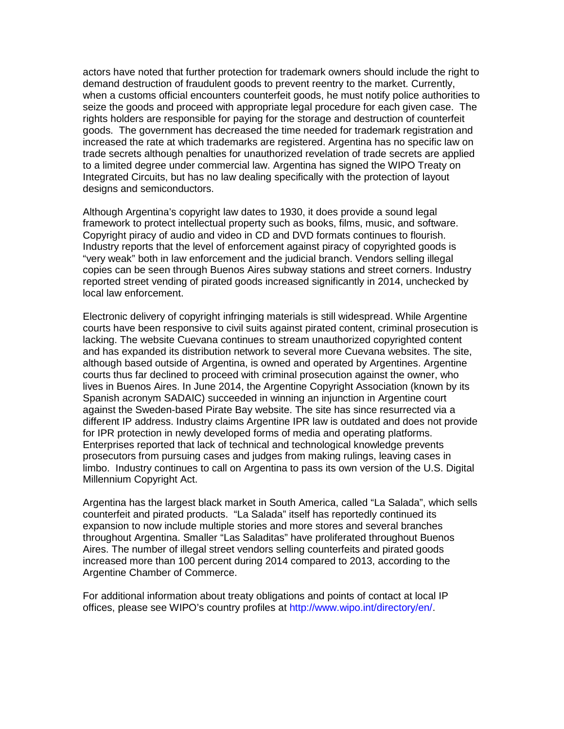actors have noted that further protection for trademark owners should include the right to demand destruction of fraudulent goods to prevent reentry to the market. Currently, when a customs official encounters counterfeit goods, he must notify police authorities to seize the goods and proceed with appropriate legal procedure for each given case. The rights holders are responsible for paying for the storage and destruction of counterfeit goods. The government has decreased the time needed for trademark registration and increased the rate at which trademarks are registered. Argentina has no specific law on trade secrets although penalties for unauthorized revelation of trade secrets are applied to a limited degree under commercial law. Argentina has signed the WIPO Treaty on Integrated Circuits, but has no law dealing specifically with the protection of layout designs and semiconductors.

Although Argentina's copyright law dates to 1930, it does provide a sound legal framework to protect intellectual property such as books, films, music, and software. Copyright piracy of audio and video in CD and DVD formats continues to flourish. Industry reports that the level of enforcement against piracy of copyrighted goods is "very weak" both in law enforcement and the judicial branch. Vendors selling illegal copies can be seen through Buenos Aires subway stations and street corners. Industry reported street vending of pirated goods increased significantly in 2014, unchecked by local law enforcement.

Electronic delivery of copyright infringing materials is still widespread. While Argentine courts have been responsive to civil suits against pirated content, criminal prosecution is lacking. The website Cuevana continues to stream unauthorized copyrighted content and has expanded its distribution network to several more Cuevana websites. The site, although based outside of Argentina, is owned and operated by Argentines. Argentine courts thus far declined to proceed with criminal prosecution against the owner, who lives in Buenos Aires. In June 2014, the Argentine Copyright Association (known by its Spanish acronym SADAIC) succeeded in winning an injunction in Argentine court against the Sweden-based Pirate Bay website. The site has since resurrected via a different IP address. Industry claims Argentine IPR law is outdated and does not provide for IPR protection in newly developed forms of media and operating platforms. Enterprises reported that lack of technical and technological knowledge prevents prosecutors from pursuing cases and judges from making rulings, leaving cases in limbo. Industry continues to call on Argentina to pass its own version of the U.S. Digital Millennium Copyright Act.

Argentina has the largest black market in South America, called "La Salada", which sells counterfeit and pirated products. "La Salada" itself has reportedly continued its expansion to now include multiple stories and more stores and several branches throughout Argentina. Smaller "Las Saladitas" have proliferated throughout Buenos Aires. The number of illegal street vendors selling counterfeits and pirated goods increased more than 100 percent during 2014 compared to 2013, according to the Argentine Chamber of Commerce.

For additional information about treaty obligations and points of contact at local IP offices, please see WIPO's country profiles at [http://www.wipo.int/directory/en/.](http://www.wipo.int/directory/en/)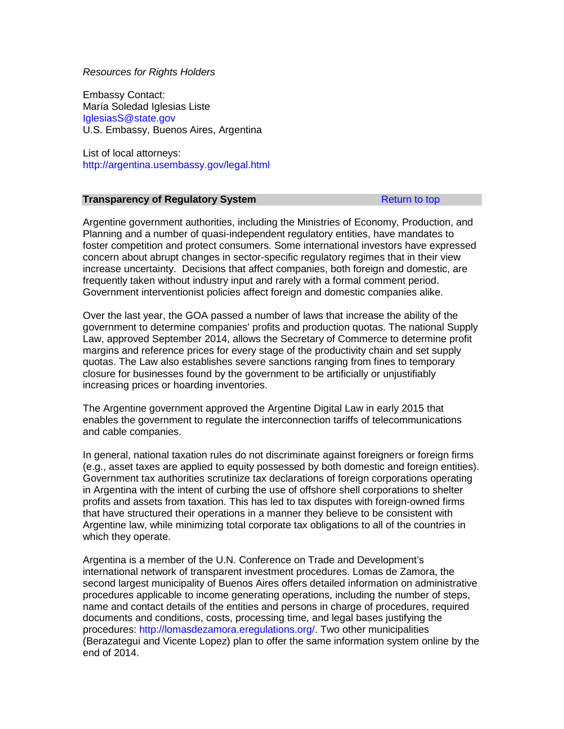#### *Resources for Rights Holders*

Embassy Contact: María Soledad Iglesias Liste [IglesiasS@state.gov](mailto:IglesiasS@state.gov) U.S. Embassy, Buenos Aires, Argentina

List of local attorneys: <http://argentina.usembassy.gov/legal.html>

### **Transparency of Regulatory System** [Return to top](#page-69-0) Return to top

Argentine government authorities, including the Ministries of Economy, Production, and Planning and a number of quasi-independent regulatory entities, have mandates to foster competition and protect consumers. Some international investors have expressed concern about abrupt changes in sector-specific regulatory regimes that in their view increase uncertainty. Decisions that affect companies, both foreign and domestic, are frequently taken without industry input and rarely with a formal comment period. Government interventionist policies affect foreign and domestic companies alike.

Over the last year, the GOA passed a number of laws that increase the ability of the government to determine companies' profits and production quotas. The national Supply Law, approved September 2014, allows the Secretary of Commerce to determine profit margins and reference prices for every stage of the productivity chain and set supply quotas. The Law also establishes severe sanctions ranging from fines to temporary closure for businesses found by the government to be artificially or unjustifiably increasing prices or hoarding inventories.

The Argentine government approved the Argentine Digital Law in early 2015 that enables the government to regulate the interconnection tariffs of telecommunications and cable companies.

In general, national taxation rules do not discriminate against foreigners or foreign firms (e.g., asset taxes are applied to equity possessed by both domestic and foreign entities). Government tax authorities scrutinize tax declarations of foreign corporations operating in Argentina with the intent of curbing the use of offshore shell corporations to shelter profits and assets from taxation. This has led to tax disputes with foreign-owned firms that have structured their operations in a manner they believe to be consistent with Argentine law, while minimizing total corporate tax obligations to all of the countries in which they operate.

Argentina is a member of the U.N. Conference on Trade and Development's international network of transparent investment procedures. Lomas de Zamora, the second largest municipality of Buenos Aires offers detailed information on administrative procedures applicable to income generating operations, including the number of steps, name and contact details of the entities and persons in charge of procedures, required documents and conditions, costs, processing time, and legal bases justifying the procedures: [http://lomasdezamora.eregulations.org/.](http://lomasdezamora.eregulations.org/) Two other municipalities (Berazategui and Vicente Lopez) plan to offer the same information system online by the end of 2014.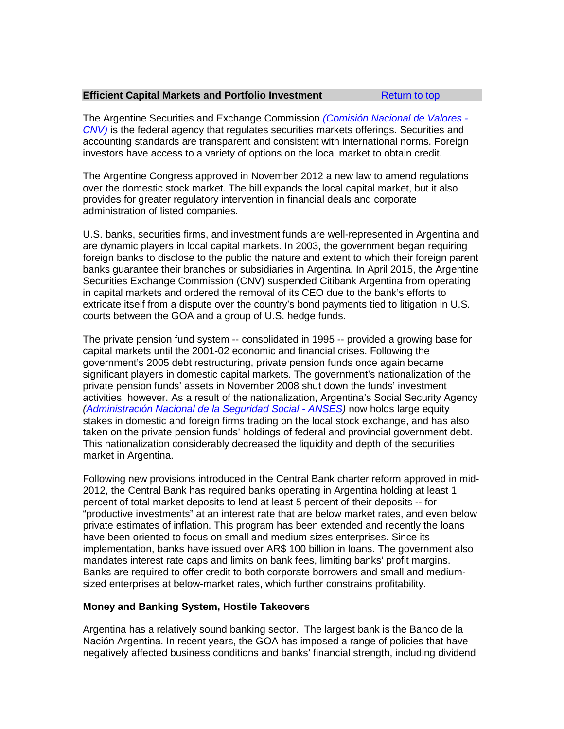### **Efficient Capital Markets and Portfolio Investment** [Return to top](#page-69-0)

The Argentine Securities and Exchange Commission *[\(Comisión Nacional de Valores -](http://www.cnv.gob.ar/) [CNV\)](http://www.cnv.gob.ar/)* is the federal agency that regulates securities markets offerings. Securities and accounting standards are transparent and consistent with international norms. Foreign investors have access to a variety of options on the local market to obtain credit.

The Argentine Congress approved in November 2012 a new law to amend regulations over the domestic stock market. The bill expands the local capital market, but it also provides for greater regulatory intervention in financial deals and corporate administration of listed companies.

U.S. banks, securities firms, and investment funds are well-represented in Argentina and are dynamic players in local capital markets. In 2003, the government began requiring foreign banks to disclose to the public the nature and extent to which their foreign parent banks guarantee their branches or subsidiaries in Argentina. In April 2015, the Argentine Securities Exchange Commission (CNV) suspended Citibank Argentina from operating in capital markets and ordered the removal of its CEO due to the bank's efforts to extricate itself from a dispute over the country's bond payments tied to litigation in U.S. courts between the GOA and a group of U.S. hedge funds.

The private pension fund system -- consolidated in 1995 -- provided a growing base for capital markets until the 2001-02 economic and financial crises. Following the government's 2005 debt restructuring, private pension funds once again became significant players in domestic capital markets. The government's nationalization of the private pension funds' assets in November 2008 shut down the funds' investment activities, however. As a result of the nationalization, Argentina's Social Security Agency *[\(Administración Nacional de la Seguridad Social -](http://www.anses.gob.ar/) ANSES)* now holds large equity stakes in domestic and foreign firms trading on the local stock exchange, and has also taken on the private pension funds' holdings of federal and provincial government debt. This nationalization considerably decreased the liquidity and depth of the securities market in Argentina.

Following new provisions introduced in the Central Bank charter reform approved in mid-2012, the Central Bank has required banks operating in Argentina holding at least 1 percent of total market deposits to lend at least 5 percent of their deposits -- for "productive investments" at an interest rate that are below market rates, and even below private estimates of inflation. This program has been extended and recently the loans have been oriented to focus on small and medium sizes enterprises. Since its implementation, banks have issued over AR\$ 100 billion in loans. The government also mandates interest rate caps and limits on bank fees, limiting banks' profit margins. Banks are required to offer credit to both corporate borrowers and small and mediumsized enterprises at below-market rates, which further constrains profitability.

# **Money and Banking System, Hostile Takeovers**

Argentina has a relatively sound banking sector. The largest bank is the Banco de la Nación Argentina. In recent years, the GOA has imposed a range of policies that have negatively affected business conditions and banks' financial strength, including dividend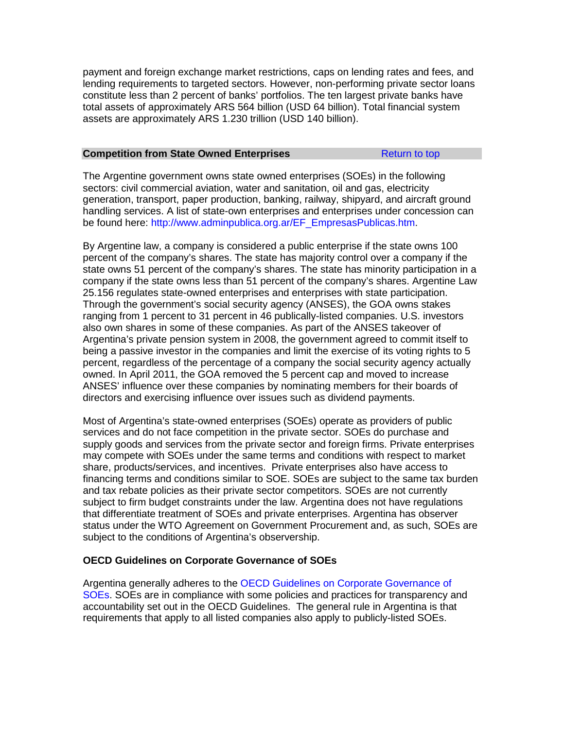payment and foreign exchange market restrictions, caps on lending rates and fees, and lending requirements to targeted sectors. However, non-performing private sector loans constitute less than 2 percent of banks' portfolios. The ten largest private banks have total assets of approximately ARS 564 billion (USD 64 billion). Total financial system assets are approximately ARS 1.230 trillion (USD 140 billion).

### **Competition from State Owned Enterprises [Return to top](#page-69-0) Return to top**

The Argentine government owns state owned enterprises (SOEs) in the following sectors: civil commercial aviation, water and sanitation, oil and gas, electricity generation, transport, paper production, banking, railway, shipyard, and aircraft ground handling services. A list of state-own enterprises and enterprises under concession can be found here: [http://www.adminpublica.org.ar/EF\\_EmpresasPublicas.htm.](http://www.adminpublica.org.ar/EF_EmpresasPublicas.htm)

By Argentine law, a company is considered a public enterprise if the state owns 100 percent of the company's shares. The state has majority control over a company if the state owns 51 percent of the company's shares. The state has minority participation in a company if the state owns less than 51 percent of the company's shares. Argentine Law 25.156 regulates state-owned enterprises and enterprises with state participation. Through the government's social security agency (ANSES), the GOA owns stakes ranging from 1 percent to 31 percent in 46 publically-listed companies. U.S. investors also own shares in some of these companies. As part of the ANSES takeover of Argentina's private pension system in 2008, the government agreed to commit itself to being a passive investor in the companies and limit the exercise of its voting rights to 5 percent, regardless of the percentage of a company the social security agency actually owned. In April 2011, the GOA removed the 5 percent cap and moved to increase ANSES' influence over these companies by nominating members for their boards of directors and exercising influence over issues such as dividend payments.

Most of Argentina's state-owned enterprises (SOEs) operate as providers of public services and do not face competition in the private sector. SOEs do purchase and supply goods and services from the private sector and foreign firms. Private enterprises may compete with SOEs under the same terms and conditions with respect to market share, products/services, and incentives. Private enterprises also have access to financing terms and conditions similar to SOE. SOEs are subject to the same tax burden and tax rebate policies as their private sector competitors. SOEs are not currently subject to firm budget constraints under the law. Argentina does not have regulations that differentiate treatment of SOEs and private enterprises. Argentina has observer status under the WTO Agreement on Government Procurement and, as such, SOEs are subject to the conditions of Argentina's observership.

# **OECD Guidelines on Corporate Governance of SOEs**

Argentina generally adheres to the [OECD Guidelines on Corporate Governance of](http://www.oecd.org/corporate/ca/corporategovernanceofstate-ownedenterprises/34803211.pdf)  [SOEs.](http://www.oecd.org/corporate/ca/corporategovernanceofstate-ownedenterprises/34803211.pdf) SOEs are in compliance with some policies and practices for transparency and accountability set out in the OECD Guidelines. The general rule in Argentina is that requirements that apply to all listed companies also apply to publicly-listed SOEs.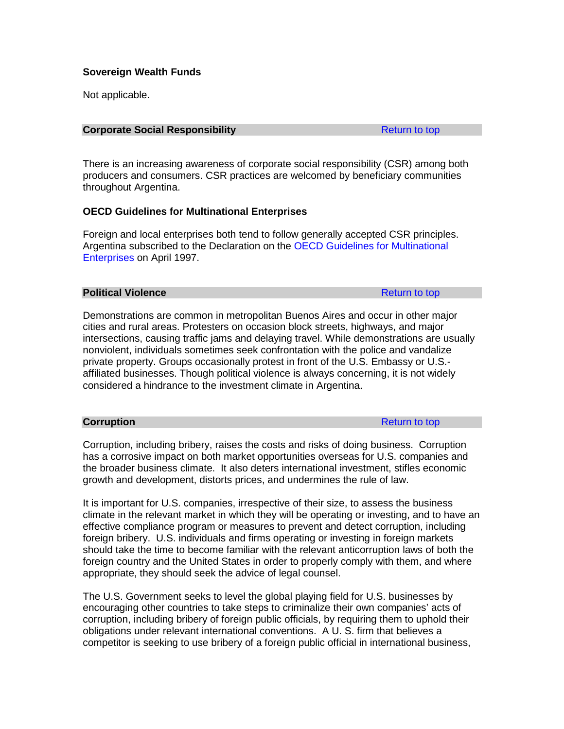# **Sovereign Wealth Funds**

Not applicable.

#### **Corporate Social Responsibility Corporate Social Responsibility [Return to top](#page-69-0)**

There is an increasing awareness of corporate social responsibility (CSR) among both producers and consumers. CSR practices are welcomed by beneficiary communities throughout Argentina.

# **OECD Guidelines for Multinational Enterprises**

Foreign and local enterprises both tend to follow generally accepted CSR principles. Argentina subscribed to the Declaration on the [OECD Guidelines for Multinational](http://www.oecd.org/corporate/mne/)  [Enterprises](http://www.oecd.org/corporate/mne/) on April 1997.

### **Political Violence [Return to top](#page-69-0) Return to top**

Demonstrations are common in metropolitan Buenos Aires and occur in other major cities and rural areas. Protesters on occasion block streets, highways, and major intersections, causing traffic jams and delaying travel. While demonstrations are usually nonviolent, individuals sometimes seek confrontation with the police and vandalize private property. Groups occasionally protest in front of the U.S. Embassy or U.S. affiliated businesses. Though political violence is always concerning, it is not widely considered a hindrance to the investment climate in Argentina.

**Corruption** [Return to top](#page-69-0) **Return to top** 

Corruption, including bribery, raises the costs and risks of doing business. Corruption has a corrosive impact on both market opportunities overseas for U.S. companies and the broader business climate. It also deters international investment, stifles economic growth and development, distorts prices, and undermines the rule of law.

It is important for U.S. companies, irrespective of their size, to assess the business climate in the relevant market in which they will be operating or investing, and to have an effective compliance program or measures to prevent and detect corruption, including foreign bribery. U.S. individuals and firms operating or investing in foreign markets should take the time to become familiar with the relevant anticorruption laws of both the foreign country and the United States in order to properly comply with them, and where appropriate, they should seek the advice of legal counsel.

The U.S. Government seeks to level the global playing field for U.S. businesses by encouraging other countries to take steps to criminalize their own companies' acts of corruption, including bribery of foreign public officials, by requiring them to uphold their obligations under relevant international conventions. A U. S. firm that believes a competitor is seeking to use bribery of a foreign public official in international business,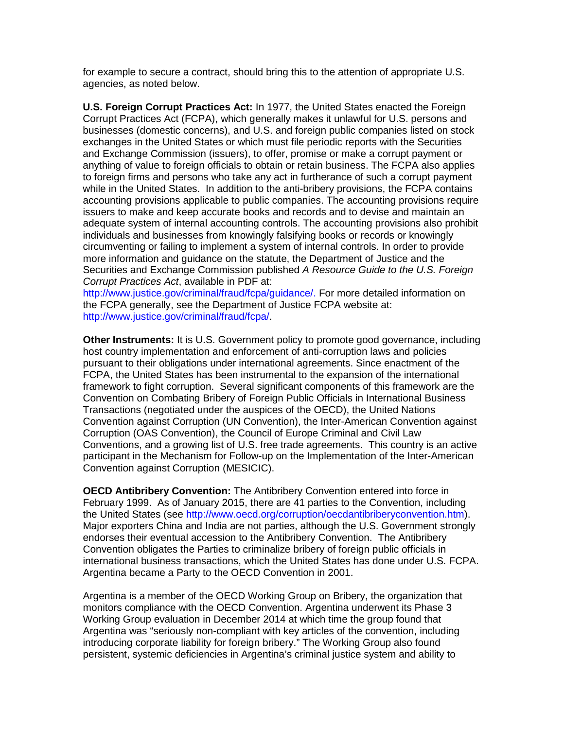for example to secure a contract, should bring this to the attention of appropriate U.S. agencies, as noted below.

**U.S. Foreign Corrupt Practices Act:** In 1977, the United States enacted the Foreign Corrupt Practices Act (FCPA), which generally makes it unlawful for U.S. persons and businesses (domestic concerns), and U.S. and foreign public companies listed on stock exchanges in the United States or which must file periodic reports with the Securities and Exchange Commission (issuers), to offer, promise or make a corrupt payment or anything of value to foreign officials to obtain or retain business. The FCPA also applies to foreign firms and persons who take any act in furtherance of such a corrupt payment while in the United States. In addition to the anti-bribery provisions, the FCPA contains accounting provisions applicable to public companies. The accounting provisions require issuers to make and keep accurate books and records and to devise and maintain an adequate system of internal accounting controls. The accounting provisions also prohibit individuals and businesses from knowingly falsifying books or records or knowingly circumventing or failing to implement a system of internal controls. In order to provide more information and guidance on the statute, the Department of Justice and the Securities and Exchange Commission published *A Resource Guide to the U.S. Foreign Corrupt Practices Act*, available in PDF at:

[http://www.justice.gov/criminal/fraud/fcpa/guidance/.](http://www.justice.gov/criminal/fraud/fcpa/guidance/) For more detailed information on the FCPA generally, see the Department of Justice FCPA website at: [http://www.justice.gov/criminal/fraud/fcpa/.](http://www.justice.gov/criminal/fraud/fcpa/)

**Other Instruments:** It is U.S. Government policy to promote good governance, including host country implementation and enforcement of anti-corruption laws and policies pursuant to their obligations under international agreements. Since enactment of the FCPA, the United States has been instrumental to the expansion of the international framework to fight corruption. Several significant components of this framework are the Convention on Combating Bribery of Foreign Public Officials in International Business Transactions (negotiated under the auspices of the OECD), the United Nations Convention against Corruption (UN Convention), the Inter-American Convention against Corruption (OAS Convention), the Council of Europe Criminal and Civil Law Conventions, and a growing list of U.S. free trade agreements. This country is an active participant in the Mechanism for Follow-up on the Implementation of the Inter-American Convention against Corruption (MESICIC).

**OECD Antibribery Convention:** The Antibribery Convention entered into force in February 1999. As of January 2015, there are 41 parties to the Convention, including the United States (see [http://www.oecd.org/corruption/oecdantibriberyconvention.htm\)](http://www.oecd.org/corruption/oecdantibriberyconvention.htm). Major exporters China and India are not parties, although the U.S. Government strongly endorses their eventual accession to the Antibribery Convention. The Antibribery Convention obligates the Parties to criminalize bribery of foreign public officials in international business transactions, which the United States has done under U.S. FCPA. Argentina became a Party to the OECD Convention in 2001.

Argentina is a member of the OECD Working Group on Bribery, the organization that monitors compliance with the OECD Convention. Argentina underwent its Phase 3 Working Group evaluation in December 2014 at which time the group found that Argentina was "seriously non-compliant with key articles of the convention, including introducing corporate liability for foreign bribery." The Working Group also found persistent, systemic deficiencies in Argentina's criminal justice system and ability to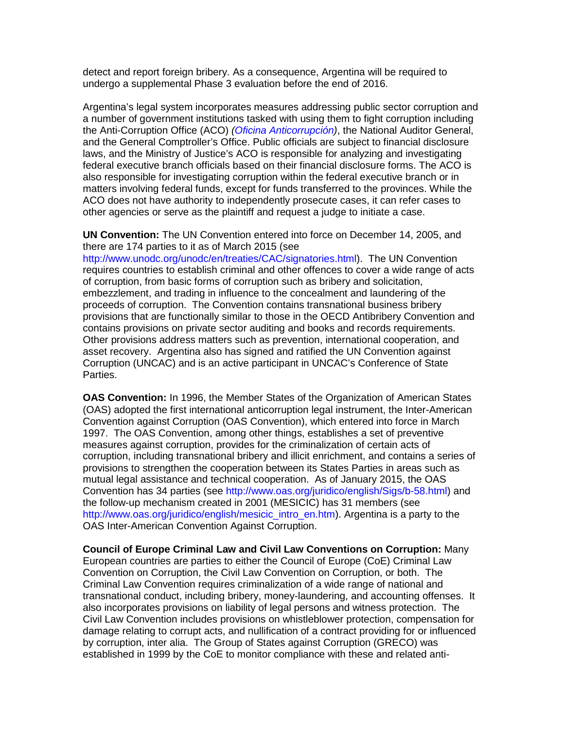detect and report foreign bribery. As a consequence, Argentina will be required to undergo a supplemental Phase 3 evaluation before the end of 2016.

Argentina's legal system incorporates measures addressing public sector corruption and a number of government institutions tasked with using them to fight corruption including the Anti-Corruption Office (ACO) *[\(Oficina Anticorrupción\)](http://www.anticorrupcion.gov.ar/)*, the National Auditor General, and the General Comptroller's Office. Public officials are subject to financial disclosure laws, and the Ministry of Justice's ACO is responsible for analyzing and investigating federal executive branch officials based on their financial disclosure forms. The ACO is also responsible for investigating corruption within the federal executive branch or in matters involving federal funds, except for funds transferred to the provinces. While the ACO does not have authority to independently prosecute cases, it can refer cases to other agencies or serve as the plaintiff and request a judge to initiate a case.

**UN Convention:** The UN Convention entered into force on December 14, 2005, and there are 174 parties to it as of March 2015 (see

[http://www.unodc.org/unodc/en/treaties/CAC/signatories.html\)](http://www.unodc.org/unodc/en/treaties/CAC/signatories.html). The UN Convention requires countries to establish criminal and other offences to cover a wide range of acts of corruption, from basic forms of corruption such as bribery and solicitation, embezzlement, and trading in influence to the concealment and laundering of the proceeds of corruption. The Convention contains transnational business bribery provisions that are functionally similar to those in the OECD Antibribery Convention and contains provisions on private sector auditing and books and records requirements. Other provisions address matters such as prevention, international cooperation, and asset recovery. Argentina also has signed and ratified the UN Convention against Corruption (UNCAC) and is an active participant in UNCAC's Conference of State Parties.

**OAS Convention:** In 1996, the Member States of the Organization of American States (OAS) adopted the first international anticorruption legal instrument, the Inter-American Convention against Corruption (OAS Convention), which entered into force in March 1997. The OAS Convention, among other things, establishes a set of preventive measures against corruption, provides for the criminalization of certain acts of corruption, including transnational bribery and illicit enrichment, and contains a series of provisions to strengthen the cooperation between its States Parties in areas such as mutual legal assistance and technical cooperation. As of January 2015, the OAS Convention has 34 parties (see [http://www.oas.org/juridico/english/Sigs/b-58.html\)](http://www.oas.org/juridico/english/Sigs/b-58.html) and the follow-up mechanism created in 2001 (MESICIC) has 31 members (see [http://www.oas.org/juridico/english/mesicic\\_intro\\_en.htm\)](http://www.oas.org/juridico/english/mesicic_intro_en.htm). Argentina is a party to the OAS Inter-American Convention Against Corruption.

**Council of Europe Criminal Law and Civil Law Conventions on Corruption:** Many European countries are parties to either the Council of Europe (CoE) Criminal Law Convention on Corruption, the Civil Law Convention on Corruption, or both. The Criminal Law Convention requires criminalization of a wide range of national and transnational conduct, including bribery, money-laundering, and accounting offenses. It also incorporates provisions on liability of legal persons and witness protection. The Civil Law Convention includes provisions on whistleblower protection, compensation for damage relating to corrupt acts, and nullification of a contract providing for or influenced by corruption, inter alia. The Group of States against Corruption (GRECO) was established in 1999 by the CoE to monitor compliance with these and related anti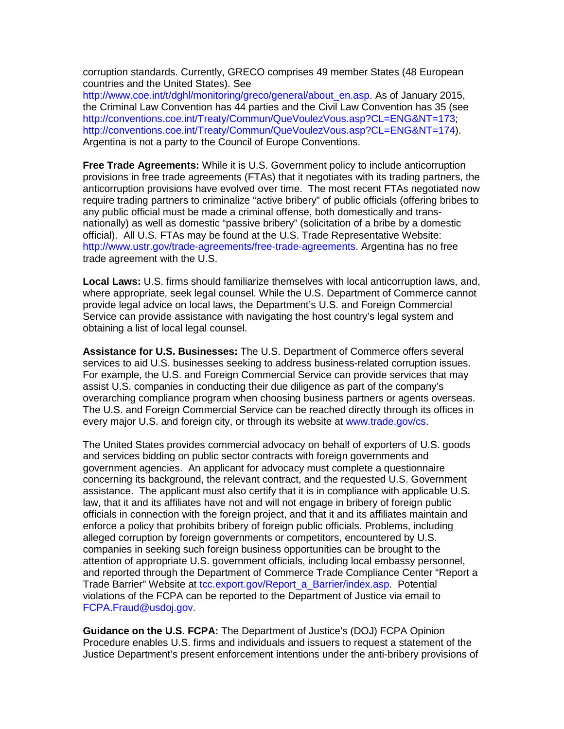corruption standards. Currently, GRECO comprises 49 member States (48 European countries and the United States). See

[http://www.coe.int/t/dghl/monitoring/greco/general/about\\_en.asp.](http://www.coe.int/t/dghl/monitoring/greco/general/about_en.asp) As of January 2015, the Criminal Law Convention has 44 parties and the Civil Law Convention has 35 (see [http://conventions.coe.int/Treaty/Commun/QueVoulezVous.asp?CL=ENG&NT=173;](http://conventions.coe.int/Treaty/Commun/QueVoulezVous.asp?CL=ENG&NT=173) [http://conventions.coe.int/Treaty/Commun/QueVoulezVous.asp?CL=ENG&NT=174\)](http://conventions.coe.int/Treaty/Commun/QueVoulezVous.asp?CL=ENG&NT=174). Argentina is not a party to the Council of Europe Conventions.

**Free Trade Agreements:** While it is U.S. Government policy to include anticorruption provisions in free trade agreements (FTAs) that it negotiates with its trading partners, the anticorruption provisions have evolved over time. The most recent FTAs negotiated now require trading partners to criminalize "active bribery" of public officials (offering bribes to any public official must be made a criminal offense, both domestically and transnationally) as well as domestic "passive bribery" (solicitation of a bribe by a domestic official). All U.S. FTAs may be found at the U.S. Trade Representative Website: [http://www.ustr.gov/trade-agreements/free-trade-agreements.](http://www.ustr.gov/trade-agreements/free-trade-agreements) Argentina has no free trade agreement with the U.S.

**Local Laws:** U.S. firms should familiarize themselves with local anticorruption laws, and, where appropriate, seek legal counsel. While the U.S. Department of Commerce cannot provide legal advice on local laws, the Department's U.S. and Foreign Commercial Service can provide assistance with navigating the host country's legal system and obtaining a list of local legal counsel.

**Assistance for U.S. Businesses:** The U.S. Department of Commerce offers several services to aid U.S. businesses seeking to address business-related corruption issues. For example, the U.S. and Foreign Commercial Service can provide services that may assist U.S. companies in conducting their due diligence as part of the company's overarching compliance program when choosing business partners or agents overseas. The U.S. and Foreign Commercial Service can be reached directly through its offices in every major U.S. and foreign city, or through its website at [www.trade.gov/cs.](http://www.trade.gov/cs)

The United States provides commercial advocacy on behalf of exporters of U.S. goods and services bidding on public sector contracts with foreign governments and government agencies. An applicant for advocacy must complete a questionnaire concerning its background, the relevant contract, and the requested U.S. Government assistance. The applicant must also certify that it is in compliance with applicable U.S. law, that it and its affiliates have not and will not engage in bribery of foreign public officials in connection with the foreign project, and that it and its affiliates maintain and enforce a policy that prohibits bribery of foreign public officials. Problems, including alleged corruption by foreign governments or competitors, encountered by U.S. companies in seeking such foreign business opportunities can be brought to the attention of appropriate U.S. government officials, including local embassy personnel, and reported through the Department of Commerce Trade Compliance Center "Report a Trade Barrier" Website at [tcc.export.gov/Report\\_a\\_Barrier/index.asp.](http://tcc.export.gov/Report_a_Barrier/index.asp) Potential violations of the FCPA can be reported to the Department of Justice via email to [FCPA.Fraud@usdoj.gov.](mailto:FCPA.Fraud@usdoj.gov)

**Guidance on the U.S. FCPA:** The Department of Justice's (DOJ) FCPA Opinion Procedure enables U.S. firms and individuals and issuers to request a statement of the Justice Department's present enforcement intentions under the anti-bribery provisions of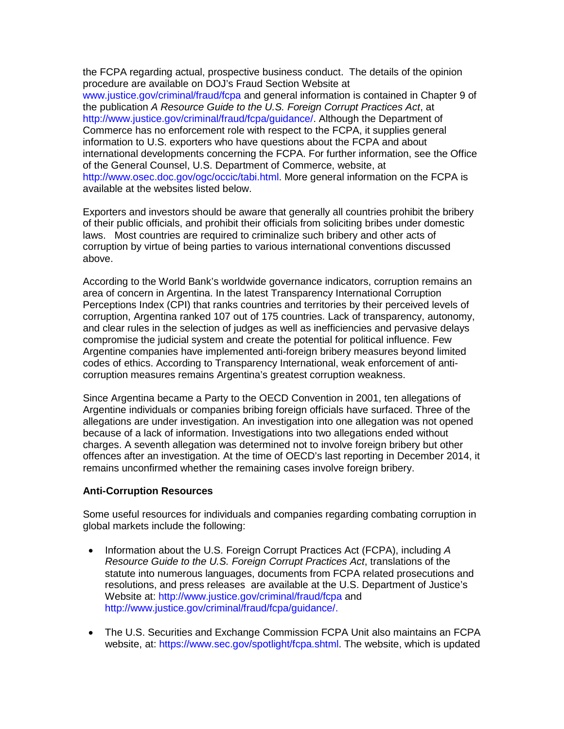the FCPA regarding actual, prospective business conduct. The details of the opinion procedure are available on DOJ's Fraud Section Website at [www.justice.gov/criminal/fraud/fcpa](http://www.justice.gov/criminal/fraud/fcpa) and general information is contained in Chapter 9 of the publication *A Resource Guide to the U.S. Foreign Corrupt Practices Act*, at [http://www.justice.gov/criminal/fraud/fcpa/guidance/.](http://www.justice.gov/criminal/fraud/fcpa/guidance/) Although the Department of Commerce has no enforcement role with respect to the FCPA, it supplies general information to U.S. exporters who have questions about the FCPA and about international developments concerning the FCPA. For further information, see the Office of the General Counsel, U.S. Department of Commerce, website, at [http://www.osec.doc.gov/ogc/occic/tabi.html.](http://www.osec.doc.gov/ogc/occic/tabi.html) More general information on the FCPA is available at the websites listed below.

Exporters and investors should be aware that generally all countries prohibit the bribery of their public officials, and prohibit their officials from soliciting bribes under domestic laws. Most countries are required to criminalize such bribery and other acts of corruption by virtue of being parties to various international conventions discussed above.

According to the World Bank's worldwide governance indicators, corruption remains an area of concern in Argentina. In the latest Transparency International Corruption Perceptions Index (CPI) that ranks countries and territories by their perceived levels of corruption, Argentina ranked 107 out of 175 countries. Lack of transparency, autonomy, and clear rules in the selection of judges as well as inefficiencies and pervasive delays compromise the judicial system and create the potential for political influence. Few Argentine companies have implemented anti-foreign bribery measures beyond limited codes of ethics. According to Transparency International, weak enforcement of anticorruption measures remains Argentina's greatest corruption weakness.

Since Argentina became a Party to the OECD Convention in 2001, ten allegations of Argentine individuals or companies bribing foreign officials have surfaced. Three of the allegations are under investigation. An investigation into one allegation was not opened because of a lack of information. Investigations into two allegations ended without charges. A seventh allegation was determined not to involve foreign bribery but other offences after an investigation. At the time of OECD's last reporting in December 2014, it remains unconfirmed whether the remaining cases involve foreign bribery.

# **Anti-Corruption Resources**

Some useful resources for individuals and companies regarding combating corruption in global markets include the following:

- Information about the U.S. Foreign Corrupt Practices Act (FCPA), including *A Resource Guide to the U.S. Foreign Corrupt Practices Act*, translations of the statute into numerous languages, documents from FCPA related prosecutions and resolutions, and press releases are available at the U.S. Department of Justice's Website at:<http://www.justice.gov/criminal/fraud/fcpa> and [http://www.justice.gov/criminal/fraud/fcpa/guidance/.](http://www.justice.gov/criminal/fraud/fcpa/guidance/)
- The U.S. Securities and Exchange Commission FCPA Unit also maintains an FCPA website, at: [https://www.sec.gov/spotlight/fcpa.shtml.](https://www.sec.gov/spotlight/fcpa.shtml) The website, which is updated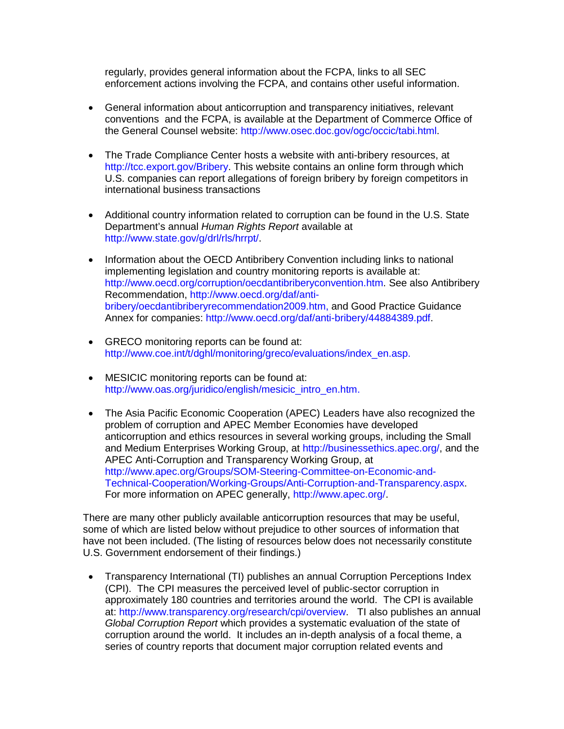regularly, provides general information about the FCPA, links to all SEC enforcement actions involving the FCPA, and contains other useful information.

- General information about anticorruption and transparency initiatives, relevant conventions and the FCPA, is available at the Department of Commerce Office of the General Counsel website: [http://www.osec.doc.gov/ogc/occic/tabi.html.](http://www.osec.doc.gov/ogc/occic/tabi.html)
- The Trade Compliance Center hosts a website with anti-bribery resources, at [http://tcc.export.gov/Bribery.](http://tcc.export.gov/Bribery) This website contains an online form through which U.S. companies can report allegations of foreign bribery by foreign competitors in international business transactions
- Additional country information related to corruption can be found in the U.S. State Department's annual *Human Rights Report* available at [http://www.state.gov/g/drl/rls/hrrpt/.](http://www.state.gov/g/drl/rls/hrrpt/)
- Information about the OECD Antibribery Convention including links to national implementing legislation and country monitoring reports is available at: [http://www.oecd.org/corruption/oecdantibriberyconvention.htm.](http://www.oecd.org/corruption/oecdantibriberyconvention.htm) See also Antibribery Recommendation, [http://www.oecd.org/daf/anti](http://www.oecd.org/daf/anti-bribery/oecdantibriberyrecommendation2009.htm)[bribery/oecdantibriberyrecommendation2009.htm,](http://www.oecd.org/daf/anti-bribery/oecdantibriberyrecommendation2009.htm) and Good Practice Guidance Annex for companies: [http://www.oecd.org/daf/anti-bribery/44884389.pdf.](http://www.oecd.org/daf/anti-bribery/44884389.pdf)
- GRECO monitoring reports can be found at: [http://www.coe.int/t/dghl/monitoring/greco/evaluations/index\\_en.asp.](http://www.coe.int/t/dghl/monitoring/greco/evaluations/index_en.asp)
- MESICIC monitoring reports can be found at: [http://www.oas.org/juridico/english/mesicic\\_intro\\_en.htm.](http://www.oas.org/juridico/english/mesicic_intro_en.htm)
- The Asia Pacific Economic Cooperation (APEC) Leaders have also recognized the problem of corruption and APEC Member Economies have developed anticorruption and ethics resources in several working groups, including the Small and Medium Enterprises Working Group, at [http://businessethics.apec.org/,](http://businessethics.apec.org/) and the APEC Anti-Corruption and Transparency Working Group, at [http://www.apec.org/Groups/SOM-Steering-Committee-on-Economic-and-](http://www.apec.org/Groups/SOM-Steering-Committee-on-Economic-and-Technical-Cooperation/Working-Groups/Anti-Corruption-and-Transparency.aspx)[Technical-Cooperation/Working-Groups/Anti-Corruption-and-Transparency.aspx.](http://www.apec.org/Groups/SOM-Steering-Committee-on-Economic-and-Technical-Cooperation/Working-Groups/Anti-Corruption-and-Transparency.aspx) For more information on APEC generally, [http://www.apec.org/.](http://www.apec.org/)

There are many other publicly available anticorruption resources that may be useful, some of which are listed below without prejudice to other sources of information that have not been included. (The listing of resources below does not necessarily constitute U.S. Government endorsement of their findings.)

• Transparency International (TI) publishes an annual Corruption Perceptions Index (CPI). The CPI measures the perceived level of public-sector corruption in approximately 180 countries and territories around the world. The CPI is available at: [http://www.transparency.org/research/cpi/overview.](http://www.transparency.org/research/cpi/overview) TI also publishes an annual *Global Corruption Report* which provides a systematic evaluation of the state of corruption around the world. It includes an in-depth analysis of a focal theme, a series of country reports that document major corruption related events and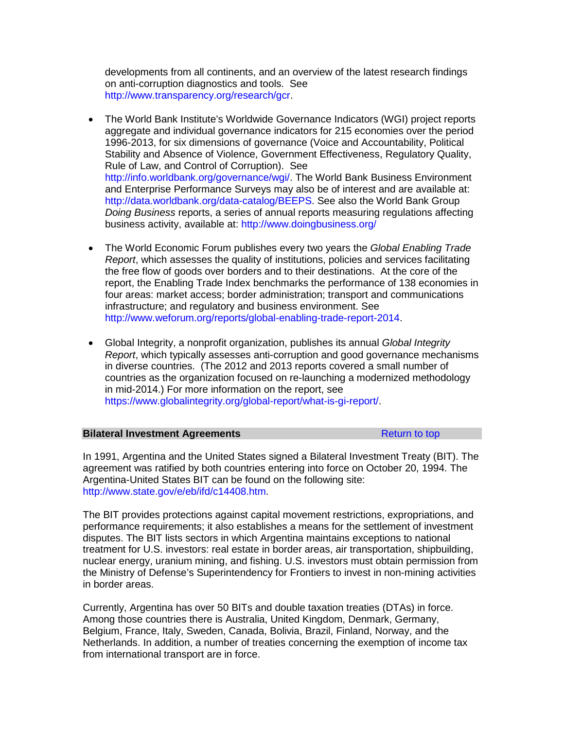developments from all continents, and an overview of the latest research findings on anti-corruption diagnostics and tools. See [http://www.transparency.org/research/gcr.](http://www.transparency.org/research/gcr)

- The World Bank Institute's Worldwide Governance Indicators (WGI) project reports aggregate and individual governance indicators for 215 economies over the period 1996-2013, for six dimensions of governance (Voice and Accountability, Political Stability and Absence of Violence, Government Effectiveness, Regulatory Quality, Rule of Law, and Control of Corruption). See [http://info.worldbank.org/governance/wgi/.](http://info.worldbank.org/governance/wgi/) The World Bank Business Environment and Enterprise Performance Surveys may also be of interest and are available at: [http://data.worldbank.org/data-catalog/BEEPS.](http://data.worldbank.org/data-catalog/BEEPS) See also the World Bank Group *Doing Business* reports, a series of annual reports measuring regulations affecting business activity, available at:<http://www.doingbusiness.org/>
- The World Economic Forum publishes every two years the *Global Enabling Trade Report*, which assesses the quality of institutions, policies and services facilitating the free flow of goods over borders and to their destinations. At the core of the report, the Enabling Trade Index benchmarks the performance of 138 economies in four areas: market access; border administration; transport and communications infrastructure; and regulatory and business environment. See [http://www.weforum.org/reports/global-enabling-trade-report-2014.](http://www.weforum.org/reports/global-enabling-trade-report-2014)
- Global Integrity, a nonprofit organization, publishes its annual *Global Integrity Report*, which typically assesses anti-corruption and good governance mechanisms in diverse countries. (The 2012 and 2013 reports covered a small number of countries as the organization focused on re-launching a modernized methodology in mid-2014.) For more information on the report, see [https://www.globalintegrity.org/global-report/what-is-gi-report/.](https://www.globalintegrity.org/global-report/what-is-gi-report/)

#### **Bilateral Investment Agreements** [Return to top](#page-69-0)

In 1991, Argentina and the United States signed a Bilateral Investment Treaty (BIT). The agreement was ratified by both countries entering into force on October 20, 1994. The Argentina-United States BIT can be found on the following site: [http://www.state.gov/e/eb/ifd/c14408.htm.](http://www.state.gov/e/eb/ifd/c14408.htm)

The BIT provides protections against capital movement restrictions, expropriations, and performance requirements; it also establishes a means for the settlement of investment disputes. The BIT lists sectors in which Argentina maintains exceptions to national treatment for U.S. investors: real estate in border areas, air transportation, shipbuilding, nuclear energy, uranium mining, and fishing. U.S. investors must obtain permission from the Ministry of Defense's Superintendency for Frontiers to invest in non-mining activities in border areas.

Currently, Argentina has over 50 BITs and double taxation treaties (DTAs) in force. Among those countries there is Australia, United Kingdom, Denmark, Germany, Belgium, France, Italy, Sweden, Canada, Bolivia, Brazil, Finland, Norway, and the Netherlands. In addition, a number of treaties concerning the exemption of income tax from international transport are in force.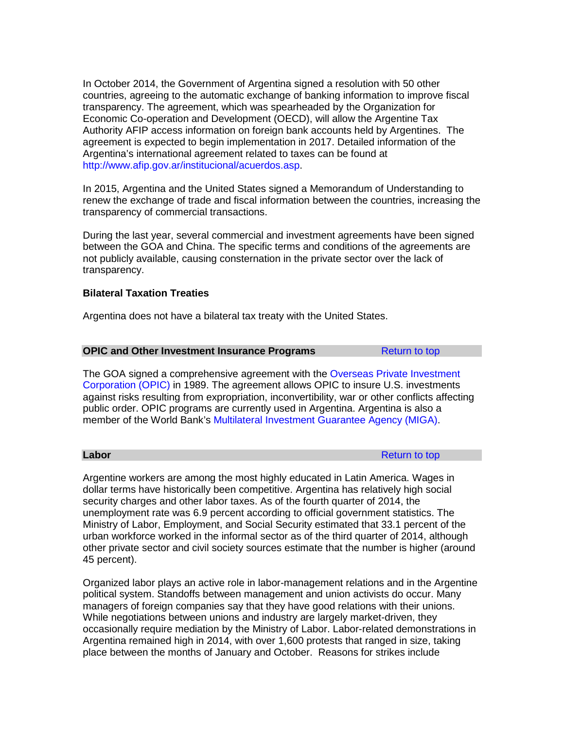In October 2014, the Government of Argentina signed a resolution with 50 other countries, agreeing to the automatic exchange of banking information to improve fiscal transparency. The agreement, which was spearheaded by the Organization for Economic Co-operation and Development (OECD), will allow the Argentine Tax Authority AFIP access information on foreign bank accounts held by Argentines. The agreement is expected to begin implementation in 2017. Detailed information of the Argentina's international agreement related to taxes can be found at [http://www.afip.gov.ar/institucional/acuerdos.asp.](http://www.afip.gov.ar/institucional/acuerdos.asp)

In 2015, Argentina and the United States signed a Memorandum of Understanding to renew the exchange of trade and fiscal information between the countries, increasing the transparency of commercial transactions.

During the last year, several commercial and investment agreements have been signed between the GOA and China. The specific terms and conditions of the agreements are not publicly available, causing consternation in the private sector over the lack of transparency.

# **Bilateral Taxation Treaties**

Argentina does not have a bilateral tax treaty with the United States.

# **OPIC and Other Investment Insurance Programs** [Return to top](#page-69-0)

The GOA signed a comprehensive agreement with the [Overseas Private Investment](https://www.opic.gov/)  [Corporation \(OPIC\)](https://www.opic.gov/) in 1989. The agreement allows OPIC to insure U.S. investments against risks resulting from expropriation, inconvertibility, war or other conflicts affecting public order. OPIC programs are currently used in Argentina. Argentina is also a member of the World Bank's [Multilateral Investment Guarantee Agency \(MIGA\).](https://www.miga.org/)

**Labor** [Return to top](#page-69-0) and the set of the set of the set of the set of the set of the set of the set of the set of the set of the set of the set of the set of the set of the set of the set of the set of the set of the set o

Argentine workers are among the most highly educated in Latin America. Wages in dollar terms have historically been competitive. Argentina has relatively high social security charges and other labor taxes. As of the fourth quarter of 2014, the unemployment rate was 6.9 percent according to official government statistics. The Ministry of Labor, Employment, and Social Security estimated that 33.1 percent of the urban workforce worked in the informal sector as of the third quarter of 2014, although other private sector and civil society sources estimate that the number is higher (around 45 percent).

Organized labor plays an active role in labor-management relations and in the Argentine political system. Standoffs between management and union activists do occur. Many managers of foreign companies say that they have good relations with their unions. While negotiations between unions and industry are largely market-driven, they occasionally require mediation by the Ministry of Labor. Labor-related demonstrations in Argentina remained high in 2014, with over 1,600 protests that ranged in size, taking place between the months of January and October. Reasons for strikes include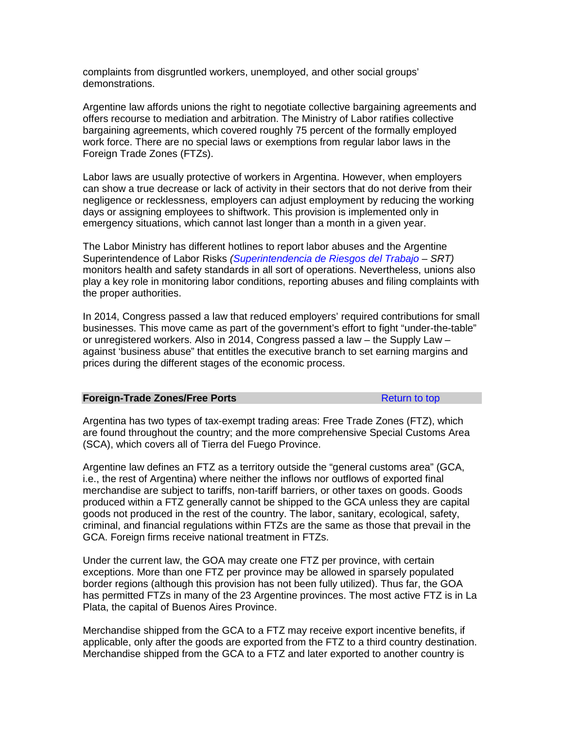complaints from disgruntled workers, unemployed, and other social groups' demonstrations.

Argentine law affords unions the right to negotiate collective bargaining agreements and offers recourse to mediation and arbitration. The Ministry of Labor ratifies collective bargaining agreements, which covered roughly 75 percent of the formally employed work force. There are no special laws or exemptions from regular labor laws in the Foreign Trade Zones (FTZs).

Labor laws are usually protective of workers in Argentina. However, when employers can show a true decrease or lack of activity in their sectors that do not derive from their negligence or recklessness, employers can adjust employment by reducing the working days or assigning employees to shiftwork. This provision is implemented only in emergency situations, which cannot last longer than a month in a given year.

The Labor Ministry has different hotlines to report labor abuses and the Argentine Superintendence of Labor Risks *[\(Superintendencia de Riesgos del Trabajo](http://www.srt.gob.ar/) – SRT)*  monitors health and safety standards in all sort of operations. Nevertheless, unions also play a key role in monitoring labor conditions, reporting abuses and filing complaints with the proper authorities.

In 2014, Congress passed a law that reduced employers' required contributions for small businesses. This move came as part of the government's effort to fight "under-the-table" or unregistered workers. Also in 2014, Congress passed a law – the Supply Law – against 'business abuse" that entitles the executive branch to set earning margins and prices during the different stages of the economic process.

#### **Foreign-Trade Zones/Free Ports [Return to top](#page-69-0) Return to top**

Argentina has two types of tax-exempt trading areas: Free Trade Zones (FTZ), which are found throughout the country; and the more comprehensive Special Customs Area (SCA), which covers all of Tierra del Fuego Province.

Argentine law defines an FTZ as a territory outside the "general customs area" (GCA, i.e., the rest of Argentina) where neither the inflows nor outflows of exported final merchandise are subject to tariffs, non-tariff barriers, or other taxes on goods. Goods produced within a FTZ generally cannot be shipped to the GCA unless they are capital goods not produced in the rest of the country. The labor, sanitary, ecological, safety, criminal, and financial regulations within FTZs are the same as those that prevail in the GCA. Foreign firms receive national treatment in FTZs.

Under the current law, the GOA may create one FTZ per province, with certain exceptions. More than one FTZ per province may be allowed in sparsely populated border regions (although this provision has not been fully utilized). Thus far, the GOA has permitted FTZs in many of the 23 Argentine provinces. The most active FTZ is in La Plata, the capital of Buenos Aires Province.

Merchandise shipped from the GCA to a FTZ may receive export incentive benefits, if applicable, only after the goods are exported from the FTZ to a third country destination. Merchandise shipped from the GCA to a FTZ and later exported to another country is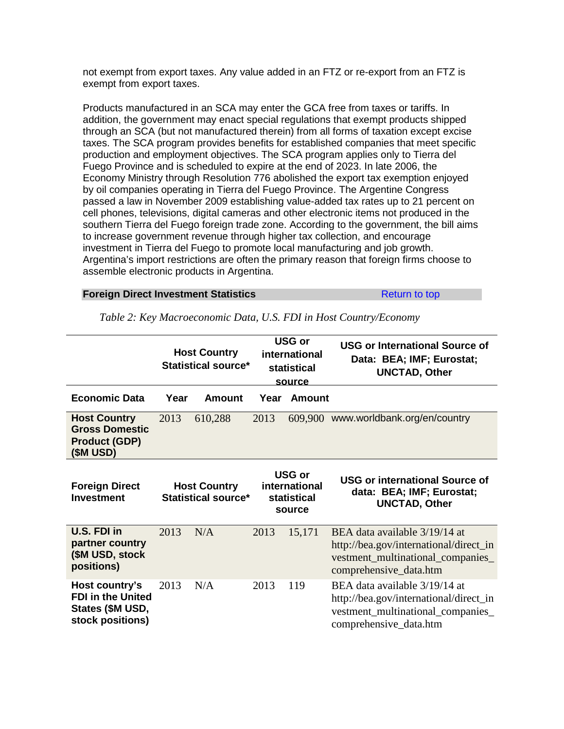not exempt from export taxes. Any value added in an FTZ or re-export from an FTZ is exempt from export taxes.

Products manufactured in an SCA may enter the GCA free from taxes or tariffs. In addition, the government may enact special regulations that exempt products shipped through an SCA (but not manufactured therein) from all forms of taxation except excise taxes. The SCA program provides benefits for established companies that meet specific production and employment objectives. The SCA program applies only to Tierra del Fuego Province and is scheduled to expire at the end of 2023. In late 2006, the Economy Ministry through Resolution 776 abolished the export tax exemption enjoyed by oil companies operating in Tierra del Fuego Province. The Argentine Congress passed a law in November 2009 establishing value-added tax rates up to 21 percent on cell phones, televisions, digital cameras and other electronic items not produced in the southern Tierra del Fuego foreign trade zone. According to the government, the bill aims to increase government revenue through higher tax collection, and encourage investment in Tierra del Fuego to promote local manufacturing and job growth. Argentina's import restrictions are often the primary reason that foreign firms choose to assemble electronic products in Argentina.

#### **Foreign Direct Investment Statistics [Return to top](#page-69-0) Return to top**

|                                                                                    |      | <b>Host Country</b><br><b>Statistical source*</b> |      | USG or<br>international<br>statistical<br>source        | <b>USG or International Source of</b><br>Data: BEA; IMF; Eurostat;<br><b>UNCTAD, Other</b>                                             |
|------------------------------------------------------------------------------------|------|---------------------------------------------------|------|---------------------------------------------------------|----------------------------------------------------------------------------------------------------------------------------------------|
| <b>Economic Data</b>                                                               | Year | <b>Amount</b>                                     | Year | Amount                                                  |                                                                                                                                        |
| <b>Host Country</b><br><b>Gross Domestic</b><br><b>Product (GDP)</b><br>(\$M USD)  | 2013 | 610,288                                           | 2013 |                                                         | 609,900 www.worldbank.org/en/country                                                                                                   |
| <b>Foreign Direct</b><br><b>Investment</b>                                         |      | <b>Host Country</b><br><b>Statistical source*</b> |      | <b>USG or</b><br>international<br>statistical<br>source | <b>USG or international Source of</b><br>data: BEA; IMF; Eurostat;<br><b>UNCTAD, Other</b>                                             |
| U.S. FDI in<br>partner country<br>(\$M USD, stock<br>positions)                    | 2013 | N/A                                               | 2013 | 15,171                                                  | BEA data available 3/19/14 at<br>http://bea.gov/international/direct_in<br>vestment_multinational_companies_<br>comprehensive_data.htm |
| Host country's<br><b>FDI in the United</b><br>States (\$M USD,<br>stock positions) | 2013 | N/A                                               | 2013 | 119                                                     | BEA data available 3/19/14 at<br>http://bea.gov/international/direct_in<br>vestment_multinational_companies_<br>comprehensive_data.htm |

*Table 2: Key Macroeconomic Data, U.S. FDI in Host Country/Economy*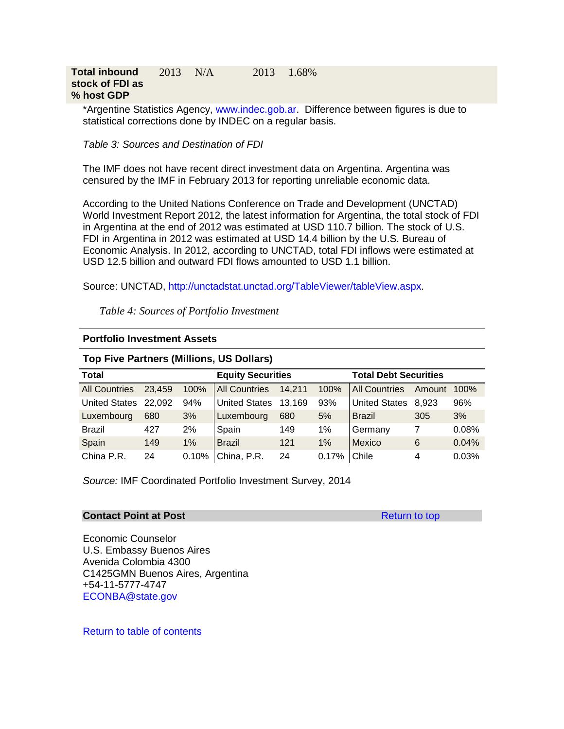\*Argentine Statistics Agency, [www.indec.gob.ar.](http://www.indec.gob.ar/) Difference between figures is due to statistical corrections done by INDEC on a regular basis.

*Table 3: Sources and Destination of FDI*

The IMF does not have recent direct investment data on Argentina. Argentina was censured by the IMF in February 2013 for reporting unreliable economic data.

According to the United Nations Conference on Trade and Development (UNCTAD) World Investment Report 2012, the latest information for Argentina, the total stock of FDI in Argentina at the end of 2012 was estimated at USD 110.7 billion. The stock of U.S. FDI in Argentina in 2012 was estimated at USD 14.4 billion by the U.S. Bureau of Economic Analysis. In 2012, according to UNCTAD, total FDI inflows were estimated at USD 12.5 billion and outward FDI flows amounted to USD 1.1 billion.

Source: UNCTAD, [http://unctadstat.unctad.org/TableViewer/tableView.aspx.](http://unctadstat.unctad.org/TableViewer/tableView.aspx)

*Table 4: Sources of Portfolio Investment*

| <b>Portfolio Investment Assets</b> |  |
|------------------------------------|--|
|                                    |  |

# **Top Five Partners (Millions, US Dollars)**

| <b>Total</b>         |        |       | <b>Equity Securities</b> |        |               | <b>Total Debt Securities</b> |        |       |
|----------------------|--------|-------|--------------------------|--------|---------------|------------------------------|--------|-------|
| <b>All Countries</b> | 23,459 | 100%  | <b>All Countries</b>     | 14,211 | 100%          | <b>All Countries</b>         | Amount | 100%  |
| United States 22,092 |        | 94%   | <b>United States</b>     | 13,169 | 93%           | United States 8,923          |        | 96%   |
| Luxembourg           | 680    | 3%    | Luxembourg               | 680    | 5%            | <b>Brazil</b>                | 305    | 3%    |
| <b>Brazil</b>        | 427    | 2%    | Spain                    | 149    | 1%            | Germany                      | 7      | 0.08% |
| Spain                | 149    | $1\%$ | <b>Brazil</b>            | 121    | 1%            | Mexico                       | 6      | 0.04% |
| China P.R.           | 24     | 0.10% | China, P.R.              | 24     | 0.17%   Chile |                              | 4      | 0.03% |

*Source:* IMF Coordinated Portfolio Investment Survey, 2014

### **Contact Point at Post** [Return to top](#page-69-0) Return to top

Economic Counselor U.S. Embassy Buenos Aires Avenida Colombia 4300 C1425GMN Buenos Aires, Argentina +54-11-5777-4747 [ECONBA@state.gov](mailto:ECONBA@state.gov)

[Return to table of contents](#page-0-0)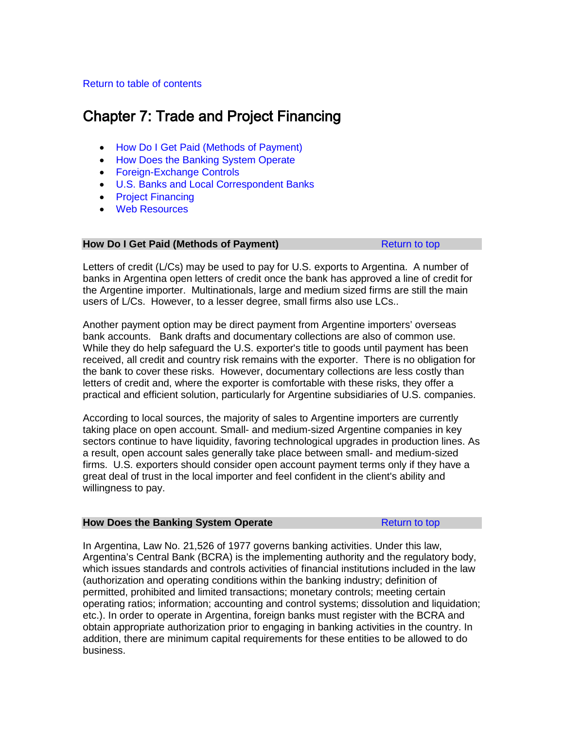# <span id="page-96-2"></span>[Return to table of contents](#page-0-0)

# Chapter 7: Trade and Project Financing

- [How Do I Get Paid \(Methods of Payment\)](#page-96-0)
- How [Does the Banking System Operate](#page-96-1)
- [Foreign-Exchange Controls](#page-98-0)
- [U.S. Banks and Local Correspondent Banks](#page-99-0)
- [Project Financing](#page-99-1)
- [Web Resources](#page-101-0)

### <span id="page-96-0"></span>**How Do I Get Paid (Methods of Payment)** [Return to top](#page-96-2)

Letters of credit (L/Cs) may be used to pay for U.S. exports to Argentina. A number of banks in Argentina open letters of credit once the bank has approved a line of credit for the Argentine importer. Multinationals, large and medium sized firms are still the main users of L/Cs. However, to a lesser degree, small firms also use LCs..

Another payment option may be direct payment from Argentine importers' overseas bank accounts. Bank drafts and documentary collections are also of common use. While they do help safeguard the U.S. exporter's title to goods until payment has been received, all credit and country risk remains with the exporter. There is no obligation for the bank to cover these risks. However, documentary collections are less costly than letters of credit and, where the exporter is comfortable with these risks, they offer a practical and efficient solution, particularly for Argentine subsidiaries of U.S. companies.

According to local sources, the majority of sales to Argentine importers are currently taking place on open account. Small- and medium-sized Argentine companies in key sectors continue to have liquidity, favoring technological upgrades in production lines. As a result, open account sales generally take place between small- and medium-sized firms. U.S. exporters should consider open account payment terms only if they have a great deal of trust in the local importer and feel confident in the client's ability and willingness to pay.

#### <span id="page-96-1"></span>**How Does the Banking System Operate [Return to top](#page-96-2)** Return to top

In Argentina, Law No. 21,526 of 1977 governs banking activities. Under this law, Argentina's Central Bank (BCRA) is the implementing authority and the regulatory body, which issues standards and controls activities of financial institutions included in the law (authorization and operating conditions within the banking industry; definition of permitted, prohibited and limited transactions; monetary controls; meeting certain operating ratios; information; accounting and control systems; dissolution and liquidation; etc.). In order to operate in Argentina, foreign banks must register with the BCRA and obtain appropriate authorization prior to engaging in banking activities in the country. In addition, there are minimum capital requirements for these entities to be allowed to do business.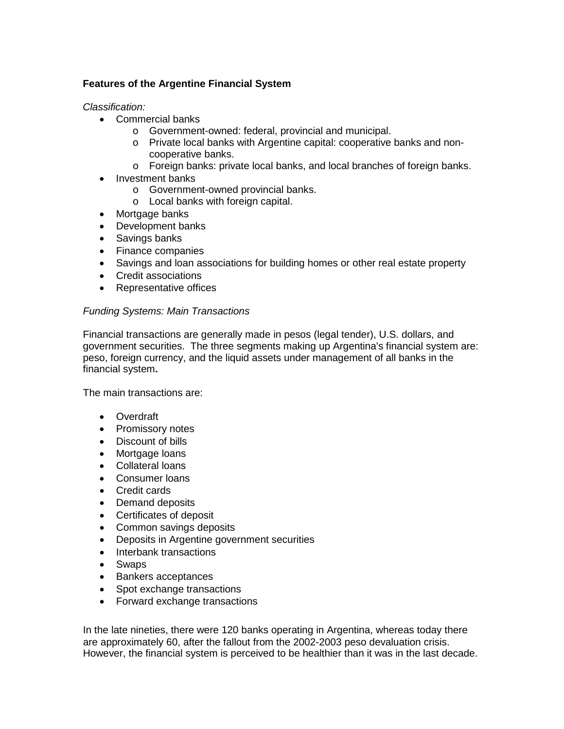# **Features of the Argentine Financial System**

*Classification:*

- Commercial banks
	- o Government-owned: federal, provincial and municipal.
	- o Private local banks with Argentine capital: cooperative banks and noncooperative banks.
	- o Foreign banks: private local banks, and local branches of foreign banks.
- Investment banks
	- o Government-owned provincial banks.
	- o Local banks with foreign capital.
- Mortgage banks
- Development banks
- Savings banks
- Finance companies
- Savings and loan associations for building homes or other real estate property
- Credit associations
- Representative offices

# *Funding Systems: Main Transactions*

Financial transactions are generally made in pesos (legal tender), U.S. dollars, and government securities. The three segments making up Argentina's financial system are: peso, foreign currency, and the liquid assets under management of all banks in the financial system**.**

The main transactions are:

- Overdraft
- Promissory notes
- Discount of bills
- Mortgage loans
- Collateral loans
- Consumer loans
- Credit cards
- Demand deposits
- Certificates of deposit
- Common savings deposits
- Deposits in Argentine government securities
- Interbank transactions
- Swaps
- Bankers acceptances
- Spot exchange transactions
- Forward exchange transactions

In the late nineties, there were 120 banks operating in Argentina, whereas today there are approximately 60, after the fallout from the 2002-2003 peso devaluation crisis. However, the financial system is perceived to be healthier than it was in the last decade.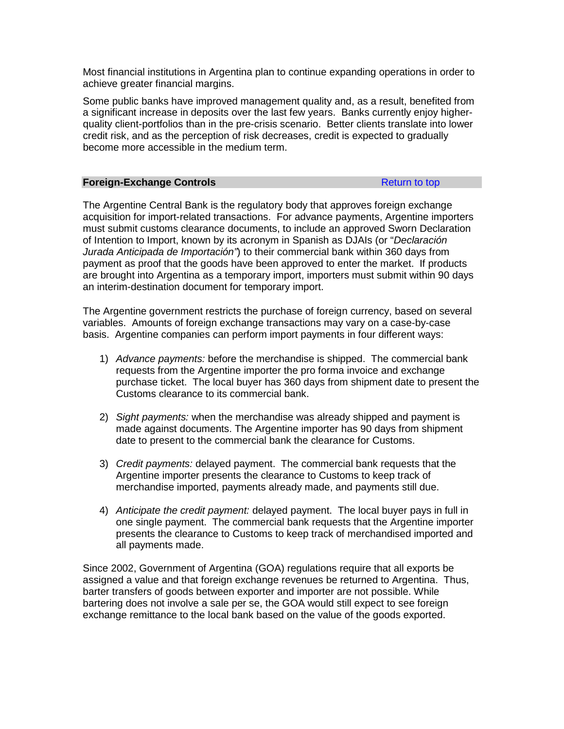Most financial institutions in Argentina plan to continue expanding operations in order to achieve greater financial margins.

Some public banks have improved management quality and, as a result, benefited from a significant increase in deposits over the last few years. Banks currently enjoy higherquality client-portfolios than in the pre-crisis scenario. Better clients translate into lower credit risk, and as the perception of risk decreases, credit is expected to gradually become more accessible in the medium term.

#### <span id="page-98-0"></span>**Foreign-Exchange Controls** [Return to top](#page-96-2)

The Argentine Central Bank is the regulatory body that approves foreign exchange acquisition for import-related transactions. For advance payments, Argentine importers must submit customs clearance documents, to include an approved Sworn Declaration of Intention to Import, known by its acronym in Spanish as DJAIs (or "*Declaración Jurada Anticipada de Importación"*) to their commercial bank within 360 days from payment as proof that the goods have been approved to enter the market. If products are brought into Argentina as a temporary import, importers must submit within 90 days an interim-destination document for temporary import.

The Argentine government restricts the purchase of foreign currency, based on several variables. Amounts of foreign exchange transactions may vary on a case-by-case basis. Argentine companies can perform import payments in four different ways:

- 1) *Advance payments:* before the merchandise is shipped. The commercial bank requests from the Argentine importer the pro forma invoice and exchange purchase ticket. The local buyer has 360 days from shipment date to present the Customs clearance to its commercial bank.
- 2) *Sight payments:* when the merchandise was already shipped and payment is made against documents. The Argentine importer has 90 days from shipment date to present to the commercial bank the clearance for Customs.
- 3) *Credit payments:* delayed payment. The commercial bank requests that the Argentine importer presents the clearance to Customs to keep track of merchandise imported, payments already made, and payments still due.
- 4) *Anticipate the credit payment:* delayed payment. The local buyer pays in full in one single payment. The commercial bank requests that the Argentine importer presents the clearance to Customs to keep track of merchandised imported and all payments made.

Since 2002, Government of Argentina (GOA) regulations require that all exports be assigned a value and that foreign exchange revenues be returned to Argentina. Thus, barter transfers of goods between exporter and importer are not possible. While bartering does not involve a sale per se, the GOA would still expect to see foreign exchange remittance to the local bank based on the value of the goods exported.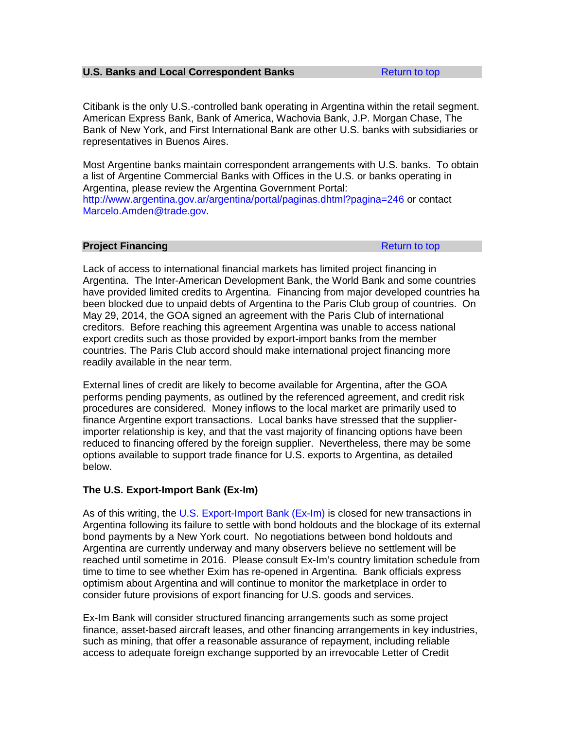# <span id="page-99-0"></span>**U.S. Banks and Local Correspondent Banks [Return to top](#page-96-2)**

Citibank is the only U.S.-controlled bank operating in Argentina within the retail segment. American Express Bank, Bank of America, Wachovia Bank, J.P. Morgan Chase, The Bank of New York, and First International Bank are other U.S. banks with subsidiaries or representatives in Buenos Aires.

Most Argentine banks maintain correspondent arrangements with U.S. banks. To obtain a list of Argentine Commercial Banks with Offices in the U.S. or banks operating in Argentina, please review the Argentina Government Portal: <http://www.argentina.gov.ar/argentina/portal/paginas.dhtml?pagina=246> or contact [Marcelo.Amden@trade.gov.](mailto:Marcelo.Amden@trade.gov)

# <span id="page-99-1"></span>**Project Financing [Return to top](#page-96-2) Return to top**

Lack of access to international financial markets has limited project financing in Argentina. The Inter-American Development Bank, the World Bank and some countries have provided limited credits to Argentina. Financing from major developed countries ha been blocked due to unpaid debts of Argentina to the Paris Club group of countries. On May 29, 2014, the GOA signed an agreement with the Paris Club of international creditors. Before reaching this agreement Argentina was unable to access national export credits such as those provided by export-import banks from the member countries. The Paris Club accord should make international project financing more readily available in the near term.

External lines of credit are likely to become available for Argentina, after the GOA performs pending payments, as outlined by the referenced agreement, and credit risk procedures are considered. Money inflows to the local market are primarily used to finance Argentine export transactions. Local banks have stressed that the supplierimporter relationship is key, and that the vast majority of financing options have been reduced to financing offered by the foreign supplier. Nevertheless, there may be some options available to support trade finance for U.S. exports to Argentina, as detailed below.

# **The U.S. Export-Import Bank (Ex-Im)**

As of this writing, the [U.S. Export-Import Bank \(Ex-Im\)](http://www.exim.gov/) is closed for new transactions in Argentina following its failure to settle with bond holdouts and the blockage of its external bond payments by a New York court. No negotiations between bond holdouts and Argentina are currently underway and many observers believe no settlement will be reached until sometime in 2016. Please consult Ex-Im's country limitation schedule from time to time to see whether Exim has re-opened in Argentina. Bank officials express optimism about Argentina and will continue to monitor the marketplace in order to consider future provisions of export financing for U.S. goods and services.

Ex-Im Bank will consider structured financing arrangements such as some project finance, asset-based aircraft leases, and other financing arrangements in key industries, such as mining, that offer a reasonable assurance of repayment, including reliable access to adequate foreign exchange supported by an irrevocable Letter of Credit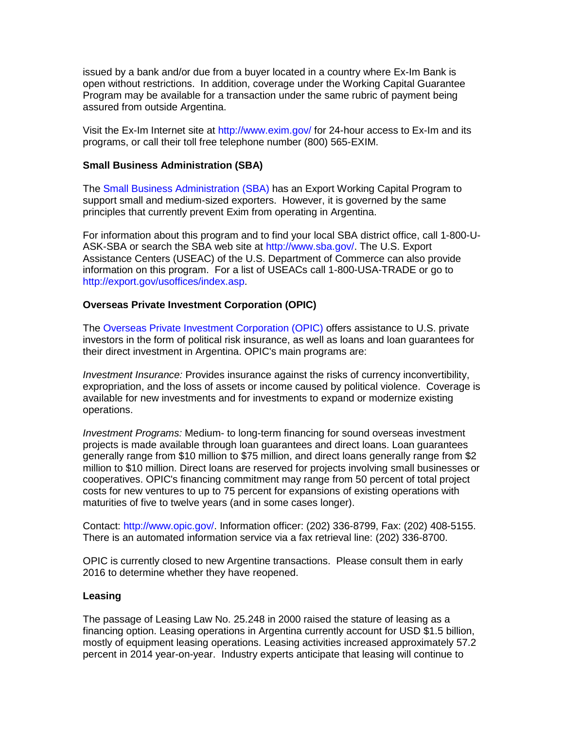issued by a bank and/or due from a buyer located in a country where Ex-Im Bank is open without restrictions. In addition, coverage under the Working Capital Guarantee Program may be available for a transaction under the same rubric of payment being assured from outside Argentina.

Visit the Ex-Im Internet site at<http://www.exim.gov/> for 24-hour access to Ex-Im and its programs, or call their toll free telephone number (800) 565-EXIM.

### **Small Business Administration (SBA)**

The [Small Business Administration](https://www.sba.gov/) (SBA) has an Export Working Capital Program to support small and medium-sized exporters. However, it is governed by the same principles that currently prevent Exim from operating in Argentina.

For information about this program and to find your local SBA district office, call 1-800-U-ASK-SBA or search the SBA web site at [http://www.sba.gov/.](http://www.sba.gov/) The U.S. Export Assistance Centers (USEAC) of the U.S. Department of Commerce can also provide information on this program. For a list of USEACs call 1-800-USA-TRADE or go to [http://export.gov/usoffices/index.asp.](http://export.gov/usoffices/index.asp)

#### **Overseas Private Investment Corporation (OPIC)**

The [Overseas Private Investment Corporation \(OPIC\)](http://www.opic.gov/) offers assistance to U.S. private investors in the form of political risk insurance, as well as loans and loan guarantees for their direct investment in Argentina. OPIC's main programs are:

*Investment Insurance:* Provides insurance against the risks of currency inconvertibility, expropriation, and the loss of assets or income caused by political violence. Coverage is available for new investments and for investments to expand or modernize existing operations.

*Investment Programs:* Medium- to long-term financing for sound overseas investment projects is made available through loan guarantees and direct loans. Loan guarantees generally range from \$10 million to \$75 million, and direct loans generally range from \$2 million to \$10 million. Direct loans are reserved for projects involving small businesses or cooperatives. OPIC's financing commitment may range from 50 percent of total project costs for new ventures to up to 75 percent for expansions of existing operations with maturities of five to twelve years (and in some cases longer).

Contact: [http://www.opic.gov/.](http://www.opic.gov/) Information officer: (202) 336-8799, Fax: (202) 408-5155. There is an automated information service via a fax retrieval line: (202) 336-8700.

OPIC is currently closed to new Argentine transactions. Please consult them in early 2016 to determine whether they have reopened.

#### **Leasing**

The passage of Leasing Law No. 25.248 in 2000 raised the stature of leasing as a financing option. Leasing operations in Argentina currently account for USD \$1.5 billion, mostly of equipment leasing operations. Leasing activities increased approximately 57.2 percent in 2014 year-on-year. Industry experts anticipate that leasing will continue to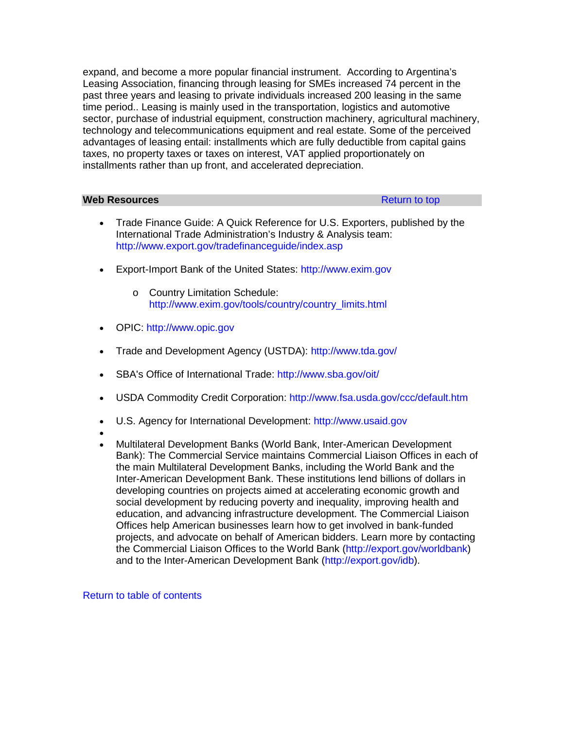expand, and become a more popular financial instrument. According to Argentina's Leasing Association, financing through leasing for SMEs increased 74 percent in the past three years and leasing to private individuals increased 200 leasing in the same time period.. Leasing is mainly used in the transportation, logistics and automotive sector, purchase of industrial equipment, construction machinery, agricultural machinery, technology and telecommunications equipment and real estate. Some of the perceived advantages of leasing entail: installments which are fully deductible from capital gains taxes, no property taxes or taxes on interest, VAT applied proportionately on installments rather than up front, and accelerated depreciation.

# <span id="page-101-0"></span>**Web Resources Resources [Return to top](#page-96-2)**

- Trade Finance Guide: A Quick Reference for U.S. Exporters, published by the International Trade Administration's Industry & Analysis team: <http://www.export.gov/tradefinanceguide/index.asp>
- Export-Import Bank of the United States: [http://www.exim.gov](http://www.exim.gov/)
	- o Country Limitation Schedule: [http://www.exim.gov/tools/country/country\\_limits.html](http://www.exim.gov/tools/country/country_limits.html)
- OPIC: [http://www.opic.gov](http://www.opic.gov/)
- Trade and Development Agency (USTDA):<http://www.tda.gov/>
- SBA's Office of International Trade:<http://www.sba.gov/oit/>
- USDA Commodity Credit Corporation:<http://www.fsa.usda.gov/ccc/default.htm>
- U.S. Agency for International Development: [http://www.usaid.gov](http://www.usaid.gov/)
- •
- Multilateral Development Banks (World Bank, Inter-American Development Bank): The Commercial Service maintains Commercial Liaison Offices in each of the main Multilateral Development Banks, including the World Bank and the Inter-American Development Bank. These institutions lend billions of dollars in developing countries on projects aimed at accelerating economic growth and social development by reducing poverty and inequality, improving health and education, and advancing infrastructure development. The Commercial Liaison Offices help American businesses learn how to get involved in bank-funded projects, and advocate on behalf of American bidders. Learn more by contacting the Commercial Liaison Offices to the World Bank [\(http://export.gov/worldbank\)](http://export.gov/worldbank) and to the Inter-American Development Bank [\(http://export.gov/idb\)](http://export.gov/idb).

# [Return to table of contents](#page-0-0)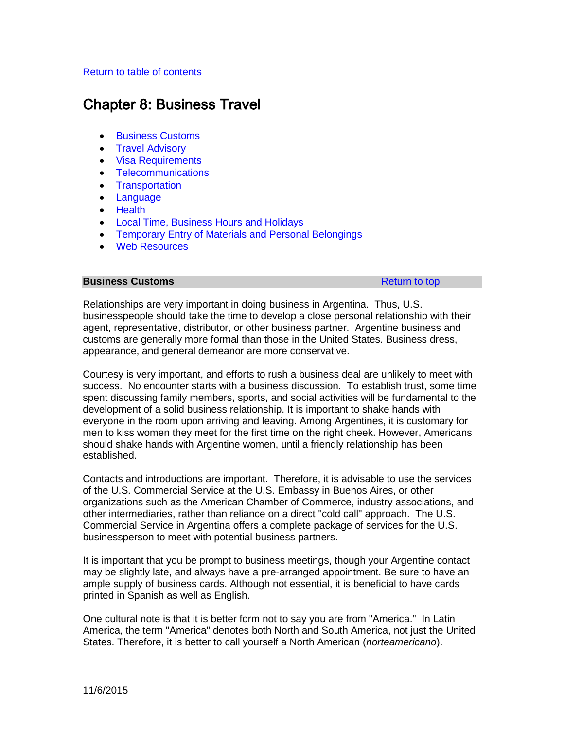# <span id="page-102-1"></span>[Return to table of contents](#page-0-0)

# Chapter 8: Business Travel

- [Business Customs](#page-102-0)
- [Travel Advisory](#page-103-0)
- [Visa Requirements](#page-103-1)
- [Telecommunications](#page-105-0)
- [Transportation](#page-105-1)
- [Language](#page-106-0)
- [Health](#page-106-1)
- [Local Time, Business Hours and Holidays](#page-106-2)
- [Temporary Entry of Materials and Personal Belongings](#page-107-0)
- [Web Resources](#page-108-0)

### <span id="page-102-0"></span>**Business Customs [Return to top](#page-102-1) Alliance Customs Return to top Return to top**

Relationships are very important in doing business in Argentina. Thus, U.S. businesspeople should take the time to develop a close personal relationship with their agent, representative, distributor, or other business partner. Argentine business and customs are generally more formal than those in the United States. Business dress, appearance, and general demeanor are more conservative.

Courtesy is very important, and efforts to rush a business deal are unlikely to meet with success. No encounter starts with a business discussion. To establish trust, some time spent discussing family members, sports, and social activities will be fundamental to the development of a solid business relationship. It is important to shake hands with everyone in the room upon arriving and leaving. Among Argentines, it is customary for men to kiss women they meet for the first time on the right cheek. However, Americans should shake hands with Argentine women, until a friendly relationship has been established.

Contacts and introductions are important. Therefore, it is advisable to use the services of the U.S. Commercial Service at the U.S. Embassy in Buenos Aires, or other organizations such as the American Chamber of Commerce, industry associations, and other intermediaries, rather than reliance on a direct "cold call" approach. The U.S. Commercial Service in Argentina offers a complete package of services for the U.S. businessperson to meet with potential business partners.

It is important that you be prompt to business meetings, though your Argentine contact may be slightly late, and always have a pre-arranged appointment. Be sure to have an ample supply of business cards. Although not essential, it is beneficial to have cards printed in Spanish as well as English.

One cultural note is that it is better form not to say you are from "America." In Latin America, the term "America" denotes both North and South America, not just the United States. Therefore, it is better to call yourself a North American (*norteamericano*).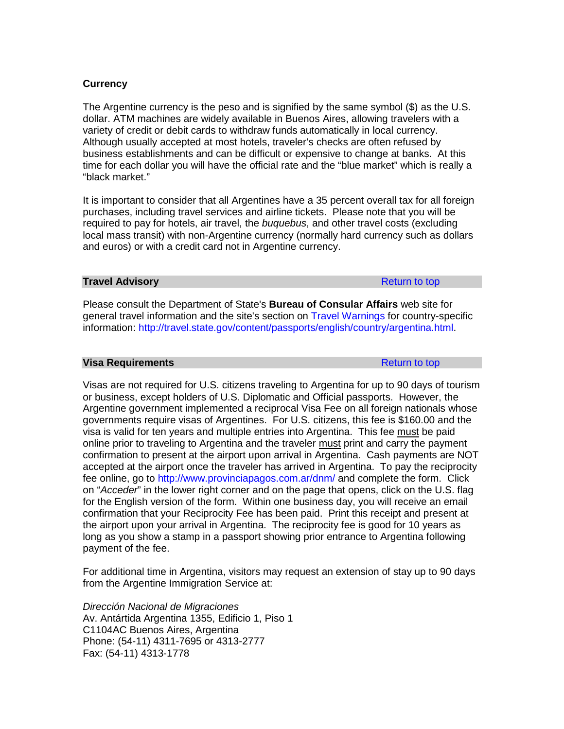# **Currency**

The Argentine currency is the peso and is signified by the same symbol (\$) as the U.S. dollar. ATM machines are widely available in Buenos Aires, allowing travelers with a variety of credit or debit cards to withdraw funds automatically in local currency. Although usually accepted at most hotels, traveler's checks are often refused by business establishments and can be difficult or expensive to change at banks. At this time for each dollar you will have the official rate and the "blue market" which is really a "black market."

It is important to consider that all Argentines have a 35 percent overall tax for all foreign purchases, including travel services and airline tickets. Please note that you will be required to pay for hotels, air travel, the *buquebus*, and other travel costs (excluding local mass transit) with non-Argentine currency (normally hard currency such as dollars and euros) or with a credit card not in Argentine currency.

#### <span id="page-103-0"></span>**Travel Advisory [Return to top](#page-102-1) Advisory Return to top Return to top Return to top**

Please consult the Department of State's **Bureau of Consular Affairs** web site for general travel information and the site's section on [Travel Warnings](http://travel.state.gov/travel/travel_1744.html) for country-specific information: [http://travel.state.gov/content/passports/english/country/argentina.html.](http://travel.state.gov/content/passports/english/country/argentina.html)

#### <span id="page-103-1"></span>**Visa Requirements Research Control Control Control Control Control Control Control Control Control Control Control Control Control Control Control Control Control Control Control Control Control Control Control Control**

Visas are not required for U.S. citizens traveling to Argentina for up to 90 days of tourism or business, except holders of U.S. Diplomatic and Official passports. However, the Argentine government implemented a reciprocal Visa Fee on all foreign nationals whose governments require visas of Argentines. For U.S. citizens, this fee is \$160.00 and the visa is valid for ten years and multiple entries into Argentina. This fee must be paid online prior to traveling to Argentina and the traveler must print and carry the payment confirmation to present at the airport upon arrival in Argentina. Cash payments are NOT accepted at the airport once the traveler has arrived in Argentina. To pay the reciprocity fee online, go to<http://www.provinciapagos.com.ar/dnm/> and complete the form. Click on "*Acceder*" in the lower right corner and on the page that opens, click on the U.S. flag for the English version of the form. Within one business day, you will receive an email confirmation that your Reciprocity Fee has been paid. Print this receipt and present at the airport upon your arrival in Argentina. The reciprocity fee is good for 10 years as long as you show a stamp in a passport showing prior entrance to Argentina following payment of the fee.

For additional time in Argentina, visitors may request an extension of stay up to 90 days from the Argentine Immigration Service at:

*Dirección Nacional de Migraciones* Av. Antártida Argentina 1355, Edificio 1, Piso 1 C1104AC Buenos Aires, Argentina Phone: (54-11) 4311-7695 or 4313-2777 Fax: (54-11) 4313-1778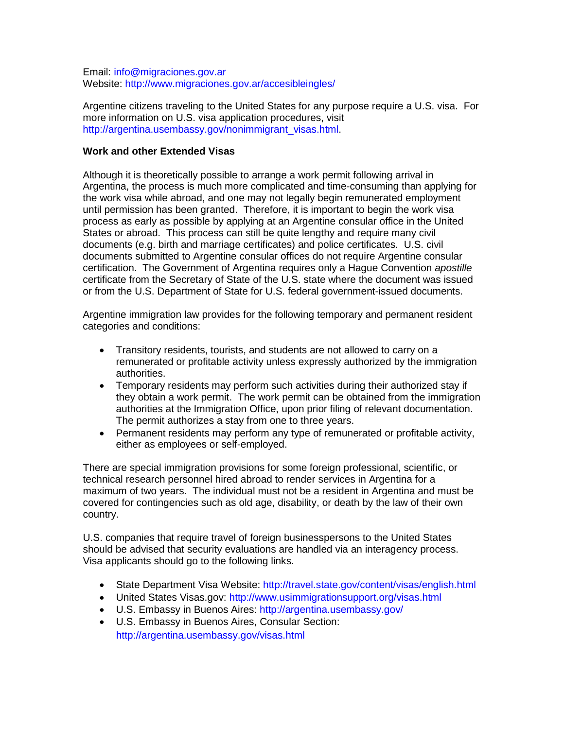Email: [info@migraciones.gov.ar](mailto:info@migraciones.gov.ar) Website:<http://www.migraciones.gov.ar/accesibleingles/>

Argentine citizens traveling to the United States for any purpose require a U.S. visa. For more information on U.S. visa application procedures, visit [http://argentina.usembassy.gov/nonimmigrant\\_visas.html.](http://argentina.usembassy.gov/nonimmigrant_visas.html)

# **Work and other Extended Visas**

Although it is theoretically possible to arrange a work permit following arrival in Argentina, the process is much more complicated and time-consuming than applying for the work visa while abroad, and one may not legally begin remunerated employment until permission has been granted. Therefore, it is important to begin the work visa process as early as possible by applying at an Argentine consular office in the United States or abroad. This process can still be quite lengthy and require many civil documents (e.g. birth and marriage certificates) and police certificates. U.S. civil documents submitted to Argentine consular offices do not require Argentine consular certification. The Government of Argentina requires only a Hague Convention *apostille*  certificate from the Secretary of State of the U.S. state where the document was issued or from the U.S. Department of State for U.S. federal government-issued documents.

Argentine immigration law provides for the following temporary and permanent resident categories and conditions:

- Transitory residents, tourists, and students are not allowed to carry on a remunerated or profitable activity unless expressly authorized by the immigration authorities.
- Temporary residents may perform such activities during their authorized stay if they obtain a work permit. The work permit can be obtained from the immigration authorities at the Immigration Office, upon prior filing of relevant documentation. The permit authorizes a stay from one to three years.
- Permanent residents may perform any type of remunerated or profitable activity, either as employees or self-employed.

There are special immigration provisions for some foreign professional, scientific, or technical research personnel hired abroad to render services in Argentina for a maximum of two years. The individual must not be a resident in Argentina and must be covered for contingencies such as old age, disability, or death by the law of their own country.

U.S. companies that require travel of foreign businesspersons to the United States should be advised that security evaluations are handled via an interagency process. Visa applicants should go to the following links.

- State Department Visa Website:<http://travel.state.gov/content/visas/english.html>
- United States Visas.gov:<http://www.usimmigrationsupport.org/visas.html>
- U.S. Embassy in Buenos Aires:<http://argentina.usembassy.gov/>
- U.S. Embassy in Buenos Aires, Consular Section: <http://argentina.usembassy.gov/visas.html>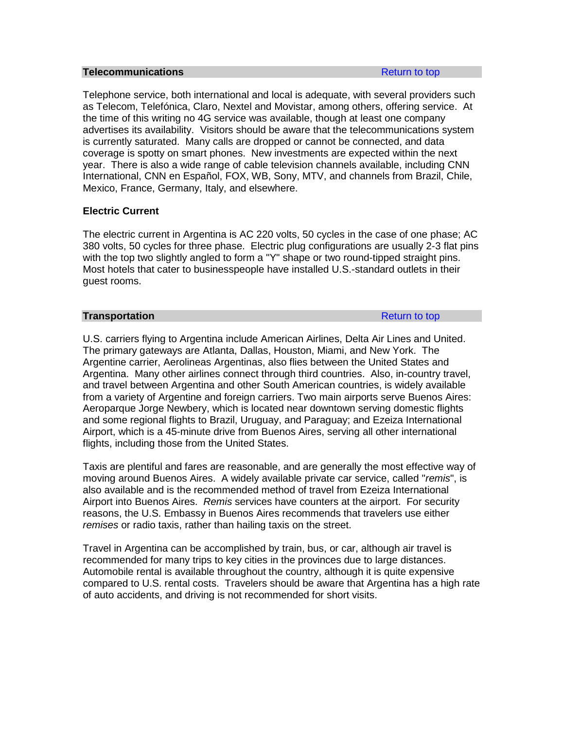#### <span id="page-105-0"></span>**Telecommunications [Return to top](#page-102-1) Return to top**

Telephone service, both international and local is adequate, with several providers such as Telecom, Telefónica, Claro, Nextel and Movistar, among others, offering service. At the time of this writing no 4G service was available, though at least one company advertises its availability. Visitors should be aware that the telecommunications system is currently saturated. Many calls are dropped or cannot be connected, and data coverage is spotty on smart phones. New investments are expected within the next year. There is also a wide range of cable television channels available, including CNN International, CNN en Español, FOX, WB, Sony, MTV, and channels from Brazil, Chile, Mexico, France, Germany, Italy, and elsewhere.

# **Electric Current**

The electric current in Argentina is AC 220 volts, 50 cycles in the case of one phase; AC 380 volts, 50 cycles for three phase. Electric plug configurations are usually 2-3 flat pins with the top two slightly angled to form a "Y" shape or two round-tipped straight pins. Most hotels that cater to businesspeople have installed U.S.-standard outlets in their guest rooms.

# <span id="page-105-1"></span>**Transportation [Return to top](#page-102-1) and the set of the set of the Return to top Return to top**

U.S. carriers flying to Argentina include American Airlines, Delta Air Lines and United. The primary gateways are Atlanta, Dallas, Houston, Miami, and New York. The Argentine carrier, Aerolineas Argentinas, also flies between the United States and Argentina. Many other airlines connect through third countries. Also, in-country travel, and travel between Argentina and other South American countries, is widely available from a variety of Argentine and foreign carriers. Two main airports serve Buenos Aires: Aeroparque Jorge Newbery, which is located near downtown serving domestic flights and some regional flights to Brazil, Uruguay, and Paraguay; and Ezeiza International Airport, which is a 45-minute drive from Buenos Aires, serving all other international flights, including those from the United States.

Taxis are plentiful and fares are reasonable, and are generally the most effective way of moving around Buenos Aires. A widely available private car service, called "*remis*", is also available and is the recommended method of travel from Ezeiza International Airport into Buenos Aires. *Remis* services have counters at the airport. For security reasons, the U.S. Embassy in Buenos Aires recommends that travelers use either *remises* or radio taxis, rather than hailing taxis on the street.

Travel in Argentina can be accomplished by train, bus, or car, although air travel is recommended for many trips to key cities in the provinces due to large distances. Automobile rental is available throughout the country, although it is quite expensive compared to U.S. rental costs. Travelers should be aware that Argentina has a high rate of auto accidents, and driving is not recommended for short visits.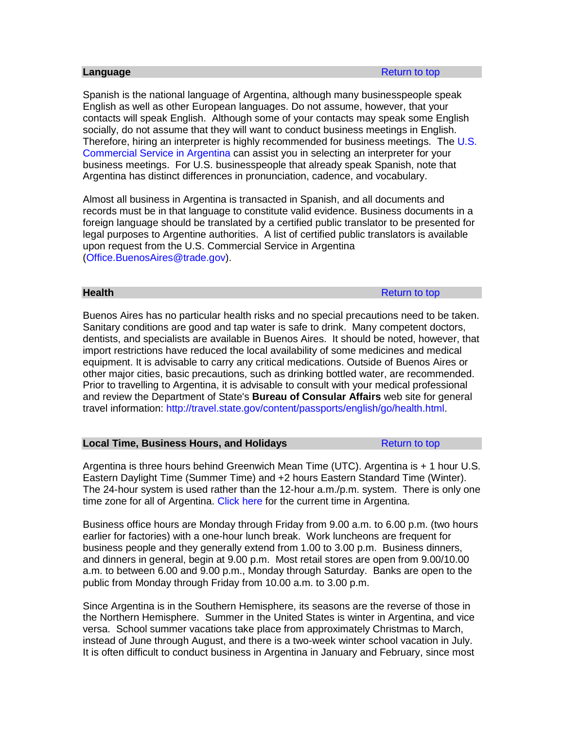<span id="page-106-0"></span>Spanish is the national language of Argentina, although many businesspeople speak English as well as other European languages. Do not assume, however, that your contacts will speak English. Although some of your contacts may speak some English socially, do not assume that they will want to conduct business meetings in English. Therefore, hiring an interpreter is highly recommended for business meetings. The [U.S.](http://export.gov/argentina/)  [Commercial Service in Argentina](http://export.gov/argentina/) can assist you in selecting an interpreter for your business meetings. For U.S. businesspeople that already speak Spanish, note that Argentina has distinct differences in pronunciation, cadence, and vocabulary.

Almost all business in Argentina is transacted in Spanish, and all documents and records must be in that language to constitute valid evidence. Business documents in a foreign language should be translated by a certified public translator to be presented for legal purposes to Argentine authorities. A list of certified public translators is available upon request from the U.S. Commercial Service in Argentina [\(Office.BuenosAires@trade.gov\)](mailto:Office.BuenosAires@trade.gov).

<span id="page-106-1"></span>**Health** [Return to top](#page-102-1) and the set of the set of the set of the Return to top and the set of the set of the set of the set of the set of the set of the set of the set of the set of the set of the set of the set of the set

Buenos Aires has no particular health risks and no special precautions need to be taken. Sanitary conditions are good and tap water is safe to drink. Many competent doctors, dentists, and specialists are available in Buenos Aires. It should be noted, however, that import restrictions have reduced the local availability of some medicines and medical equipment. It is advisable to carry any critical medications. Outside of Buenos Aires or other major cities, basic precautions, such as drinking bottled water, are recommended. Prior to travelling to Argentina, it is advisable to consult with your medical professional and review the Department of State's **Bureau of Consular Affairs** web site for general travel information: [http://travel.state.gov/content/passports/english/go/health.html.](http://travel.state.gov/content/passports/english/go/health.html)

#### <span id="page-106-2"></span>**Local Time, Business Hours, and Holidays [Return to top](#page-102-1) Return to top**

Argentina is three hours behind Greenwich Mean Time (UTC). Argentina is + 1 hour U.S. Eastern Daylight Time (Summer Time) and +2 hours Eastern Standard Time (Winter). The 24-hour system is used rather than the 12-hour a.m./p.m. system. There is only one time zone for all of Argentina. [Click here](http://www.timeanddate.com/worldclock/city.html?n=51) for the current time in Argentina.

Business office hours are Monday through Friday from 9.00 a.m. to 6.00 p.m. (two hours earlier for factories) with a one-hour lunch break. Work luncheons are frequent for business people and they generally extend from 1.00 to 3.00 p.m. Business dinners, and dinners in general, begin at 9.00 p.m. Most retail stores are open from 9.00/10.00 a.m. to between 6.00 and 9.00 p.m., Monday through Saturday. Banks are open to the public from Monday through Friday from 10.00 a.m. to 3.00 p.m.

Since Argentina is in the Southern Hemisphere, its seasons are the reverse of those in the Northern Hemisphere. Summer in the United States is winter in Argentina, and vice versa. School summer vacations take place from approximately Christmas to March, instead of June through August, and there is a two-week winter school vacation in July. It is often difficult to conduct business in Argentina in January and February, since most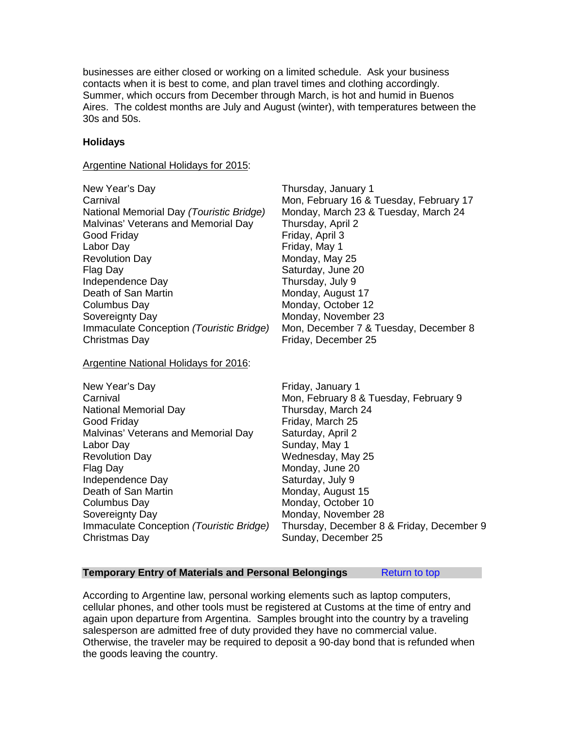businesses are either closed or working on a limited schedule. Ask your business contacts when it is best to come, and plan travel times and clothing accordingly. Summer, which occurs from December through March, is hot and humid in Buenos Aires. The coldest months are July and August (winter), with temperatures between the 30s and 50s.

Monday, May 25

# **Holidays**

Argentine National Holidays for 2015:

New Year's Day **Thursday, January 1** Carnival **Carnival** Mon, February 16 & Tuesday, February 17 National Memorial Day *(Touristic Bridge)* Monday, March 23 & Tuesday, March 24 Malvinas' Veterans and Memorial Day Thursday, April 2 Good Friday **Friday**, April 3 Labor Day Friday, May 1 Flag Day **Saturday**, June 20 Independence Day Thursday, July 9 Death of San Martin Monday, August 17 Columbus Day **Monday**, October 12 Sovereignty Day Monday, November 23 Immaculate Conception *(Touristic Bridge)* Mon, December 7 & Tuesday, December 8 Christmas Day **Friday**, December 25

Argentine National Holidays for 2016:

| New Year's Day                           | Friday, January 1                         |
|------------------------------------------|-------------------------------------------|
| Carnival                                 | Mon, February 8 & Tuesday, February 9     |
| National Memorial Day                    | Thursday, March 24                        |
| Good Friday                              | Friday, March 25                          |
| Malvinas' Veterans and Memorial Day      | Saturday, April 2                         |
| Labor Day                                | Sunday, May 1                             |
| <b>Revolution Day</b>                    | Wednesday, May 25                         |
| Flag Day                                 | Monday, June 20                           |
| Independence Day                         | Saturday, July 9                          |
| Death of San Martin                      | Monday, August 15                         |
| Columbus Day                             | Monday, October 10                        |
| Sovereignty Day                          | Monday, November 28                       |
| Immaculate Conception (Touristic Bridge) | Thursday, December 8 & Friday, December 9 |
| Christmas Day                            | Sunday, December 25                       |

#### <span id="page-107-0"></span>**Temporary Entry of Materials and Personal Belongings [Return to top](#page-102-1)**

According to Argentine law, personal working elements such as laptop computers, cellular phones, and other tools must be registered at Customs at the time of entry and again upon departure from Argentina. Samples brought into the country by a traveling salesperson are admitted free of duty provided they have no commercial value. Otherwise, the traveler may be required to deposit a 90-day bond that is refunded when the goods leaving the country.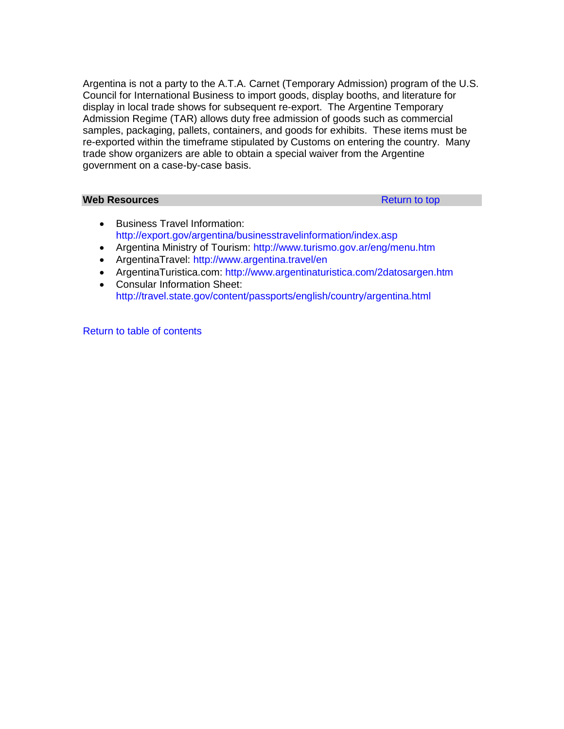Argentina is not a party to the A.T.A. Carnet (Temporary Admission) program of the U.S. Council for International Business to import goods, display booths, and literature for display in local trade shows for subsequent re-export. The Argentine Temporary Admission Regime (TAR) allows duty free admission of goods such as commercial samples, packaging, pallets, containers, and goods for exhibits. These items must be re-exported within the timeframe stipulated by Customs on entering the country. Many trade show organizers are able to obtain a special waiver from the Argentine government on a case-by-case basis.

# **Web Resources [Return to top](#page-102-0)**

- Business Travel Information: <http://export.gov/argentina/businesstravelinformation/index.asp>
- Argentina Ministry of Tourism:<http://www.turismo.gov.ar/eng/menu.htm>
- ArgentinaTravel:<http://www.argentina.travel/en>
- ArgentinaTuristica.com:<http://www.argentinaturistica.com/2datosargen.htm>
- Consular Information Sheet: <http://travel.state.gov/content/passports/english/country/argentina.html>

[Return to table of contents](#page-0-0)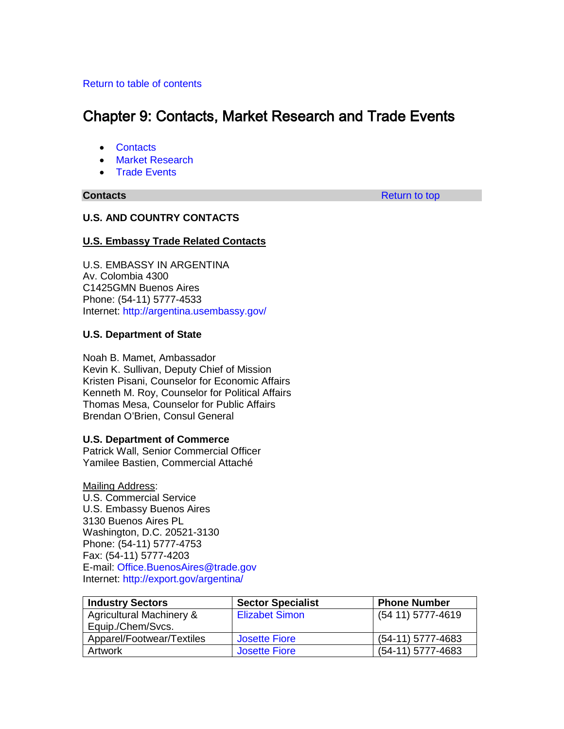# <span id="page-109-1"></span>[Return to table of contents](#page-0-0)

# Chapter 9: Contacts, Market Research and Trade Events

- [Contacts](#page-109-0)
- [Market Research](#page-117-0)
- [Trade Events](#page-117-1)

<span id="page-109-0"></span>**Contacts Contacts [Return to top](#page-109-1)** 

# **U.S. AND COUNTRY CONTACTS**

# **U.S. Embassy Trade Related Contacts**

U.S. EMBASSY IN ARGENTINA Av. Colombia 4300 C1425GMN Buenos Aires Phone: (54-11) 5777-4533 Internet:<http://argentina.usembassy.gov/>

# **U.S. Department of State**

Noah B. Mamet, Ambassador Kevin K. Sullivan, Deputy Chief of Mission Kristen Pisani, Counselor for Economic Affairs Kenneth M. Roy, Counselor for Political Affairs Thomas Mesa, Counselor for Public Affairs Brendan O'Brien, Consul General

# **U.S. Department of Commerce**

Patrick Wall, Senior Commercial Officer Yamilee Bastien, Commercial Attaché

Mailing Address: U.S. Commercial Service U.S. Embassy Buenos Aires 3130 Buenos Aires PL Washington, D.C. 20521-3130 Phone: (54-11) 5777-4753 Fax: (54-11) 5777-4203 E-mail: [Office.BuenosAires@trade.gov](mailto:Office.BuenosAires@trade.gov)  Internet:<http://export.gov/argentina/>

| <b>Industry Sectors</b>             | <b>Sector Specialist</b> | <b>Phone Number</b> |
|-------------------------------------|--------------------------|---------------------|
| <b>Agricultural Machinery &amp;</b> | <b>Elizabet Simon</b>    | (54 11) 5777-4619   |
| Equip./Chem/Svcs.                   |                          |                     |
| Apparel/Footwear/Textiles           | <b>Josette Fiore</b>     | (54-11) 5777-4683   |
| <b>Artwork</b>                      | <b>Josette Fiore</b>     | (54-11) 5777-4683   |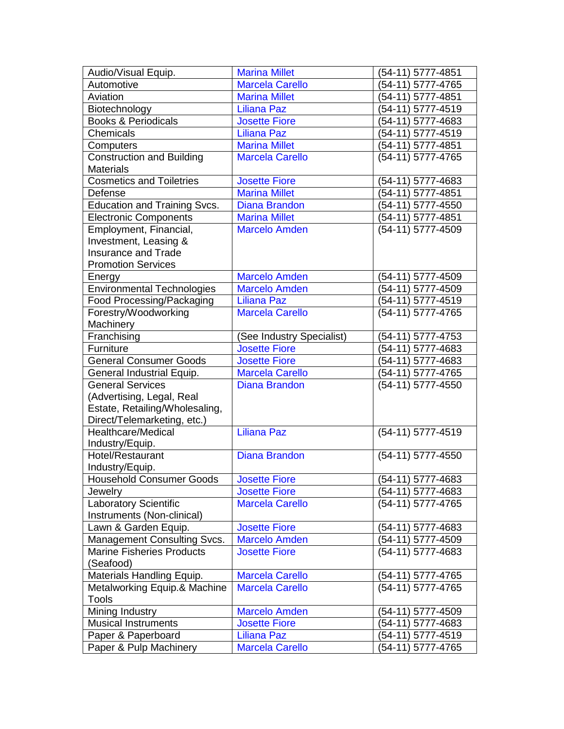| Audio/Visual Equip.                                             | <b>Marina Millet</b>                           | (54-11) 5777-4851                      |
|-----------------------------------------------------------------|------------------------------------------------|----------------------------------------|
| Automotive                                                      | <b>Marcela Carello</b>                         | (54-11) 5777-4765                      |
| Aviation                                                        | <b>Marina Millet</b>                           | (54-11) 5777-4851                      |
| Biotechnology                                                   | <b>Liliana Paz</b>                             | (54-11) 5777-4519                      |
| <b>Books &amp; Periodicals</b>                                  | <b>Josette Fiore</b>                           | (54-11) 5777-4683                      |
| Chemicals                                                       | <b>Liliana Paz</b>                             | (54-11) 5777-4519                      |
| Computers                                                       | <b>Marina Millet</b>                           | (54-11) 5777-4851                      |
| <b>Construction and Building</b>                                | <b>Marcela Carello</b>                         | (54-11) 5777-4765                      |
| <b>Materials</b>                                                |                                                |                                        |
| <b>Cosmetics and Toiletries</b>                                 | <b>Josette Fiore</b>                           | (54-11) 5777-4683                      |
| Defense                                                         | <b>Marina Millet</b>                           | (54-11) 5777-4851                      |
| <b>Education and Training Svcs.</b>                             | <b>Diana Brandon</b>                           | (54-11) 5777-4550                      |
| <b>Electronic Components</b>                                    | <b>Marina Millet</b>                           | (54-11) 5777-4851                      |
| Employment, Financial,                                          | <b>Marcelo Amden</b>                           | (54-11) 5777-4509                      |
| Investment, Leasing &                                           |                                                |                                        |
| <b>Insurance and Trade</b>                                      |                                                |                                        |
| <b>Promotion Services</b>                                       |                                                |                                        |
| Energy                                                          | <b>Marcelo Amden</b>                           | (54-11) 5777-4509                      |
| <b>Environmental Technologies</b>                               | <b>Marcelo Amden</b>                           | (54-11) 5777-4509                      |
| Food Processing/Packaging                                       | <b>Liliana Paz</b>                             | (54-11) 5777-4519                      |
| Forestry/Woodworking                                            | <b>Marcela Carello</b>                         | $\overline{64-11}$ 5777-4765           |
| Machinery                                                       |                                                |                                        |
| Franchising                                                     | (See Industry Specialist)                      | (54-11) 5777-4753                      |
| Furniture                                                       | <b>Josette Fiore</b>                           | (54-11) 5777-4683                      |
| <b>General Consumer Goods</b>                                   | <b>Josette Fiore</b>                           | (54-11) 5777-4683                      |
| General Industrial Equip.                                       | <b>Marcela Carello</b>                         | (54-11) 5777-4765                      |
| <b>General Services</b>                                         | <b>Diana Brandon</b>                           | (54-11) 5777-4550                      |
| (Advertising, Legal, Real                                       |                                                |                                        |
| Estate, Retailing/Wholesaling,                                  |                                                |                                        |
| Direct/Telemarketing, etc.)                                     |                                                |                                        |
| Healthcare/Medical                                              | <b>Liliana Paz</b>                             | (54-11) 5777-4519                      |
| Industry/Equip.                                                 |                                                |                                        |
| Hotel/Restaurant                                                | <b>Diana Brandon</b>                           | (54-11) 5777-4550                      |
| Industry/Equip.                                                 |                                                |                                        |
| <b>Household Consumer Goods</b>                                 | <b>Josette Fiore</b>                           | $(54-11) 5777-4683$                    |
| Jewelry                                                         | <b>Josette Fiore</b><br><b>Marcela Carello</b> | (54-11) 5777-4683<br>(54-11) 5777-4765 |
| Laboratory Scientific<br>Instruments (Non-clinical)             |                                                |                                        |
| Lawn & Garden Equip.                                            | <b>Josette Fiore</b>                           | (54-11) 5777-4683                      |
|                                                                 | <b>Marcelo Amden</b>                           | (54-11) 5777-4509                      |
| Management Consulting Svcs.<br><b>Marine Fisheries Products</b> | <b>Josette Fiore</b>                           | (54-11) 5777-4683                      |
| (Seafood)                                                       |                                                |                                        |
| Materials Handling Equip.                                       | <b>Marcela Carello</b>                         | (54-11) 5777-4765                      |
| Metalworking Equip.& Machine                                    | <b>Marcela Carello</b>                         | (54-11) 5777-4765                      |
| <b>Tools</b>                                                    |                                                |                                        |
| Mining Industry                                                 | <b>Marcelo Amden</b>                           | (54-11) 5777-4509                      |
| <b>Musical Instruments</b>                                      | <b>Josette Fiore</b>                           | (54-11) 5777-4683                      |
| Paper & Paperboard                                              | <b>Liliana Paz</b>                             | (54-11) 5777-4519                      |
| Paper & Pulp Machinery                                          | <b>Marcela Carello</b>                         | (54-11) 5777-4765                      |
|                                                                 |                                                |                                        |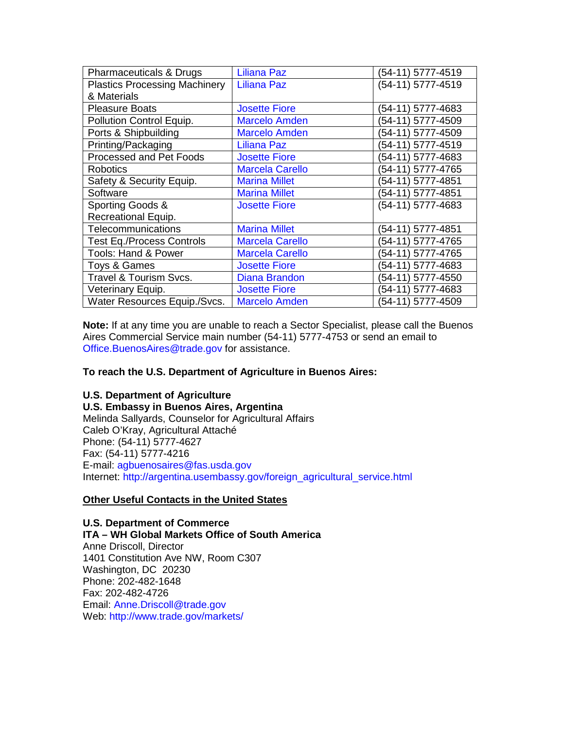| Pharmaceuticals & Drugs              | <b>Liliana Paz</b>     | (54-11) 5777-4519 |
|--------------------------------------|------------------------|-------------------|
| <b>Plastics Processing Machinery</b> | <b>Liliana Paz</b>     | (54-11) 5777-4519 |
| & Materials                          |                        |                   |
| <b>Pleasure Boats</b>                | <b>Josette Fiore</b>   | (54-11) 5777-4683 |
| Pollution Control Equip.             | <b>Marcelo Amden</b>   | (54-11) 5777-4509 |
| Ports & Shipbuilding                 | <b>Marcelo Amden</b>   | (54-11) 5777-4509 |
| Printing/Packaging                   | <b>Liliana Paz</b>     | (54-11) 5777-4519 |
| Processed and Pet Foods              | <b>Josette Fiore</b>   | (54-11) 5777-4683 |
| <b>Robotics</b>                      | <b>Marcela Carello</b> | (54-11) 5777-4765 |
| Safety & Security Equip.             | <b>Marina Millet</b>   | (54-11) 5777-4851 |
| Software                             | <b>Marina Millet</b>   | (54-11) 5777-4851 |
| Sporting Goods &                     | <b>Josette Fiore</b>   | (54-11) 5777-4683 |
| Recreational Equip.                  |                        |                   |
| <b>Telecommunications</b>            | <b>Marina Millet</b>   | (54-11) 5777-4851 |
| <b>Test Eq./Process Controls</b>     | <b>Marcela Carello</b> | (54-11) 5777-4765 |
| <b>Tools: Hand &amp; Power</b>       | <b>Marcela Carello</b> | (54-11) 5777-4765 |
| Toys & Games                         | <b>Josette Fiore</b>   | (54-11) 5777-4683 |
| Travel & Tourism Svcs.               | <b>Diana Brandon</b>   | (54-11) 5777-4550 |
| Veterinary Equip.                    | <b>Josette Fiore</b>   | (54-11) 5777-4683 |
| Water Resources Equip./Svcs.         | <b>Marcelo Amden</b>   | (54-11) 5777-4509 |

**Note:** If at any time you are unable to reach a Sector Specialist, please call the Buenos Aires Commercial Service main number (54-11) 5777-4753 or send an email to [Office.BuenosAires@trade.gov](mailto:Office.BuenosAires@trade.gov) for assistance.

# **To reach the U.S. Department of Agriculture in Buenos Aires:**

# **U.S. Department of Agriculture**

**U.S. Embassy in Buenos Aires, Argentina** Melinda Sallyards, Counselor for Agricultural Affairs Caleb O'Kray, Agricultural Attaché Phone: (54-11) 5777-4627 Fax: (54-11) 5777-4216 E-mail: [agbuenosaires@fas.usda.gov](mailto:agbuenosaires@fas.usda.gov) Internet: [http://argentina.usembassy.gov/foreign\\_agricultural\\_service.html](http://argentina.usembassy.gov/foreign_agricultural_service.html)

# **Other Useful Contacts in the United States**

#### **U.S. Department of Commerce**

**ITA – WH Global Markets Office of South America** Anne Driscoll, Director 1401 Constitution Ave NW, Room C307 Washington, DC 20230 Phone: 202-482-1648 Fax: 202-482-4726 Email: [Anne.Driscoll@trade.gov](mailto:Anne.Driscoll@trade.gov) Web:<http://www.trade.gov/markets/>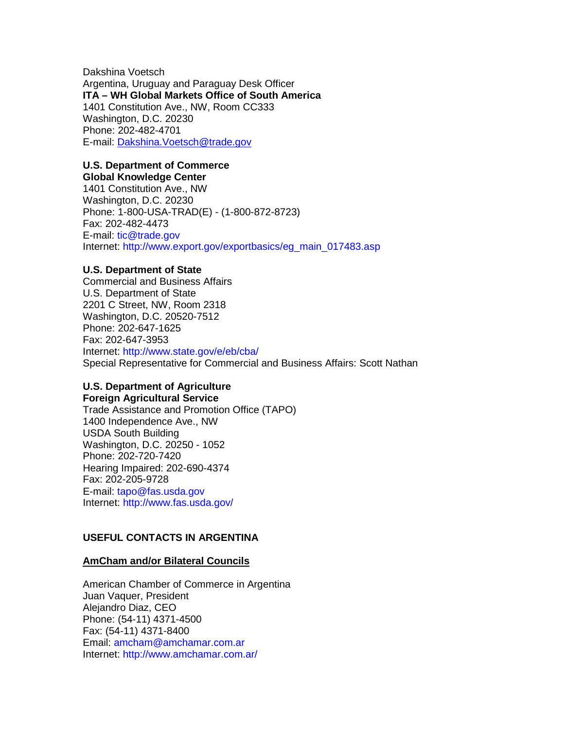Dakshina Voetsch Argentina, Uruguay and Paraguay Desk Officer **ITA – WH Global Markets Office of South America** 1401 Constitution Ave., NW, Room CC333 Washington, D.C. 20230 Phone: 202-482-4701 E-mail: [Dakshina.Voetsch@trade.gov](mailto:Dakshina.Voetsch@trade.gov)

# **U.S. Department of Commerce**

**Global Knowledge Center**

1401 Constitution Ave., NW Washington, D.C. 20230 Phone: 1-800-USA-TRAD(E) - (1-800-872-8723) Fax: 202-482-4473 E-mail: [tic@trade.gov](mailto:tic@trade.gov) Internet: [http://www.export.gov/exportbasics/eg\\_main\\_017483.asp](http://www.export.gov/exportbasics/eg_main_017483.asp)

# **U.S. Department of State**

Commercial and Business Affairs U.S. Department of State 2201 C Street, NW, Room 2318 Washington, D.C. 20520-7512 Phone: 202-647-1625 Fax: 202-647-3953 Internet:<http://www.state.gov/e/eb/cba/> Special Representative for Commercial and Business Affairs: Scott Nathan

# **U.S. Department of Agriculture Foreign Agricultural Service**

Trade Assistance and Promotion Office (TAPO) 1400 Independence Ave., NW USDA South Building Washington, D.C. 20250 - 1052 Phone: 202-720-7420 Hearing Impaired: 202-690-4374 Fax: 202-205-9728 E-mail: [tapo@fas.usda.gov](mailto:tapo@fas.usda.gov) Internet:<http://www.fas.usda.gov/>

# **USEFUL CONTACTS IN ARGENTINA**

# **AmCham and/or Bilateral Councils**

American Chamber of Commerce in Argentina Juan Vaquer, President Alejandro Diaz, CEO Phone: (54-11) 4371-4500 Fax: (54-11) 4371-8400 Email: [amcham@amchamar.com.ar](mailto:amcham@amchamar.com.ar) Internet:<http://www.amchamar.com.ar/>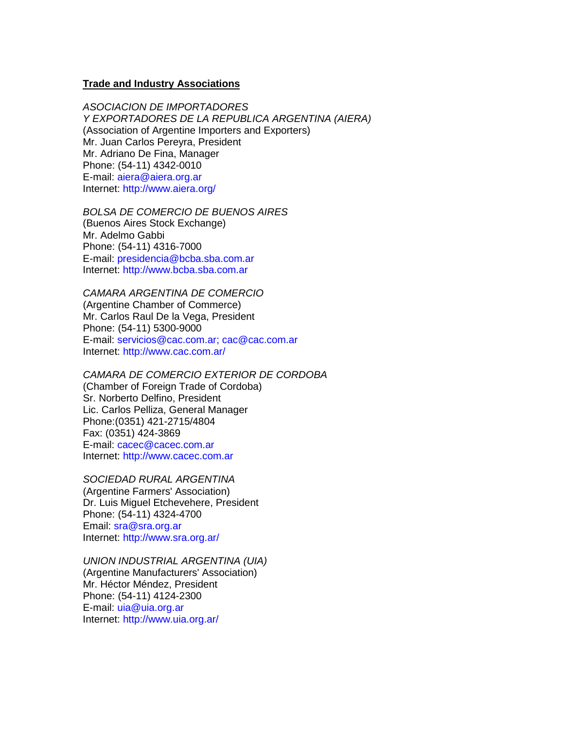### **Trade and Industry Associations**

*ASOCIACION DE IMPORTADORES Y EXPORTADORES DE LA REPUBLICA ARGENTINA (AIERA)* (Association of Argentine Importers and Exporters) Mr. Juan Carlos Pereyra, President Mr. Adriano De Fina, Manager Phone: (54-11) 4342-0010 E-mail: [aiera@aiera.org.ar](mailto:aiera@aiera.org.ar) Internet:<http://www.aiera.org/>

*BOLSA DE COMERCIO DE BUENOS AIRES* (Buenos Aires Stock Exchange) Mr. Adelmo Gabbi Phone: (54-11) 4316-7000 E-mail: [presidencia@bcba.sba.com.ar](mailto:presidencia@bcba.sba.com.ar) Internet: [http://www.bcba.sba.com.ar](http://www.bcba.sba.com.ar/)

*CAMARA ARGENTINA DE COMERCIO* (Argentine Chamber of Commerce) Mr. Carlos Raul De la Vega, President Phone: (54-11) 5300-9000 E-mail: [servicios@cac.com.ar;](mailto:servicios@cac.com.ar) cac@cac.com.ar Internet:<http://www.cac.com.ar/>

*CAMARA DE COMERCIO EXTERIOR DE CORDOBA* (Chamber of Foreign Trade of Cordoba) Sr. Norberto Delfino, President Lic. Carlos Pelliza, General Manager Phone:(0351) 421-2715/4804 Fax: (0351) 424-3869 E-mail: [cacec@cacec.com.ar](mailto:cacec@cacec.com.ar)

Internet: [http://www.cacec.com.ar](http://www.cacec.com.ar/)

*SOCIEDAD RURAL ARGENTINA*  (Argentine Farmers' Association) Dr. Luis Miguel Etchevehere, President Phone: (54-11) 4324-4700 Email: [sra@sra.org.ar](mailto:sra@sra.org.ar) Internet:<http://www.sra.org.ar/>

*UNION INDUSTRIAL ARGENTINA (UIA)* 

(Argentine Manufacturers' Association) Mr. Héctor Méndez, President Phone: (54-11) 4124-2300 E-mail: [uia@uia.org.ar](mailto:uia@uia.org.ar) Internet:<http://www.uia.org.ar/>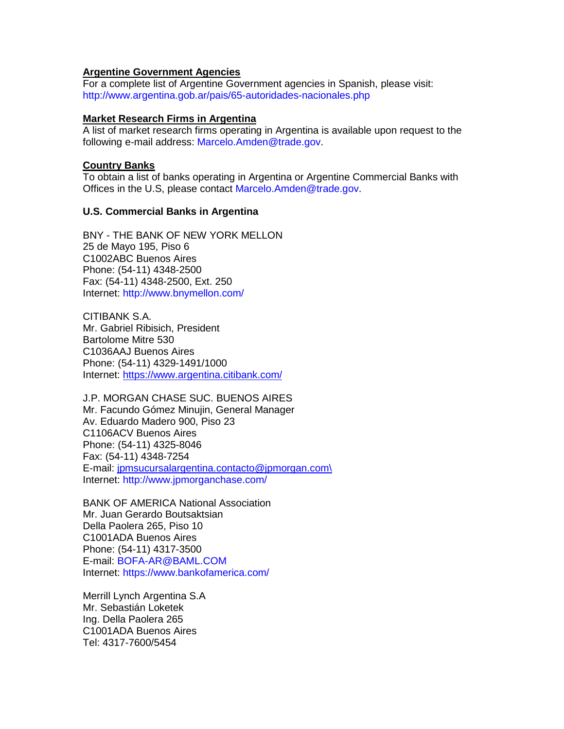# **Argentine Government Agencies**

For a complete list of Argentine Government agencies in Spanish, please visit: <http://www.argentina.gob.ar/pais/65-autoridades-nacionales.php>

# **Market Research Firms in Argentina**

A list of market research firms operating in Argentina is available upon request to the following e-mail address: [Marcelo.Amden@trade.gov.](mailto:Marcelo.Amden@trade.gov)

### **Country Banks**

To obtain a list of banks operating in Argentina or Argentine Commercial Banks with Offices in the U.S, please contact [Marcelo.Amden@trade.gov.](mailto:Marcelo.Amden@trade.gov)

# **U.S. Commercial Banks in Argentina**

BNY - THE BANK OF NEW YORK MELLON 25 de Mayo 195, Piso 6 C1002ABC Buenos Aires Phone: (54-11) 4348-2500 Fax: (54-11) 4348-2500, Ext. 250 Internet:<http://www.bnymellon.com/>

CITIBANK S.A. Mr. Gabriel Ribisich, President Bartolome Mitre 530 C1036AAJ Buenos Aires Phone: (54-11) 4329-1491/1000 Internet: [https://www.argentina.citibank.com/](https://www.argentina.citibank.com/ARGCB/JPS/portal/Index.do)

J.P. MORGAN CHASE SUC. BUENOS AIRES Mr. Facundo Gómez Minujin, General Manager Av. Eduardo Madero 900, Piso 23 C1106ACV Buenos Aires Phone: (54-11) 4325-8046 Fax: (54-11) 4348-7254 E-mail: [jpmsucursalargentina.contacto@jpmorgan.com\](mailto:jpmsucursalargentina.contacto@jpmorgan.com\) Internet:<http://www.jpmorganchase.com/>

BANK OF AMERICA National Association Mr. Juan Gerardo Boutsaktsian Della Paolera 265, Piso 10 C1001ADA Buenos Aires Phone: (54-11) 4317-3500 E-mail: [BOFA-AR@BAML.COM](mailto:BOFA-AR@BAML.COM) Internet:<https://www.bankofamerica.com/>

Merrill Lynch Argentina S.A Mr. Sebastián Loketek Ing. Della Paolera 265 C1001ADA Buenos Aires Tel: 4317-7600/5454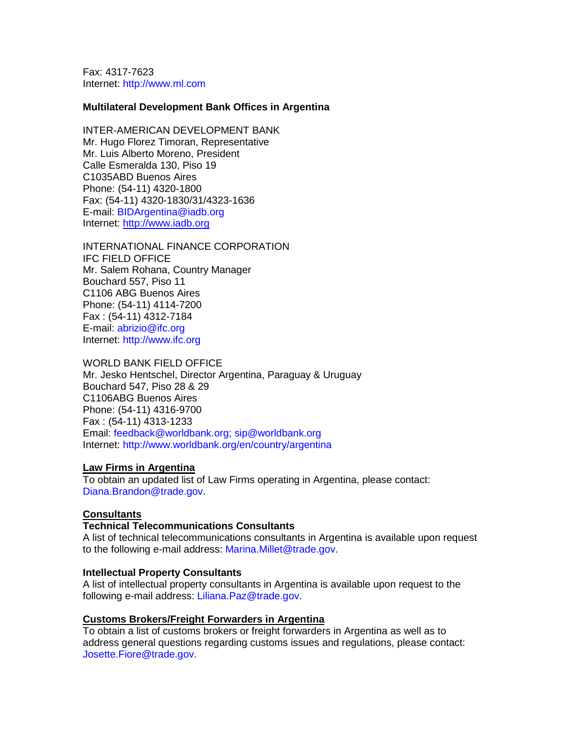Fax: 4317-7623 Internet: [http://www.ml.com](http://www.ml.com/)

#### **Multilateral Development Bank Offices in Argentina**

INTER-AMERICAN DEVELOPMENT BANK Mr. Hugo Florez Timoran, Representative Mr. Luis Alberto Moreno, President Calle Esmeralda 130, Piso 19 C1035ABD Buenos Aires Phone: (54-11) 4320-1800 Fax: (54-11) 4320-1830/31/4323-1636 E-mail: [BIDArgentina@iadb.org](mailto:BIDArgentina@iadb.org) Internet: [http://www.iadb.org](http://www.iadb.org/)

INTERNATIONAL FINANCE CORPORATION IFC FIELD OFFICE Mr. Salem Rohana, Country Manager Bouchard 557, Piso 11 C1106 ABG Buenos Aires Phone: (54-11) 4114-7200 Fax : (54-11) 4312-7184 E-mail: [abrizio@ifc.org](mailto:abrizio@ifc.org) Internet: [http://www.ifc.org](http://www.ifc.org/)

#### WORLD BANK FIELD OFFICE

Mr. Jesko Hentschel, Director Argentina, Paraguay & Uruguay Bouchard 547, Piso 28 & 29 C1106ABG Buenos Aires Phone: (54-11) 4316-9700 Fax : (54-11) 4313-1233 Email: [feedback@worldbank.org;](mailto:feedback@worldbank.org) [sip@worldbank.org](mailto:sip@worldbank.org) Internet:<http://www.worldbank.org/en/country/argentina>

#### **Law Firms in Argentina**

To obtain an updated list of Law Firms operating in Argentina, please contact: [Diana.Brandon@trade.gov.](mailto:Diana.Brandon@trade.gov)

#### **Consultants**

#### **Technical Telecommunications Consultants**

A list of technical telecommunications consultants in Argentina is available upon request to the following e-mail address: [Marina.Millet@trade.gov.](mailto:Marina.Millet@trade.gov)

#### **Intellectual Property Consultants**

A list of intellectual property consultants in Argentina is available upon request to the following e-mail address: [Liliana.Paz@trade.gov.](mailto:Liliana.Paz@mail.doc.gov)

#### **Customs Brokers/Freight Forwarders in Argentina**

To obtain a list of customs brokers or freight forwarders in Argentina as well as to address general questions regarding customs issues and regulations, please contact: [Josette.Fiore@trade.gov.](mailto:Josette.Fiore@trade.gov)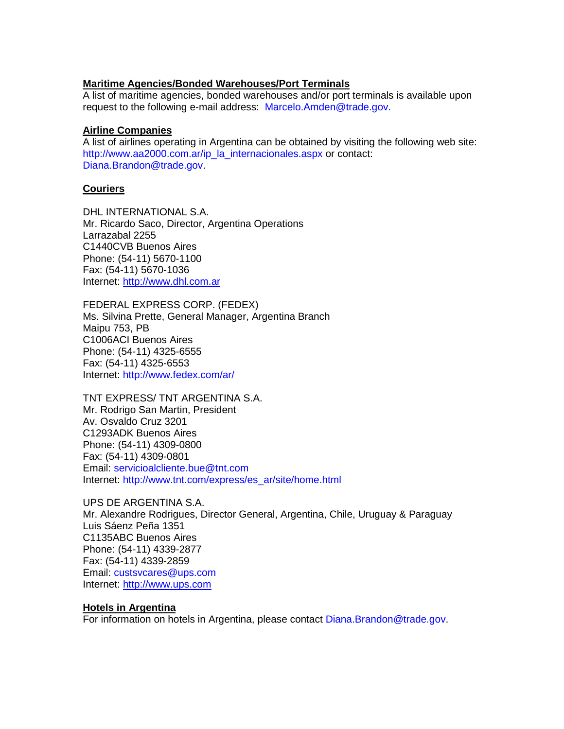# **Maritime Agencies/Bonded Warehouses/Port Terminals**

A list of maritime agencies, bonded warehouses and/or port terminals is available upon request to the following e-mail address: [Marcelo.Amden@trade.gov.](mailto:Marcelo.Amden@trade.gov)

# **Airline Companies**

A list of airlines operating in Argentina can be obtained by visiting the following web site: [http://www.aa2000.com.ar/ip\\_la\\_internacionales.aspx](http://www.aa2000.com.ar/ip_la_internacionales.aspx) or contact: [Diana.Brandon@trade.gov.](mailto:Diana.Brandon@trade.gov)

# **Couriers**

DHL INTERNATIONAL S.A. Mr. Ricardo Saco, Director, Argentina Operations Larrazabal 2255 C1440CVB Buenos Aires Phone: (54-11) 5670-1100 Fax: (54-11) 5670-1036 Internet: [http://www.dhl.com.ar](http://www.dhl.com.ar/)

FEDERAL EXPRESS CORP. (FEDEX) Ms. Silvina Prette, General Manager, Argentina Branch Maipu 753, PB C1006ACI Buenos Aires Phone: (54-11) 4325-6555 Fax: (54-11) 4325-6553 Internet:<http://www.fedex.com/ar/>

TNT EXPRESS/ TNT ARGENTINA S.A. Mr. Rodrigo San Martin, President Av. Osvaldo Cruz 3201 C1293ADK Buenos Aires Phone: (54-11) 4309-0800 Fax: (54-11) 4309-0801 Email: [servicioalcliente.bue@tnt.com](mailto:servicioalcliente.bue@tnt.com) Internet: [http://www.tnt.com/express/es\\_ar/site/home.html](http://www.tnt.com/express/es_ar/site/home.html)

UPS DE ARGENTINA S.A. Mr. Alexandre Rodrigues, Director General, Argentina, Chile, Uruguay & Paraguay Luis Sáenz Peña 1351 C1135ABC Buenos Aires Phone: (54-11) 4339-2877 Fax: (54-11) 4339-2859 Email: [custsvcares@ups.com](mailto:custsvcares@ups.com) Internet: [http://www.ups.com](http://www.ups.com/)

# **Hotels in Argentina**

For information on hotels in Argentina, please contact [Diana.Brandon@trade.gov.](mailto:Diana.Brandon@trade.gov)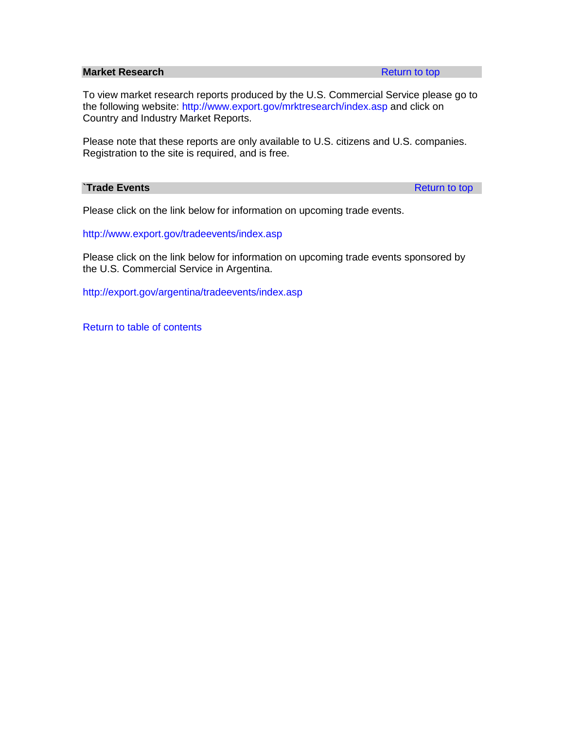#### <span id="page-117-0"></span>**Market Research [Return to top](#page-109-1)**

To view market research reports produced by the U.S. Commercial Service please go to the following website: <http://www.export.gov/mrktresearch/index.asp> and click on Country and Industry Market Reports.

Please note that these reports are only available to U.S. citizens and U.S. companies. Registration to the site is required, and is free.

#### <span id="page-117-1"></span>**Trade Events** [Return to top](#page-109-1) **Return to top**

Please click on the link below for information on upcoming trade events.

<http://www.export.gov/tradeevents/index.asp>

Please click on the link below for information on upcoming trade events sponsored by the U.S. Commercial Service in Argentina.

<http://export.gov/argentina/tradeevents/index.asp>

[Return to table of contents](#page-0-0)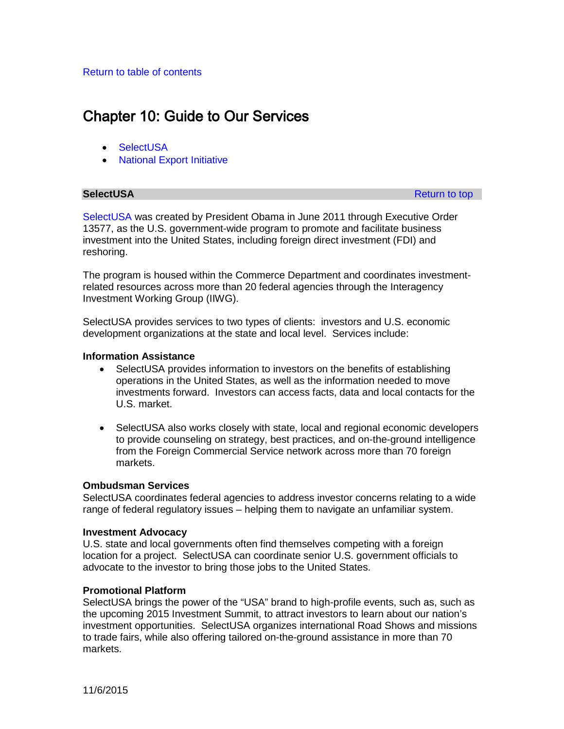# <span id="page-118-0"></span>Chapter 10: Guide to Our Services

- **SelectUSA**
- [National Export Initiative](#page-119-0)

**SelectUSA** [Return to top](#page-118-0) and the selection of the selection of the selection of the selection of the selection of the selection of the selection of the selection of the selection of the selection of the selection of the s

[SelectUSA](http://selectusa.commerce.gov/) was created by President Obama in June 2011 through Executive Order 13577, as the U.S. government-wide program to promote and facilitate business investment into the United States, including foreign direct investment (FDI) and reshoring.

The program is housed within the Commerce Department and coordinates investmentrelated resources across more than 20 federal agencies through the Interagency Investment Working Group (IIWG).

SelectUSA provides services to two types of clients: investors and U.S. economic development organizations at the state and local level. Services include:

# **Information Assistance**

- SelectUSA provides information to investors on the benefits of establishing operations in the United States, as well as the information needed to move investments forward. Investors can access facts, data and local contacts for the U.S. market.
- SelectUSA also works closely with state, local and regional economic developers to provide counseling on strategy, best practices, and on-the-ground intelligence from the Foreign Commercial Service network across more than 70 foreign markets.

# **Ombudsman Services**

SelectUSA coordinates federal agencies to address investor concerns relating to a wide range of federal regulatory issues – helping them to navigate an unfamiliar system.

# **Investment Advocacy**

U.S. state and local governments often find themselves competing with a foreign location for a project. SelectUSA can coordinate senior U.S. government officials to advocate to the investor to bring those jobs to the United States.

# **Promotional Platform**

SelectUSA brings the power of the "USA" brand to high-profile events, such as, such as the upcoming 2015 Investment Summit, to attract investors to learn about our nation's investment opportunities. SelectUSA organizes international Road Shows and missions to trade fairs, while also offering tailored on-the-ground assistance in more than 70 markets.